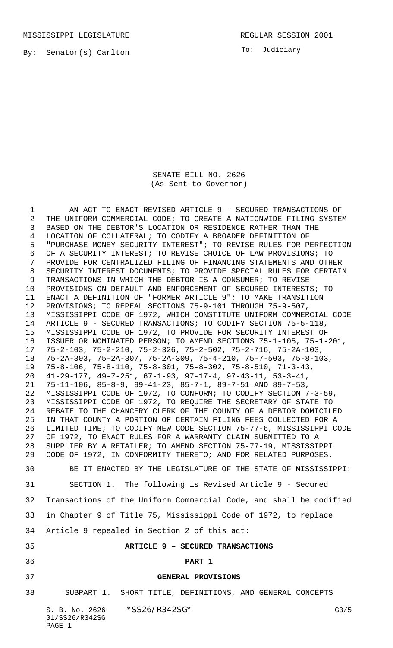MISSISSIPPI LEGISLATURE **REGULAR SESSION 2001** 

By: Senator(s) Carlton

To: Judiciary

SENATE BILL NO. 2626 (As Sent to Governor)

 AN ACT TO ENACT REVISED ARTICLE 9 - SECURED TRANSACTIONS OF THE UNIFORM COMMERCIAL CODE; TO CREATE A NATIONWIDE FILING SYSTEM BASED ON THE DEBTOR'S LOCATION OR RESIDENCE RATHER THAN THE LOCATION OF COLLATERAL; TO CODIFY A BROADER DEFINITION OF "PURCHASE MONEY SECURITY INTEREST"; TO REVISE RULES FOR PERFECTION OF A SECURITY INTEREST; TO REVISE CHOICE OF LAW PROVISIONS; TO PROVIDE FOR CENTRALIZED FILING OF FINANCING STATEMENTS AND OTHER SECURITY INTEREST DOCUMENTS; TO PROVIDE SPECIAL RULES FOR CERTAIN TRANSACTIONS IN WHICH THE DEBTOR IS A CONSUMER; TO REVISE PROVISIONS ON DEFAULT AND ENFORCEMENT OF SECURED INTERESTS; TO ENACT A DEFINITION OF "FORMER ARTICLE 9"; TO MAKE TRANSITION PROVISIONS; TO REPEAL SECTIONS 75-9-101 THROUGH 75-9-507, MISSISSIPPI CODE OF 1972, WHICH CONSTITUTE UNIFORM COMMERCIAL CODE ARTICLE 9 - SECURED TRANSACTIONS; TO CODIFY SECTION 75-5-118, MISSISSIPPI CODE OF 1972, TO PROVIDE FOR SECURITY INTEREST OF ISSUER OR NOMINATED PERSON; TO AMEND SECTIONS 75-1-105, 75-1-201, 75-2-103, 75-2-210, 75-2-326, 75-2-502, 75-2-716, 75-2A-103, 75-2A-303, 75-2A-307, 75-2A-309, 75-4-210, 75-7-503, 75-8-103, 75-8-106, 75-8-110, 75-8-301, 75-8-302, 75-8-510, 71-3-43, 41-29-177, 49-7-251, 67-1-93, 97-17-4, 97-43-11, 53-3-41, 75-11-106, 85-8-9, 99-41-23, 85-7-1, 89-7-51 AND 89-7-53, MISSISSIPPI CODE OF 1972, TO CONFORM; TO CODIFY SECTION 7-3-59, MISSISSIPPI CODE OF 1972, TO REQUIRE THE SECRETARY OF STATE TO REBATE TO THE CHANCERY CLERK OF THE COUNTY OF A DEBTOR DOMICILED IN THAT COUNTY A PORTION OF CERTAIN FILING FEES COLLECTED FOR A LIMITED TIME; TO CODIFY NEW CODE SECTION 75-77-6, MISSISSIPPI CODE OF 1972, TO ENACT RULES FOR A WARRANTY CLAIM SUBMITTED TO A SUPPLIER BY A RETAILER; TO AMEND SECTION 75-77-19, MISSISSIPPI CODE OF 1972, IN CONFORMITY THERETO; AND FOR RELATED PURPOSES. BE IT ENACTED BY THE LEGISLATURE OF THE STATE OF MISSISSIPPI: SECTION 1. The following is Revised Article 9 - Secured Transactions of the Uniform Commercial Code, and shall be codified in Chapter 9 of Title 75, Mississippi Code of 1972, to replace Article 9 repealed in Section 2 of this act: **ARTICLE 9 – SECURED TRANSACTIONS PART 1 GENERAL PROVISIONS** SUBPART 1. SHORT TITLE, DEFINITIONS, AND GENERAL CONCEPTS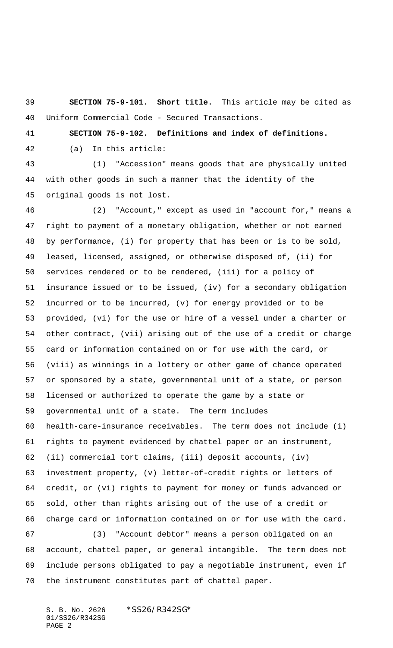**SECTION 75-9-101. Short title.** This article may be cited as Uniform Commercial Code - Secured Transactions.

**SECTION 75-9-102. Definitions and index of definitions.**

(a) In this article:

 (1) "Accession" means goods that are physically united with other goods in such a manner that the identity of the original goods is not lost.

 (2) "Account," except as used in "account for," means a right to payment of a monetary obligation, whether or not earned by performance, (i) for property that has been or is to be sold, leased, licensed, assigned, or otherwise disposed of, (ii) for services rendered or to be rendered, (iii) for a policy of insurance issued or to be issued, (iv) for a secondary obligation incurred or to be incurred, (v) for energy provided or to be provided, (vi) for the use or hire of a vessel under a charter or other contract, (vii) arising out of the use of a credit or charge card or information contained on or for use with the card, or (viii) as winnings in a lottery or other game of chance operated or sponsored by a state, governmental unit of a state, or person licensed or authorized to operate the game by a state or governmental unit of a state. The term includes health-care-insurance receivables. The term does not include (i) rights to payment evidenced by chattel paper or an instrument, (ii) commercial tort claims, (iii) deposit accounts, (iv) investment property, (v) letter-of-credit rights or letters of credit, or (vi) rights to payment for money or funds advanced or sold, other than rights arising out of the use of a credit or charge card or information contained on or for use with the card. (3) "Account debtor" means a person obligated on an

 account, chattel paper, or general intangible. The term does not include persons obligated to pay a negotiable instrument, even if the instrument constitutes part of chattel paper.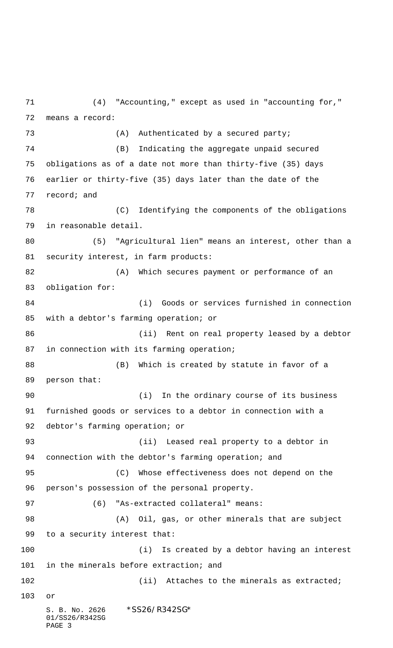S. B. No. 2626 \* SS26/R342SG\* 01/SS26/R342SG PAGE 3 (4) "Accounting," except as used in "accounting for," means a record: (A) Authenticated by a secured party; (B) Indicating the aggregate unpaid secured obligations as of a date not more than thirty-five (35) days earlier or thirty-five (35) days later than the date of the record; and (C) Identifying the components of the obligations in reasonable detail. (5) "Agricultural lien" means an interest, other than a 81 security interest, in farm products: (A) Which secures payment or performance of an obligation for: (i) Goods or services furnished in connection with a debtor's farming operation; or 86 (ii) Rent on real property leased by a debtor 87 in connection with its farming operation; (B) Which is created by statute in favor of a person that: (i) In the ordinary course of its business furnished goods or services to a debtor in connection with a debtor's farming operation; or (ii) Leased real property to a debtor in connection with the debtor's farming operation; and (C) Whose effectiveness does not depend on the person's possession of the personal property. (6) "As-extracted collateral" means: (A) Oil, gas, or other minerals that are subject to a security interest that: (i) Is created by a debtor having an interest 101 in the minerals before extraction; and **102** (ii) Attaches to the minerals as extracted; or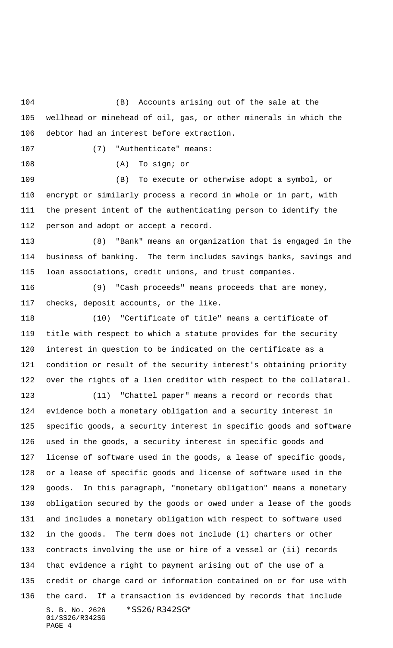(B) Accounts arising out of the sale at the wellhead or minehead of oil, gas, or other minerals in which the debtor had an interest before extraction.

107 (7) "Authenticate" means:

(A) To sign; or

 (B) To execute or otherwise adopt a symbol, or encrypt or similarly process a record in whole or in part, with the present intent of the authenticating person to identify the person and adopt or accept a record.

 (8) "Bank" means an organization that is engaged in the business of banking. The term includes savings banks, savings and loan associations, credit unions, and trust companies.

 (9) "Cash proceeds" means proceeds that are money, checks, deposit accounts, or the like.

 (10) "Certificate of title" means a certificate of title with respect to which a statute provides for the security interest in question to be indicated on the certificate as a condition or result of the security interest's obtaining priority over the rights of a lien creditor with respect to the collateral.

S. B. No. 2626 \*SS26/R342SG\* 01/SS26/R342SG PAGE 4 (11) "Chattel paper" means a record or records that evidence both a monetary obligation and a security interest in specific goods, a security interest in specific goods and software used in the goods, a security interest in specific goods and license of software used in the goods, a lease of specific goods, or a lease of specific goods and license of software used in the goods. In this paragraph, "monetary obligation" means a monetary obligation secured by the goods or owed under a lease of the goods and includes a monetary obligation with respect to software used in the goods. The term does not include (i) charters or other contracts involving the use or hire of a vessel or (ii) records that evidence a right to payment arising out of the use of a credit or charge card or information contained on or for use with the card. If a transaction is evidenced by records that include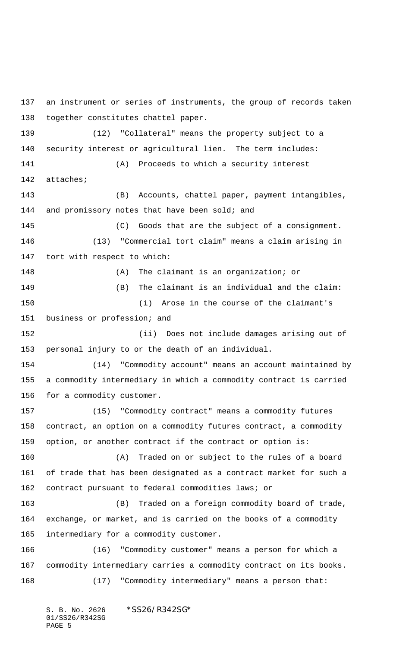an instrument or series of instruments, the group of records taken together constitutes chattel paper. (12) "Collateral" means the property subject to a security interest or agricultural lien. The term includes: (A) Proceeds to which a security interest attaches; (B) Accounts, chattel paper, payment intangibles, 144 and promissory notes that have been sold; and (C) Goods that are the subject of a consignment. (13) "Commercial tort claim" means a claim arising in tort with respect to which: (A) The claimant is an organization; or (B) The claimant is an individual and the claim: (i) Arose in the course of the claimant's business or profession; and (ii) Does not include damages arising out of personal injury to or the death of an individual. (14) "Commodity account" means an account maintained by a commodity intermediary in which a commodity contract is carried for a commodity customer. (15) "Commodity contract" means a commodity futures contract, an option on a commodity futures contract, a commodity option, or another contract if the contract or option is: (A) Traded on or subject to the rules of a board of trade that has been designated as a contract market for such a contract pursuant to federal commodities laws; or (B) Traded on a foreign commodity board of trade, exchange, or market, and is carried on the books of a commodity intermediary for a commodity customer. (16) "Commodity customer" means a person for which a commodity intermediary carries a commodity contract on its books. 168 (17) "Commodity intermediary" means a person that: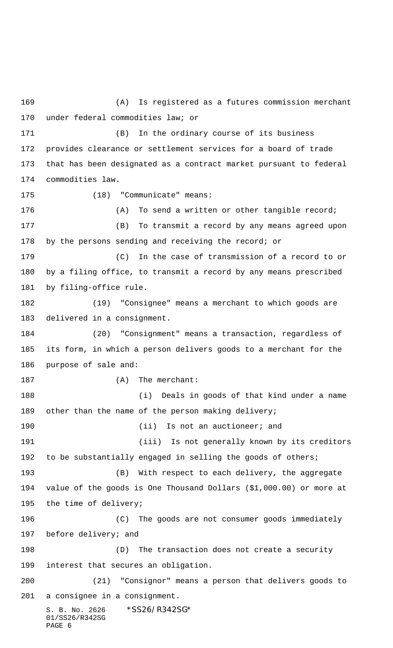S. B. No. 2626 \*SS26/R342SG\* 01/SS26/R342SG PAGE 6 (A) Is registered as a futures commission merchant under federal commodities law; or (B) In the ordinary course of its business provides clearance or settlement services for a board of trade that has been designated as a contract market pursuant to federal commodities law. 175 (18) "Communicate" means: 176 (A) To send a written or other tangible record; (B) To transmit a record by any means agreed upon by the persons sending and receiving the record; or (C) In the case of transmission of a record to or by a filing office, to transmit a record by any means prescribed by filing-office rule. (19) "Consignee" means a merchant to which goods are delivered in a consignment. (20) "Consignment" means a transaction, regardless of its form, in which a person delivers goods to a merchant for the purpose of sale and: 187 (A) The merchant: (i) Deals in goods of that kind under a name 189 other than the name of the person making delivery; 190 (ii) Is not an auctioneer; and (iii) Is not generally known by its creditors to be substantially engaged in selling the goods of others; (B) With respect to each delivery, the aggregate value of the goods is One Thousand Dollars (\$1,000.00) or more at the time of delivery; (C) The goods are not consumer goods immediately 197 before delivery; and (D) The transaction does not create a security interest that secures an obligation. (21) "Consignor" means a person that delivers goods to a consignee in a consignment.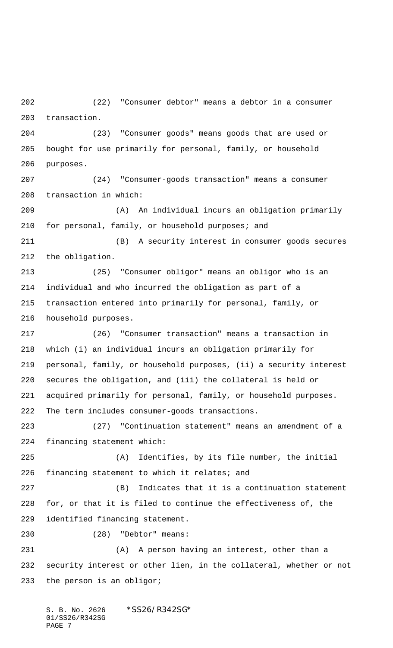(22) "Consumer debtor" means a debtor in a consumer transaction.

 (23) "Consumer goods" means goods that are used or bought for use primarily for personal, family, or household purposes.

 (24) "Consumer-goods transaction" means a consumer transaction in which:

 (A) An individual incurs an obligation primarily for personal, family, or household purposes; and

 (B) A security interest in consumer goods secures the obligation.

 (25) "Consumer obligor" means an obligor who is an individual and who incurred the obligation as part of a transaction entered into primarily for personal, family, or household purposes.

 (26) "Consumer transaction" means a transaction in which (i) an individual incurs an obligation primarily for personal, family, or household purposes, (ii) a security interest secures the obligation, and (iii) the collateral is held or acquired primarily for personal, family, or household purposes. The term includes consumer-goods transactions.

 (27) "Continuation statement" means an amendment of a financing statement which:

 (A) Identifies, by its file number, the initial financing statement to which it relates; and

 (B) Indicates that it is a continuation statement for, or that it is filed to continue the effectiveness of, the identified financing statement.

(28) "Debtor" means:

 (A) A person having an interest, other than a security interest or other lien, in the collateral, whether or not 233 the person is an obligor;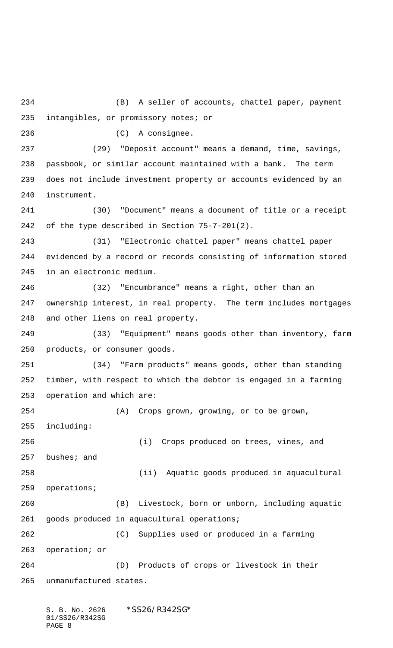(B) A seller of accounts, chattel paper, payment intangibles, or promissory notes; or

(C) A consignee.

 (29) "Deposit account" means a demand, time, savings, passbook, or similar account maintained with a bank. The term does not include investment property or accounts evidenced by an instrument.

 (30) "Document" means a document of title or a receipt of the type described in Section 75-7-201(2).

 (31) "Electronic chattel paper" means chattel paper evidenced by a record or records consisting of information stored in an electronic medium.

 (32) "Encumbrance" means a right, other than an ownership interest, in real property. The term includes mortgages and other liens on real property.

 (33) "Equipment" means goods other than inventory, farm products, or consumer goods.

 (34) "Farm products" means goods, other than standing timber, with respect to which the debtor is engaged in a farming operation and which are:

 (A) Crops grown, growing, or to be grown, including: (i) Crops produced on trees, vines, and bushes; and (ii) Aquatic goods produced in aquacultural operations; (B) Livestock, born or unborn, including aquatic goods produced in aquacultural operations; (C) Supplies used or produced in a farming operation; or (D) Products of crops or livestock in their unmanufactured states.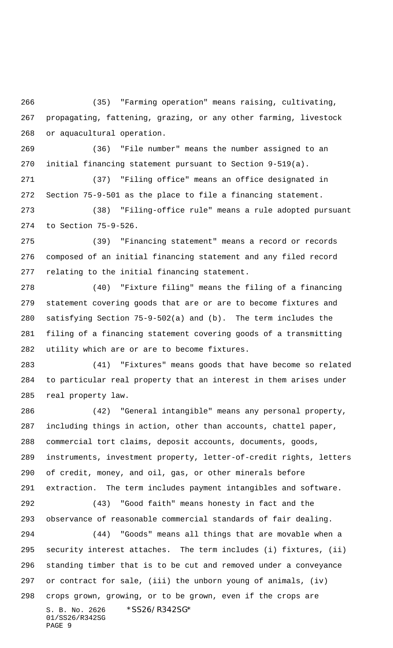(35) "Farming operation" means raising, cultivating, propagating, fattening, grazing, or any other farming, livestock or aquacultural operation.

 (36) "File number" means the number assigned to an initial financing statement pursuant to Section 9-519(a).

 (37) "Filing office" means an office designated in Section 75-9-501 as the place to file a financing statement.

 (38) "Filing-office rule" means a rule adopted pursuant to Section 75-9-526.

 (39) "Financing statement" means a record or records composed of an initial financing statement and any filed record relating to the initial financing statement.

 (40) "Fixture filing" means the filing of a financing statement covering goods that are or are to become fixtures and satisfying Section 75-9-502(a) and (b). The term includes the filing of a financing statement covering goods of a transmitting utility which are or are to become fixtures.

 (41) "Fixtures" means goods that have become so related to particular real property that an interest in them arises under real property law.

 (42) "General intangible" means any personal property, including things in action, other than accounts, chattel paper, commercial tort claims, deposit accounts, documents, goods, instruments, investment property, letter-of-credit rights, letters of credit, money, and oil, gas, or other minerals before extraction. The term includes payment intangibles and software.

 (43) "Good faith" means honesty in fact and the observance of reasonable commercial standards of fair dealing.

S. B. No. 2626 \*SS26/R342SG\* 01/SS26/R342SG PAGE 9 (44) "Goods" means all things that are movable when a security interest attaches. The term includes (i) fixtures, (ii) standing timber that is to be cut and removed under a conveyance or contract for sale, (iii) the unborn young of animals, (iv) crops grown, growing, or to be grown, even if the crops are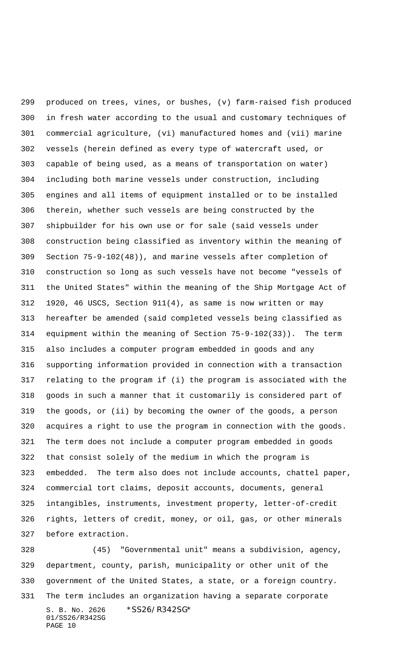produced on trees, vines, or bushes, (v) farm-raised fish produced in fresh water according to the usual and customary techniques of commercial agriculture, (vi) manufactured homes and (vii) marine vessels (herein defined as every type of watercraft used, or capable of being used, as a means of transportation on water) including both marine vessels under construction, including engines and all items of equipment installed or to be installed therein, whether such vessels are being constructed by the shipbuilder for his own use or for sale (said vessels under construction being classified as inventory within the meaning of Section 75-9-102(48)), and marine vessels after completion of construction so long as such vessels have not become "vessels of the United States" within the meaning of the Ship Mortgage Act of 1920, 46 USCS, Section 911(4), as same is now written or may hereafter be amended (said completed vessels being classified as equipment within the meaning of Section 75-9-102(33)). The term also includes a computer program embedded in goods and any supporting information provided in connection with a transaction relating to the program if (i) the program is associated with the goods in such a manner that it customarily is considered part of the goods, or (ii) by becoming the owner of the goods, a person acquires a right to use the program in connection with the goods. The term does not include a computer program embedded in goods that consist solely of the medium in which the program is embedded. The term also does not include accounts, chattel paper, commercial tort claims, deposit accounts, documents, general intangibles, instruments, investment property, letter-of-credit rights, letters of credit, money, or oil, gas, or other minerals before extraction.

S. B. No. 2626 \*SS26/R342SG\* 01/SS26/R342SG PAGE 10 (45) "Governmental unit" means a subdivision, agency, department, county, parish, municipality or other unit of the government of the United States, a state, or a foreign country. The term includes an organization having a separate corporate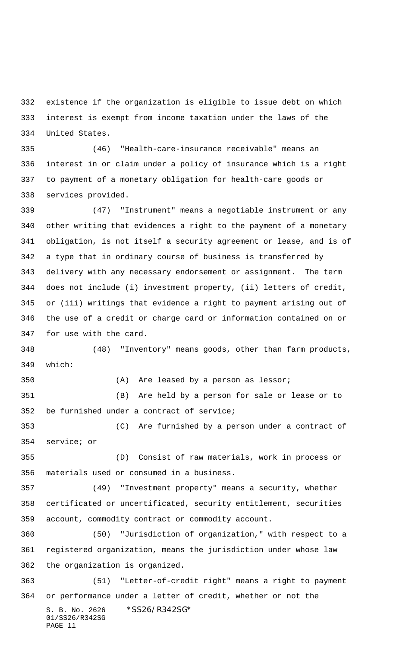existence if the organization is eligible to issue debt on which interest is exempt from income taxation under the laws of the United States.

 (46) "Health-care-insurance receivable" means an interest in or claim under a policy of insurance which is a right to payment of a monetary obligation for health-care goods or services provided.

 (47) "Instrument" means a negotiable instrument or any other writing that evidences a right to the payment of a monetary obligation, is not itself a security agreement or lease, and is of a type that in ordinary course of business is transferred by delivery with any necessary endorsement or assignment. The term does not include (i) investment property, (ii) letters of credit, or (iii) writings that evidence a right to payment arising out of the use of a credit or charge card or information contained on or for use with the card.

 (48) "Inventory" means goods, other than farm products, which:

(A) Are leased by a person as lessor;

 (B) Are held by a person for sale or lease or to be furnished under a contract of service;

 (C) Are furnished by a person under a contract of service; or

 (D) Consist of raw materials, work in process or materials used or consumed in a business.

 (49) "Investment property" means a security, whether certificated or uncertificated, security entitlement, securities account, commodity contract or commodity account.

 (50) "Jurisdiction of organization," with respect to a registered organization, means the jurisdiction under whose law the organization is organized.

S. B. No. 2626 \*SS26/R342SG\* 01/SS26/R342SG PAGE 11 (51) "Letter-of-credit right" means a right to payment or performance under a letter of credit, whether or not the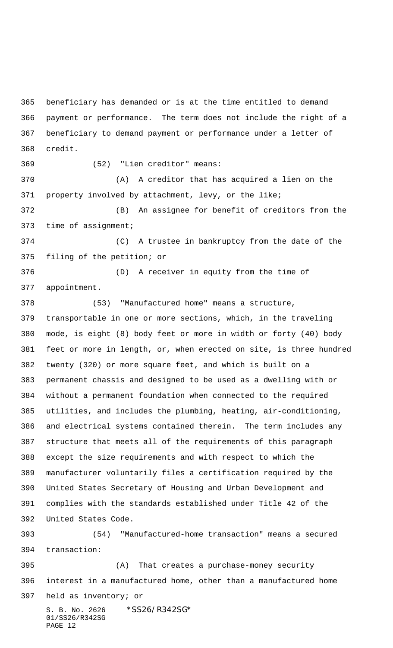beneficiary has demanded or is at the time entitled to demand payment or performance. The term does not include the right of a beneficiary to demand payment or performance under a letter of credit.

(52) "Lien creditor" means:

 (A) A creditor that has acquired a lien on the property involved by attachment, levy, or the like;

 (B) An assignee for benefit of creditors from the time of assignment;

 (C) A trustee in bankruptcy from the date of the filing of the petition; or

 (D) A receiver in equity from the time of appointment.

 (53) "Manufactured home" means a structure, transportable in one or more sections, which, in the traveling mode, is eight (8) body feet or more in width or forty (40) body feet or more in length, or, when erected on site, is three hundred twenty (320) or more square feet, and which is built on a permanent chassis and designed to be used as a dwelling with or without a permanent foundation when connected to the required utilities, and includes the plumbing, heating, air-conditioning, and electrical systems contained therein. The term includes any structure that meets all of the requirements of this paragraph except the size requirements and with respect to which the manufacturer voluntarily files a certification required by the United States Secretary of Housing and Urban Development and complies with the standards established under Title 42 of the United States Code.

 (54) "Manufactured-home transaction" means a secured transaction:

S. B. No. 2626 \*SS26/R342SG\* (A) That creates a purchase-money security interest in a manufactured home, other than a manufactured home held as inventory; or

01/SS26/R342SG PAGE 12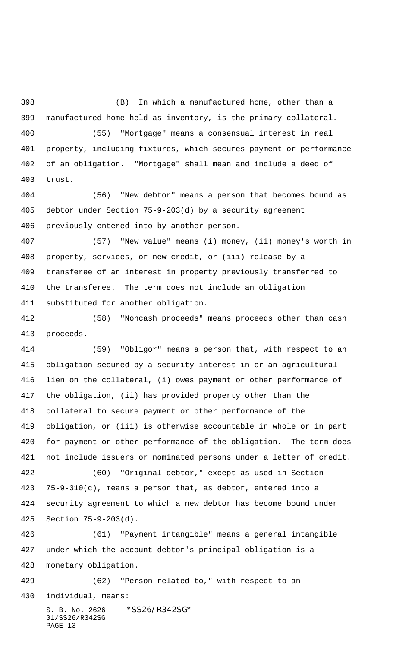(B) In which a manufactured home, other than a manufactured home held as inventory, is the primary collateral. (55) "Mortgage" means a consensual interest in real property, including fixtures, which secures payment or performance of an obligation. "Mortgage" shall mean and include a deed of trust.

 (56) "New debtor" means a person that becomes bound as debtor under Section 75-9-203(d) by a security agreement previously entered into by another person.

 (57) "New value" means (i) money, (ii) money's worth in property, services, or new credit, or (iii) release by a transferee of an interest in property previously transferred to the transferee. The term does not include an obligation substituted for another obligation.

 (58) "Noncash proceeds" means proceeds other than cash proceeds.

 (59) "Obligor" means a person that, with respect to an obligation secured by a security interest in or an agricultural lien on the collateral, (i) owes payment or other performance of the obligation, (ii) has provided property other than the collateral to secure payment or other performance of the obligation, or (iii) is otherwise accountable in whole or in part for payment or other performance of the obligation. The term does not include issuers or nominated persons under a letter of credit.

 (60) "Original debtor," except as used in Section 75-9-310(c), means a person that, as debtor, entered into a security agreement to which a new debtor has become bound under Section 75-9-203(d).

 (61) "Payment intangible" means a general intangible under which the account debtor's principal obligation is a monetary obligation.

 (62) "Person related to," with respect to an individual, means: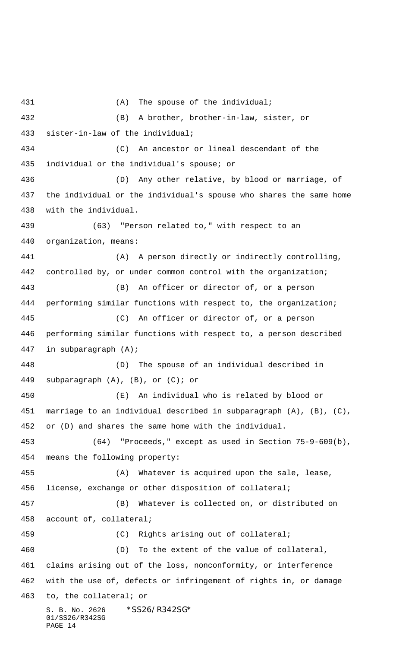S. B. No. 2626 \*SS26/R342SG\* 01/SS26/R342SG PAGE 14 431 (A) The spouse of the individual; (B) A brother, brother-in-law, sister, or sister-in-law of the individual; (C) An ancestor or lineal descendant of the individual or the individual's spouse; or (D) Any other relative, by blood or marriage, of the individual or the individual's spouse who shares the same home with the individual. (63) "Person related to," with respect to an organization, means: (A) A person directly or indirectly controlling, controlled by, or under common control with the organization; (B) An officer or director of, or a person performing similar functions with respect to, the organization; (C) An officer or director of, or a person performing similar functions with respect to, a person described in subparagraph (A); (D) The spouse of an individual described in subparagraph (A), (B), or (C); or (E) An individual who is related by blood or marriage to an individual described in subparagraph (A), (B), (C), or (D) and shares the same home with the individual. (64) "Proceeds," except as used in Section 75-9-609(b), means the following property: (A) Whatever is acquired upon the sale, lease, license, exchange or other disposition of collateral; (B) Whatever is collected on, or distributed on account of, collateral; (C) Rights arising out of collateral; (D) To the extent of the value of collateral, claims arising out of the loss, nonconformity, or interference with the use of, defects or infringement of rights in, or damage to, the collateral; or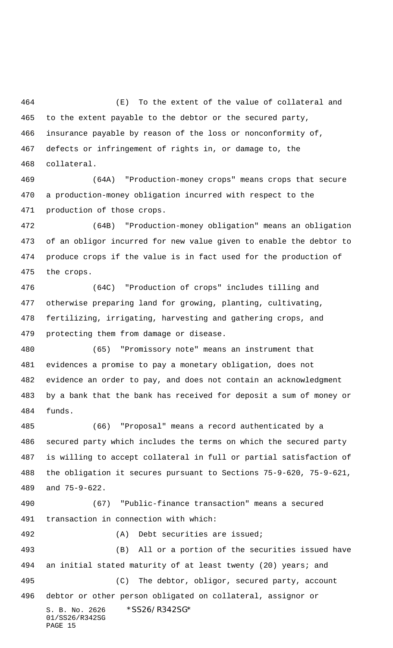(E) To the extent of the value of collateral and to the extent payable to the debtor or the secured party, insurance payable by reason of the loss or nonconformity of, defects or infringement of rights in, or damage to, the collateral.

 (64A) "Production-money crops" means crops that secure a production-money obligation incurred with respect to the production of those crops.

 (64B) "Production-money obligation" means an obligation of an obligor incurred for new value given to enable the debtor to produce crops if the value is in fact used for the production of the crops.

 (64C) "Production of crops" includes tilling and otherwise preparing land for growing, planting, cultivating, fertilizing, irrigating, harvesting and gathering crops, and protecting them from damage or disease.

 (65) "Promissory note" means an instrument that evidences a promise to pay a monetary obligation, does not evidence an order to pay, and does not contain an acknowledgment by a bank that the bank has received for deposit a sum of money or funds.

 (66) "Proposal" means a record authenticated by a secured party which includes the terms on which the secured party is willing to accept collateral in full or partial satisfaction of the obligation it secures pursuant to Sections 75-9-620, 75-9-621, and 75-9-622.

 (67) "Public-finance transaction" means a secured transaction in connection with which:

S. B. No. 2626 \*SS26/R342SG\* 01/SS26/R342SG PAGE 15 (A) Debt securities are issued; (B) All or a portion of the securities issued have an initial stated maturity of at least twenty (20) years; and (C) The debtor, obligor, secured party, account debtor or other person obligated on collateral, assignor or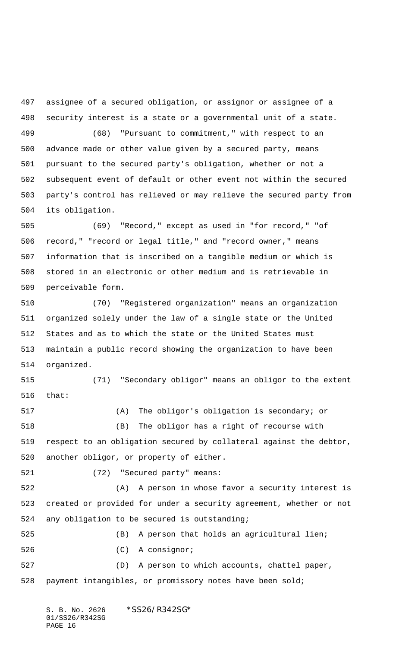assignee of a secured obligation, or assignor or assignee of a security interest is a state or a governmental unit of a state.

 (68) "Pursuant to commitment," with respect to an advance made or other value given by a secured party, means pursuant to the secured party's obligation, whether or not a subsequent event of default or other event not within the secured party's control has relieved or may relieve the secured party from its obligation.

 (69) "Record," except as used in "for record," "of record," "record or legal title," and "record owner," means information that is inscribed on a tangible medium or which is stored in an electronic or other medium and is retrievable in perceivable form.

 (70) "Registered organization" means an organization organized solely under the law of a single state or the United States and as to which the state or the United States must maintain a public record showing the organization to have been organized.

 (71) "Secondary obligor" means an obligor to the extent that:

 (A) The obligor's obligation is secondary; or (B) The obligor has a right of recourse with respect to an obligation secured by collateral against the debtor, another obligor, or property of either. (72) "Secured party" means:

 (A) A person in whose favor a security interest is created or provided for under a security agreement, whether or not any obligation to be secured is outstanding;

 (B) A person that holds an agricultural lien; (C) A consignor; (D) A person to which accounts, chattel paper, payment intangibles, or promissory notes have been sold;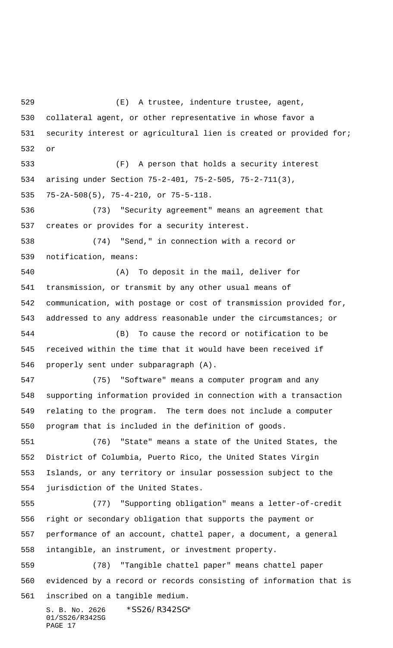S. B. No. 2626 \*SS26/R342SG\* 01/SS26/R342SG (E) A trustee, indenture trustee, agent, collateral agent, or other representative in whose favor a security interest or agricultural lien is created or provided for; or (F) A person that holds a security interest arising under Section 75-2-401, 75-2-505, 75-2-711(3), 75-2A-508(5), 75-4-210, or 75-5-118. (73) "Security agreement" means an agreement that creates or provides for a security interest. (74) "Send," in connection with a record or notification, means: (A) To deposit in the mail, deliver for transmission, or transmit by any other usual means of communication, with postage or cost of transmission provided for, addressed to any address reasonable under the circumstances; or (B) To cause the record or notification to be received within the time that it would have been received if properly sent under subparagraph (A). (75) "Software" means a computer program and any supporting information provided in connection with a transaction relating to the program. The term does not include a computer program that is included in the definition of goods. (76) "State" means a state of the United States, the District of Columbia, Puerto Rico, the United States Virgin Islands, or any territory or insular possession subject to the jurisdiction of the United States. (77) "Supporting obligation" means a letter-of-credit right or secondary obligation that supports the payment or performance of an account, chattel paper, a document, a general intangible, an instrument, or investment property. (78) "Tangible chattel paper" means chattel paper evidenced by a record or records consisting of information that is inscribed on a tangible medium.

PAGE 17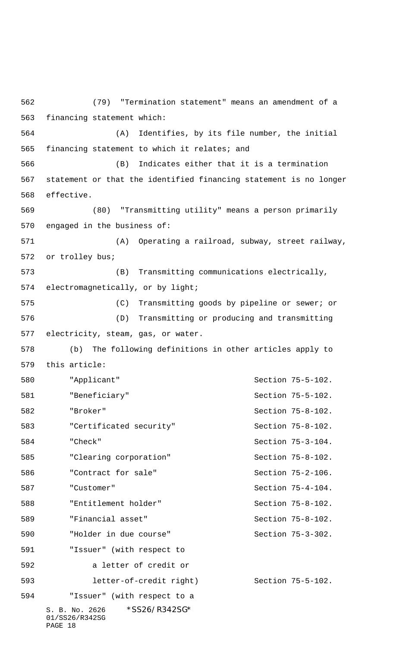S. B. No. 2626 \*SS26/R342SG\* 01/SS26/R342SG PAGE 18 (79) "Termination statement" means an amendment of a financing statement which: (A) Identifies, by its file number, the initial financing statement to which it relates; and (B) Indicates either that it is a termination statement or that the identified financing statement is no longer effective. (80) "Transmitting utility" means a person primarily engaged in the business of: (A) Operating a railroad, subway, street railway, or trolley bus; (B) Transmitting communications electrically, electromagnetically, or by light; (C) Transmitting goods by pipeline or sewer; or (D) Transmitting or producing and transmitting electricity, steam, gas, or water. (b) The following definitions in other articles apply to this article: "Applicant" Section 75-5-102. "Beneficiary" Section 75-5-102. 582 "Broker" Section 75-8-102. 583 "Certificated security" Section 75-8-102. "Check" Section 75-3-104. "Clearing corporation" Section 75-8-102. 586 "Contract for sale" Section 75-2-106. "Customer" Section 75-4-104. "Entitlement holder" Section 75-8-102. "Financial asset" Section 75-8-102. "Holder in due course" Section 75-3-302. "Issuer" (with respect to a letter of credit or letter-of-credit right) Section 75-5-102. "Issuer" (with respect to a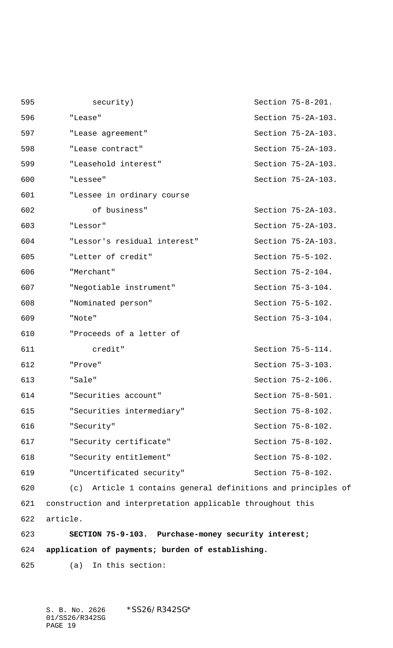| 595 | security)                                                    |  | Section 75-8-201.  |
|-----|--------------------------------------------------------------|--|--------------------|
| 596 | "Lease"                                                      |  | Section 75-2A-103. |
| 597 | "Lease agreement"                                            |  | Section 75-2A-103. |
| 598 | "Lease contract"                                             |  | Section 75-2A-103. |
| 599 | "Leasehold interest"                                         |  | Section 75-2A-103. |
| 600 | "Lessee"                                                     |  | Section 75-2A-103. |
| 601 | "Lessee in ordinary course                                   |  |                    |
| 602 | of business"                                                 |  | Section 75-2A-103. |
| 603 | "Lessor"                                                     |  | Section 75-2A-103. |
| 604 | "Lessor's residual interest"                                 |  | Section 75-2A-103. |
| 605 | "Letter of credit"                                           |  | Section 75-5-102.  |
| 606 | "Merchant"                                                   |  | Section 75-2-104.  |
| 607 | "Negotiable instrument"                                      |  | Section 75-3-104.  |
| 608 | "Nominated person"                                           |  | Section 75-5-102.  |
| 609 | "Note"                                                       |  | Section 75-3-104.  |
| 610 | "Proceeds of a letter of                                     |  |                    |
| 611 | credit"                                                      |  | Section 75-5-114.  |
| 612 | "Prove"                                                      |  | Section 75-3-103.  |
| 613 | "Sale"                                                       |  | Section 75-2-106.  |
| 614 | "Securities account"                                         |  | Section 75-8-501.  |
| 615 | "Securities intermediary"                                    |  | Section 75-8-102.  |
| 616 | "Security"                                                   |  | Section 75-8-102.  |
| 617 | "Security certificate"                                       |  | Section 75-8-102.  |
| 618 | "Security entitlement"                                       |  | Section 75-8-102.  |
| 619 | "Uncertificated security"                                    |  | Section 75-8-102.  |
| 620 | (c) Article 1 contains general definitions and principles of |  |                    |
| 621 | construction and interpretation applicable throughout this   |  |                    |
| 622 | article.                                                     |  |                    |
| 623 | SECTION 75-9-103. Purchase-money security interest;          |  |                    |

**application of payments; burden of establishing.**

(a) In this section:

 $*$ SS26/R342SG $*$ 01/SS26/R342SG PAGE 19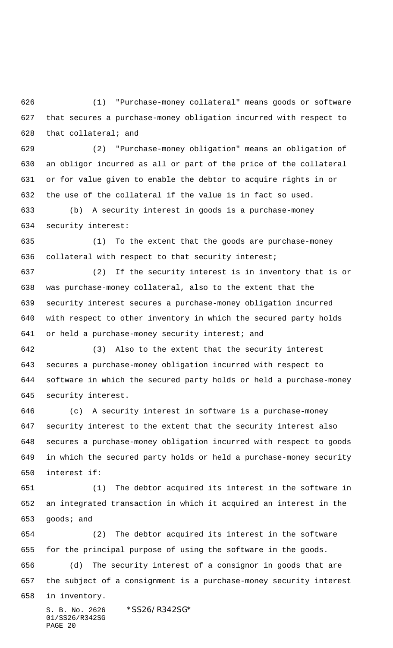(1) "Purchase-money collateral" means goods or software that secures a purchase-money obligation incurred with respect to that collateral; and

 (2) "Purchase-money obligation" means an obligation of an obligor incurred as all or part of the price of the collateral or for value given to enable the debtor to acquire rights in or the use of the collateral if the value is in fact so used.

 (b) A security interest in goods is a purchase-money security interest:

 (1) To the extent that the goods are purchase-money collateral with respect to that security interest;

 (2) If the security interest is in inventory that is or was purchase-money collateral, also to the extent that the security interest secures a purchase-money obligation incurred with respect to other inventory in which the secured party holds or held a purchase-money security interest; and

 (3) Also to the extent that the security interest secures a purchase-money obligation incurred with respect to software in which the secured party holds or held a purchase-money security interest.

 (c) A security interest in software is a purchase-money security interest to the extent that the security interest also secures a purchase-money obligation incurred with respect to goods in which the secured party holds or held a purchase-money security interest if:

 (1) The debtor acquired its interest in the software in an integrated transaction in which it acquired an interest in the goods; and

 (2) The debtor acquired its interest in the software for the principal purpose of using the software in the goods.

 (d) The security interest of a consignor in goods that are the subject of a consignment is a purchase-money security interest

in inventory.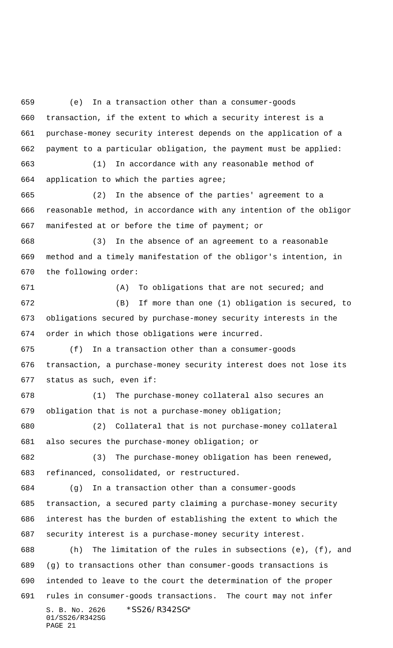S. B. No. 2626 \*SS26/R342SG\* 01/SS26/R342SG PAGE 21 (e) In a transaction other than a consumer-goods transaction, if the extent to which a security interest is a purchase-money security interest depends on the application of a payment to a particular obligation, the payment must be applied: (1) In accordance with any reasonable method of application to which the parties agree; (2) In the absence of the parties' agreement to a reasonable method, in accordance with any intention of the obligor manifested at or before the time of payment; or (3) In the absence of an agreement to a reasonable method and a timely manifestation of the obligor's intention, in the following order: (A) To obligations that are not secured; and (B) If more than one (1) obligation is secured, to obligations secured by purchase-money security interests in the order in which those obligations were incurred. (f) In a transaction other than a consumer-goods transaction, a purchase-money security interest does not lose its status as such, even if: (1) The purchase-money collateral also secures an obligation that is not a purchase-money obligation; (2) Collateral that is not purchase-money collateral also secures the purchase-money obligation; or (3) The purchase-money obligation has been renewed, refinanced, consolidated, or restructured. (g) In a transaction other than a consumer-goods transaction, a secured party claiming a purchase-money security interest has the burden of establishing the extent to which the security interest is a purchase-money security interest. (h) The limitation of the rules in subsections (e), (f), and (g) to transactions other than consumer-goods transactions is intended to leave to the court the determination of the proper rules in consumer-goods transactions. The court may not infer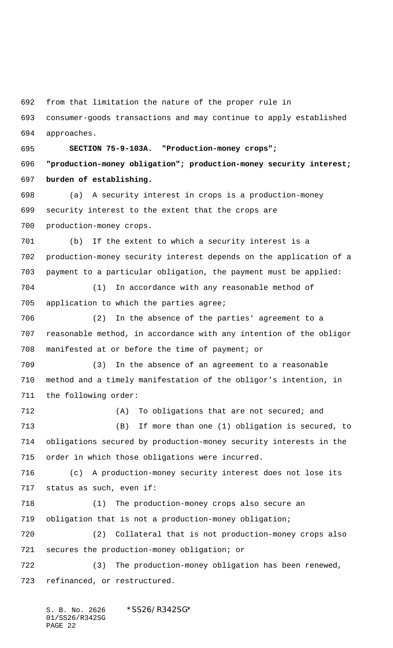from that limitation the nature of the proper rule in

 consumer-goods transactions and may continue to apply established approaches.

**SECTION 75-9-103A. "Production-money crops";**

 **"production-money obligation"; production-money security interest; burden of establishing.**

 (a) A security interest in crops is a production-money security interest to the extent that the crops are production-money crops.

 (b) If the extent to which a security interest is a production-money security interest depends on the application of a payment to a particular obligation, the payment must be applied:

 (1) In accordance with any reasonable method of 705 application to which the parties agree;

 (2) In the absence of the parties' agreement to a reasonable method, in accordance with any intention of the obligor manifested at or before the time of payment; or

 (3) In the absence of an agreement to a reasonable method and a timely manifestation of the obligor's intention, in the following order:

 (A) To obligations that are not secured; and (B) If more than one (1) obligation is secured, to obligations secured by production-money security interests in the order in which those obligations were incurred.

 (c) A production-money security interest does not lose its status as such, even if:

 (1) The production-money crops also secure an obligation that is not a production-money obligation;

 (2) Collateral that is not production-money crops also secures the production-money obligation; or

 (3) The production-money obligation has been renewed, refinanced, or restructured.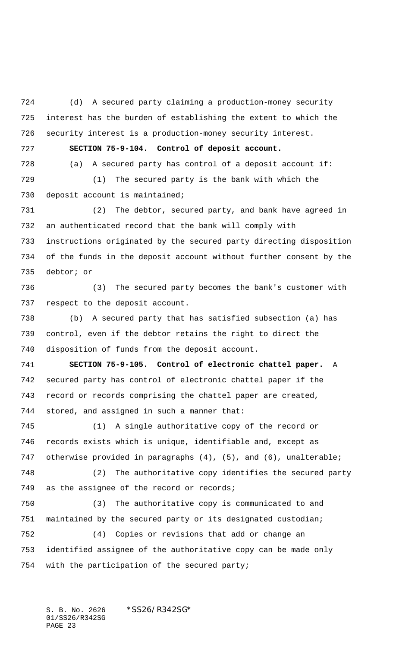(d) A secured party claiming a production-money security interest has the burden of establishing the extent to which the security interest is a production-money security interest.

**SECTION 75-9-104. Control of deposit account.**

(a) A secured party has control of a deposit account if:

 (1) The secured party is the bank with which the deposit account is maintained;

 (2) The debtor, secured party, and bank have agreed in an authenticated record that the bank will comply with instructions originated by the secured party directing disposition of the funds in the deposit account without further consent by the debtor; or

 (3) The secured party becomes the bank's customer with respect to the deposit account.

 (b) A secured party that has satisfied subsection (a) has control, even if the debtor retains the right to direct the disposition of funds from the deposit account.

 **SECTION 75-9-105. Control of electronic chattel paper.** A secured party has control of electronic chattel paper if the record or records comprising the chattel paper are created, stored, and assigned in such a manner that:

 (1) A single authoritative copy of the record or records exists which is unique, identifiable and, except as 747 otherwise provided in paragraphs (4), (5), and (6), unalterable;

 (2) The authoritative copy identifies the secured party 749 as the assignee of the record or records;

 (3) The authoritative copy is communicated to and maintained by the secured party or its designated custodian;

 (4) Copies or revisions that add or change an identified assignee of the authoritative copy can be made only with the participation of the secured party;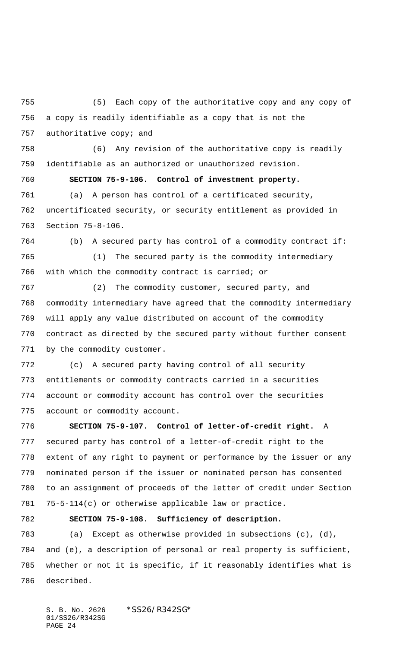(5) Each copy of the authoritative copy and any copy of a copy is readily identifiable as a copy that is not the 757 authoritative copy; and

 (6) Any revision of the authoritative copy is readily identifiable as an authorized or unauthorized revision.

 **SECTION 75-9-106. Control of investment property.** (a) A person has control of a certificated security, uncertificated security, or security entitlement as provided in Section 75-8-106.

 (b) A secured party has control of a commodity contract if: (1) The secured party is the commodity intermediary with which the commodity contract is carried; or

 (2) The commodity customer, secured party, and commodity intermediary have agreed that the commodity intermediary will apply any value distributed on account of the commodity contract as directed by the secured party without further consent by the commodity customer.

 (c) A secured party having control of all security entitlements or commodity contracts carried in a securities account or commodity account has control over the securities account or commodity account.

 **SECTION 75-9-107. Control of letter-of-credit right.** A secured party has control of a letter-of-credit right to the extent of any right to payment or performance by the issuer or any nominated person if the issuer or nominated person has consented to an assignment of proceeds of the letter of credit under Section 75-5-114(c) or otherwise applicable law or practice.

**SECTION 75-9-108. Sufficiency of description.**

 (a) Except as otherwise provided in subsections (c), (d), and (e), a description of personal or real property is sufficient, whether or not it is specific, if it reasonably identifies what is described.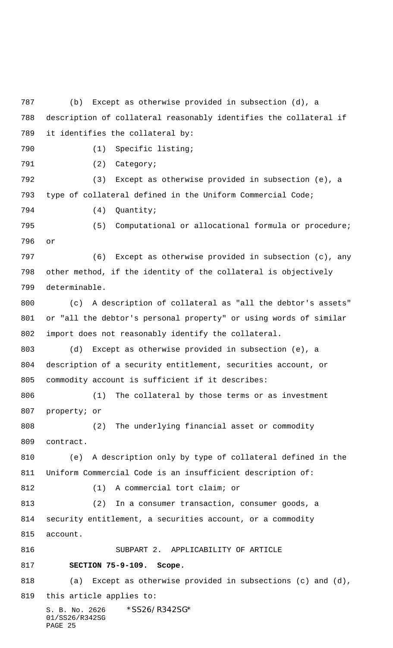S. B. No. 2626 \*SS26/R342SG\* (b) Except as otherwise provided in subsection (d), a description of collateral reasonably identifies the collateral if it identifies the collateral by: (1) Specific listing; (2) Category; (3) Except as otherwise provided in subsection (e), a type of collateral defined in the Uniform Commercial Code; (4) Quantity; (5) Computational or allocational formula or procedure; or (6) Except as otherwise provided in subsection (c), any other method, if the identity of the collateral is objectively determinable. (c) A description of collateral as "all the debtor's assets" or "all the debtor's personal property" or using words of similar import does not reasonably identify the collateral. (d) Except as otherwise provided in subsection (e), a description of a security entitlement, securities account, or commodity account is sufficient if it describes: (1) The collateral by those terms or as investment property; or (2) The underlying financial asset or commodity contract. (e) A description only by type of collateral defined in the Uniform Commercial Code is an insufficient description of: (1) A commercial tort claim; or (2) In a consumer transaction, consumer goods, a security entitlement, a securities account, or a commodity account. 816 SUBPART 2. APPLICABILITY OF ARTICLE **SECTION 75-9-109. Scope.** (a) Except as otherwise provided in subsections (c) and (d), this article applies to:

01/SS26/R342SG PAGE 25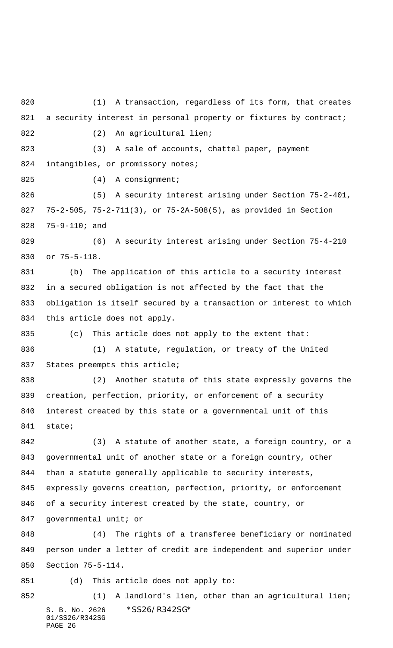(1) A transaction, regardless of its form, that creates 821 a security interest in personal property or fixtures by contract; 822 (2) An agricultural lien; (3) A sale of accounts, chattel paper, payment 824 intangibles, or promissory notes; 825 (4) A consignment; (5) A security interest arising under Section 75-2-401, 75-2-505, 75-2-711(3), or 75-2A-508(5), as provided in Section 75-9-110; and (6) A security interest arising under Section 75-4-210 or 75-5-118. (b) The application of this article to a security interest in a secured obligation is not affected by the fact that the obligation is itself secured by a transaction or interest to which this article does not apply. (c) This article does not apply to the extent that: (1) A statute, regulation, or treaty of the United States preempts this article; (2) Another statute of this state expressly governs the creation, perfection, priority, or enforcement of a security interest created by this state or a governmental unit of this state; (3) A statute of another state, a foreign country, or a governmental unit of another state or a foreign country, other than a statute generally applicable to security interests, expressly governs creation, perfection, priority, or enforcement of a security interest created by the state, country, or governmental unit; or (4) The rights of a transferee beneficiary or nominated person under a letter of credit are independent and superior under Section 75-5-114. (d) This article does not apply to: (1) A landlord's lien, other than an agricultural lien;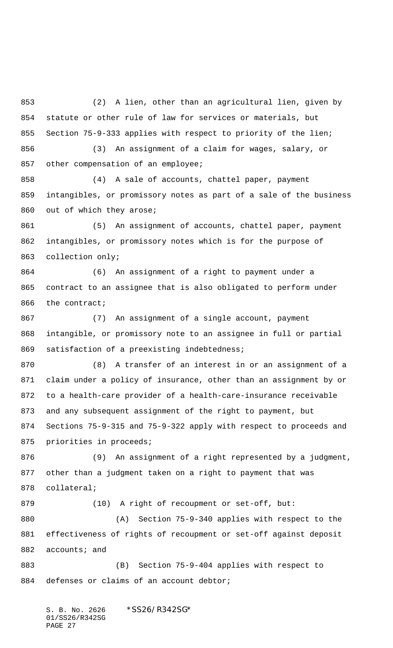(2) A lien, other than an agricultural lien, given by statute or other rule of law for services or materials, but Section 75-9-333 applies with respect to priority of the lien; (3) An assignment of a claim for wages, salary, or

857 other compensation of an employee;

 (4) A sale of accounts, chattel paper, payment intangibles, or promissory notes as part of a sale of the business 860 out of which they arose;

 (5) An assignment of accounts, chattel paper, payment intangibles, or promissory notes which is for the purpose of collection only;

 (6) An assignment of a right to payment under a contract to an assignee that is also obligated to perform under the contract;

 (7) An assignment of a single account, payment intangible, or promissory note to an assignee in full or partial 869 satisfaction of a preexisting indebtedness;

 (8) A transfer of an interest in or an assignment of a claim under a policy of insurance, other than an assignment by or to a health-care provider of a health-care-insurance receivable and any subsequent assignment of the right to payment, but

 Sections 75-9-315 and 75-9-322 apply with respect to proceeds and priorities in proceeds;

 (9) An assignment of a right represented by a judgment, other than a judgment taken on a right to payment that was collateral;

879 (10) A right of recoupment or set-off, but: (A) Section 75-9-340 applies with respect to the effectiveness of rights of recoupment or set-off against deposit 882 accounts; and (B) Section 75-9-404 applies with respect to

884 defenses or claims of an account debtor;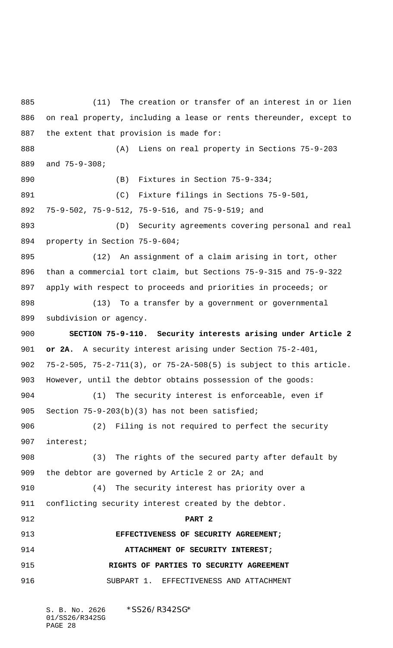(11) The creation or transfer of an interest in or lien on real property, including a lease or rents thereunder, except to the extent that provision is made for: (A) Liens on real property in Sections 75-9-203 and 75-9-308; (B) Fixtures in Section 75-9-334; (C) Fixture filings in Sections 75-9-501, 75-9-502, 75-9-512, 75-9-516, and 75-9-519; and (D) Security agreements covering personal and real property in Section 75-9-604; (12) An assignment of a claim arising in tort, other than a commercial tort claim, but Sections 75-9-315 and 75-9-322 apply with respect to proceeds and priorities in proceeds; or (13) To a transfer by a government or governmental subdivision or agency. **SECTION 75-9-110. Security interests arising under Article 2 or 2A.** A security interest arising under Section 75-2-401, 75-2-505, 75-2-711(3), or 75-2A-508(5) is subject to this article. However, until the debtor obtains possession of the goods: (1) The security interest is enforceable, even if Section 75-9-203(b)(3) has not been satisfied; (2) Filing is not required to perfect the security interest; (3) The rights of the secured party after default by the debtor are governed by Article 2 or 2A; and (4) The security interest has priority over a 911 conflicting security interest created by the debtor. **PART 2 EFFECTIVENESS OF SECURITY AGREEMENT; ATTACHMENT OF SECURITY INTEREST; RIGHTS OF PARTIES TO SECURITY AGREEMENT** SUBPART 1. EFFECTIVENESS AND ATTACHMENT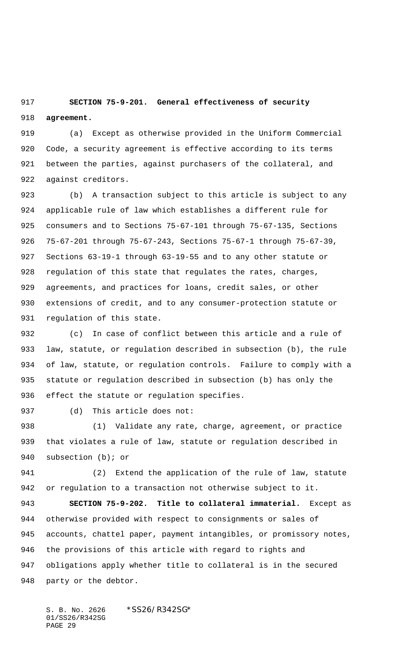## **SECTION 75-9-201. General effectiveness of security agreement.**

 (a) Except as otherwise provided in the Uniform Commercial Code, a security agreement is effective according to its terms between the parties, against purchasers of the collateral, and against creditors.

 (b) A transaction subject to this article is subject to any applicable rule of law which establishes a different rule for consumers and to Sections 75-67-101 through 75-67-135, Sections 75-67-201 through 75-67-243, Sections 75-67-1 through 75-67-39, Sections 63-19-1 through 63-19-55 and to any other statute or regulation of this state that regulates the rates, charges, agreements, and practices for loans, credit sales, or other extensions of credit, and to any consumer-protection statute or regulation of this state.

 (c) In case of conflict between this article and a rule of law, statute, or regulation described in subsection (b), the rule of law, statute, or regulation controls. Failure to comply with a statute or regulation described in subsection (b) has only the effect the statute or regulation specifies.

937 (d) This article does not:

 (1) Validate any rate, charge, agreement, or practice that violates a rule of law, statute or regulation described in subsection (b); or

 (2) Extend the application of the rule of law, statute or regulation to a transaction not otherwise subject to it.

 **SECTION 75-9-202. Title to collateral immaterial.** Except as otherwise provided with respect to consignments or sales of accounts, chattel paper, payment intangibles, or promissory notes, the provisions of this article with regard to rights and obligations apply whether title to collateral is in the secured party or the debtor.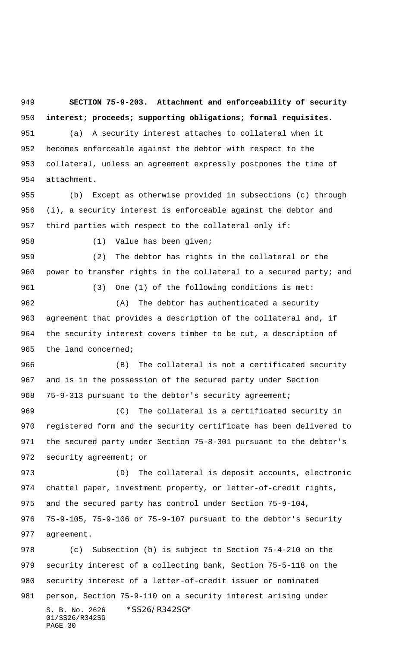**SECTION 75-9-203. Attachment and enforceability of security interest; proceeds; supporting obligations; formal requisites.**

 (a) A security interest attaches to collateral when it becomes enforceable against the debtor with respect to the collateral, unless an agreement expressly postpones the time of attachment.

 (b) Except as otherwise provided in subsections (c) through (i), a security interest is enforceable against the debtor and third parties with respect to the collateral only if:

(1) Value has been given;

 (2) The debtor has rights in the collateral or the 960 power to transfer rights in the collateral to a secured party; and (3) One (1) of the following conditions is met:

 (A) The debtor has authenticated a security agreement that provides a description of the collateral and, if the security interest covers timber to be cut, a description of 965 the land concerned;

 (B) The collateral is not a certificated security and is in the possession of the secured party under Section 75-9-313 pursuant to the debtor's security agreement;

 (C) The collateral is a certificated security in registered form and the security certificate has been delivered to the secured party under Section 75-8-301 pursuant to the debtor's 972 security agreement; or

 (D) The collateral is deposit accounts, electronic chattel paper, investment property, or letter-of-credit rights, and the secured party has control under Section 75-9-104, 75-9-105, 75-9-106 or 75-9-107 pursuant to the debtor's security agreement.

S. B. No. 2626 \*SS26/R342SG\* 01/SS26/R342SG PAGE 30 (c) Subsection (b) is subject to Section 75-4-210 on the security interest of a collecting bank, Section 75-5-118 on the security interest of a letter-of-credit issuer or nominated person, Section 75-9-110 on a security interest arising under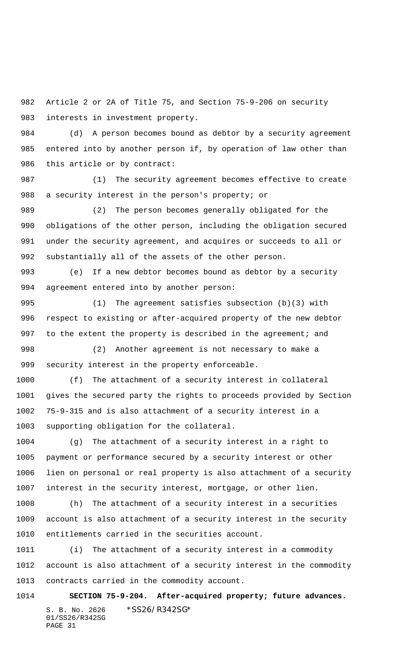Article 2 or 2A of Title 75, and Section 75-9-206 on security interests in investment property.

 (d) A person becomes bound as debtor by a security agreement entered into by another person if, by operation of law other than this article or by contract:

 (1) The security agreement becomes effective to create a security interest in the person's property; or

 (2) The person becomes generally obligated for the obligations of the other person, including the obligation secured under the security agreement, and acquires or succeeds to all or substantially all of the assets of the other person.

 (e) If a new debtor becomes bound as debtor by a security agreement entered into by another person:

 (1) The agreement satisfies subsection (b)(3) with respect to existing or after-acquired property of the new debtor 997 to the extent the property is described in the agreement; and

 (2) Another agreement is not necessary to make a security interest in the property enforceable.

 (f) The attachment of a security interest in collateral gives the secured party the rights to proceeds provided by Section 75-9-315 and is also attachment of a security interest in a supporting obligation for the collateral.

 (g) The attachment of a security interest in a right to payment or performance secured by a security interest or other lien on personal or real property is also attachment of a security interest in the security interest, mortgage, or other lien.

 (h) The attachment of a security interest in a securities account is also attachment of a security interest in the security entitlements carried in the securities account.

 (i) The attachment of a security interest in a commodity account is also attachment of a security interest in the commodity contracts carried in the commodity account.

**SECTION 75-9-204. After-acquired property; future advances.**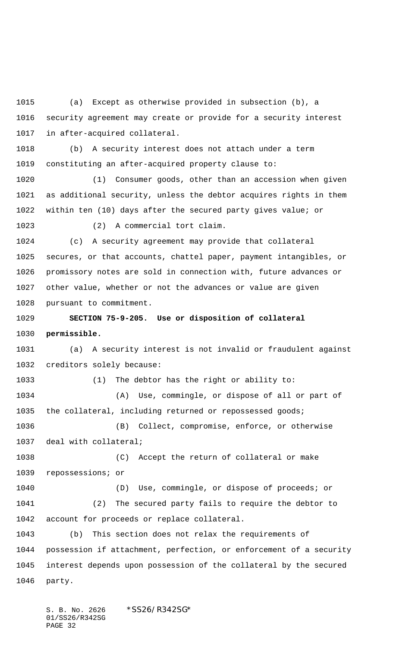(a) Except as otherwise provided in subsection (b), a security agreement may create or provide for a security interest in after-acquired collateral.

 (b) A security interest does not attach under a term constituting an after-acquired property clause to:

 (1) Consumer goods, other than an accession when given as additional security, unless the debtor acquires rights in them within ten (10) days after the secured party gives value; or

(2) A commercial tort claim.

 (c) A security agreement may provide that collateral secures, or that accounts, chattel paper, payment intangibles, or promissory notes are sold in connection with, future advances or other value, whether or not the advances or value are given pursuant to commitment.

 **SECTION 75-9-205. Use or disposition of collateral permissible.**

 (a) A security interest is not invalid or fraudulent against creditors solely because:

 (1) The debtor has the right or ability to: (A) Use, commingle, or dispose of all or part of the collateral, including returned or repossessed goods;

 (B) Collect, compromise, enforce, or otherwise deal with collateral;

 (C) Accept the return of collateral or make repossessions; or

 (D) Use, commingle, or dispose of proceeds; or (2) The secured party fails to require the debtor to account for proceeds or replace collateral.

 (b) This section does not relax the requirements of possession if attachment, perfection, or enforcement of a security interest depends upon possession of the collateral by the secured party.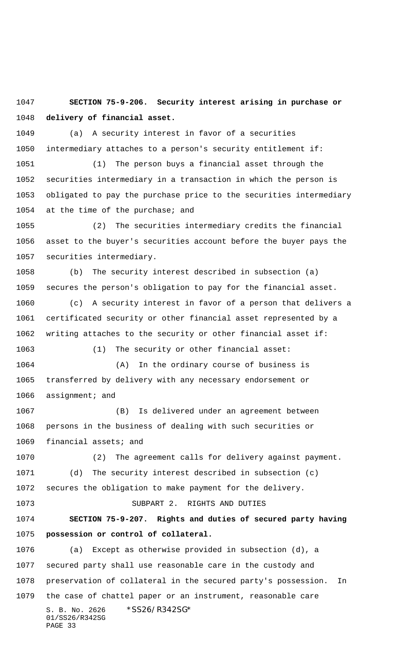**SECTION 75-9-206. Security interest arising in purchase or delivery of financial asset.**

 (a) A security interest in favor of a securities intermediary attaches to a person's security entitlement if:

 (1) The person buys a financial asset through the securities intermediary in a transaction in which the person is obligated to pay the purchase price to the securities intermediary 1054 at the time of the purchase; and

 (2) The securities intermediary credits the financial asset to the buyer's securities account before the buyer pays the securities intermediary.

 (b) The security interest described in subsection (a) secures the person's obligation to pay for the financial asset.

 (c) A security interest in favor of a person that delivers a certificated security or other financial asset represented by a writing attaches to the security or other financial asset if: (1) The security or other financial asset:

(A) In the ordinary course of business is

 transferred by delivery with any necessary endorsement or 1066 assignment; and

 (B) Is delivered under an agreement between persons in the business of dealing with such securities or financial assets; and

 (2) The agreement calls for delivery against payment. (d) The security interest described in subsection (c) secures the obligation to make payment for the delivery. SUBPART 2. RIGHTS AND DUTIES

 **SECTION 75-9-207. Rights and duties of secured party having possession or control of collateral.**

S. B. No. 2626 \*SS26/R342SG\* 01/SS26/R342SG PAGE 33 (a) Except as otherwise provided in subsection (d), a secured party shall use reasonable care in the custody and preservation of collateral in the secured party's possession. In the case of chattel paper or an instrument, reasonable care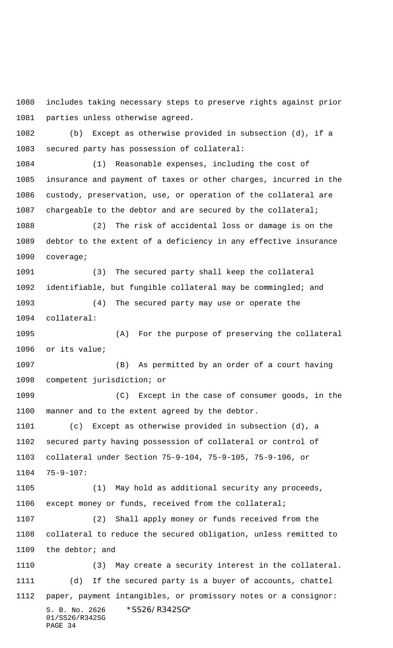includes taking necessary steps to preserve rights against prior parties unless otherwise agreed.

 (b) Except as otherwise provided in subsection (d), if a secured party has possession of collateral:

 (1) Reasonable expenses, including the cost of insurance and payment of taxes or other charges, incurred in the custody, preservation, use, or operation of the collateral are chargeable to the debtor and are secured by the collateral;

 (2) The risk of accidental loss or damage is on the debtor to the extent of a deficiency in any effective insurance coverage;

 (3) The secured party shall keep the collateral identifiable, but fungible collateral may be commingled; and (4) The secured party may use or operate the

collateral:

 (A) For the purpose of preserving the collateral or its value;

 (B) As permitted by an order of a court having competent jurisdiction; or

 (C) Except in the case of consumer goods, in the manner and to the extent agreed by the debtor.

 (c) Except as otherwise provided in subsection (d), a secured party having possession of collateral or control of collateral under Section 75-9-104, 75-9-105, 75-9-106, or 75-9-107:

 (1) May hold as additional security any proceeds, except money or funds, received from the collateral;

 (2) Shall apply money or funds received from the collateral to reduce the secured obligation, unless remitted to the debtor; and

S. B. No. 2626 \*SS26/R342SG\* 01/SS26/R342SG PAGE 34 (3) May create a security interest in the collateral. (d) If the secured party is a buyer of accounts, chattel paper, payment intangibles, or promissory notes or a consignor: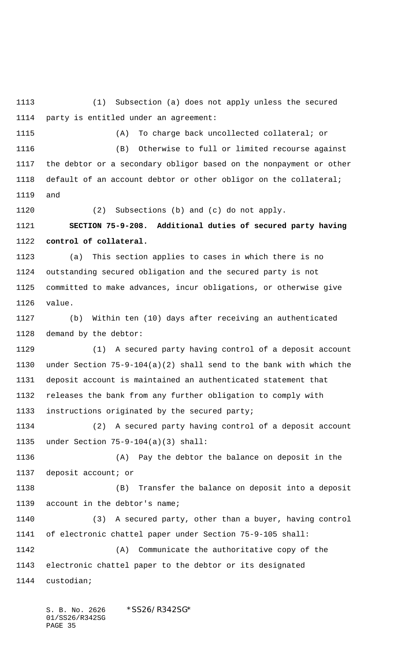(1) Subsection (a) does not apply unless the secured party is entitled under an agreement: (A) To charge back uncollected collateral; or (B) Otherwise to full or limited recourse against the debtor or a secondary obligor based on the nonpayment or other default of an account debtor or other obligor on the collateral; and (2) Subsections (b) and (c) do not apply. **SECTION 75-9-208. Additional duties of secured party having control of collateral.** (a) This section applies to cases in which there is no outstanding secured obligation and the secured party is not committed to make advances, incur obligations, or otherwise give value. (b) Within ten (10) days after receiving an authenticated demand by the debtor: (1) A secured party having control of a deposit account under Section 75-9-104(a)(2) shall send to the bank with which the deposit account is maintained an authenticated statement that releases the bank from any further obligation to comply with instructions originated by the secured party; (2) A secured party having control of a deposit account under Section 75-9-104(a)(3) shall: (A) Pay the debtor the balance on deposit in the deposit account; or (B) Transfer the balance on deposit into a deposit account in the debtor's name; (3) A secured party, other than a buyer, having control of electronic chattel paper under Section 75-9-105 shall: (A) Communicate the authoritative copy of the electronic chattel paper to the debtor or its designated custodian;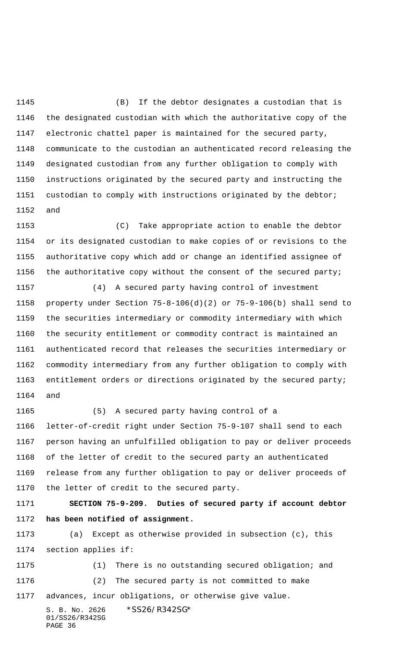(B) If the debtor designates a custodian that is the designated custodian with which the authoritative copy of the electronic chattel paper is maintained for the secured party, communicate to the custodian an authenticated record releasing the designated custodian from any further obligation to comply with instructions originated by the secured party and instructing the custodian to comply with instructions originated by the debtor; and

 (C) Take appropriate action to enable the debtor or its designated custodian to make copies of or revisions to the authoritative copy which add or change an identified assignee of the authoritative copy without the consent of the secured party;

 (4) A secured party having control of investment property under Section 75-8-106(d)(2) or 75-9-106(b) shall send to the securities intermediary or commodity intermediary with which the security entitlement or commodity contract is maintained an authenticated record that releases the securities intermediary or commodity intermediary from any further obligation to comply with entitlement orders or directions originated by the secured party; and

 (5) A secured party having control of a letter-of-credit right under Section 75-9-107 shall send to each person having an unfulfilled obligation to pay or deliver proceeds of the letter of credit to the secured party an authenticated release from any further obligation to pay or deliver proceeds of the letter of credit to the secured party.

 **SECTION 75-9-209. Duties of secured party if account debtor has been notified of assignment.**

 (a) Except as otherwise provided in subsection (c), this section applies if: (1) There is no outstanding secured obligation; and

 (2) The secured party is not committed to make advances, incur obligations, or otherwise give value.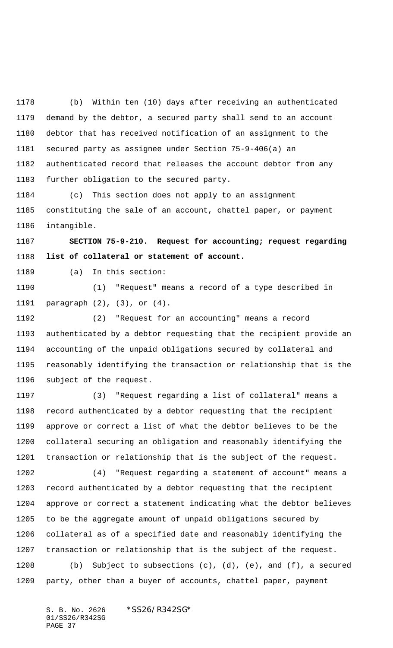(b) Within ten (10) days after receiving an authenticated demand by the debtor, a secured party shall send to an account debtor that has received notification of an assignment to the secured party as assignee under Section 75-9-406(a) an authenticated record that releases the account debtor from any further obligation to the secured party.

 (c) This section does not apply to an assignment constituting the sale of an account, chattel paper, or payment intangible.

 **SECTION 75-9-210. Request for accounting; request regarding list of collateral or statement of account.**

(a) In this section:

 (1) "Request" means a record of a type described in paragraph (2), (3), or (4).

 (2) "Request for an accounting" means a record authenticated by a debtor requesting that the recipient provide an accounting of the unpaid obligations secured by collateral and reasonably identifying the transaction or relationship that is the subject of the request.

 (3) "Request regarding a list of collateral" means a record authenticated by a debtor requesting that the recipient approve or correct a list of what the debtor believes to be the collateral securing an obligation and reasonably identifying the transaction or relationship that is the subject of the request.

 (4) "Request regarding a statement of account" means a record authenticated by a debtor requesting that the recipient approve or correct a statement indicating what the debtor believes to be the aggregate amount of unpaid obligations secured by collateral as of a specified date and reasonably identifying the transaction or relationship that is the subject of the request. (b) Subject to subsections (c), (d), (e), and (f), a secured party, other than a buyer of accounts, chattel paper, payment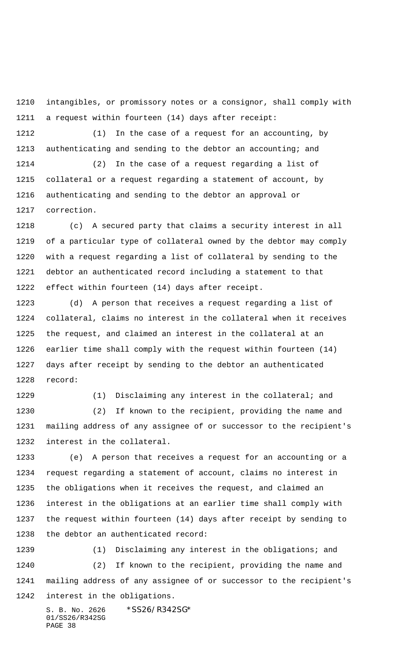intangibles, or promissory notes or a consignor, shall comply with a request within fourteen (14) days after receipt:

 (1) In the case of a request for an accounting, by authenticating and sending to the debtor an accounting; and

 (2) In the case of a request regarding a list of collateral or a request regarding a statement of account, by authenticating and sending to the debtor an approval or correction.

 (c) A secured party that claims a security interest in all of a particular type of collateral owned by the debtor may comply with a request regarding a list of collateral by sending to the debtor an authenticated record including a statement to that effect within fourteen (14) days after receipt.

 (d) A person that receives a request regarding a list of collateral, claims no interest in the collateral when it receives the request, and claimed an interest in the collateral at an earlier time shall comply with the request within fourteen (14) days after receipt by sending to the debtor an authenticated record:

(1) Disclaiming any interest in the collateral; and

 (2) If known to the recipient, providing the name and mailing address of any assignee of or successor to the recipient's interest in the collateral.

 (e) A person that receives a request for an accounting or a request regarding a statement of account, claims no interest in the obligations when it receives the request, and claimed an interest in the obligations at an earlier time shall comply with the request within fourteen (14) days after receipt by sending to the debtor an authenticated record:

 (1) Disclaiming any interest in the obligations; and (2) If known to the recipient, providing the name and mailing address of any assignee of or successor to the recipient's interest in the obligations.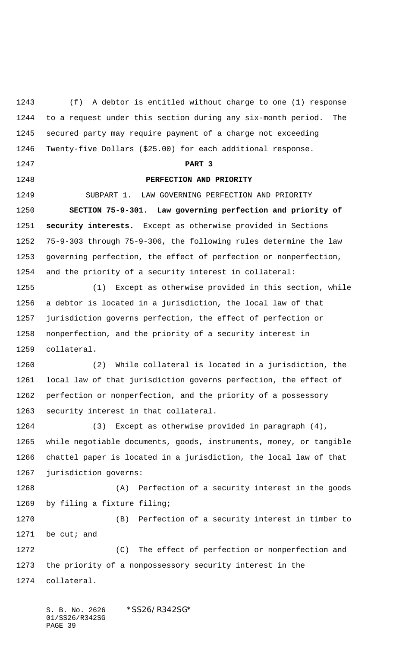(f) A debtor is entitled without charge to one (1) response to a request under this section during any six-month period. The secured party may require payment of a charge not exceeding Twenty-five Dollars (\$25.00) for each additional response. **PART 3 PERFECTION AND PRIORITY** SUBPART 1. LAW GOVERNING PERFECTION AND PRIORITY **SECTION 75-9-301. Law governing perfection and priority of security interests.** Except as otherwise provided in Sections 75-9-303 through 75-9-306, the following rules determine the law governing perfection, the effect of perfection or nonperfection, and the priority of a security interest in collateral: (1) Except as otherwise provided in this section, while a debtor is located in a jurisdiction, the local law of that jurisdiction governs perfection, the effect of perfection or nonperfection, and the priority of a security interest in collateral. (2) While collateral is located in a jurisdiction, the local law of that jurisdiction governs perfection, the effect of perfection or nonperfection, and the priority of a possessory security interest in that collateral. (3) Except as otherwise provided in paragraph (4), while negotiable documents, goods, instruments, money, or tangible chattel paper is located in a jurisdiction, the local law of that jurisdiction governs: (A) Perfection of a security interest in the goods by filing a fixture filing; (B) Perfection of a security interest in timber to 1271 be cut; and (C) The effect of perfection or nonperfection and the priority of a nonpossessory security interest in the collateral.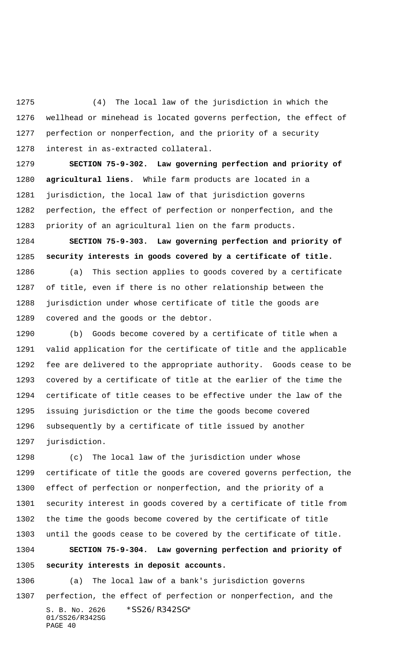(4) The local law of the jurisdiction in which the wellhead or minehead is located governs perfection, the effect of perfection or nonperfection, and the priority of a security interest in as-extracted collateral.

 **SECTION 75-9-302. Law governing perfection and priority of agricultural liens.** While farm products are located in a jurisdiction, the local law of that jurisdiction governs perfection, the effect of perfection or nonperfection, and the priority of an agricultural lien on the farm products.

 **SECTION 75-9-303. Law governing perfection and priority of security interests in goods covered by a certificate of title.**

 (a) This section applies to goods covered by a certificate of title, even if there is no other relationship between the jurisdiction under whose certificate of title the goods are covered and the goods or the debtor.

 (b) Goods become covered by a certificate of title when a valid application for the certificate of title and the applicable fee are delivered to the appropriate authority. Goods cease to be covered by a certificate of title at the earlier of the time the certificate of title ceases to be effective under the law of the issuing jurisdiction or the time the goods become covered subsequently by a certificate of title issued by another jurisdiction.

 (c) The local law of the jurisdiction under whose certificate of title the goods are covered governs perfection, the effect of perfection or nonperfection, and the priority of a security interest in goods covered by a certificate of title from the time the goods become covered by the certificate of title until the goods cease to be covered by the certificate of title.

 **SECTION 75-9-304. Law governing perfection and priority of security interests in deposit accounts.**

S. B. No. 2626 \*SS26/R342SG\* 01/SS26/R342SG PAGE 40 (a) The local law of a bank's jurisdiction governs perfection, the effect of perfection or nonperfection, and the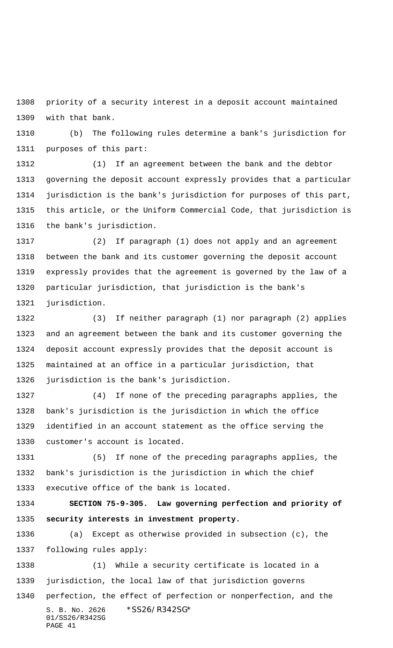priority of a security interest in a deposit account maintained with that bank.

 (b) The following rules determine a bank's jurisdiction for purposes of this part:

 (1) If an agreement between the bank and the debtor governing the deposit account expressly provides that a particular jurisdiction is the bank's jurisdiction for purposes of this part, this article, or the Uniform Commercial Code, that jurisdiction is the bank's jurisdiction.

 (2) If paragraph (1) does not apply and an agreement between the bank and its customer governing the deposit account expressly provides that the agreement is governed by the law of a particular jurisdiction, that jurisdiction is the bank's jurisdiction.

 (3) If neither paragraph (1) nor paragraph (2) applies and an agreement between the bank and its customer governing the deposit account expressly provides that the deposit account is maintained at an office in a particular jurisdiction, that jurisdiction is the bank's jurisdiction.

 (4) If none of the preceding paragraphs applies, the bank's jurisdiction is the jurisdiction in which the office identified in an account statement as the office serving the customer's account is located.

 (5) If none of the preceding paragraphs applies, the bank's jurisdiction is the jurisdiction in which the chief executive office of the bank is located.

 **SECTION 75-9-305. Law governing perfection and priority of security interests in investment property.**

 (a) Except as otherwise provided in subsection (c), the following rules apply:

S. B. No. 2626 \*SS26/R342SG\* 01/SS26/R342SG PAGE 41 (1) While a security certificate is located in a jurisdiction, the local law of that jurisdiction governs perfection, the effect of perfection or nonperfection, and the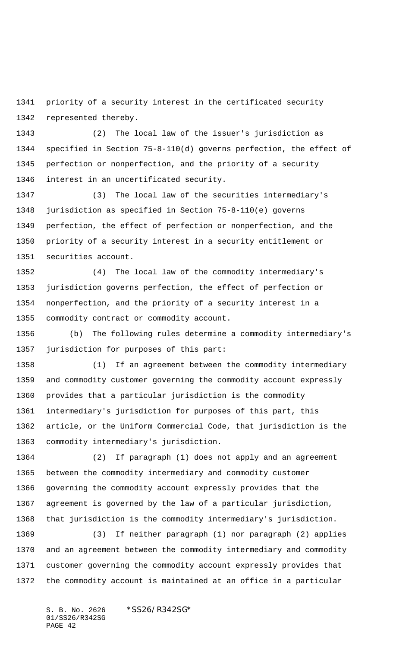priority of a security interest in the certificated security represented thereby.

 (2) The local law of the issuer's jurisdiction as specified in Section 75-8-110(d) governs perfection, the effect of perfection or nonperfection, and the priority of a security interest in an uncertificated security.

 (3) The local law of the securities intermediary's jurisdiction as specified in Section 75-8-110(e) governs perfection, the effect of perfection or nonperfection, and the priority of a security interest in a security entitlement or securities account.

 (4) The local law of the commodity intermediary's jurisdiction governs perfection, the effect of perfection or nonperfection, and the priority of a security interest in a commodity contract or commodity account.

 (b) The following rules determine a commodity intermediary's jurisdiction for purposes of this part:

 (1) If an agreement between the commodity intermediary and commodity customer governing the commodity account expressly provides that a particular jurisdiction is the commodity intermediary's jurisdiction for purposes of this part, this article, or the Uniform Commercial Code, that jurisdiction is the commodity intermediary's jurisdiction.

 (2) If paragraph (1) does not apply and an agreement between the commodity intermediary and commodity customer governing the commodity account expressly provides that the agreement is governed by the law of a particular jurisdiction, that jurisdiction is the commodity intermediary's jurisdiction.

 (3) If neither paragraph (1) nor paragraph (2) applies and an agreement between the commodity intermediary and commodity customer governing the commodity account expressly provides that the commodity account is maintained at an office in a particular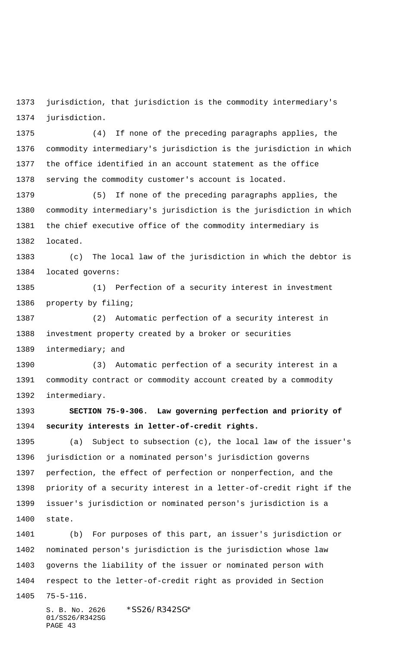jurisdiction, that jurisdiction is the commodity intermediary's jurisdiction.

 (4) If none of the preceding paragraphs applies, the commodity intermediary's jurisdiction is the jurisdiction in which the office identified in an account statement as the office serving the commodity customer's account is located.

 (5) If none of the preceding paragraphs applies, the commodity intermediary's jurisdiction is the jurisdiction in which the chief executive office of the commodity intermediary is located.

 (c) The local law of the jurisdiction in which the debtor is located governs:

 (1) Perfection of a security interest in investment property by filing;

 (2) Automatic perfection of a security interest in investment property created by a broker or securities 1389 intermediary; and

 (3) Automatic perfection of a security interest in a commodity contract or commodity account created by a commodity intermediary.

 **SECTION 75-9-306. Law governing perfection and priority of security interests in letter-of-credit rights.**

 (a) Subject to subsection (c), the local law of the issuer's jurisdiction or a nominated person's jurisdiction governs perfection, the effect of perfection or nonperfection, and the priority of a security interest in a letter-of-credit right if the issuer's jurisdiction or nominated person's jurisdiction is a state.

 (b) For purposes of this part, an issuer's jurisdiction or nominated person's jurisdiction is the jurisdiction whose law governs the liability of the issuer or nominated person with respect to the letter-of-credit right as provided in Section

75-5-116.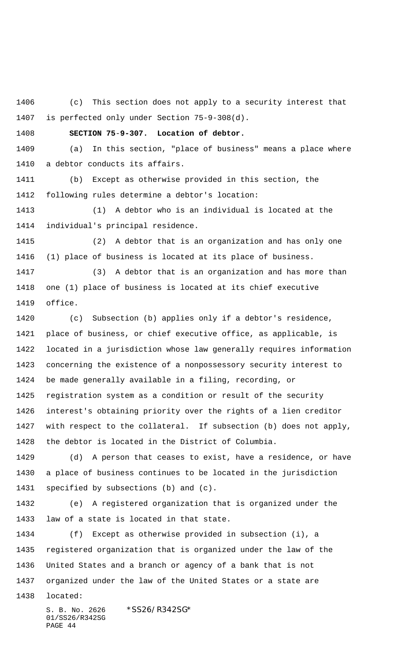(c) This section does not apply to a security interest that is perfected only under Section 75-9-308(d).

**SECTION 75**-**9-307. Location of debtor.**

 (a) In this section, "place of business" means a place where a debtor conducts its affairs.

 (b) Except as otherwise provided in this section, the following rules determine a debtor's location:

 (1) A debtor who is an individual is located at the individual's principal residence.

 (2) A debtor that is an organization and has only one (1) place of business is located at its place of business.

 (3) A debtor that is an organization and has more than one (1) place of business is located at its chief executive office.

 (c) Subsection (b) applies only if a debtor's residence, place of business, or chief executive office, as applicable, is located in a jurisdiction whose law generally requires information concerning the existence of a nonpossessory security interest to be made generally available in a filing, recording, or registration system as a condition or result of the security interest's obtaining priority over the rights of a lien creditor with respect to the collateral. If subsection (b) does not apply, the debtor is located in the District of Columbia.

 (d) A person that ceases to exist, have a residence, or have a place of business continues to be located in the jurisdiction specified by subsections (b) and (c).

 (e) A registered organization that is organized under the law of a state is located in that state.

 (f) Except as otherwise provided in subsection (i), a registered organization that is organized under the law of the United States and a branch or agency of a bank that is not organized under the law of the United States or a state are

located: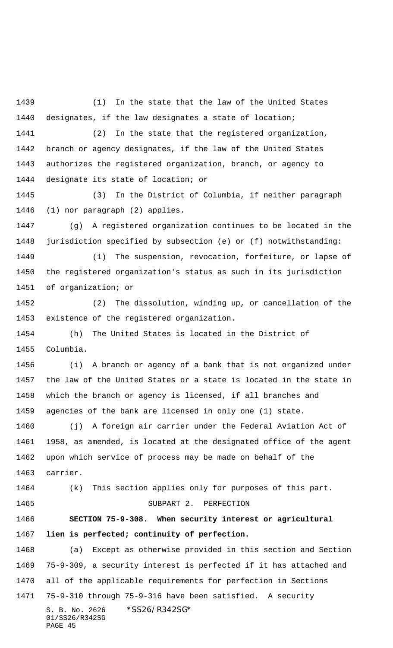S. B. No. 2626 \*SS26/R342SG\* 01/SS26/R342SG PAGE 45 (1) In the state that the law of the United States designates, if the law designates a state of location; (2) In the state that the registered organization, branch or agency designates, if the law of the United States authorizes the registered organization, branch, or agency to designate its state of location; or (3) In the District of Columbia, if neither paragraph (1) nor paragraph (2) applies. (g) A registered organization continues to be located in the jurisdiction specified by subsection (e) or (f) notwithstanding: (1) The suspension, revocation, forfeiture, or lapse of the registered organization's status as such in its jurisdiction of organization; or (2) The dissolution, winding up, or cancellation of the existence of the registered organization. (h) The United States is located in the District of Columbia. (i) A branch or agency of a bank that is not organized under the law of the United States or a state is located in the state in which the branch or agency is licensed, if all branches and agencies of the bank are licensed in only one (1) state. (j) A foreign air carrier under the Federal Aviation Act of 1958, as amended, is located at the designated office of the agent upon which service of process may be made on behalf of the carrier. (k) This section applies only for purposes of this part. SUBPART 2. PERFECTION **SECTION 75**-**9-308. When security interest or agricultural lien is perfected; continuity of perfection.** (a) Except as otherwise provided in this section and Section 75-9-309, a security interest is perfected if it has attached and all of the applicable requirements for perfection in Sections 75-9-310 through 75-9-316 have been satisfied. A security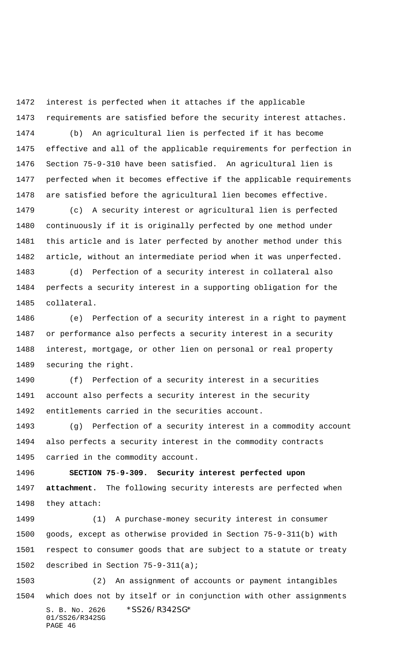interest is perfected when it attaches if the applicable requirements are satisfied before the security interest attaches.

 (b) An agricultural lien is perfected if it has become effective and all of the applicable requirements for perfection in Section 75-9-310 have been satisfied. An agricultural lien is perfected when it becomes effective if the applicable requirements are satisfied before the agricultural lien becomes effective.

 (c) A security interest or agricultural lien is perfected continuously if it is originally perfected by one method under this article and is later perfected by another method under this article, without an intermediate period when it was unperfected.

 (d) Perfection of a security interest in collateral also perfects a security interest in a supporting obligation for the collateral.

 (e) Perfection of a security interest in a right to payment or performance also perfects a security interest in a security interest, mortgage, or other lien on personal or real property securing the right.

 (f) Perfection of a security interest in a securities account also perfects a security interest in the security entitlements carried in the securities account.

 (g) Perfection of a security interest in a commodity account also perfects a security interest in the commodity contracts carried in the commodity account.

 **SECTION 75**-**9-309. Security interest perfected upon attachment.** The following security interests are perfected when they attach:

 (1) A purchase-money security interest in consumer goods, except as otherwise provided in Section 75-9-311(b) with respect to consumer goods that are subject to a statute or treaty described in Section 75-9-311(a);

S. B. No. 2626 \*SS26/R342SG\* 01/SS26/R342SG PAGE 46 (2) An assignment of accounts or payment intangibles which does not by itself or in conjunction with other assignments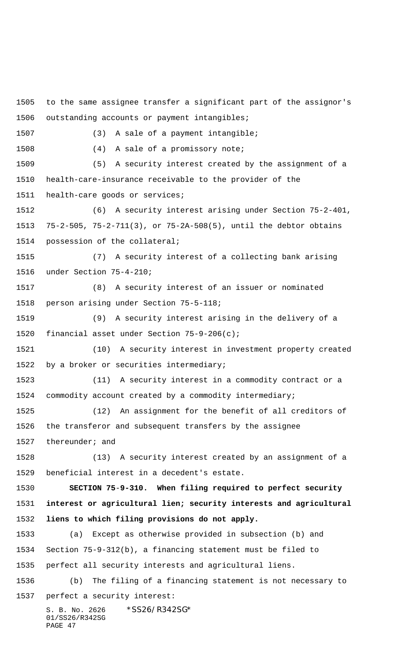S. B. No. 2626 \*SS26/R342SG\* 01/SS26/R342SG to the same assignee transfer a significant part of the assignor's outstanding accounts or payment intangibles; (3) A sale of a payment intangible; (4) A sale of a promissory note; (5) A security interest created by the assignment of a health-care-insurance receivable to the provider of the health-care goods or services; (6) A security interest arising under Section 75-2-401, 75-2-505, 75-2-711(3), or 75-2A-508(5), until the debtor obtains possession of the collateral; (7) A security interest of a collecting bank arising under Section 75-4-210; (8) A security interest of an issuer or nominated person arising under Section 75-5-118; (9) A security interest arising in the delivery of a financial asset under Section 75-9-206(c); (10) A security interest in investment property created by a broker or securities intermediary; (11) A security interest in a commodity contract or a commodity account created by a commodity intermediary; (12) An assignment for the benefit of all creditors of the transferor and subsequent transfers by the assignee 1527 thereunder; and (13) A security interest created by an assignment of a beneficial interest in a decedent's estate. **SECTION 75**-**9-310. When filing required to perfect security interest or agricultural lien; security interests and agricultural liens to which filing provisions do not apply.** (a) Except as otherwise provided in subsection (b) and Section 75-9-312(b), a financing statement must be filed to perfect all security interests and agricultural liens. (b) The filing of a financing statement is not necessary to perfect a security interest:

PAGE 47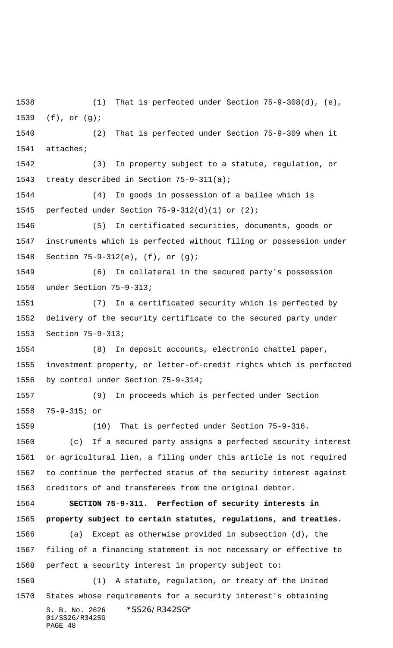S. B. No. 2626 \*SS26/R342SG\* (1) That is perfected under Section 75-9-308(d), (e), (f), or (g); (2) That is perfected under Section 75-9-309 when it attaches; (3) In property subject to a statute, regulation, or treaty described in Section 75-9-311(a); (4) In goods in possession of a bailee which is perfected under Section 75-9-312(d)(1) or (2); (5) In certificated securities, documents, goods or instruments which is perfected without filing or possession under Section 75-9-312(e), (f), or (g); (6) In collateral in the secured party's possession under Section 75-9-313; (7) In a certificated security which is perfected by delivery of the security certificate to the secured party under Section 75-9-313; (8) In deposit accounts, electronic chattel paper, investment property, or letter-of-credit rights which is perfected by control under Section 75-9-314; (9) In proceeds which is perfected under Section 75-9-315; or (10) That is perfected under Section 75-9-316. (c) If a secured party assigns a perfected security interest or agricultural lien, a filing under this article is not required to continue the perfected status of the security interest against creditors of and transferees from the original debtor. **SECTION 75**-**9-311. Perfection of security interests in property subject to certain statutes, regulations, and treaties.** (a) Except as otherwise provided in subsection (d), the filing of a financing statement is not necessary or effective to perfect a security interest in property subject to: (1) A statute, regulation, or treaty of the United States whose requirements for a security interest's obtaining

01/SS26/R342SG PAGE 48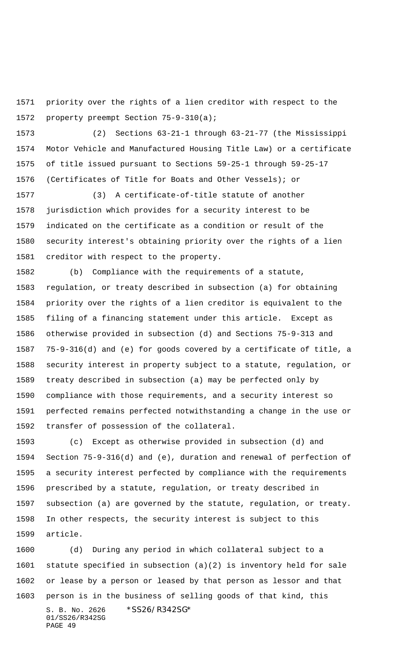priority over the rights of a lien creditor with respect to the property preempt Section 75-9-310(a);

 (2) Sections 63-21-1 through 63-21-77 (the Mississippi Motor Vehicle and Manufactured Housing Title Law) or a certificate of title issued pursuant to Sections 59-25-1 through 59-25-17 (Certificates of Title for Boats and Other Vessels); or

 (3) A certificate-of-title statute of another jurisdiction which provides for a security interest to be indicated on the certificate as a condition or result of the security interest's obtaining priority over the rights of a lien creditor with respect to the property.

 (b) Compliance with the requirements of a statute, regulation, or treaty described in subsection (a) for obtaining priority over the rights of a lien creditor is equivalent to the filing of a financing statement under this article. Except as otherwise provided in subsection (d) and Sections 75-9-313 and 75-9-316(d) and (e) for goods covered by a certificate of title, a security interest in property subject to a statute, regulation, or treaty described in subsection (a) may be perfected only by compliance with those requirements, and a security interest so perfected remains perfected notwithstanding a change in the use or transfer of possession of the collateral.

 (c) Except as otherwise provided in subsection (d) and Section 75-9-316(d) and (e), duration and renewal of perfection of a security interest perfected by compliance with the requirements prescribed by a statute, regulation, or treaty described in subsection (a) are governed by the statute, regulation, or treaty. In other respects, the security interest is subject to this article.

S. B. No. 2626 \*SS26/R342SG\* 01/SS26/R342SG PAGE 49 (d) During any period in which collateral subject to a statute specified in subsection (a)(2) is inventory held for sale or lease by a person or leased by that person as lessor and that person is in the business of selling goods of that kind, this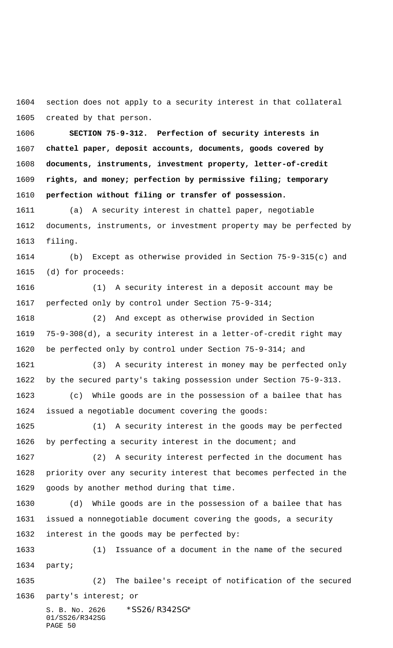section does not apply to a security interest in that collateral created by that person.

 **SECTION 75**-**9-312. Perfection of security interests in chattel paper, deposit accounts, documents, goods covered by documents, instruments, investment property, letter-of-credit rights, and money; perfection by permissive filing; temporary perfection without filing or transfer of possession.**

 (a) A security interest in chattel paper, negotiable documents, instruments, or investment property may be perfected by filing.

 (b) Except as otherwise provided in Section 75-9-315(c) and (d) for proceeds:

 (1) A security interest in a deposit account may be perfected only by control under Section 75-9-314;

 (2) And except as otherwise provided in Section 75-9-308(d), a security interest in a letter-of-credit right may be perfected only by control under Section 75-9-314; and

 (3) A security interest in money may be perfected only by the secured party's taking possession under Section 75-9-313.

 (c) While goods are in the possession of a bailee that has issued a negotiable document covering the goods:

 (1) A security interest in the goods may be perfected by perfecting a security interest in the document; and

 (2) A security interest perfected in the document has priority over any security interest that becomes perfected in the goods by another method during that time.

 (d) While goods are in the possession of a bailee that has issued a nonnegotiable document covering the goods, a security interest in the goods may be perfected by:

 (1) Issuance of a document in the name of the secured party;

 (2) The bailee's receipt of notification of the secured party's interest; or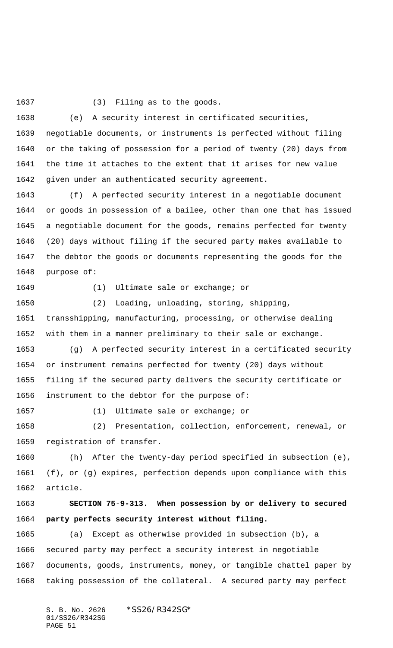(3) Filing as to the goods.

 (e) A security interest in certificated securities, negotiable documents, or instruments is perfected without filing or the taking of possession for a period of twenty (20) days from the time it attaches to the extent that it arises for new value given under an authenticated security agreement.

 (f) A perfected security interest in a negotiable document or goods in possession of a bailee, other than one that has issued a negotiable document for the goods, remains perfected for twenty (20) days without filing if the secured party makes available to the debtor the goods or documents representing the goods for the purpose of:

(1) Ultimate sale or exchange; or

(2) Loading, unloading, storing, shipping,

 transshipping, manufacturing, processing, or otherwise dealing with them in a manner preliminary to their sale or exchange.

 (g) A perfected security interest in a certificated security or instrument remains perfected for twenty (20) days without filing if the secured party delivers the security certificate or instrument to the debtor for the purpose of:

(1) Ultimate sale or exchange; or

 (2) Presentation, collection, enforcement, renewal, or registration of transfer.

 (h) After the twenty-day period specified in subsection (e), (f), or (g) expires, perfection depends upon compliance with this article.

## **SECTION 75**-**9-313. When possession by or delivery to secured party perfects security interest without filing.**

 (a) Except as otherwise provided in subsection (b), a secured party may perfect a security interest in negotiable documents, goods, instruments, money, or tangible chattel paper by taking possession of the collateral. A secured party may perfect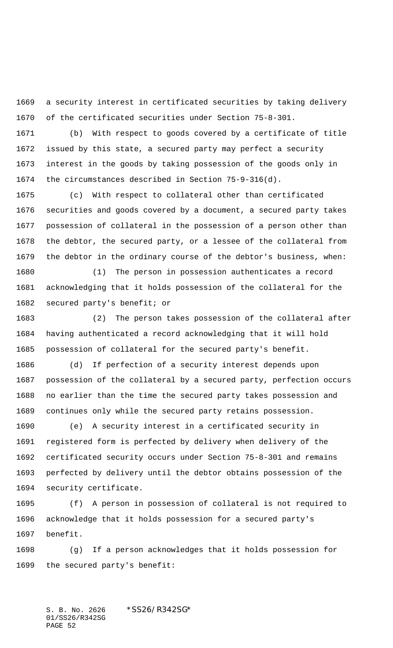a security interest in certificated securities by taking delivery of the certificated securities under Section 75-8-301.

 (b) With respect to goods covered by a certificate of title issued by this state, a secured party may perfect a security interest in the goods by taking possession of the goods only in the circumstances described in Section 75-9-316(d).

 (c) With respect to collateral other than certificated securities and goods covered by a document, a secured party takes possession of collateral in the possession of a person other than the debtor, the secured party, or a lessee of the collateral from the debtor in the ordinary course of the debtor's business, when:

 (1) The person in possession authenticates a record acknowledging that it holds possession of the collateral for the secured party's benefit; or

 (2) The person takes possession of the collateral after having authenticated a record acknowledging that it will hold possession of collateral for the secured party's benefit.

 (d) If perfection of a security interest depends upon possession of the collateral by a secured party, perfection occurs no earlier than the time the secured party takes possession and continues only while the secured party retains possession.

 (e) A security interest in a certificated security in registered form is perfected by delivery when delivery of the certificated security occurs under Section 75-8-301 and remains perfected by delivery until the debtor obtains possession of the security certificate.

 (f) A person in possession of collateral is not required to acknowledge that it holds possession for a secured party's benefit.

 (g) If a person acknowledges that it holds possession for the secured party's benefit: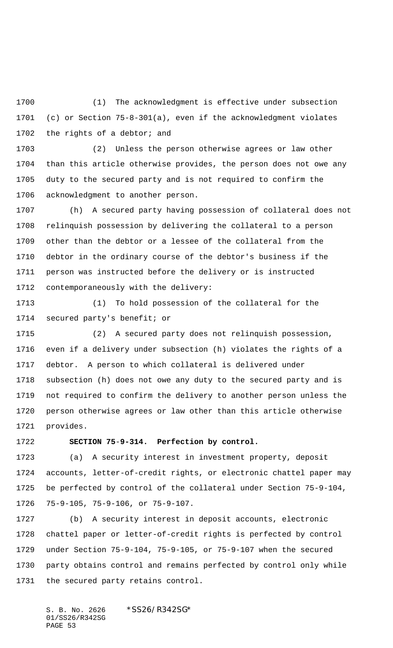(1) The acknowledgment is effective under subsection (c) or Section 75-8-301(a), even if the acknowledgment violates 1702 the rights of a debtor; and

 (2) Unless the person otherwise agrees or law other than this article otherwise provides, the person does not owe any duty to the secured party and is not required to confirm the acknowledgment to another person.

 (h) A secured party having possession of collateral does not relinquish possession by delivering the collateral to a person other than the debtor or a lessee of the collateral from the debtor in the ordinary course of the debtor's business if the person was instructed before the delivery or is instructed contemporaneously with the delivery:

 (1) To hold possession of the collateral for the secured party's benefit; or

 (2) A secured party does not relinquish possession, even if a delivery under subsection (h) violates the rights of a debtor. A person to which collateral is delivered under subsection (h) does not owe any duty to the secured party and is not required to confirm the delivery to another person unless the person otherwise agrees or law other than this article otherwise provides.

**SECTION 75**-**9-314. Perfection by control.**

 (a) A security interest in investment property, deposit accounts, letter-of-credit rights, or electronic chattel paper may be perfected by control of the collateral under Section 75-9-104, 75-9-105, 75-9-106, or 75-9-107.

 (b) A security interest in deposit accounts, electronic chattel paper or letter-of-credit rights is perfected by control under Section 75-9-104, 75-9-105, or 75-9-107 when the secured party obtains control and remains perfected by control only while the secured party retains control.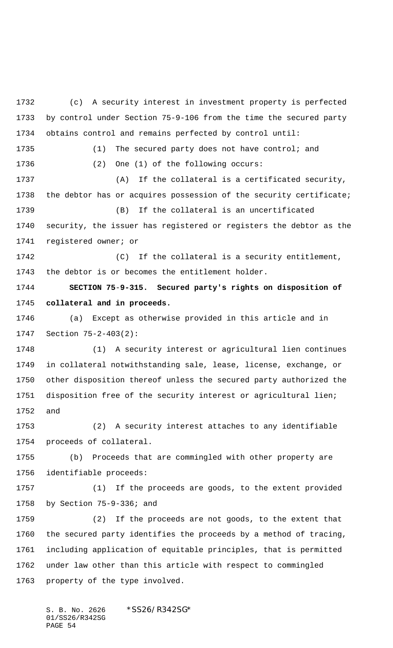(c) A security interest in investment property is perfected by control under Section 75-9-106 from the time the secured party obtains control and remains perfected by control until: (1) The secured party does not have control; and (2) One (1) of the following occurs: (A) If the collateral is a certificated security, the debtor has or acquires possession of the security certificate; (B) If the collateral is an uncertificated security, the issuer has registered or registers the debtor as the registered owner; or (C) If the collateral is a security entitlement, the debtor is or becomes the entitlement holder. **SECTION 75**-**9-315. Secured party's rights on disposition of collateral and in proceeds.** (a) Except as otherwise provided in this article and in Section 75-2-403(2): (1) A security interest or agricultural lien continues in collateral notwithstanding sale, lease, license, exchange, or other disposition thereof unless the secured party authorized the disposition free of the security interest or agricultural lien; and (2) A security interest attaches to any identifiable proceeds of collateral. (b) Proceeds that are commingled with other property are identifiable proceeds: (1) If the proceeds are goods, to the extent provided by Section 75-9-336; and (2) If the proceeds are not goods, to the extent that the secured party identifies the proceeds by a method of tracing, including application of equitable principles, that is permitted under law other than this article with respect to commingled property of the type involved.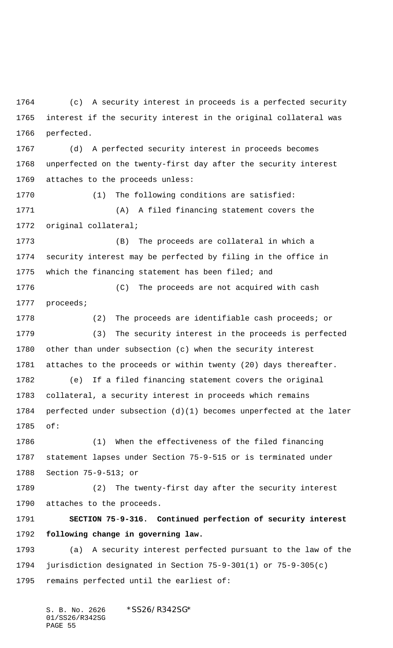(c) A security interest in proceeds is a perfected security interest if the security interest in the original collateral was perfected.

 (d) A perfected security interest in proceeds becomes unperfected on the twenty-first day after the security interest attaches to the proceeds unless:

 (1) The following conditions are satisfied: (A) A filed financing statement covers the original collateral;

 (B) The proceeds are collateral in which a security interest may be perfected by filing in the office in which the financing statement has been filed; and

 (C) The proceeds are not acquired with cash proceeds;

 (2) The proceeds are identifiable cash proceeds; or (3) The security interest in the proceeds is perfected other than under subsection (c) when the security interest attaches to the proceeds or within twenty (20) days thereafter.

 (e) If a filed financing statement covers the original collateral, a security interest in proceeds which remains perfected under subsection (d)(1) becomes unperfected at the later of:

 (1) When the effectiveness of the filed financing statement lapses under Section 75-9-515 or is terminated under Section 75-9-513; or

 (2) The twenty-first day after the security interest attaches to the proceeds.

 **SECTION 75**-**9-316. Continued perfection of security interest following change in governing law.**

 (a) A security interest perfected pursuant to the law of the jurisdiction designated in Section 75-9-301(1) or 75-9-305(c) remains perfected until the earliest of: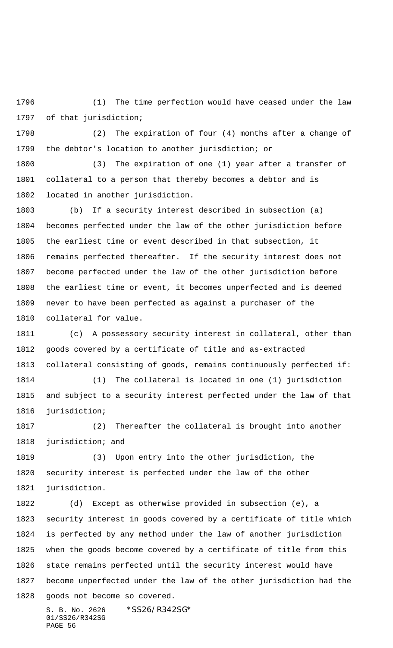(1) The time perfection would have ceased under the law of that jurisdiction;

 (2) The expiration of four (4) months after a change of the debtor's location to another jurisdiction; or

 (3) The expiration of one (1) year after a transfer of collateral to a person that thereby becomes a debtor and is located in another jurisdiction.

 (b) If a security interest described in subsection (a) becomes perfected under the law of the other jurisdiction before the earliest time or event described in that subsection, it remains perfected thereafter. If the security interest does not become perfected under the law of the other jurisdiction before the earliest time or event, it becomes unperfected and is deemed never to have been perfected as against a purchaser of the collateral for value.

 (c) A possessory security interest in collateral, other than goods covered by a certificate of title and as-extracted collateral consisting of goods, remains continuously perfected if:

 (1) The collateral is located in one (1) jurisdiction and subject to a security interest perfected under the law of that jurisdiction;

 (2) Thereafter the collateral is brought into another jurisdiction; and

 (3) Upon entry into the other jurisdiction, the security interest is perfected under the law of the other jurisdiction.

 (d) Except as otherwise provided in subsection (e), a security interest in goods covered by a certificate of title which is perfected by any method under the law of another jurisdiction when the goods become covered by a certificate of title from this state remains perfected until the security interest would have become unperfected under the law of the other jurisdiction had the goods not become so covered.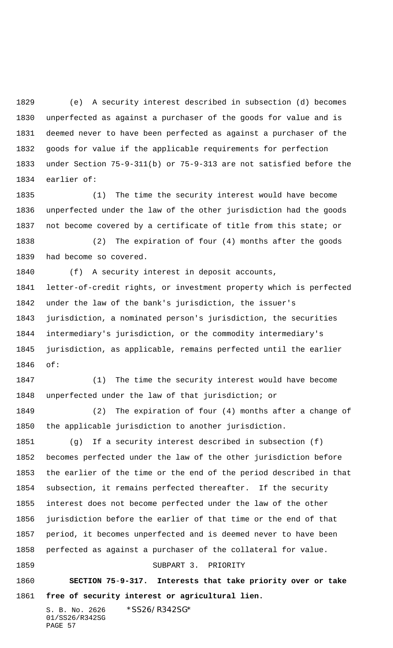(e) A security interest described in subsection (d) becomes unperfected as against a purchaser of the goods for value and is deemed never to have been perfected as against a purchaser of the goods for value if the applicable requirements for perfection under Section 75-9-311(b) or 75-9-313 are not satisfied before the earlier of:

 (1) The time the security interest would have become unperfected under the law of the other jurisdiction had the goods not become covered by a certificate of title from this state; or (2) The expiration of four (4) months after the goods

had become so covered.

 (f) A security interest in deposit accounts, letter-of-credit rights, or investment property which is perfected under the law of the bank's jurisdiction, the issuer's jurisdiction, a nominated person's jurisdiction, the securities intermediary's jurisdiction, or the commodity intermediary's jurisdiction, as applicable, remains perfected until the earlier of:

 (1) The time the security interest would have become unperfected under the law of that jurisdiction; or

 (2) The expiration of four (4) months after a change of the applicable jurisdiction to another jurisdiction.

 (g) If a security interest described in subsection (f) becomes perfected under the law of the other jurisdiction before the earlier of the time or the end of the period described in that subsection, it remains perfected thereafter. If the security interest does not become perfected under the law of the other jurisdiction before the earlier of that time or the end of that period, it becomes unperfected and is deemed never to have been perfected as against a purchaser of the collateral for value. SUBPART 3. PRIORITY **SECTION 75**-**9-317. Interests that take priority over or take**

**free of security interest or agricultural lien.**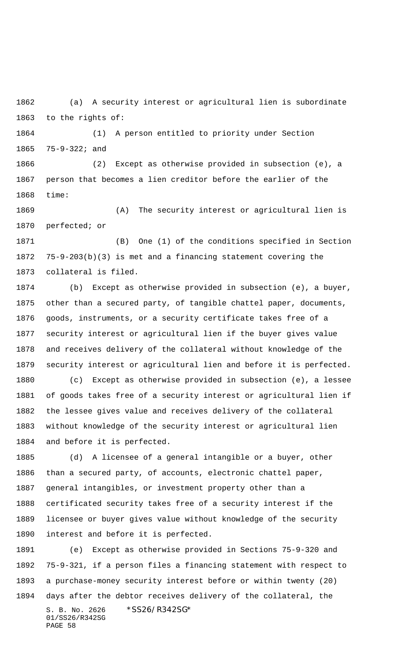(a) A security interest or agricultural lien is subordinate to the rights of:

 (1) A person entitled to priority under Section 75-9-322; and

 (2) Except as otherwise provided in subsection (e), a person that becomes a lien creditor before the earlier of the time:

 (A) The security interest or agricultural lien is perfected; or

 (B) One (1) of the conditions specified in Section 75-9-203(b)(3) is met and a financing statement covering the collateral is filed.

 (b) Except as otherwise provided in subsection (e), a buyer, other than a secured party, of tangible chattel paper, documents, goods, instruments, or a security certificate takes free of a security interest or agricultural lien if the buyer gives value and receives delivery of the collateral without knowledge of the security interest or agricultural lien and before it is perfected.

 (c) Except as otherwise provided in subsection (e), a lessee of goods takes free of a security interest or agricultural lien if the lessee gives value and receives delivery of the collateral without knowledge of the security interest or agricultural lien and before it is perfected.

 (d) A licensee of a general intangible or a buyer, other than a secured party, of accounts, electronic chattel paper, general intangibles, or investment property other than a certificated security takes free of a security interest if the licensee or buyer gives value without knowledge of the security interest and before it is perfected.

S. B. No. 2626 \*SS26/R342SG\* 01/SS26/R342SG (e) Except as otherwise provided in Sections 75-9-320 and 75-9-321, if a person files a financing statement with respect to a purchase-money security interest before or within twenty (20) days after the debtor receives delivery of the collateral, the

PAGE 58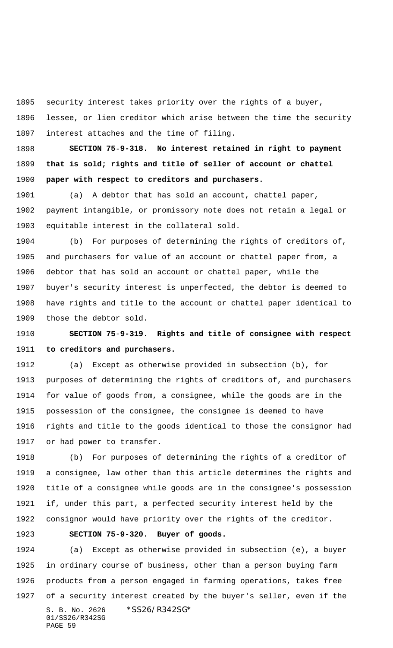security interest takes priority over the rights of a buyer,

 lessee, or lien creditor which arise between the time the security interest attaches and the time of filing.

 **SECTION 75**-**9-318. No interest retained in right to payment that is sold; rights and title of seller of account or chattel paper with respect to creditors and purchasers.**

 (a) A debtor that has sold an account, chattel paper, payment intangible, or promissory note does not retain a legal or equitable interest in the collateral sold.

 (b) For purposes of determining the rights of creditors of, and purchasers for value of an account or chattel paper from, a debtor that has sold an account or chattel paper, while the buyer's security interest is unperfected, the debtor is deemed to have rights and title to the account or chattel paper identical to those the debtor sold.

 **SECTION 75**-**9-319. Rights and title of consignee with respect to creditors and purchasers.**

 (a) Except as otherwise provided in subsection (b), for purposes of determining the rights of creditors of, and purchasers for value of goods from, a consignee, while the goods are in the possession of the consignee, the consignee is deemed to have rights and title to the goods identical to those the consignor had or had power to transfer.

 (b) For purposes of determining the rights of a creditor of a consignee, law other than this article determines the rights and title of a consignee while goods are in the consignee's possession if, under this part, a perfected security interest held by the consignor would have priority over the rights of the creditor.

## **SECTION 75**-**9-320. Buyer of goods.**

S. B. No. 2626 \*SS26/R342SG\* 01/SS26/R342SG PAGE 59 (a) Except as otherwise provided in subsection (e), a buyer in ordinary course of business, other than a person buying farm products from a person engaged in farming operations, takes free of a security interest created by the buyer's seller, even if the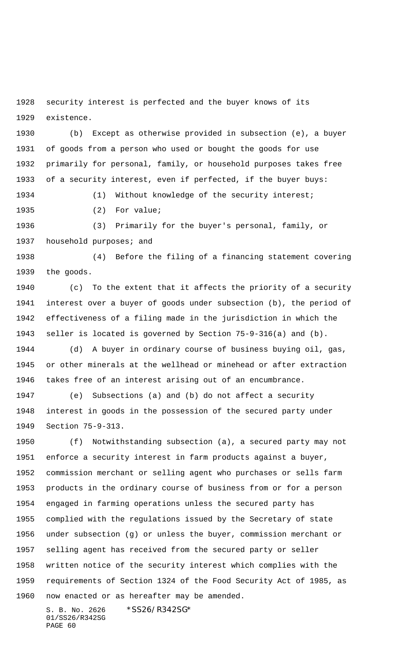security interest is perfected and the buyer knows of its existence.

 (b) Except as otherwise provided in subsection (e), a buyer of goods from a person who used or bought the goods for use primarily for personal, family, or household purposes takes free of a security interest, even if perfected, if the buyer buys:

(1) Without knowledge of the security interest;

(2) For value;

 (3) Primarily for the buyer's personal, family, or 1937 household purposes; and

 (4) Before the filing of a financing statement covering the goods.

 (c) To the extent that it affects the priority of a security interest over a buyer of goods under subsection (b), the period of effectiveness of a filing made in the jurisdiction in which the seller is located is governed by Section 75-9-316(a) and (b).

 (d) A buyer in ordinary course of business buying oil, gas, or other minerals at the wellhead or minehead or after extraction takes free of an interest arising out of an encumbrance.

 (e) Subsections (a) and (b) do not affect a security interest in goods in the possession of the secured party under Section 75-9-313.

 (f) Notwithstanding subsection (a), a secured party may not enforce a security interest in farm products against a buyer, commission merchant or selling agent who purchases or sells farm products in the ordinary course of business from or for a person engaged in farming operations unless the secured party has complied with the regulations issued by the Secretary of state under subsection (g) or unless the buyer, commission merchant or selling agent has received from the secured party or seller written notice of the security interest which complies with the requirements of Section 1324 of the Food Security Act of 1985, as now enacted or as hereafter may be amended.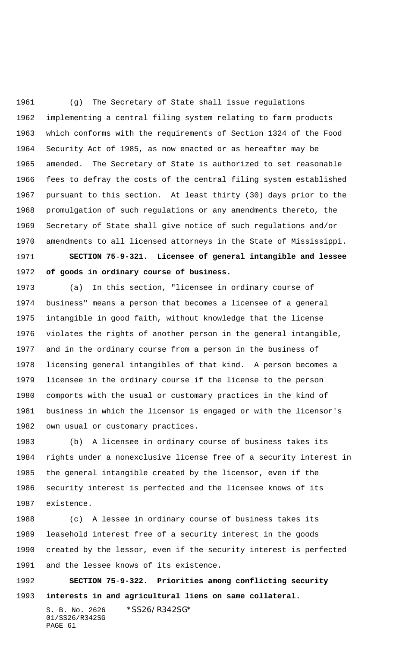(g) The Secretary of State shall issue regulations implementing a central filing system relating to farm products which conforms with the requirements of Section 1324 of the Food Security Act of 1985, as now enacted or as hereafter may be amended. The Secretary of State is authorized to set reasonable fees to defray the costs of the central filing system established pursuant to this section. At least thirty (30) days prior to the promulgation of such regulations or any amendments thereto, the Secretary of State shall give notice of such regulations and/or amendments to all licensed attorneys in the State of Mississippi.

 **SECTION 75**-**9-321. Licensee of general intangible and lessee of goods in ordinary course of business.**

 (a) In this section, "licensee in ordinary course of business" means a person that becomes a licensee of a general intangible in good faith, without knowledge that the license violates the rights of another person in the general intangible, and in the ordinary course from a person in the business of licensing general intangibles of that kind. A person becomes a licensee in the ordinary course if the license to the person comports with the usual or customary practices in the kind of business in which the licensor is engaged or with the licensor's own usual or customary practices.

 (b) A licensee in ordinary course of business takes its rights under a nonexclusive license free of a security interest in the general intangible created by the licensor, even if the security interest is perfected and the licensee knows of its existence.

 (c) A lessee in ordinary course of business takes its leasehold interest free of a security interest in the goods created by the lessor, even if the security interest is perfected and the lessee knows of its existence.

 **SECTION 75**-**9-322. Priorities among conflicting security interests in and agricultural liens on same collateral.**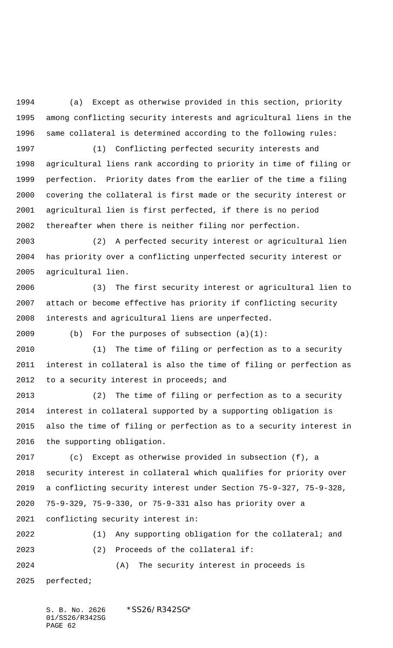(a) Except as otherwise provided in this section, priority among conflicting security interests and agricultural liens in the same collateral is determined according to the following rules:

 (1) Conflicting perfected security interests and agricultural liens rank according to priority in time of filing or perfection. Priority dates from the earlier of the time a filing covering the collateral is first made or the security interest or agricultural lien is first perfected, if there is no period thereafter when there is neither filing nor perfection.

 (2) A perfected security interest or agricultural lien has priority over a conflicting unperfected security interest or agricultural lien.

 (3) The first security interest or agricultural lien to attach or become effective has priority if conflicting security interests and agricultural liens are unperfected.

(b) For the purposes of subsection (a)(1):

 (1) The time of filing or perfection as to a security interest in collateral is also the time of filing or perfection as 2012 to a security interest in proceeds; and

 (2) The time of filing or perfection as to a security interest in collateral supported by a supporting obligation is also the time of filing or perfection as to a security interest in the supporting obligation.

 (c) Except as otherwise provided in subsection (f), a security interest in collateral which qualifies for priority over a conflicting security interest under Section 75-9-327, 75-9-328, 75-9-329, 75-9-330, or 75-9-331 also has priority over a conflicting security interest in:

 (1) Any supporting obligation for the collateral; and (2) Proceeds of the collateral if: (A) The security interest in proceeds is

perfected;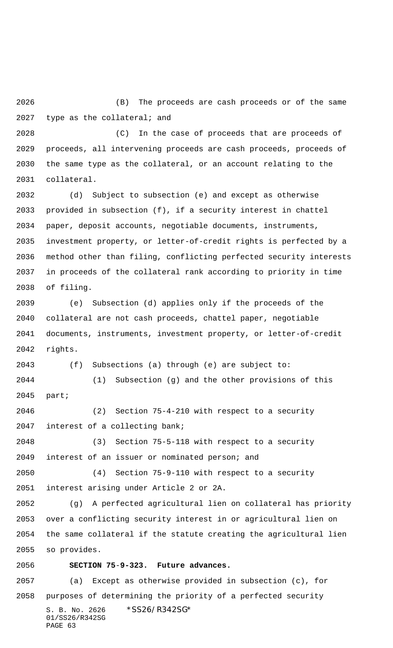(B) The proceeds are cash proceeds or of the same type as the collateral; and

 (C) In the case of proceeds that are proceeds of proceeds, all intervening proceeds are cash proceeds, proceeds of the same type as the collateral, or an account relating to the collateral.

 (d) Subject to subsection (e) and except as otherwise provided in subsection (f), if a security interest in chattel paper, deposit accounts, negotiable documents, instruments, investment property, or letter-of-credit rights is perfected by a method other than filing, conflicting perfected security interests in proceeds of the collateral rank according to priority in time of filing.

 (e) Subsection (d) applies only if the proceeds of the collateral are not cash proceeds, chattel paper, negotiable documents, instruments, investment property, or letter-of-credit rights.

(f) Subsections (a) through (e) are subject to:

 (1) Subsection (g) and the other provisions of this part;

 (2) Section 75-4-210 with respect to a security interest of a collecting bank;

 (3) Section 75-5-118 with respect to a security interest of an issuer or nominated person; and

 (4) Section 75-9-110 with respect to a security interest arising under Article 2 or 2A.

 (g) A perfected agricultural lien on collateral has priority over a conflicting security interest in or agricultural lien on the same collateral if the statute creating the agricultural lien so provides.

**SECTION 75**-**9-323. Future advances.**

S. B. No. 2626 \*SS26/R342SG\* 01/SS26/R342SG (a) Except as otherwise provided in subsection (c), for purposes of determining the priority of a perfected security

PAGE 63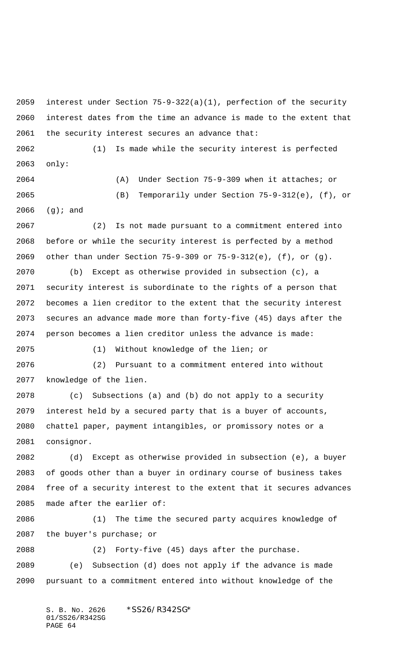interest under Section 75-9-322(a)(1), perfection of the security interest dates from the time an advance is made to the extent that the security interest secures an advance that:

 (1) Is made while the security interest is perfected only:

 (A) Under Section 75-9-309 when it attaches; or (B) Temporarily under Section 75-9-312(e), (f), or (g); and

 (2) Is not made pursuant to a commitment entered into before or while the security interest is perfected by a method other than under Section 75-9-309 or 75-9-312(e), (f), or (g).

 (b) Except as otherwise provided in subsection (c), a security interest is subordinate to the rights of a person that becomes a lien creditor to the extent that the security interest secures an advance made more than forty-five (45) days after the person becomes a lien creditor unless the advance is made:

(1) Without knowledge of the lien; or

 (2) Pursuant to a commitment entered into without knowledge of the lien.

 (c) Subsections (a) and (b) do not apply to a security interest held by a secured party that is a buyer of accounts, chattel paper, payment intangibles, or promissory notes or a consignor.

 (d) Except as otherwise provided in subsection (e), a buyer of goods other than a buyer in ordinary course of business takes free of a security interest to the extent that it secures advances made after the earlier of:

 (1) The time the secured party acquires knowledge of the buyer's purchase; or

 (2) Forty-five (45) days after the purchase. (e) Subsection (d) does not apply if the advance is made pursuant to a commitment entered into without knowledge of the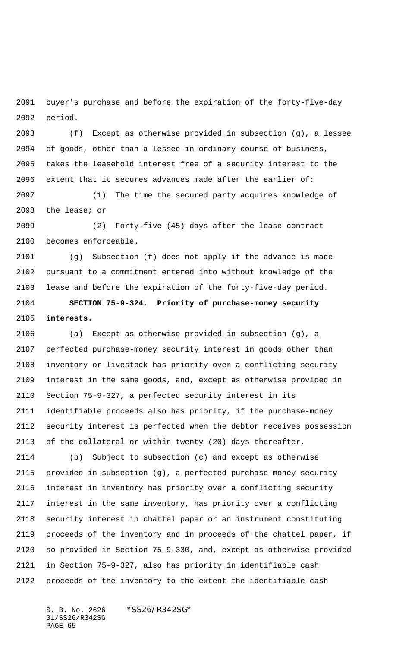buyer's purchase and before the expiration of the forty-five-day period.

 (f) Except as otherwise provided in subsection (g), a lessee of goods, other than a lessee in ordinary course of business, takes the leasehold interest free of a security interest to the extent that it secures advances made after the earlier of:

 (1) The time the secured party acquires knowledge of the lease; or

 (2) Forty-five (45) days after the lease contract becomes enforceable.

 (g) Subsection (f) does not apply if the advance is made pursuant to a commitment entered into without knowledge of the lease and before the expiration of the forty-five-day period.

 **SECTION 75**-**9-324. Priority of purchase-money security interests.**

 (a) Except as otherwise provided in subsection (g), a perfected purchase-money security interest in goods other than inventory or livestock has priority over a conflicting security interest in the same goods, and, except as otherwise provided in Section 75-9-327, a perfected security interest in its identifiable proceeds also has priority, if the purchase-money security interest is perfected when the debtor receives possession of the collateral or within twenty (20) days thereafter.

 (b) Subject to subsection (c) and except as otherwise provided in subsection (g), a perfected purchase-money security interest in inventory has priority over a conflicting security interest in the same inventory, has priority over a conflicting security interest in chattel paper or an instrument constituting proceeds of the inventory and in proceeds of the chattel paper, if so provided in Section 75-9-330, and, except as otherwise provided in Section 75-9-327, also has priority in identifiable cash proceeds of the inventory to the extent the identifiable cash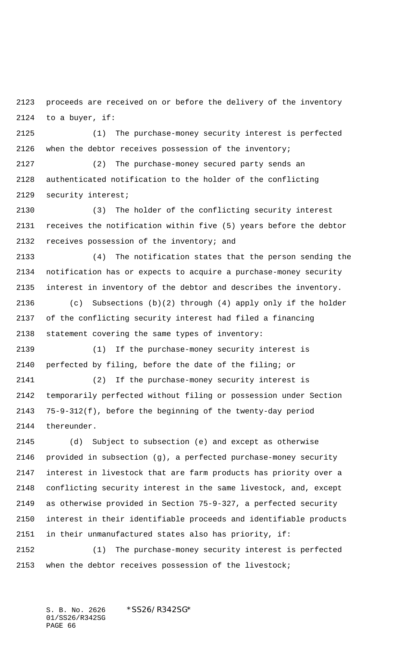proceeds are received on or before the delivery of the inventory to a buyer, if:

 (1) The purchase-money security interest is perfected when the debtor receives possession of the inventory;

 (2) The purchase-money secured party sends an authenticated notification to the holder of the conflicting security interest;

 (3) The holder of the conflicting security interest receives the notification within five (5) years before the debtor receives possession of the inventory; and

 (4) The notification states that the person sending the notification has or expects to acquire a purchase-money security interest in inventory of the debtor and describes the inventory.

 (c) Subsections (b)(2) through (4) apply only if the holder of the conflicting security interest had filed a financing statement covering the same types of inventory:

 (1) If the purchase-money security interest is perfected by filing, before the date of the filing; or

 (2) If the purchase-money security interest is temporarily perfected without filing or possession under Section 75-9-312(f), before the beginning of the twenty-day period thereunder.

 (d) Subject to subsection (e) and except as otherwise provided in subsection (g), a perfected purchase-money security interest in livestock that are farm products has priority over a conflicting security interest in the same livestock, and, except as otherwise provided in Section 75-9-327, a perfected security interest in their identifiable proceeds and identifiable products in their unmanufactured states also has priority, if:

 (1) The purchase-money security interest is perfected when the debtor receives possession of the livestock;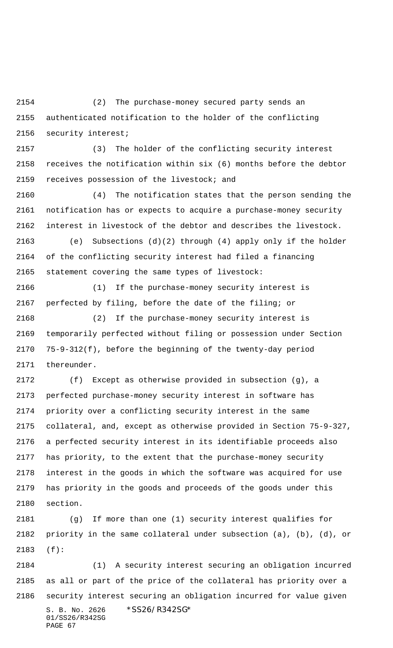(2) The purchase-money secured party sends an authenticated notification to the holder of the conflicting security interest;

 (3) The holder of the conflicting security interest receives the notification within six (6) months before the debtor receives possession of the livestock; and

 (4) The notification states that the person sending the notification has or expects to acquire a purchase-money security interest in livestock of the debtor and describes the livestock.

 (e) Subsections (d)(2) through (4) apply only if the holder of the conflicting security interest had filed a financing statement covering the same types of livestock:

 (1) If the purchase-money security interest is perfected by filing, before the date of the filing; or

 (2) If the purchase-money security interest is temporarily perfected without filing or possession under Section 75-9-312(f), before the beginning of the twenty-day period thereunder.

 (f) Except as otherwise provided in subsection (g), a perfected purchase-money security interest in software has priority over a conflicting security interest in the same collateral, and, except as otherwise provided in Section 75-9-327, a perfected security interest in its identifiable proceeds also has priority, to the extent that the purchase-money security interest in the goods in which the software was acquired for use has priority in the goods and proceeds of the goods under this section.

 (g) If more than one (1) security interest qualifies for priority in the same collateral under subsection (a), (b), (d), or (f):

S. B. No. 2626 \*SS26/R342SG\* 01/SS26/R342SG PAGE 67 (1) A security interest securing an obligation incurred as all or part of the price of the collateral has priority over a security interest securing an obligation incurred for value given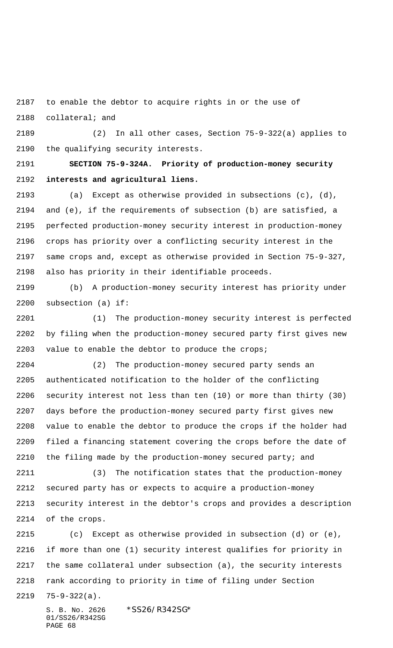to enable the debtor to acquire rights in or the use of collateral; and

 (2) In all other cases, Section 75-9-322(a) applies to the qualifying security interests.

 **SECTION 75-9-324A. Priority of production-money security interests and agricultural liens.**

 (a) Except as otherwise provided in subsections (c), (d), and (e), if the requirements of subsection (b) are satisfied, a perfected production-money security interest in production-money crops has priority over a conflicting security interest in the same crops and, except as otherwise provided in Section 75-9-327, also has priority in their identifiable proceeds.

 (b) A production-money security interest has priority under subsection (a) if:

 (1) The production-money security interest is perfected by filing when the production-money secured party first gives new value to enable the debtor to produce the crops;

 (2) The production-money secured party sends an authenticated notification to the holder of the conflicting security interest not less than ten (10) or more than thirty (30) days before the production-money secured party first gives new value to enable the debtor to produce the crops if the holder had filed a financing statement covering the crops before the date of the filing made by the production-money secured party; and

 (3) The notification states that the production-money secured party has or expects to acquire a production-money security interest in the debtor's crops and provides a description of the crops.

 (c) Except as otherwise provided in subsection (d) or (e), if more than one (1) security interest qualifies for priority in the same collateral under subsection (a), the security interests rank according to priority in time of filing under Section

75-9-322(a).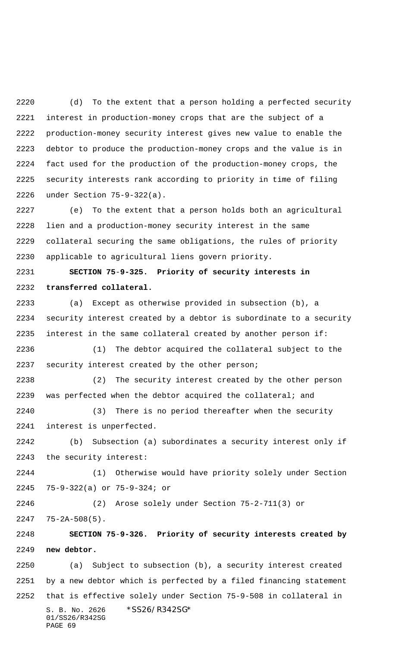(d) To the extent that a person holding a perfected security interest in production-money crops that are the subject of a production-money security interest gives new value to enable the debtor to produce the production-money crops and the value is in fact used for the production of the production-money crops, the security interests rank according to priority in time of filing under Section 75-9-322(a).

 (e) To the extent that a person holds both an agricultural lien and a production-money security interest in the same collateral securing the same obligations, the rules of priority applicable to agricultural liens govern priority.

 **SECTION 75**-**9-325. Priority of security interests in transferred collateral.**

 (a) Except as otherwise provided in subsection (b), a security interest created by a debtor is subordinate to a security interest in the same collateral created by another person if:

 (1) The debtor acquired the collateral subject to the security interest created by the other person;

 (2) The security interest created by the other person was perfected when the debtor acquired the collateral; and

 (3) There is no period thereafter when the security interest is unperfected.

 (b) Subsection (a) subordinates a security interest only if the security interest:

 (1) Otherwise would have priority solely under Section 75-9-322(a) or 75-9-324; or

 (2) Arose solely under Section 75-2-711(3) or 75-2A-508(5).

 **SECTION 75**-**9-326. Priority of security interests created by new debtor.**

S. B. No. 2626 \*SS26/R342SG\* 01/SS26/R342SG PAGE 69 (a) Subject to subsection (b), a security interest created by a new debtor which is perfected by a filed financing statement that is effective solely under Section 75-9-508 in collateral in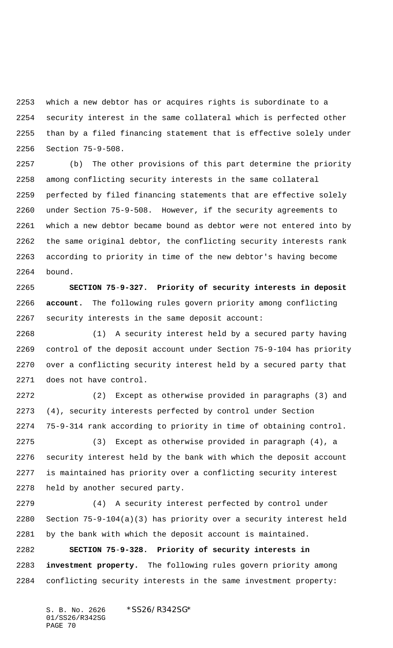which a new debtor has or acquires rights is subordinate to a security interest in the same collateral which is perfected other than by a filed financing statement that is effective solely under Section 75-9-508.

 (b) The other provisions of this part determine the priority among conflicting security interests in the same collateral perfected by filed financing statements that are effective solely under Section 75-9-508. However, if the security agreements to which a new debtor became bound as debtor were not entered into by the same original debtor, the conflicting security interests rank according to priority in time of the new debtor's having become bound.

 **SECTION 75**-**9-327. Priority of security interests in deposit account.** The following rules govern priority among conflicting security interests in the same deposit account:

 (1) A security interest held by a secured party having control of the deposit account under Section 75-9-104 has priority over a conflicting security interest held by a secured party that does not have control.

 (2) Except as otherwise provided in paragraphs (3) and (4), security interests perfected by control under Section 75-9-314 rank according to priority in time of obtaining control.

 (3) Except as otherwise provided in paragraph (4), a security interest held by the bank with which the deposit account is maintained has priority over a conflicting security interest held by another secured party.

 (4) A security interest perfected by control under Section 75-9-104(a)(3) has priority over a security interest held by the bank with which the deposit account is maintained.

 **SECTION 75**-**9-328. Priority of security interests in investment property.** The following rules govern priority among conflicting security interests in the same investment property: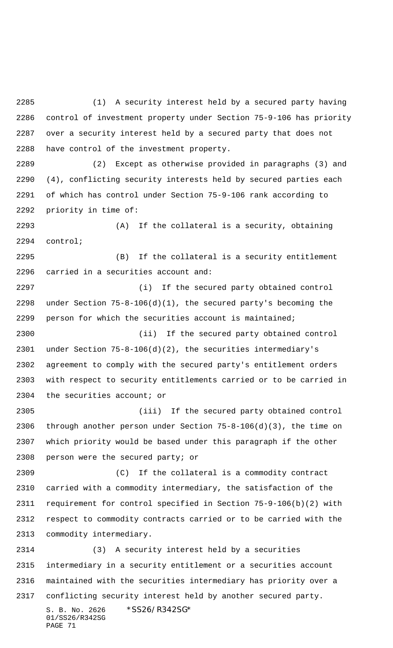(1) A security interest held by a secured party having control of investment property under Section 75-9-106 has priority over a security interest held by a secured party that does not have control of the investment property.

 (2) Except as otherwise provided in paragraphs (3) and (4), conflicting security interests held by secured parties each of which has control under Section 75-9-106 rank according to priority in time of:

 (A) If the collateral is a security, obtaining control;

 (B) If the collateral is a security entitlement carried in a securities account and:

 (i) If the secured party obtained control under Section 75-8-106(d)(1), the secured party's becoming the person for which the securities account is maintained;

 (ii) If the secured party obtained control under Section 75-8-106(d)(2), the securities intermediary's agreement to comply with the secured party's entitlement orders with respect to security entitlements carried or to be carried in the securities account; or

 (iii) If the secured party obtained control through another person under Section 75-8-106(d)(3), the time on which priority would be based under this paragraph if the other person were the secured party; or

 (C) If the collateral is a commodity contract carried with a commodity intermediary, the satisfaction of the requirement for control specified in Section 75-9-106(b)(2) with respect to commodity contracts carried or to be carried with the commodity intermediary.

S. B. No. 2626 \*SS26/R342SG\* (3) A security interest held by a securities intermediary in a security entitlement or a securities account maintained with the securities intermediary has priority over a conflicting security interest held by another secured party.

01/SS26/R342SG PAGE 71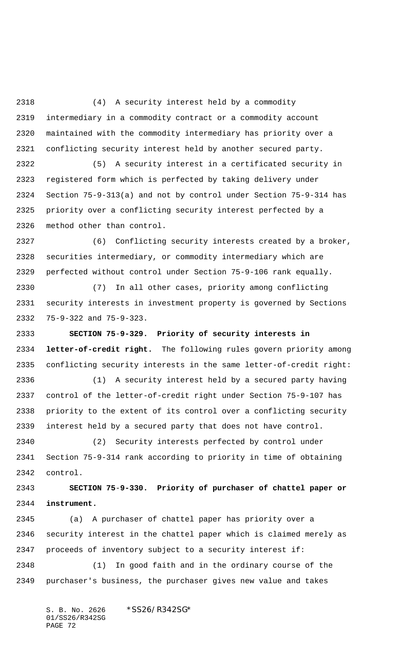(4) A security interest held by a commodity intermediary in a commodity contract or a commodity account maintained with the commodity intermediary has priority over a conflicting security interest held by another secured party.

 (5) A security interest in a certificated security in registered form which is perfected by taking delivery under Section 75-9-313(a) and not by control under Section 75-9-314 has priority over a conflicting security interest perfected by a method other than control.

 (6) Conflicting security interests created by a broker, securities intermediary, or commodity intermediary which are perfected without control under Section 75-9-106 rank equally.

 (7) In all other cases, priority among conflicting security interests in investment property is governed by Sections 75-9-322 and 75-9-323.

 **SECTION 75**-**9-329. Priority of security interests in letter-of-credit right.** The following rules govern priority among conflicting security interests in the same letter-of-credit right:

 (1) A security interest held by a secured party having control of the letter-of-credit right under Section 75-9-107 has priority to the extent of its control over a conflicting security interest held by a secured party that does not have control.

 (2) Security interests perfected by control under Section 75-9-314 rank according to priority in time of obtaining control.

 **SECTION 75**-**9-330. Priority of purchaser of chattel paper or instrument.**

 (a) A purchaser of chattel paper has priority over a security interest in the chattel paper which is claimed merely as proceeds of inventory subject to a security interest if:

 (1) In good faith and in the ordinary course of the purchaser's business, the purchaser gives new value and takes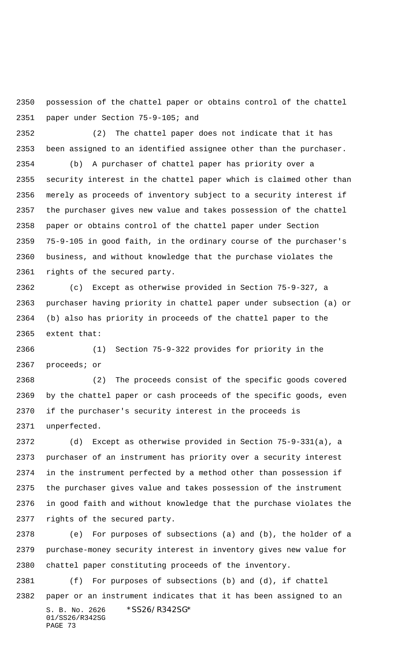possession of the chattel paper or obtains control of the chattel paper under Section 75-9-105; and

 (2) The chattel paper does not indicate that it has been assigned to an identified assignee other than the purchaser.

 (b) A purchaser of chattel paper has priority over a security interest in the chattel paper which is claimed other than merely as proceeds of inventory subject to a security interest if the purchaser gives new value and takes possession of the chattel paper or obtains control of the chattel paper under Section 75-9-105 in good faith, in the ordinary course of the purchaser's business, and without knowledge that the purchase violates the rights of the secured party.

 (c) Except as otherwise provided in Section 75-9-327, a purchaser having priority in chattel paper under subsection (a) or (b) also has priority in proceeds of the chattel paper to the extent that:

 (1) Section 75-9-322 provides for priority in the proceeds; or

 (2) The proceeds consist of the specific goods covered by the chattel paper or cash proceeds of the specific goods, even if the purchaser's security interest in the proceeds is unperfected.

 (d) Except as otherwise provided in Section 75-9-331(a), a purchaser of an instrument has priority over a security interest in the instrument perfected by a method other than possession if the purchaser gives value and takes possession of the instrument in good faith and without knowledge that the purchase violates the rights of the secured party.

 (e) For purposes of subsections (a) and (b), the holder of a purchase-money security interest in inventory gives new value for chattel paper constituting proceeds of the inventory.

S. B. No. 2626 \*SS26/R342SG\* 01/SS26/R342SG PAGE 73 (f) For purposes of subsections (b) and (d), if chattel paper or an instrument indicates that it has been assigned to an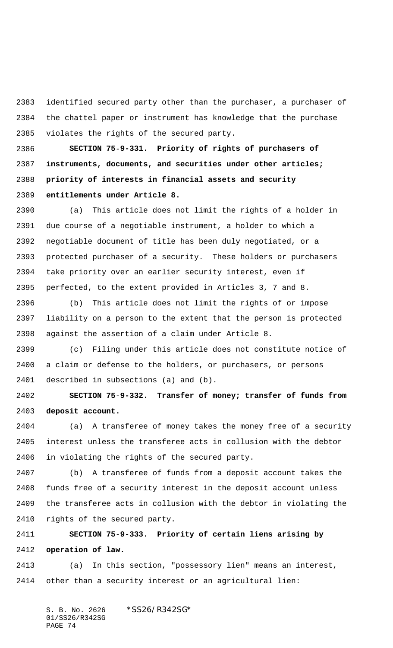identified secured party other than the purchaser, a purchaser of the chattel paper or instrument has knowledge that the purchase violates the rights of the secured party.

 **SECTION 75**-**9-331. Priority of rights of purchasers of instruments, documents, and securities under other articles; priority of interests in financial assets and security entitlements under Article 8.**

 (a) This article does not limit the rights of a holder in due course of a negotiable instrument, a holder to which a negotiable document of title has been duly negotiated, or a protected purchaser of a security. These holders or purchasers take priority over an earlier security interest, even if perfected, to the extent provided in Articles 3, 7 and 8.

 (b) This article does not limit the rights of or impose liability on a person to the extent that the person is protected against the assertion of a claim under Article 8.

 (c) Filing under this article does not constitute notice of a claim or defense to the holders, or purchasers, or persons described in subsections (a) and (b).

 **SECTION 75**-**9-332. Transfer of money; transfer of funds from deposit account.**

 (a) A transferee of money takes the money free of a security interest unless the transferee acts in collusion with the debtor in violating the rights of the secured party.

 (b) A transferee of funds from a deposit account takes the funds free of a security interest in the deposit account unless the transferee acts in collusion with the debtor in violating the rights of the secured party.

 **SECTION 75**-**9-333. Priority of certain liens arising by operation of law.**

 (a) In this section, "possessory lien" means an interest, other than a security interest or an agricultural lien: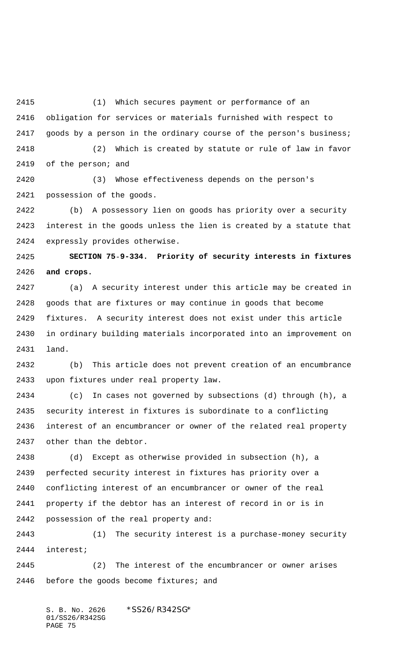(1) Which secures payment or performance of an obligation for services or materials furnished with respect to 2417 goods by a person in the ordinary course of the person's business;

 (2) Which is created by statute or rule of law in favor of the person; and

 (3) Whose effectiveness depends on the person's possession of the goods.

 (b) A possessory lien on goods has priority over a security interest in the goods unless the lien is created by a statute that expressly provides otherwise.

 **SECTION 75**-**9-334. Priority of security interests in fixtures and crops.**

 (a) A security interest under this article may be created in goods that are fixtures or may continue in goods that become fixtures. A security interest does not exist under this article in ordinary building materials incorporated into an improvement on land.

 (b) This article does not prevent creation of an encumbrance upon fixtures under real property law.

 (c) In cases not governed by subsections (d) through (h), a security interest in fixtures is subordinate to a conflicting interest of an encumbrancer or owner of the related real property other than the debtor.

 (d) Except as otherwise provided in subsection (h), a perfected security interest in fixtures has priority over a conflicting interest of an encumbrancer or owner of the real property if the debtor has an interest of record in or is in possession of the real property and:

 (1) The security interest is a purchase-money security interest;

 (2) The interest of the encumbrancer or owner arises 2446 before the goods become fixtures; and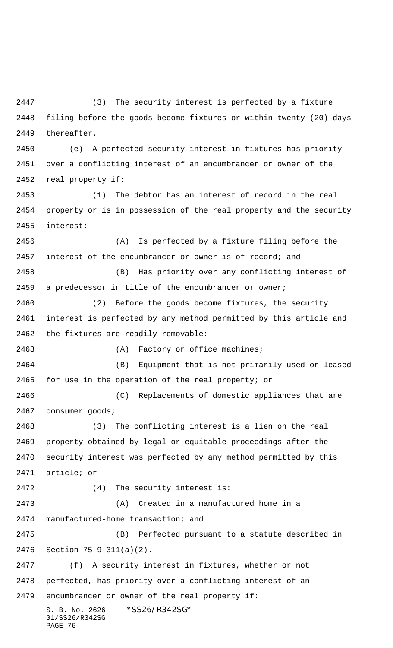(3) The security interest is perfected by a fixture filing before the goods become fixtures or within twenty (20) days thereafter.

 (e) A perfected security interest in fixtures has priority over a conflicting interest of an encumbrancer or owner of the real property if:

 (1) The debtor has an interest of record in the real property or is in possession of the real property and the security interest:

 (A) Is perfected by a fixture filing before the interest of the encumbrancer or owner is of record; and

 (B) Has priority over any conflicting interest of a predecessor in title of the encumbrancer or owner;

 (2) Before the goods become fixtures, the security interest is perfected by any method permitted by this article and the fixtures are readily removable:

(A) Factory or office machines;

 (B) Equipment that is not primarily used or leased for use in the operation of the real property; or

 (C) Replacements of domestic appliances that are consumer goods;

 (3) The conflicting interest is a lien on the real property obtained by legal or equitable proceedings after the security interest was perfected by any method permitted by this article; or

(4) The security interest is:

 (A) Created in a manufactured home in a manufactured-home transaction; and

 (B) Perfected pursuant to a statute described in Section 75-9-311(a)(2).

 (f) A security interest in fixtures, whether or not perfected, has priority over a conflicting interest of an encumbrancer or owner of the real property if: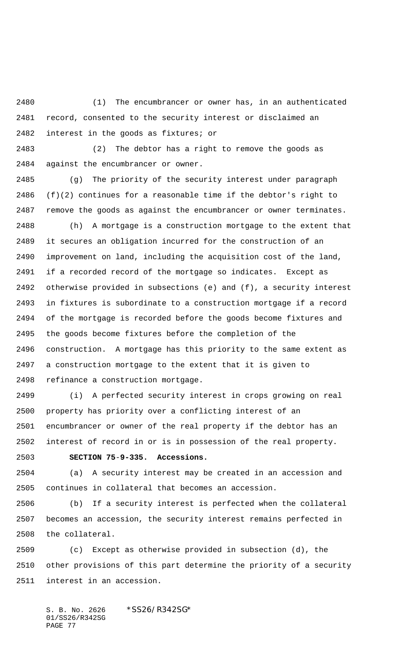(1) The encumbrancer or owner has, in an authenticated record, consented to the security interest or disclaimed an 2482 interest in the goods as fixtures; or

 (2) The debtor has a right to remove the goods as against the encumbrancer or owner.

 (g) The priority of the security interest under paragraph (f)(2) continues for a reasonable time if the debtor's right to remove the goods as against the encumbrancer or owner terminates.

 (h) A mortgage is a construction mortgage to the extent that it secures an obligation incurred for the construction of an improvement on land, including the acquisition cost of the land, if a recorded record of the mortgage so indicates. Except as otherwise provided in subsections (e) and (f), a security interest in fixtures is subordinate to a construction mortgage if a record of the mortgage is recorded before the goods become fixtures and the goods become fixtures before the completion of the construction. A mortgage has this priority to the same extent as a construction mortgage to the extent that it is given to refinance a construction mortgage.

 (i) A perfected security interest in crops growing on real property has priority over a conflicting interest of an encumbrancer or owner of the real property if the debtor has an interest of record in or is in possession of the real property.

## **SECTION 75**-**9-335. Accessions.**

 (a) A security interest may be created in an accession and continues in collateral that becomes an accession.

 (b) If a security interest is perfected when the collateral becomes an accession, the security interest remains perfected in the collateral.

 (c) Except as otherwise provided in subsection (d), the other provisions of this part determine the priority of a security interest in an accession.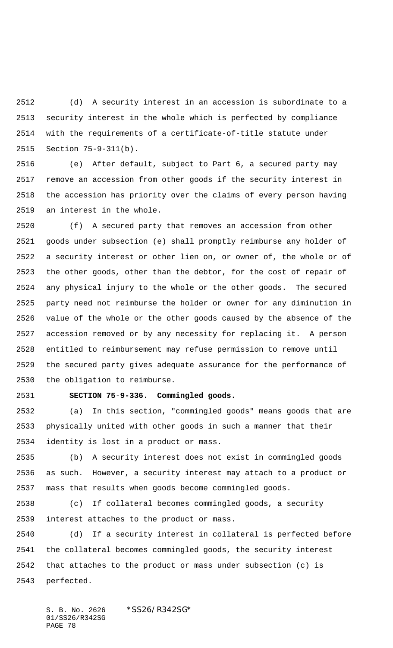(d) A security interest in an accession is subordinate to a security interest in the whole which is perfected by compliance with the requirements of a certificate-of-title statute under Section 75-9-311(b).

 (e) After default, subject to Part 6, a secured party may remove an accession from other goods if the security interest in the accession has priority over the claims of every person having an interest in the whole.

 (f) A secured party that removes an accession from other goods under subsection (e) shall promptly reimburse any holder of a security interest or other lien on, or owner of, the whole or of the other goods, other than the debtor, for the cost of repair of any physical injury to the whole or the other goods. The secured party need not reimburse the holder or owner for any diminution in value of the whole or the other goods caused by the absence of the accession removed or by any necessity for replacing it. A person entitled to reimbursement may refuse permission to remove until the secured party gives adequate assurance for the performance of the obligation to reimburse.

#### **SECTION 75**-**9-336. Commingled goods.**

 (a) In this section, "commingled goods" means goods that are physically united with other goods in such a manner that their identity is lost in a product or mass.

 (b) A security interest does not exist in commingled goods as such. However, a security interest may attach to a product or mass that results when goods become commingled goods.

 (c) If collateral becomes commingled goods, a security interest attaches to the product or mass.

 (d) If a security interest in collateral is perfected before the collateral becomes commingled goods, the security interest that attaches to the product or mass under subsection (c) is perfected.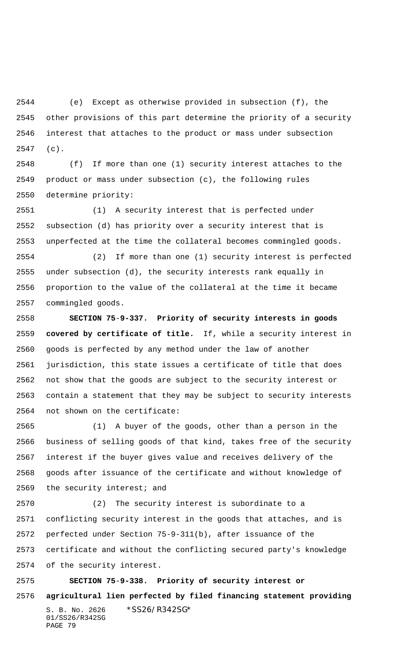(e) Except as otherwise provided in subsection (f), the other provisions of this part determine the priority of a security interest that attaches to the product or mass under subsection (c).

 (f) If more than one (1) security interest attaches to the product or mass under subsection (c), the following rules determine priority:

 (1) A security interest that is perfected under subsection (d) has priority over a security interest that is unperfected at the time the collateral becomes commingled goods.

 (2) If more than one (1) security interest is perfected under subsection (d), the security interests rank equally in proportion to the value of the collateral at the time it became commingled goods.

 **SECTION 75**-**9-337. Priority of security interests in goods covered by certificate of title.** If, while a security interest in goods is perfected by any method under the law of another jurisdiction, this state issues a certificate of title that does not show that the goods are subject to the security interest or contain a statement that they may be subject to security interests not shown on the certificate:

 (1) A buyer of the goods, other than a person in the business of selling goods of that kind, takes free of the security interest if the buyer gives value and receives delivery of the goods after issuance of the certificate and without knowledge of the security interest; and

 (2) The security interest is subordinate to a conflicting security interest in the goods that attaches, and is perfected under Section 75-9-311(b), after issuance of the certificate and without the conflicting secured party's knowledge of the security interest.

S. B. No. 2626 \*SS26/R342SG\* 01/SS26/R342SG PAGE 79 **SECTION 75**-**9-338. Priority of security interest or agricultural lien perfected by filed financing statement providing**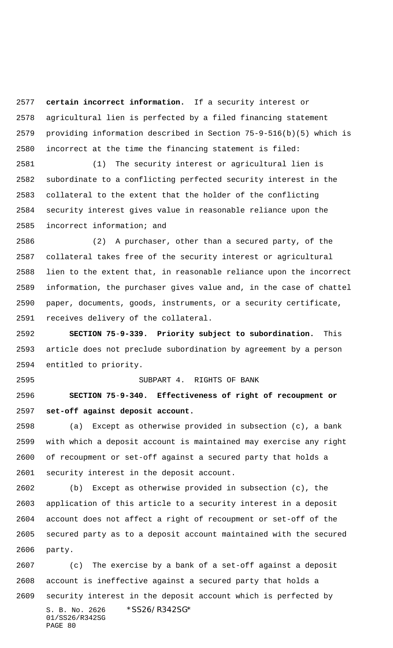**certain incorrect information.** If a security interest or agricultural lien is perfected by a filed financing statement providing information described in Section 75-9-516(b)(5) which is incorrect at the time the financing statement is filed:

 (1) The security interest or agricultural lien is subordinate to a conflicting perfected security interest in the collateral to the extent that the holder of the conflicting security interest gives value in reasonable reliance upon the incorrect information; and

 (2) A purchaser, other than a secured party, of the collateral takes free of the security interest or agricultural lien to the extent that, in reasonable reliance upon the incorrect information, the purchaser gives value and, in the case of chattel paper, documents, goods, instruments, or a security certificate, receives delivery of the collateral.

 **SECTION 75**-**9-339. Priority subject to subordination.** This article does not preclude subordination by agreement by a person entitled to priority.

SUBPART 4. RIGHTS OF BANK

 **SECTION 75**-**9-340. Effectiveness of right of recoupment or set-off against deposit account.**

 (a) Except as otherwise provided in subsection (c), a bank with which a deposit account is maintained may exercise any right of recoupment or set-off against a secured party that holds a security interest in the deposit account.

 (b) Except as otherwise provided in subsection (c), the application of this article to a security interest in a deposit account does not affect a right of recoupment or set-off of the secured party as to a deposit account maintained with the secured party.

S. B. No. 2626 \*SS26/R342SG\* 01/SS26/R342SG PAGE 80 (c) The exercise by a bank of a set-off against a deposit account is ineffective against a secured party that holds a security interest in the deposit account which is perfected by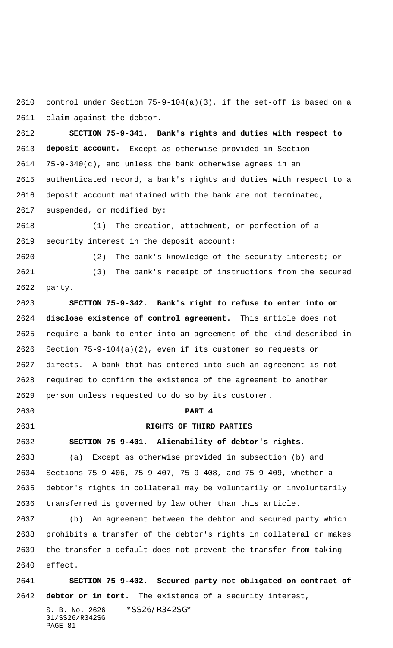control under Section 75-9-104(a)(3), if the set-off is based on a claim against the debtor.

 **SECTION 75**-**9-341. Bank's rights and duties with respect to deposit account.** Except as otherwise provided in Section 75-9-340(c), and unless the bank otherwise agrees in an authenticated record, a bank's rights and duties with respect to a deposit account maintained with the bank are not terminated, suspended, or modified by:

 (1) The creation, attachment, or perfection of a security interest in the deposit account;

 (2) The bank's knowledge of the security interest; or (3) The bank's receipt of instructions from the secured party.

 **SECTION 75**-**9-342. Bank's right to refuse to enter into or disclose existence of control agreement.** This article does not require a bank to enter into an agreement of the kind described in Section 75-9-104(a)(2), even if its customer so requests or directs. A bank that has entered into such an agreement is not required to confirm the existence of the agreement to another person unless requested to do so by its customer.

### **PART 4**

## **RIGHTS OF THIRD PARTIES**

**SECTION 75**-**9-401. Alienability of debtor's rights.**

 (a) Except as otherwise provided in subsection (b) and Sections 75-9-406, 75-9-407, 75-9-408, and 75-9-409, whether a debtor's rights in collateral may be voluntarily or involuntarily transferred is governed by law other than this article.

 (b) An agreement between the debtor and secured party which prohibits a transfer of the debtor's rights in collateral or makes the transfer a default does not prevent the transfer from taking effect.

 **SECTION 75**-**9-402. Secured party not obligated on contract of debtor or in tort.** The existence of a security interest,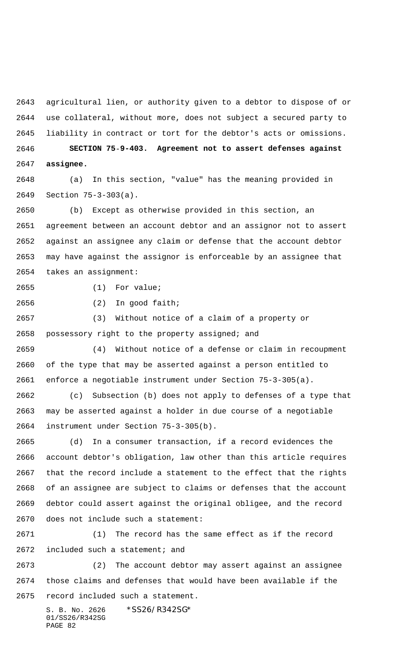agricultural lien, or authority given to a debtor to dispose of or use collateral, without more, does not subject a secured party to liability in contract or tort for the debtor's acts or omissions.

 **SECTION 75**-**9-403. Agreement not to assert defenses against assignee.**

 (a) In this section, "value" has the meaning provided in Section 75-3-303(a).

 (b) Except as otherwise provided in this section, an agreement between an account debtor and an assignor not to assert against an assignee any claim or defense that the account debtor may have against the assignor is enforceable by an assignee that takes an assignment:

(1) For value;

(2) In good faith;

 (3) Without notice of a claim of a property or possessory right to the property assigned; and

 (4) Without notice of a defense or claim in recoupment of the type that may be asserted against a person entitled to enforce a negotiable instrument under Section 75-3-305(a).

 (c) Subsection (b) does not apply to defenses of a type that may be asserted against a holder in due course of a negotiable instrument under Section 75-3-305(b).

 (d) In a consumer transaction, if a record evidences the account debtor's obligation, law other than this article requires that the record include a statement to the effect that the rights of an assignee are subject to claims or defenses that the account debtor could assert against the original obligee, and the record does not include such a statement:

 (1) The record has the same effect as if the record 2672 included such a statement; and

 (2) The account debtor may assert against an assignee those claims and defenses that would have been available if the record included such a statement.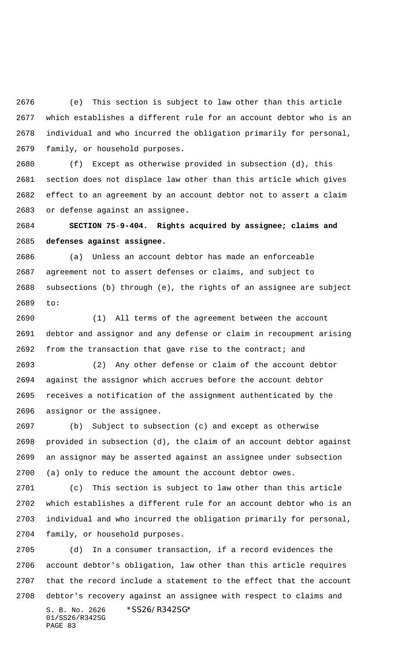(e) This section is subject to law other than this article which establishes a different rule for an account debtor who is an individual and who incurred the obligation primarily for personal, family, or household purposes.

 (f) Except as otherwise provided in subsection (d), this section does not displace law other than this article which gives effect to an agreement by an account debtor not to assert a claim or defense against an assignee.

 **SECTION 75**-**9-404. Rights acquired by assignee; claims and defenses against assignee.**

 (a) Unless an account debtor has made an enforceable agreement not to assert defenses or claims, and subject to subsections (b) through (e), the rights of an assignee are subject to:

 (1) All terms of the agreement between the account debtor and assignor and any defense or claim in recoupment arising from the transaction that gave rise to the contract; and

 (2) Any other defense or claim of the account debtor against the assignor which accrues before the account debtor receives a notification of the assignment authenticated by the assignor or the assignee.

 (b) Subject to subsection (c) and except as otherwise provided in subsection (d), the claim of an account debtor against an assignor may be asserted against an assignee under subsection (a) only to reduce the amount the account debtor owes.

 (c) This section is subject to law other than this article which establishes a different rule for an account debtor who is an individual and who incurred the obligation primarily for personal, family, or household purposes.

S. B. No. 2626 \*SS26/R342SG\* 01/SS26/R342SG PAGE 83 (d) In a consumer transaction, if a record evidences the account debtor's obligation, law other than this article requires that the record include a statement to the effect that the account debtor's recovery against an assignee with respect to claims and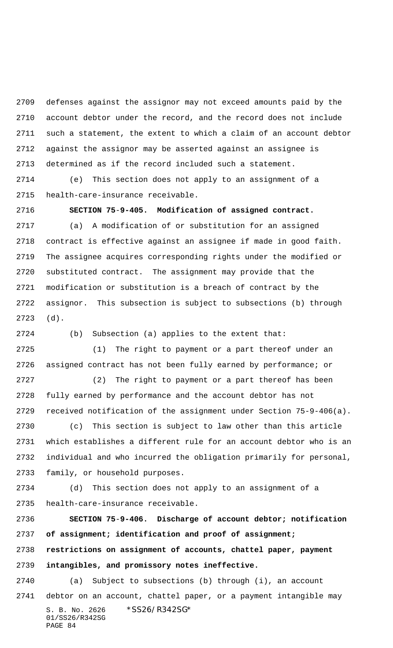defenses against the assignor may not exceed amounts paid by the account debtor under the record, and the record does not include such a statement, the extent to which a claim of an account debtor against the assignor may be asserted against an assignee is determined as if the record included such a statement.

 (e) This section does not apply to an assignment of a health-care-insurance receivable.

# **SECTION 75**-**9-405. Modification of assigned contract.**

 (a) A modification of or substitution for an assigned contract is effective against an assignee if made in good faith. The assignee acquires corresponding rights under the modified or substituted contract. The assignment may provide that the modification or substitution is a breach of contract by the assignor. This subsection is subject to subsections (b) through (d).

(b) Subsection (a) applies to the extent that:

 (1) The right to payment or a part thereof under an assigned contract has not been fully earned by performance; or

 (2) The right to payment or a part thereof has been fully earned by performance and the account debtor has not received notification of the assignment under Section 75-9-406(a).

 (c) This section is subject to law other than this article which establishes a different rule for an account debtor who is an individual and who incurred the obligation primarily for personal, family, or household purposes.

 (d) This section does not apply to an assignment of a health-care-insurance receivable.

 **SECTION 75**-**9-406. Discharge of account debtor; notification of assignment; identification and proof of assignment; restrictions on assignment of accounts, chattel paper, payment intangibles, and promissory notes ineffective.** (a) Subject to subsections (b) through (i), an account debtor on an account, chattel paper, or a payment intangible may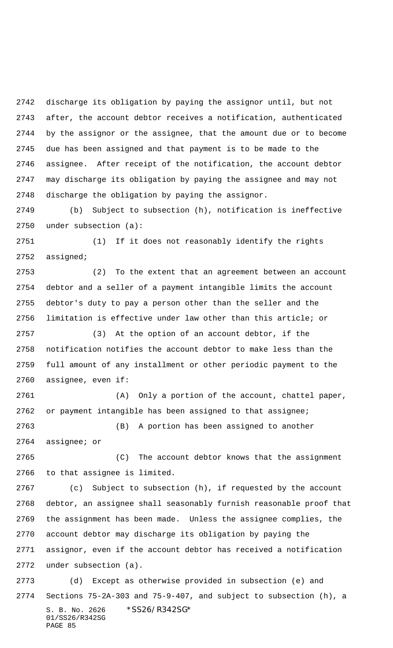discharge its obligation by paying the assignor until, but not after, the account debtor receives a notification, authenticated by the assignor or the assignee, that the amount due or to become due has been assigned and that payment is to be made to the assignee. After receipt of the notification, the account debtor may discharge its obligation by paying the assignee and may not discharge the obligation by paying the assignor.

 (b) Subject to subsection (h), notification is ineffective under subsection (a):

 (1) If it does not reasonably identify the rights assigned;

 (2) To the extent that an agreement between an account debtor and a seller of a payment intangible limits the account debtor's duty to pay a person other than the seller and the limitation is effective under law other than this article; or

 (3) At the option of an account debtor, if the notification notifies the account debtor to make less than the full amount of any installment or other periodic payment to the assignee, even if:

 (A) Only a portion of the account, chattel paper, or payment intangible has been assigned to that assignee;

 (B) A portion has been assigned to another assignee; or

 (C) The account debtor knows that the assignment to that assignee is limited.

 (c) Subject to subsection (h), if requested by the account debtor, an assignee shall seasonably furnish reasonable proof that the assignment has been made. Unless the assignee complies, the account debtor may discharge its obligation by paying the assignor, even if the account debtor has received a notification under subsection (a).

S. B. No. 2626 \*SS26/R342SG\* 01/SS26/R342SG PAGE 85 (d) Except as otherwise provided in subsection (e) and Sections 75-2A-303 and 75-9-407, and subject to subsection (h), a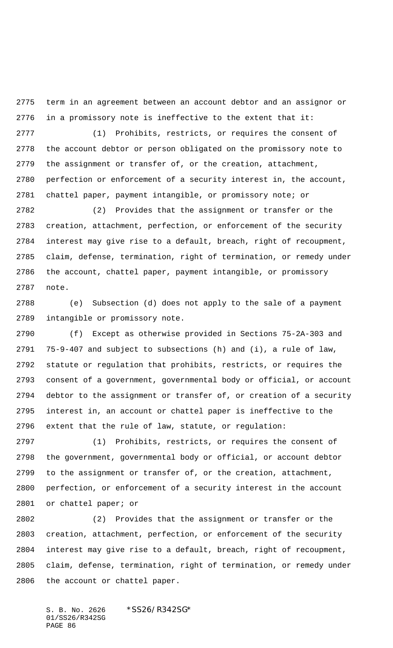term in an agreement between an account debtor and an assignor or in a promissory note is ineffective to the extent that it:

 (1) Prohibits, restricts, or requires the consent of the account debtor or person obligated on the promissory note to the assignment or transfer of, or the creation, attachment, perfection or enforcement of a security interest in, the account, chattel paper, payment intangible, or promissory note; or

 (2) Provides that the assignment or transfer or the creation, attachment, perfection, or enforcement of the security interest may give rise to a default, breach, right of recoupment, claim, defense, termination, right of termination, or remedy under the account, chattel paper, payment intangible, or promissory note.

 (e) Subsection (d) does not apply to the sale of a payment intangible or promissory note.

 (f) Except as otherwise provided in Sections 75-2A-303 and 75-9-407 and subject to subsections (h) and (i), a rule of law, statute or regulation that prohibits, restricts, or requires the consent of a government, governmental body or official, or account debtor to the assignment or transfer of, or creation of a security interest in, an account or chattel paper is ineffective to the extent that the rule of law, statute, or regulation:

 (1) Prohibits, restricts, or requires the consent of the government, governmental body or official, or account debtor to the assignment or transfer of, or the creation, attachment, perfection, or enforcement of a security interest in the account or chattel paper; or

 (2) Provides that the assignment or transfer or the creation, attachment, perfection, or enforcement of the security interest may give rise to a default, breach, right of recoupment, claim, defense, termination, right of termination, or remedy under the account or chattel paper.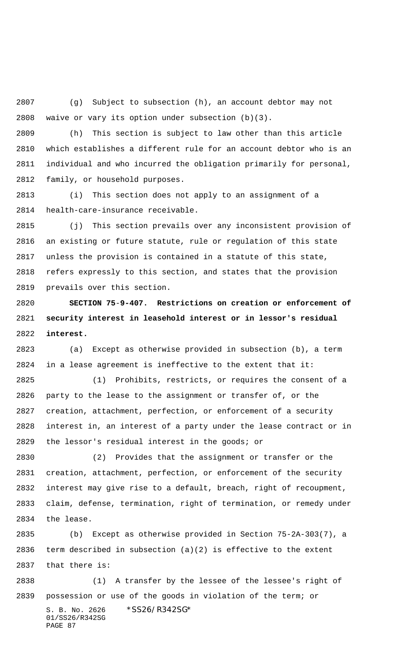(g) Subject to subsection (h), an account debtor may not waive or vary its option under subsection (b)(3).

 (h) This section is subject to law other than this article which establishes a different rule for an account debtor who is an individual and who incurred the obligation primarily for personal, family, or household purposes.

 (i) This section does not apply to an assignment of a health-care-insurance receivable.

 (j) This section prevails over any inconsistent provision of an existing or future statute, rule or regulation of this state unless the provision is contained in a statute of this state, refers expressly to this section, and states that the provision prevails over this section.

 **SECTION 75**-**9-407. Restrictions on creation or enforcement of security interest in leasehold interest or in lessor's residual interest.**

 (a) Except as otherwise provided in subsection (b), a term in a lease agreement is ineffective to the extent that it:

 (1) Prohibits, restricts, or requires the consent of a party to the lease to the assignment or transfer of, or the creation, attachment, perfection, or enforcement of a security interest in, an interest of a party under the lease contract or in the lessor's residual interest in the goods; or

 (2) Provides that the assignment or transfer or the creation, attachment, perfection, or enforcement of the security interest may give rise to a default, breach, right of recoupment, claim, defense, termination, right of termination, or remedy under the lease.

 (b) Except as otherwise provided in Section 75-2A-303(7), a term described in subsection (a)(2) is effective to the extent that there is:

S. B. No. 2626 \*SS26/R342SG\* 01/SS26/R342SG PAGE 87 (1) A transfer by the lessee of the lessee's right of possession or use of the goods in violation of the term; or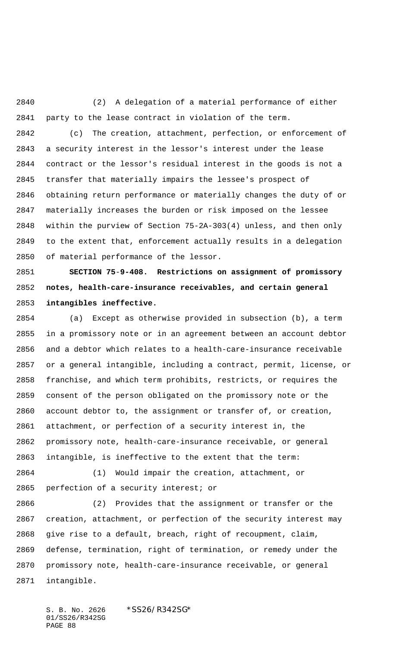(2) A delegation of a material performance of either party to the lease contract in violation of the term.

 (c) The creation, attachment, perfection, or enforcement of a security interest in the lessor's interest under the lease contract or the lessor's residual interest in the goods is not a transfer that materially impairs the lessee's prospect of obtaining return performance or materially changes the duty of or materially increases the burden or risk imposed on the lessee within the purview of Section 75-2A-303(4) unless, and then only to the extent that, enforcement actually results in a delegation of material performance of the lessor.

 **SECTION 75**-**9-408. Restrictions on assignment of promissory notes, health-care-insurance receivables, and certain general intangibles ineffective.**

 (a) Except as otherwise provided in subsection (b), a term in a promissory note or in an agreement between an account debtor and a debtor which relates to a health-care-insurance receivable or a general intangible, including a contract, permit, license, or franchise, and which term prohibits, restricts, or requires the consent of the person obligated on the promissory note or the account debtor to, the assignment or transfer of, or creation, attachment, or perfection of a security interest in, the promissory note, health-care-insurance receivable, or general intangible, is ineffective to the extent that the term:

 (1) Would impair the creation, attachment, or perfection of a security interest; or

 (2) Provides that the assignment or transfer or the creation, attachment, or perfection of the security interest may give rise to a default, breach, right of recoupment, claim, defense, termination, right of termination, or remedy under the promissory note, health-care-insurance receivable, or general intangible.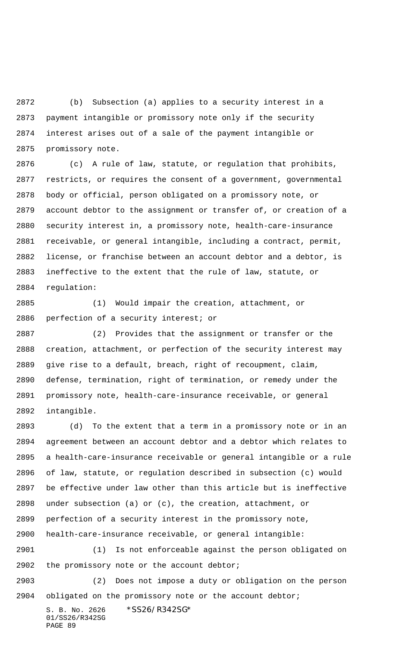(b) Subsection (a) applies to a security interest in a payment intangible or promissory note only if the security interest arises out of a sale of the payment intangible or promissory note.

 (c) A rule of law, statute, or regulation that prohibits, restricts, or requires the consent of a government, governmental body or official, person obligated on a promissory note, or account debtor to the assignment or transfer of, or creation of a security interest in, a promissory note, health-care-insurance receivable, or general intangible, including a contract, permit, license, or franchise between an account debtor and a debtor, is ineffective to the extent that the rule of law, statute, or regulation:

 (1) Would impair the creation, attachment, or perfection of a security interest; or

 (2) Provides that the assignment or transfer or the creation, attachment, or perfection of the security interest may give rise to a default, breach, right of recoupment, claim, defense, termination, right of termination, or remedy under the promissory note, health-care-insurance receivable, or general intangible.

 (d) To the extent that a term in a promissory note or in an agreement between an account debtor and a debtor which relates to a health-care-insurance receivable or general intangible or a rule of law, statute, or regulation described in subsection (c) would be effective under law other than this article but is ineffective under subsection (a) or (c), the creation, attachment, or perfection of a security interest in the promissory note, health-care-insurance receivable, or general intangible:

 (1) Is not enforceable against the person obligated on the promissory note or the account debtor;

 (2) Does not impose a duty or obligation on the person obligated on the promissory note or the account debtor;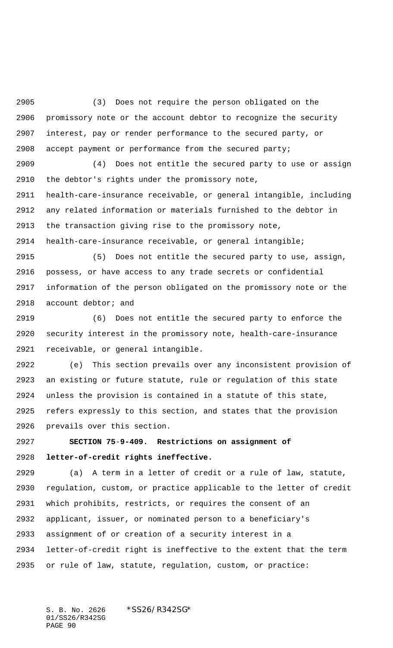(3) Does not require the person obligated on the promissory note or the account debtor to recognize the security interest, pay or render performance to the secured party, or accept payment or performance from the secured party;

 (4) Does not entitle the secured party to use or assign the debtor's rights under the promissory note,

 health-care-insurance receivable, or general intangible, including any related information or materials furnished to the debtor in the transaction giving rise to the promissory note,

health-care-insurance receivable, or general intangible;

 (5) Does not entitle the secured party to use, assign, possess, or have access to any trade secrets or confidential information of the person obligated on the promissory note or the 2918 account debtor; and

 (6) Does not entitle the secured party to enforce the security interest in the promissory note, health-care-insurance receivable, or general intangible.

 (e) This section prevails over any inconsistent provision of an existing or future statute, rule or regulation of this state unless the provision is contained in a statute of this state, refers expressly to this section, and states that the provision prevails over this section.

 **SECTION 75**-**9-409. Restrictions on assignment of letter-of-credit rights ineffective.**

 (a) A term in a letter of credit or a rule of law, statute, regulation, custom, or practice applicable to the letter of credit which prohibits, restricts, or requires the consent of an applicant, issuer, or nominated person to a beneficiary's assignment of or creation of a security interest in a letter-of-credit right is ineffective to the extent that the term or rule of law, statute, regulation, custom, or practice: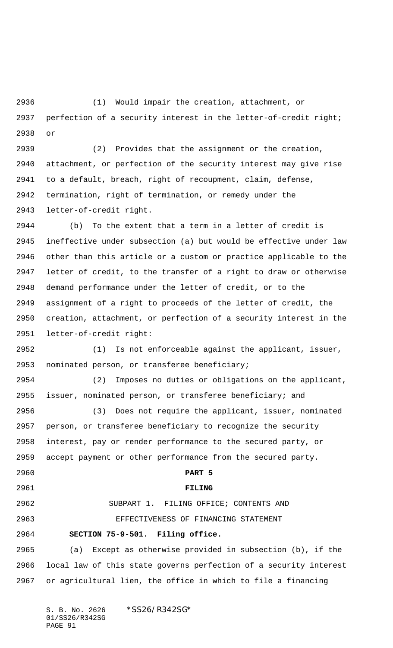(1) Would impair the creation, attachment, or perfection of a security interest in the letter-of-credit right; or

 (2) Provides that the assignment or the creation, attachment, or perfection of the security interest may give rise to a default, breach, right of recoupment, claim, defense, termination, right of termination, or remedy under the letter-of-credit right.

 (b) To the extent that a term in a letter of credit is ineffective under subsection (a) but would be effective under law other than this article or a custom or practice applicable to the letter of credit, to the transfer of a right to draw or otherwise demand performance under the letter of credit, or to the assignment of a right to proceeds of the letter of credit, the creation, attachment, or perfection of a security interest in the letter-of-credit right:

 (1) Is not enforceable against the applicant, issuer, nominated person, or transferee beneficiary;

 (2) Imposes no duties or obligations on the applicant, issuer, nominated person, or transferee beneficiary; and

 (3) Does not require the applicant, issuer, nominated person, or transferee beneficiary to recognize the security interest, pay or render performance to the secured party, or accept payment or other performance from the secured party. **PART 5 FILING** SUBPART 1. FILING OFFICE; CONTENTS AND EFFECTIVENESS OF FINANCING STATEMENT

**SECTION 75**-**9-501. Filing office.**

 (a) Except as otherwise provided in subsection (b), if the local law of this state governs perfection of a security interest or agricultural lien, the office in which to file a financing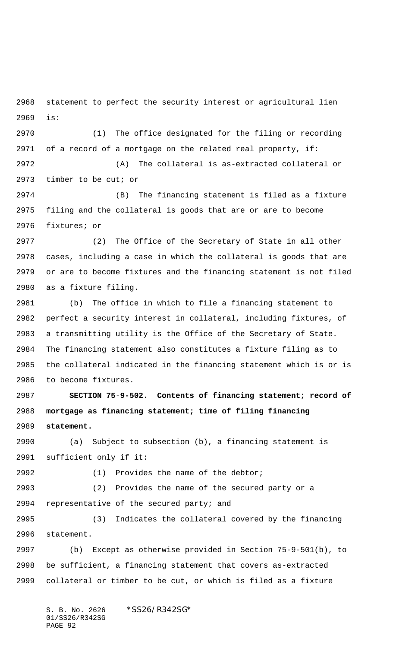statement to perfect the security interest or agricultural lien is:

 (1) The office designated for the filing or recording of a record of a mortgage on the related real property, if:

 (A) The collateral is as-extracted collateral or timber to be cut; or

 (B) The financing statement is filed as a fixture filing and the collateral is goods that are or are to become fixtures; or

 (2) The Office of the Secretary of State in all other cases, including a case in which the collateral is goods that are or are to become fixtures and the financing statement is not filed as a fixture filing.

 (b) The office in which to file a financing statement to perfect a security interest in collateral, including fixtures, of a transmitting utility is the Office of the Secretary of State. The financing statement also constitutes a fixture filing as to the collateral indicated in the financing statement which is or is to become fixtures.

 **SECTION 75**-**9-502. Contents of financing statement; record of mortgage as financing statement; time of filing financing statement.**

 (a) Subject to subsection (b), a financing statement is sufficient only if it:

(1) Provides the name of the debtor;

 (2) Provides the name of the secured party or a representative of the secured party; and

 (3) Indicates the collateral covered by the financing statement.

 (b) Except as otherwise provided in Section 75-9-501(b), to be sufficient, a financing statement that covers as-extracted collateral or timber to be cut, or which is filed as a fixture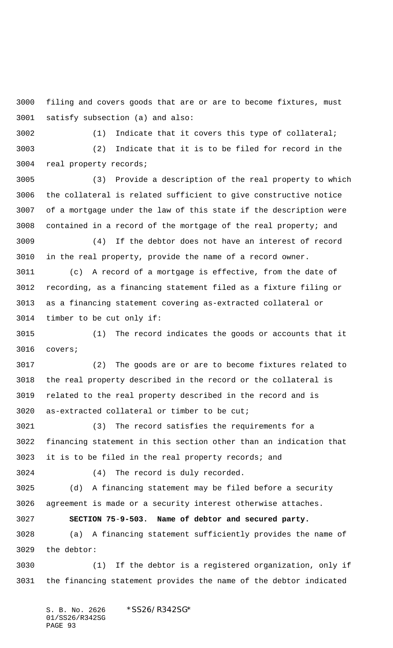filing and covers goods that are or are to become fixtures, must satisfy subsection (a) and also:

(1) Indicate that it covers this type of collateral;

 (2) Indicate that it is to be filed for record in the real property records;

 (3) Provide a description of the real property to which the collateral is related sufficient to give constructive notice of a mortgage under the law of this state if the description were contained in a record of the mortgage of the real property; and

 (4) If the debtor does not have an interest of record in the real property, provide the name of a record owner.

 (c) A record of a mortgage is effective, from the date of recording, as a financing statement filed as a fixture filing or as a financing statement covering as-extracted collateral or timber to be cut only if:

 (1) The record indicates the goods or accounts that it covers;

 (2) The goods are or are to become fixtures related to the real property described in the record or the collateral is related to the real property described in the record and is as-extracted collateral or timber to be cut;

 (3) The record satisfies the requirements for a financing statement in this section other than an indication that it is to be filed in the real property records; and

(4) The record is duly recorded.

 (d) A financing statement may be filed before a security agreement is made or a security interest otherwise attaches.

**SECTION 75**-**9-503. Name of debtor and secured party.**

 (a) A financing statement sufficiently provides the name of the debtor:

 (1) If the debtor is a registered organization, only if the financing statement provides the name of the debtor indicated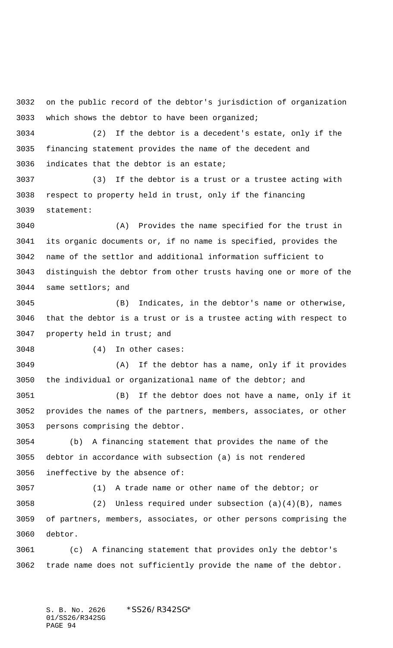on the public record of the debtor's jurisdiction of organization which shows the debtor to have been organized;

 (2) If the debtor is a decedent's estate, only if the financing statement provides the name of the decedent and indicates that the debtor is an estate;

 (3) If the debtor is a trust or a trustee acting with respect to property held in trust, only if the financing statement:

 (A) Provides the name specified for the trust in its organic documents or, if no name is specified, provides the name of the settlor and additional information sufficient to distinguish the debtor from other trusts having one or more of the same settlors; and

 (B) Indicates, in the debtor's name or otherwise, that the debtor is a trust or is a trustee acting with respect to property held in trust; and

(4) In other cases:

 (A) If the debtor has a name, only if it provides the individual or organizational name of the debtor; and

 (B) If the debtor does not have a name, only if it provides the names of the partners, members, associates, or other persons comprising the debtor.

 (b) A financing statement that provides the name of the debtor in accordance with subsection (a) is not rendered ineffective by the absence of:

(1) A trade name or other name of the debtor; or

 (2) Unless required under subsection (a)(4)(B), names of partners, members, associates, or other persons comprising the debtor.

 (c) A financing statement that provides only the debtor's trade name does not sufficiently provide the name of the debtor.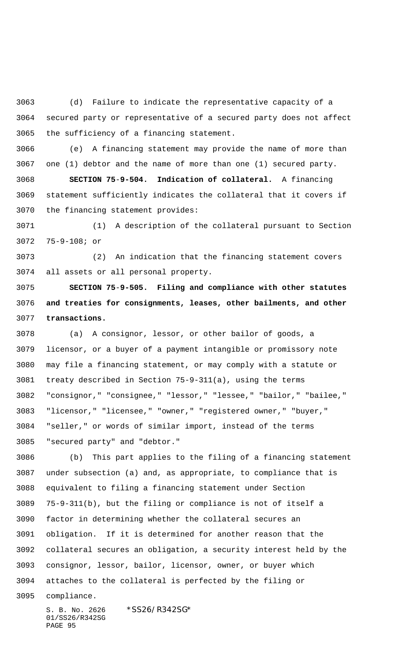(d) Failure to indicate the representative capacity of a secured party or representative of a secured party does not affect the sufficiency of a financing statement.

 (e) A financing statement may provide the name of more than one (1) debtor and the name of more than one (1) secured party.

 **SECTION 75**-**9-504. Indication of collateral.** A financing statement sufficiently indicates the collateral that it covers if the financing statement provides:

 (1) A description of the collateral pursuant to Section 75-9-108; or

 (2) An indication that the financing statement covers all assets or all personal property.

 **SECTION 75**-**9-505. Filing and compliance with other statutes and treaties for consignments, leases, other bailments, and other transactions.**

 (a) A consignor, lessor, or other bailor of goods, a licensor, or a buyer of a payment intangible or promissory note may file a financing statement, or may comply with a statute or treaty described in Section 75-9-311(a), using the terms "consignor," "consignee," "lessor," "lessee," "bailor," "bailee," "licensor," "licensee," "owner," "registered owner," "buyer," "seller," or words of similar import, instead of the terms "secured party" and "debtor."

 (b) This part applies to the filing of a financing statement under subsection (a) and, as appropriate, to compliance that is equivalent to filing a financing statement under Section 75-9-311(b), but the filing or compliance is not of itself a factor in determining whether the collateral secures an obligation. If it is determined for another reason that the collateral secures an obligation, a security interest held by the consignor, lessor, bailor, licensor, owner, or buyer which attaches to the collateral is perfected by the filing or

compliance.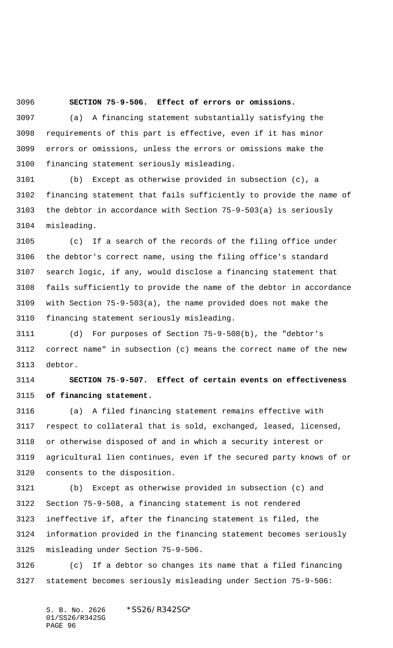**SECTION 75**-**9-506. Effect of errors or omissions.**

 (a) A financing statement substantially satisfying the requirements of this part is effective, even if it has minor errors or omissions, unless the errors or omissions make the financing statement seriously misleading.

 (b) Except as otherwise provided in subsection (c), a financing statement that fails sufficiently to provide the name of the debtor in accordance with Section 75-9-503(a) is seriously misleading.

 (c) If a search of the records of the filing office under the debtor's correct name, using the filing office's standard search logic, if any, would disclose a financing statement that fails sufficiently to provide the name of the debtor in accordance with Section 75-9-503(a), the name provided does not make the financing statement seriously misleading.

 (d) For purposes of Section 75-9-508(b), the "debtor's correct name" in subsection (c) means the correct name of the new debtor.

 **SECTION 75**-**9-507. Effect of certain events on effectiveness of financing statement.**

 (a) A filed financing statement remains effective with respect to collateral that is sold, exchanged, leased, licensed, or otherwise disposed of and in which a security interest or agricultural lien continues, even if the secured party knows of or consents to the disposition.

 (b) Except as otherwise provided in subsection (c) and Section 75-9-508, a financing statement is not rendered ineffective if, after the financing statement is filed, the information provided in the financing statement becomes seriously misleading under Section 75-9-506.

 (c) If a debtor so changes its name that a filed financing statement becomes seriously misleading under Section 75-9-506: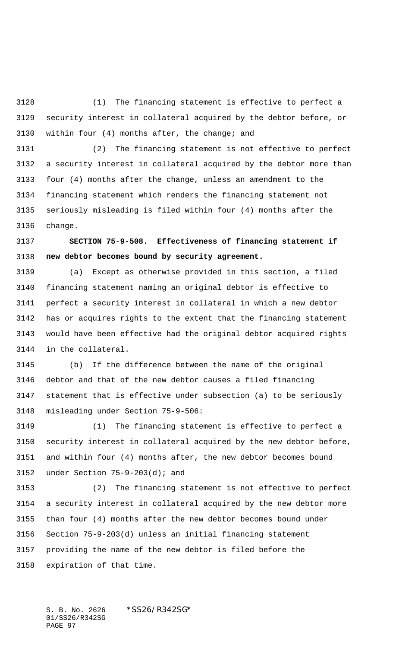(1) The financing statement is effective to perfect a security interest in collateral acquired by the debtor before, or within four (4) months after, the change; and

 (2) The financing statement is not effective to perfect a security interest in collateral acquired by the debtor more than four (4) months after the change, unless an amendment to the financing statement which renders the financing statement not seriously misleading is filed within four (4) months after the change.

 **SECTION 75**-**9-508. Effectiveness of financing statement if new debtor becomes bound by security agreement.**

 (a) Except as otherwise provided in this section, a filed financing statement naming an original debtor is effective to perfect a security interest in collateral in which a new debtor has or acquires rights to the extent that the financing statement would have been effective had the original debtor acquired rights in the collateral.

 (b) If the difference between the name of the original debtor and that of the new debtor causes a filed financing statement that is effective under subsection (a) to be seriously misleading under Section 75-9-506:

 (1) The financing statement is effective to perfect a security interest in collateral acquired by the new debtor before, and within four (4) months after, the new debtor becomes bound under Section 75-9-203(d); and

 (2) The financing statement is not effective to perfect a security interest in collateral acquired by the new debtor more than four (4) months after the new debtor becomes bound under Section 75-9-203(d) unless an initial financing statement providing the name of the new debtor is filed before the expiration of that time.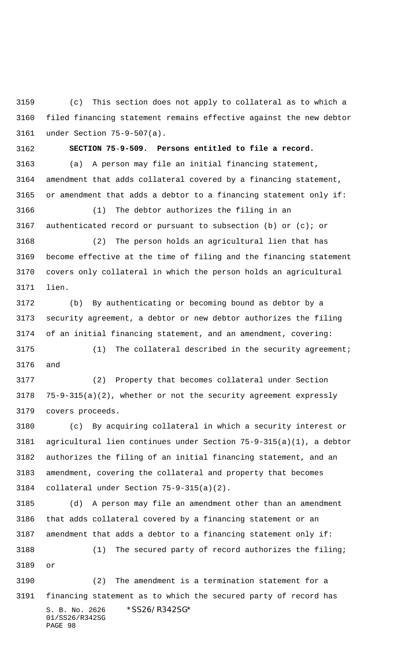(c) This section does not apply to collateral as to which a filed financing statement remains effective against the new debtor under Section 75-9-507(a).

**SECTION 75**-**9-509. Persons entitled to file a record.**

 (a) A person may file an initial financing statement, amendment that adds collateral covered by a financing statement, or amendment that adds a debtor to a financing statement only if:

 (1) The debtor authorizes the filing in an authenticated record or pursuant to subsection (b) or (c); or

 (2) The person holds an agricultural lien that has become effective at the time of filing and the financing statement covers only collateral in which the person holds an agricultural lien.

 (b) By authenticating or becoming bound as debtor by a security agreement, a debtor or new debtor authorizes the filing of an initial financing statement, and an amendment, covering:

 (1) The collateral described in the security agreement; and

 (2) Property that becomes collateral under Section 75-9-315(a)(2), whether or not the security agreement expressly covers proceeds.

 (c) By acquiring collateral in which a security interest or agricultural lien continues under Section 75-9-315(a)(1), a debtor authorizes the filing of an initial financing statement, and an amendment, covering the collateral and property that becomes collateral under Section 75-9-315(a)(2).

 (d) A person may file an amendment other than an amendment that adds collateral covered by a financing statement or an amendment that adds a debtor to a financing statement only if: (1) The secured party of record authorizes the filing; or (2) The amendment is a termination statement for a

S. B. No. 2626 \*SS26/R342SG\* 01/SS26/R342SG PAGE 98 financing statement as to which the secured party of record has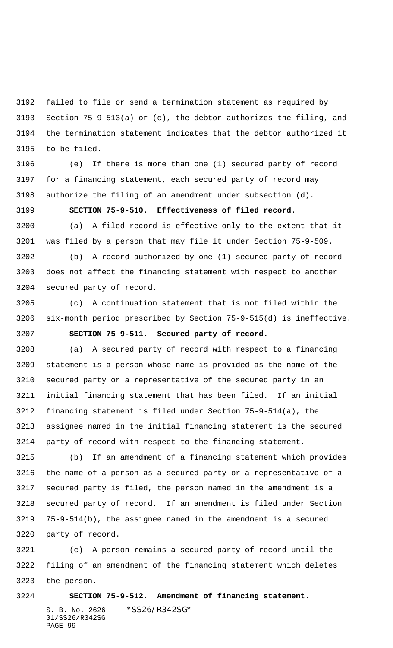failed to file or send a termination statement as required by Section 75-9-513(a) or (c), the debtor authorizes the filing, and the termination statement indicates that the debtor authorized it to be filed.

 (e) If there is more than one (1) secured party of record for a financing statement, each secured party of record may authorize the filing of an amendment under subsection (d).

**SECTION 75**-**9-510. Effectiveness of filed record.**

 (a) A filed record is effective only to the extent that it was filed by a person that may file it under Section 75-9-509.

 (b) A record authorized by one (1) secured party of record does not affect the financing statement with respect to another secured party of record.

 (c) A continuation statement that is not filed within the six-month period prescribed by Section 75-9-515(d) is ineffective.

**SECTION 75**-**9-511. Secured party of record.**

 (a) A secured party of record with respect to a financing statement is a person whose name is provided as the name of the secured party or a representative of the secured party in an initial financing statement that has been filed. If an initial financing statement is filed under Section 75-9-514(a), the assignee named in the initial financing statement is the secured party of record with respect to the financing statement.

 (b) If an amendment of a financing statement which provides the name of a person as a secured party or a representative of a secured party is filed, the person named in the amendment is a secured party of record. If an amendment is filed under Section 75-9-514(b), the assignee named in the amendment is a secured party of record.

 (c) A person remains a secured party of record until the filing of an amendment of the financing statement which deletes the person.

**SECTION 75**-**9-512. Amendment of financing statement.**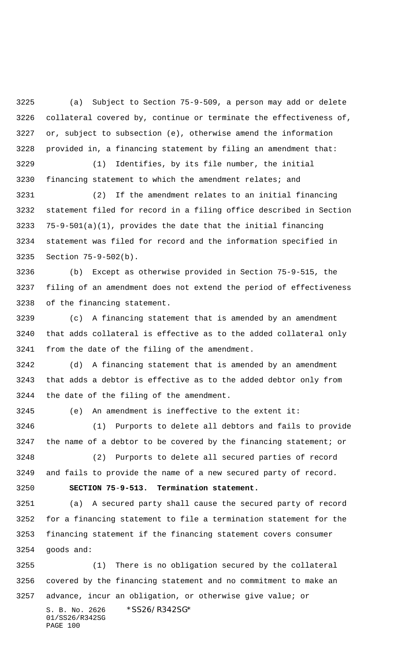(a) Subject to Section 75-9-509, a person may add or delete collateral covered by, continue or terminate the effectiveness of, or, subject to subsection (e), otherwise amend the information provided in, a financing statement by filing an amendment that:

 (1) Identifies, by its file number, the initial financing statement to which the amendment relates; and

 (2) If the amendment relates to an initial financing statement filed for record in a filing office described in Section 75-9-501(a)(1), provides the date that the initial financing statement was filed for record and the information specified in Section 75-9-502(b).

 (b) Except as otherwise provided in Section 75-9-515, the filing of an amendment does not extend the period of effectiveness of the financing statement.

 (c) A financing statement that is amended by an amendment that adds collateral is effective as to the added collateral only from the date of the filing of the amendment.

 (d) A financing statement that is amended by an amendment that adds a debtor is effective as to the added debtor only from the date of the filing of the amendment.

(e) An amendment is ineffective to the extent it:

 (1) Purports to delete all debtors and fails to provide the name of a debtor to be covered by the financing statement; or (2) Purports to delete all secured parties of record

and fails to provide the name of a new secured party of record.

**SECTION 75**-**9-513. Termination statement.**

 (a) A secured party shall cause the secured party of record for a financing statement to file a termination statement for the financing statement if the financing statement covers consumer goods and:

 (1) There is no obligation secured by the collateral covered by the financing statement and no commitment to make an advance, incur an obligation, or otherwise give value; or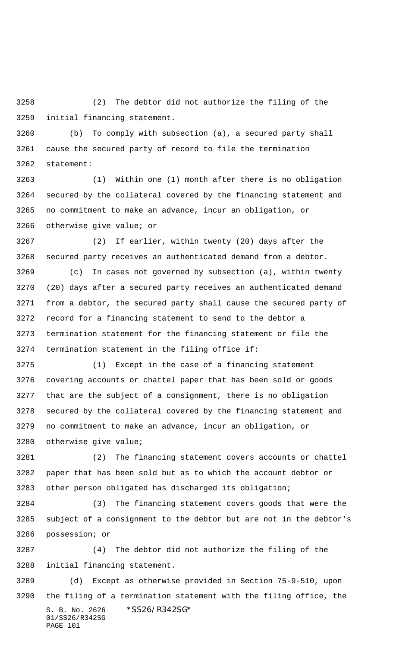(2) The debtor did not authorize the filing of the initial financing statement.

 (b) To comply with subsection (a), a secured party shall cause the secured party of record to file the termination statement:

 (1) Within one (1) month after there is no obligation secured by the collateral covered by the financing statement and no commitment to make an advance, incur an obligation, or otherwise give value; or

 (2) If earlier, within twenty (20) days after the secured party receives an authenticated demand from a debtor.

 (c) In cases not governed by subsection (a), within twenty (20) days after a secured party receives an authenticated demand from a debtor, the secured party shall cause the secured party of record for a financing statement to send to the debtor a termination statement for the financing statement or file the termination statement in the filing office if:

 (1) Except in the case of a financing statement covering accounts or chattel paper that has been sold or goods that are the subject of a consignment, there is no obligation secured by the collateral covered by the financing statement and no commitment to make an advance, incur an obligation, or otherwise give value;

 (2) The financing statement covers accounts or chattel paper that has been sold but as to which the account debtor or other person obligated has discharged its obligation;

 (3) The financing statement covers goods that were the subject of a consignment to the debtor but are not in the debtor's possession; or

 (4) The debtor did not authorize the filing of the initial financing statement.

S. B. No. 2626 \*SS26/R342SG\* 01/SS26/R342SG PAGE 101 (d) Except as otherwise provided in Section 75-9-510, upon the filing of a termination statement with the filing office, the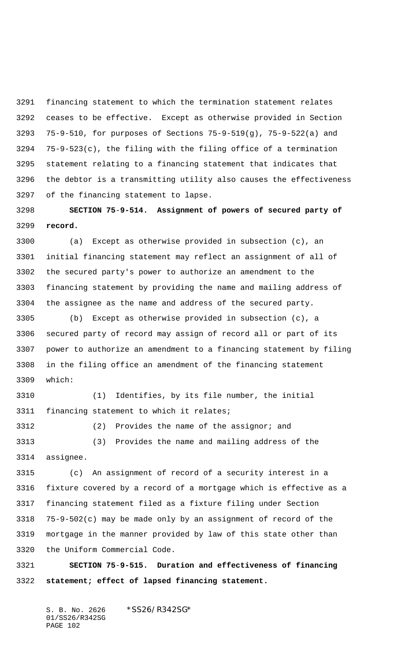financing statement to which the termination statement relates ceases to be effective. Except as otherwise provided in Section 75-9-510, for purposes of Sections 75-9-519(g), 75-9-522(a) and 75-9-523(c), the filing with the filing office of a termination statement relating to a financing statement that indicates that the debtor is a transmitting utility also causes the effectiveness of the financing statement to lapse.

 **SECTION 75**-**9-514. Assignment of powers of secured party of record.**

 (a) Except as otherwise provided in subsection (c), an initial financing statement may reflect an assignment of all of the secured party's power to authorize an amendment to the financing statement by providing the name and mailing address of the assignee as the name and address of the secured party.

 (b) Except as otherwise provided in subsection (c), a secured party of record may assign of record all or part of its power to authorize an amendment to a financing statement by filing in the filing office an amendment of the financing statement which:

 (1) Identifies, by its file number, the initial financing statement to which it relates;

 (2) Provides the name of the assignor; and (3) Provides the name and mailing address of the assignee.

 (c) An assignment of record of a security interest in a fixture covered by a record of a mortgage which is effective as a financing statement filed as a fixture filing under Section 75-9-502(c) may be made only by an assignment of record of the mortgage in the manner provided by law of this state other than the Uniform Commercial Code.

 **SECTION 75**-**9-515. Duration and effectiveness of financing statement; effect of lapsed financing statement.**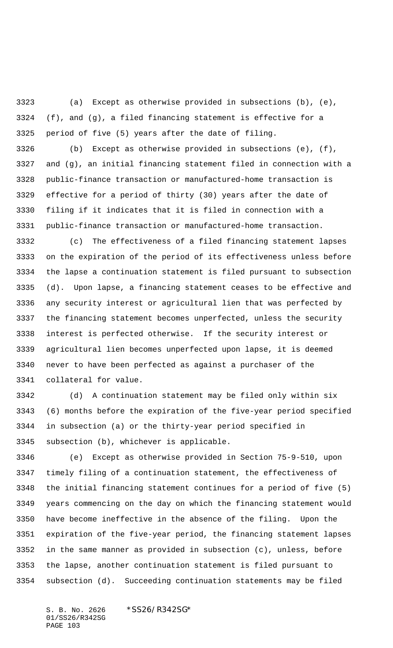(a) Except as otherwise provided in subsections (b), (e), (f), and (g), a filed financing statement is effective for a period of five (5) years after the date of filing.

 (b) Except as otherwise provided in subsections (e), (f), and (g), an initial financing statement filed in connection with a public-finance transaction or manufactured-home transaction is effective for a period of thirty (30) years after the date of filing if it indicates that it is filed in connection with a public-finance transaction or manufactured-home transaction.

 (c) The effectiveness of a filed financing statement lapses on the expiration of the period of its effectiveness unless before the lapse a continuation statement is filed pursuant to subsection (d). Upon lapse, a financing statement ceases to be effective and any security interest or agricultural lien that was perfected by the financing statement becomes unperfected, unless the security interest is perfected otherwise. If the security interest or agricultural lien becomes unperfected upon lapse, it is deemed never to have been perfected as against a purchaser of the collateral for value.

 (d) A continuation statement may be filed only within six (6) months before the expiration of the five-year period specified in subsection (a) or the thirty-year period specified in subsection (b), whichever is applicable.

 (e) Except as otherwise provided in Section 75-9-510, upon timely filing of a continuation statement, the effectiveness of the initial financing statement continues for a period of five (5) years commencing on the day on which the financing statement would have become ineffective in the absence of the filing. Upon the expiration of the five-year period, the financing statement lapses in the same manner as provided in subsection (c), unless, before the lapse, another continuation statement is filed pursuant to subsection (d). Succeeding continuation statements may be filed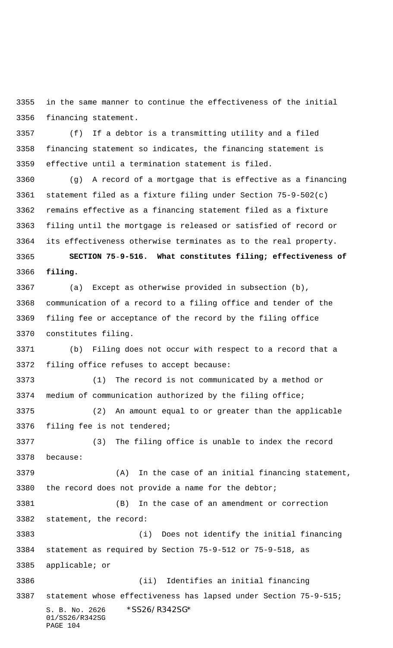in the same manner to continue the effectiveness of the initial financing statement.

 (f) If a debtor is a transmitting utility and a filed financing statement so indicates, the financing statement is effective until a termination statement is filed.

 (g) A record of a mortgage that is effective as a financing statement filed as a fixture filing under Section 75-9-502(c) remains effective as a financing statement filed as a fixture filing until the mortgage is released or satisfied of record or its effectiveness otherwise terminates as to the real property.

 **SECTION 75**-**9-516. What constitutes filing; effectiveness of filing.**

 (a) Except as otherwise provided in subsection (b), communication of a record to a filing office and tender of the filing fee or acceptance of the record by the filing office constitutes filing.

 (b) Filing does not occur with respect to a record that a filing office refuses to accept because:

 (1) The record is not communicated by a method or medium of communication authorized by the filing office;

 (2) An amount equal to or greater than the applicable filing fee is not tendered;

 (3) The filing office is unable to index the record because:

 (A) In the case of an initial financing statement, the record does not provide a name for the debtor; (B) In the case of an amendment or correction statement, the record:

 (i) Does not identify the initial financing statement as required by Section 75-9-512 or 75-9-518, as applicable; or (ii) Identifies an initial financing

S. B. No. 2626 \*SS26/R342SG\* 01/SS26/R342SG PAGE 104 statement whose effectiveness has lapsed under Section 75-9-515;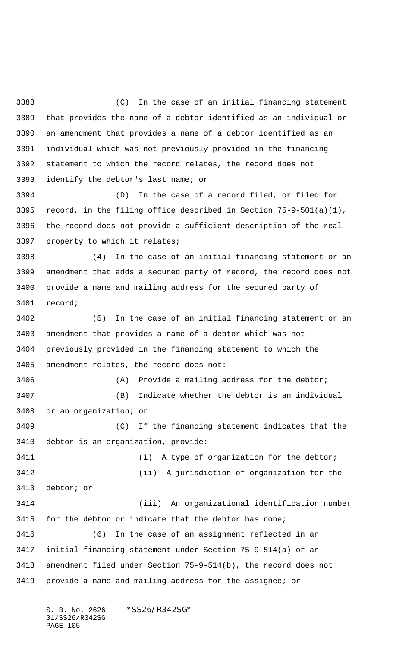(C) In the case of an initial financing statement that provides the name of a debtor identified as an individual or an amendment that provides a name of a debtor identified as an individual which was not previously provided in the financing statement to which the record relates, the record does not identify the debtor's last name; or

 (D) In the case of a record filed, or filed for record, in the filing office described in Section 75-9-501(a)(1), the record does not provide a sufficient description of the real property to which it relates;

 (4) In the case of an initial financing statement or an amendment that adds a secured party of record, the record does not provide a name and mailing address for the secured party of record;

 (5) In the case of an initial financing statement or an amendment that provides a name of a debtor which was not previously provided in the financing statement to which the amendment relates, the record does not:

 (A) Provide a mailing address for the debtor; (B) Indicate whether the debtor is an individual or an organization; or

 (C) If the financing statement indicates that the debtor is an organization, provide:

3411 (i) A type of organization for the debtor; (ii) A jurisdiction of organization for the debtor; or

 (iii) An organizational identification number for the debtor or indicate that the debtor has none;

 (6) In the case of an assignment reflected in an initial financing statement under Section 75-9-514(a) or an amendment filed under Section 75-9-514(b), the record does not provide a name and mailing address for the assignee; or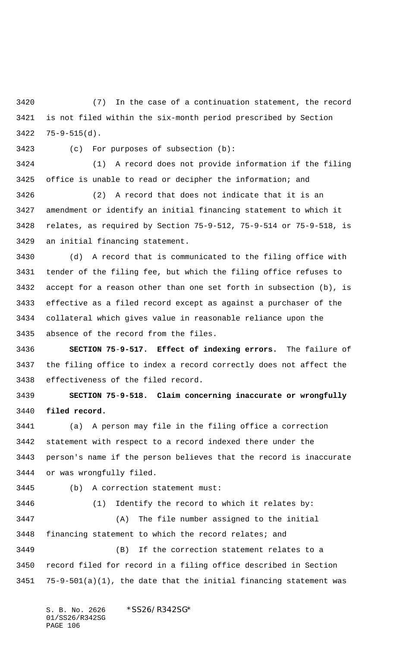(7) In the case of a continuation statement, the record is not filed within the six-month period prescribed by Section 75-9-515(d).

(c) For purposes of subsection (b):

 (1) A record does not provide information if the filing office is unable to read or decipher the information; and

 (2) A record that does not indicate that it is an amendment or identify an initial financing statement to which it relates, as required by Section 75-9-512, 75-9-514 or 75-9-518, is an initial financing statement.

 (d) A record that is communicated to the filing office with tender of the filing fee, but which the filing office refuses to accept for a reason other than one set forth in subsection (b), is effective as a filed record except as against a purchaser of the collateral which gives value in reasonable reliance upon the absence of the record from the files.

 **SECTION 75**-**9-517. Effect of indexing errors.** The failure of the filing office to index a record correctly does not affect the effectiveness of the filed record.

 **SECTION 75**-**9-518. Claim concerning inaccurate or wrongfully filed record.**

 (a) A person may file in the filing office a correction statement with respect to a record indexed there under the person's name if the person believes that the record is inaccurate or was wrongfully filed.

(b) A correction statement must:

 (1) Identify the record to which it relates by: (A) The file number assigned to the initial financing statement to which the record relates; and (B) If the correction statement relates to a

 record filed for record in a filing office described in Section 75-9-501(a)(1), the date that the initial financing statement was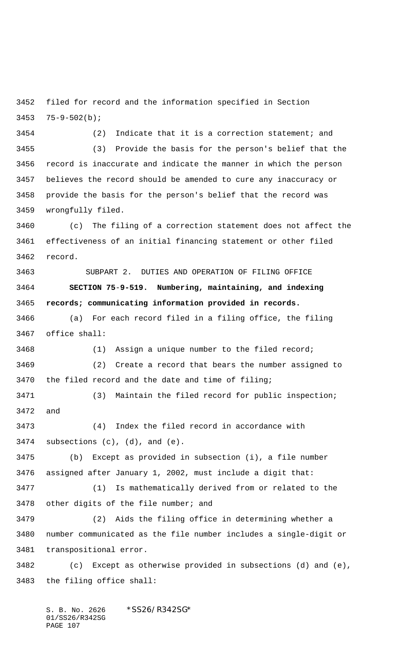filed for record and the information specified in Section 75-9-502(b);

(2) Indicate that it is a correction statement; and

 (3) Provide the basis for the person's belief that the record is inaccurate and indicate the manner in which the person believes the record should be amended to cure any inaccuracy or provide the basis for the person's belief that the record was wrongfully filed.

 (c) The filing of a correction statement does not affect the effectiveness of an initial financing statement or other filed record.

 SUBPART 2. DUTIES AND OPERATION OF FILING OFFICE **SECTION 75**-**9-519. Numbering, maintaining, and indexing records; communicating information provided in records.**

 (a) For each record filed in a filing office, the filing office shall:

 (1) Assign a unique number to the filed record; (2) Create a record that bears the number assigned to the filed record and the date and time of filing;

 (3) Maintain the filed record for public inspection; and

 (4) Index the filed record in accordance with subsections (c), (d), and (e).

 (b) Except as provided in subsection (i), a file number assigned after January 1, 2002, must include a digit that:

 (1) Is mathematically derived from or related to the other digits of the file number; and

 (2) Aids the filing office in determining whether a number communicated as the file number includes a single-digit or transpositional error.

 (c) Except as otherwise provided in subsections (d) and (e), the filing office shall: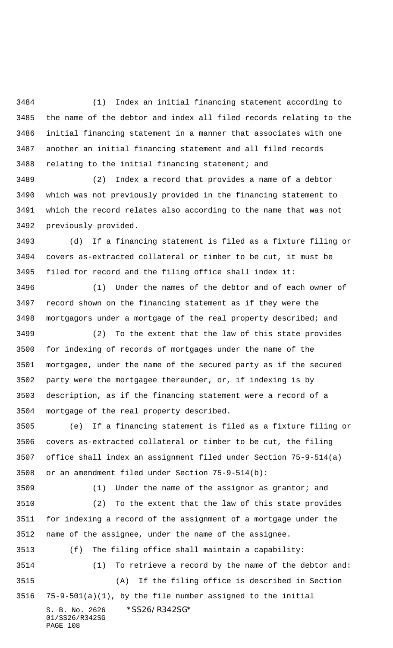(1) Index an initial financing statement according to the name of the debtor and index all filed records relating to the initial financing statement in a manner that associates with one another an initial financing statement and all filed records relating to the initial financing statement; and

 (2) Index a record that provides a name of a debtor which was not previously provided in the financing statement to which the record relates also according to the name that was not previously provided.

 (d) If a financing statement is filed as a fixture filing or covers as-extracted collateral or timber to be cut, it must be filed for record and the filing office shall index it:

 (1) Under the names of the debtor and of each owner of record shown on the financing statement as if they were the mortgagors under a mortgage of the real property described; and

 (2) To the extent that the law of this state provides for indexing of records of mortgages under the name of the mortgagee, under the name of the secured party as if the secured party were the mortgagee thereunder, or, if indexing is by description, as if the financing statement were a record of a mortgage of the real property described.

 (e) If a financing statement is filed as a fixture filing or covers as-extracted collateral or timber to be cut, the filing office shall index an assignment filed under Section 75-9-514(a) or an amendment filed under Section 75-9-514(b):

 (1) Under the name of the assignor as grantor; and (2) To the extent that the law of this state provides for indexing a record of the assignment of a mortgage under the

 name of the assignee, under the name of the assignee. (f) The filing office shall maintain a capability:

 (1) To retrieve a record by the name of the debtor and: (A) If the filing office is described in Section

S. B. No. 2626 \*SS26/R342SG\* 01/SS26/R342SG 75-9-501(a)(1), by the file number assigned to the initial

PAGE 108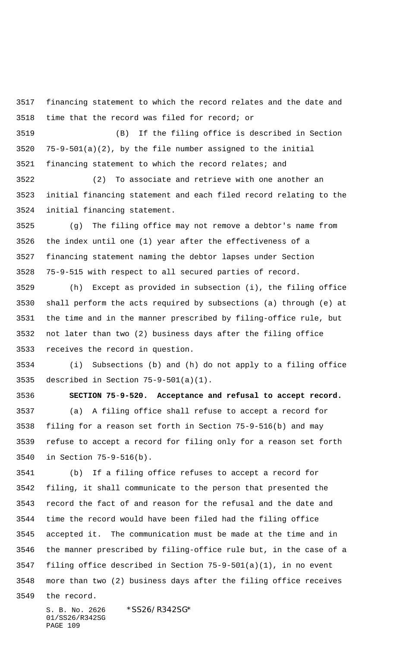financing statement to which the record relates and the date and time that the record was filed for record; or

 (B) If the filing office is described in Section 75-9-501(a)(2), by the file number assigned to the initial financing statement to which the record relates; and

 (2) To associate and retrieve with one another an initial financing statement and each filed record relating to the initial financing statement.

 (g) The filing office may not remove a debtor's name from the index until one (1) year after the effectiveness of a financing statement naming the debtor lapses under Section 75-9-515 with respect to all secured parties of record.

 (h) Except as provided in subsection (i), the filing office shall perform the acts required by subsections (a) through (e) at the time and in the manner prescribed by filing-office rule, but not later than two (2) business days after the filing office receives the record in question.

 (i) Subsections (b) and (h) do not apply to a filing office described in Section 75-9-501(a)(1).

 **SECTION 75**-**9-520. Acceptance and refusal to accept record.** (a) A filing office shall refuse to accept a record for filing for a reason set forth in Section 75-9-516(b) and may refuse to accept a record for filing only for a reason set forth in Section 75-9-516(b).

 (b) If a filing office refuses to accept a record for filing, it shall communicate to the person that presented the record the fact of and reason for the refusal and the date and time the record would have been filed had the filing office accepted it. The communication must be made at the time and in the manner prescribed by filing-office rule but, in the case of a filing office described in Section 75-9-501(a)(1), in no event more than two (2) business days after the filing office receives

the record.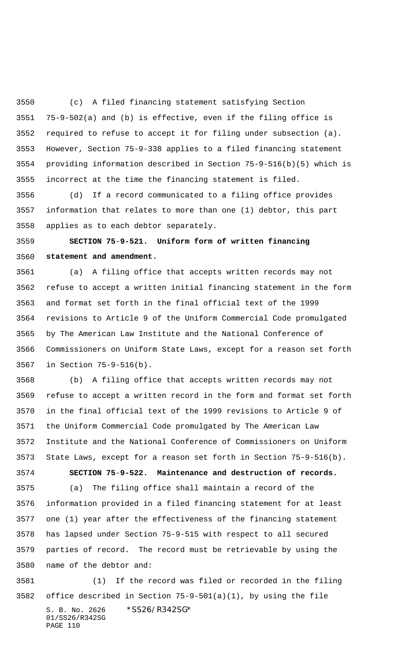(c) A filed financing statement satisfying Section 75-9-502(a) and (b) is effective, even if the filing office is required to refuse to accept it for filing under subsection (a). However, Section 75-9-338 applies to a filed financing statement providing information described in Section 75-9-516(b)(5) which is incorrect at the time the financing statement is filed.

 (d) If a record communicated to a filing office provides information that relates to more than one (1) debtor, this part applies as to each debtor separately.

 **SECTION 75**-**9-521. Uniform form of written financing statement and amendment.**

 (a) A filing office that accepts written records may not refuse to accept a written initial financing statement in the form and format set forth in the final official text of the 1999 revisions to Article 9 of the Uniform Commercial Code promulgated by The American Law Institute and the National Conference of Commissioners on Uniform State Laws, except for a reason set forth in Section 75-9-516(b).

 (b) A filing office that accepts written records may not refuse to accept a written record in the form and format set forth in the final official text of the 1999 revisions to Article 9 of the Uniform Commercial Code promulgated by The American Law Institute and the National Conference of Commissioners on Uniform State Laws, except for a reason set forth in Section 75-9-516(b).

**SECTION 75**-**9-522. Maintenance and destruction of records.**

 (a) The filing office shall maintain a record of the information provided in a filed financing statement for at least one (1) year after the effectiveness of the financing statement has lapsed under Section 75-9-515 with respect to all secured parties of record. The record must be retrievable by using the name of the debtor and:

S. B. No. 2626 \*SS26/R342SG\* 01/SS26/R342SG PAGE 110 (1) If the record was filed or recorded in the filing office described in Section 75-9-501(a)(1), by using the file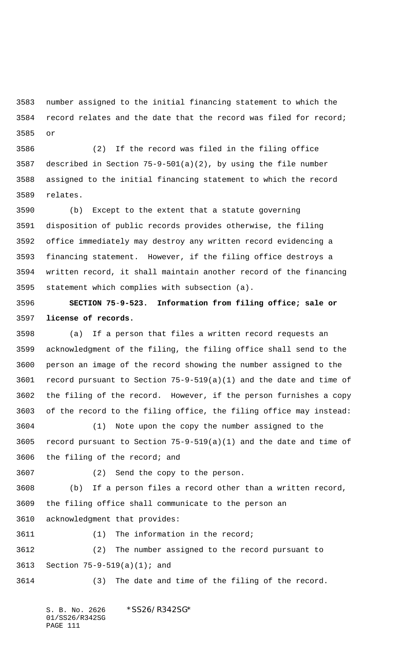number assigned to the initial financing statement to which the record relates and the date that the record was filed for record; or

 (2) If the record was filed in the filing office described in Section 75-9-501(a)(2), by using the file number assigned to the initial financing statement to which the record relates.

 (b) Except to the extent that a statute governing disposition of public records provides otherwise, the filing office immediately may destroy any written record evidencing a financing statement. However, if the filing office destroys a written record, it shall maintain another record of the financing statement which complies with subsection (a).

 **SECTION 75**-**9-523. Information from filing office; sale or license of records.**

 (a) If a person that files a written record requests an acknowledgment of the filing, the filing office shall send to the person an image of the record showing the number assigned to the record pursuant to Section 75-9-519(a)(1) and the date and time of the filing of the record. However, if the person furnishes a copy of the record to the filing office, the filing office may instead:

 (1) Note upon the copy the number assigned to the record pursuant to Section 75-9-519(a)(1) and the date and time of the filing of the record; and

(2) Send the copy to the person.

 (b) If a person files a record other than a written record, the filing office shall communicate to the person an acknowledgment that provides:

 (1) The information in the record; (2) The number assigned to the record pursuant to Section 75-9-519(a)(1); and

(3) The date and time of the filing of the record.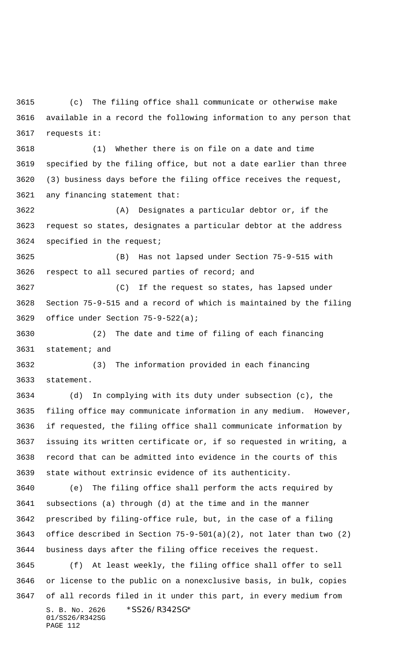(c) The filing office shall communicate or otherwise make available in a record the following information to any person that requests it:

 (1) Whether there is on file on a date and time specified by the filing office, but not a date earlier than three (3) business days before the filing office receives the request, any financing statement that:

 (A) Designates a particular debtor or, if the request so states, designates a particular debtor at the address specified in the request;

 (B) Has not lapsed under Section 75-9-515 with respect to all secured parties of record; and

 (C) If the request so states, has lapsed under Section 75-9-515 and a record of which is maintained by the filing office under Section 75-9-522(a);

 (2) The date and time of filing of each financing statement; and

 (3) The information provided in each financing statement.

 (d) In complying with its duty under subsection (c), the filing office may communicate information in any medium. However, if requested, the filing office shall communicate information by issuing its written certificate or, if so requested in writing, a record that can be admitted into evidence in the courts of this state without extrinsic evidence of its authenticity.

 (e) The filing office shall perform the acts required by subsections (a) through (d) at the time and in the manner prescribed by filing-office rule, but, in the case of a filing office described in Section 75-9-501(a)(2), not later than two (2) business days after the filing office receives the request.

S. B. No. 2626 \*SS26/R342SG\* 01/SS26/R342SG PAGE 112 (f) At least weekly, the filing office shall offer to sell or license to the public on a nonexclusive basis, in bulk, copies of all records filed in it under this part, in every medium from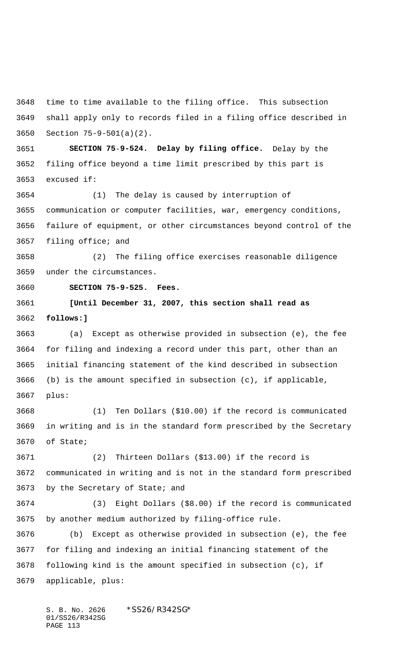time to time available to the filing office. This subsection shall apply only to records filed in a filing office described in Section 75-9-501(a)(2).

 **SECTION 75**-**9-524. Delay by filing office.** Delay by the filing office beyond a time limit prescribed by this part is excused if:

 (1) The delay is caused by interruption of communication or computer facilities, war, emergency conditions, failure of equipment, or other circumstances beyond control of the filing office; and

 (2) The filing office exercises reasonable diligence under the circumstances.

**SECTION 75-9-525. Fees.**

 **[Until December 31, 2007, this section shall read as follows:]**

 (a) Except as otherwise provided in subsection (e), the fee for filing and indexing a record under this part, other than an initial financing statement of the kind described in subsection (b) is the amount specified in subsection (c), if applicable, plus:

 (1) Ten Dollars (\$10.00) if the record is communicated in writing and is in the standard form prescribed by the Secretary of State;

 (2) Thirteen Dollars (\$13.00) if the record is communicated in writing and is not in the standard form prescribed by the Secretary of State; and

 (3) Eight Dollars (\$8.00) if the record is communicated by another medium authorized by filing-office rule.

 (b) Except as otherwise provided in subsection (e), the fee for filing and indexing an initial financing statement of the following kind is the amount specified in subsection (c), if applicable, plus: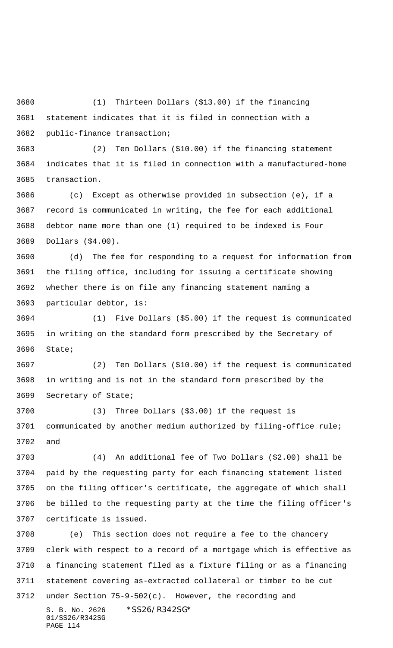(1) Thirteen Dollars (\$13.00) if the financing statement indicates that it is filed in connection with a public-finance transaction;

 (2) Ten Dollars (\$10.00) if the financing statement indicates that it is filed in connection with a manufactured-home transaction.

 (c) Except as otherwise provided in subsection (e), if a record is communicated in writing, the fee for each additional debtor name more than one (1) required to be indexed is Four Dollars (\$4.00).

 (d) The fee for responding to a request for information from the filing office, including for issuing a certificate showing whether there is on file any financing statement naming a particular debtor, is:

 (1) Five Dollars (\$5.00) if the request is communicated in writing on the standard form prescribed by the Secretary of State;

 (2) Ten Dollars (\$10.00) if the request is communicated in writing and is not in the standard form prescribed by the Secretary of State;

 (3) Three Dollars (\$3.00) if the request is communicated by another medium authorized by filing-office rule; and

 (4) An additional fee of Two Dollars (\$2.00) shall be paid by the requesting party for each financing statement listed on the filing officer's certificate, the aggregate of which shall be billed to the requesting party at the time the filing officer's certificate is issued.

S. B. No. 2626 \*SS26/R342SG\* 01/SS26/R342SG PAGE 114 (e) This section does not require a fee to the chancery clerk with respect to a record of a mortgage which is effective as a financing statement filed as a fixture filing or as a financing statement covering as-extracted collateral or timber to be cut under Section 75-9-502(c). However, the recording and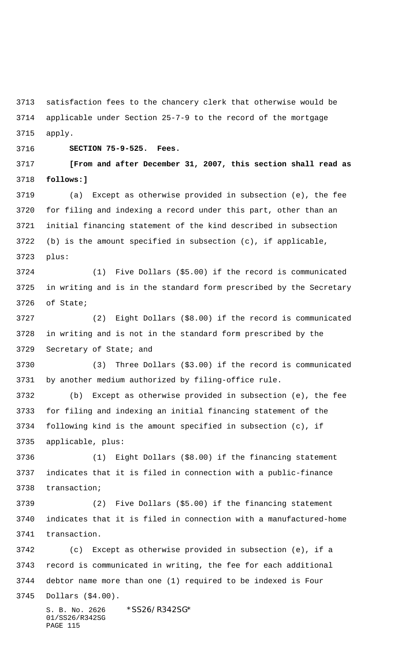satisfaction fees to the chancery clerk that otherwise would be applicable under Section 25-7-9 to the record of the mortgage apply.

**SECTION 75-9-525. Fees.**

 **[From and after December 31, 2007, this section shall read as follows:]**

 (a) Except as otherwise provided in subsection (e), the fee for filing and indexing a record under this part, other than an initial financing statement of the kind described in subsection (b) is the amount specified in subsection (c), if applicable, plus:

 (1) Five Dollars (\$5.00) if the record is communicated in writing and is in the standard form prescribed by the Secretary of State;

 (2) Eight Dollars (\$8.00) if the record is communicated in writing and is not in the standard form prescribed by the Secretary of State; and

 (3) Three Dollars (\$3.00) if the record is communicated by another medium authorized by filing-office rule.

 (b) Except as otherwise provided in subsection (e), the fee for filing and indexing an initial financing statement of the following kind is the amount specified in subsection (c), if applicable, plus:

 (1) Eight Dollars (\$8.00) if the financing statement indicates that it is filed in connection with a public-finance transaction;

 (2) Five Dollars (\$5.00) if the financing statement indicates that it is filed in connection with a manufactured-home transaction.

 (c) Except as otherwise provided in subsection (e), if a record is communicated in writing, the fee for each additional debtor name more than one (1) required to be indexed is Four

Dollars (\$4.00).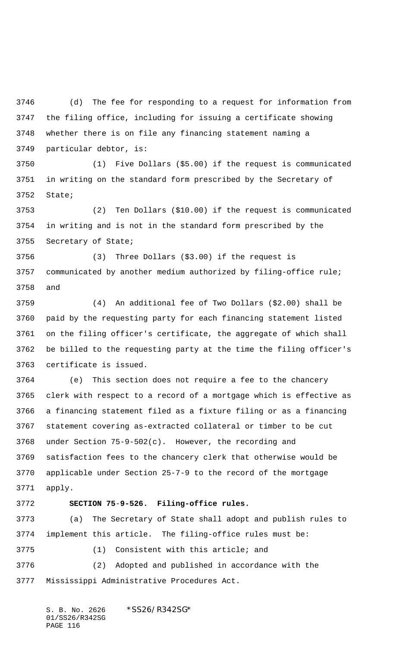(d) The fee for responding to a request for information from the filing office, including for issuing a certificate showing whether there is on file any financing statement naming a particular debtor, is:

 (1) Five Dollars (\$5.00) if the request is communicated in writing on the standard form prescribed by the Secretary of State;

 (2) Ten Dollars (\$10.00) if the request is communicated in writing and is not in the standard form prescribed by the Secretary of State;

 (3) Three Dollars (\$3.00) if the request is communicated by another medium authorized by filing-office rule; and

 (4) An additional fee of Two Dollars (\$2.00) shall be paid by the requesting party for each financing statement listed on the filing officer's certificate, the aggregate of which shall be billed to the requesting party at the time the filing officer's certificate is issued.

 (e) This section does not require a fee to the chancery clerk with respect to a record of a mortgage which is effective as a financing statement filed as a fixture filing or as a financing statement covering as-extracted collateral or timber to be cut under Section 75-9-502(c). However, the recording and satisfaction fees to the chancery clerk that otherwise would be applicable under Section 25-7-9 to the record of the mortgage apply.

## **SECTION 75**-**9-526. Filing-office rules.**

 (a) The Secretary of State shall adopt and publish rules to implement this article. The filing-office rules must be:

(1) Consistent with this article; and

 (2) Adopted and published in accordance with the Mississippi Administrative Procedures Act.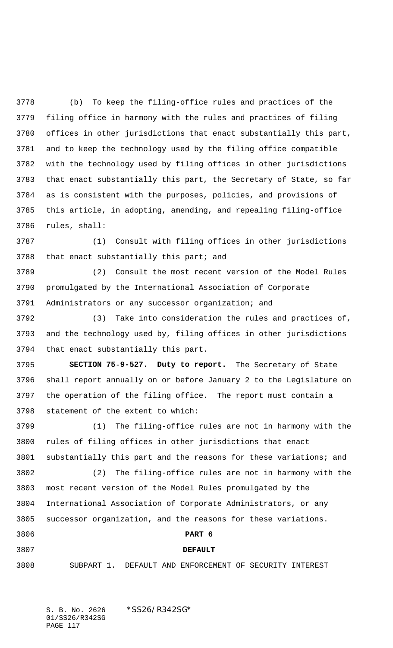(b) To keep the filing-office rules and practices of the filing office in harmony with the rules and practices of filing offices in other jurisdictions that enact substantially this part, and to keep the technology used by the filing office compatible with the technology used by filing offices in other jurisdictions that enact substantially this part, the Secretary of State, so far as is consistent with the purposes, policies, and provisions of this article, in adopting, amending, and repealing filing-office rules, shall:

 (1) Consult with filing offices in other jurisdictions that enact substantially this part; and

 (2) Consult the most recent version of the Model Rules promulgated by the International Association of Corporate Administrators or any successor organization; and

 (3) Take into consideration the rules and practices of, and the technology used by, filing offices in other jurisdictions that enact substantially this part.

 **SECTION 75**-**9-527. Duty to report.** The Secretary of State shall report annually on or before January 2 to the Legislature on the operation of the filing office. The report must contain a statement of the extent to which:

 (1) The filing-office rules are not in harmony with the rules of filing offices in other jurisdictions that enact substantially this part and the reasons for these variations; and (2) The filing-office rules are not in harmony with the most recent version of the Model Rules promulgated by the International Association of Corporate Administrators, or any successor organization, and the reasons for these variations. **PART 6 DEFAULT**

SUBPART 1. DEFAULT AND ENFORCEMENT OF SECURITY INTEREST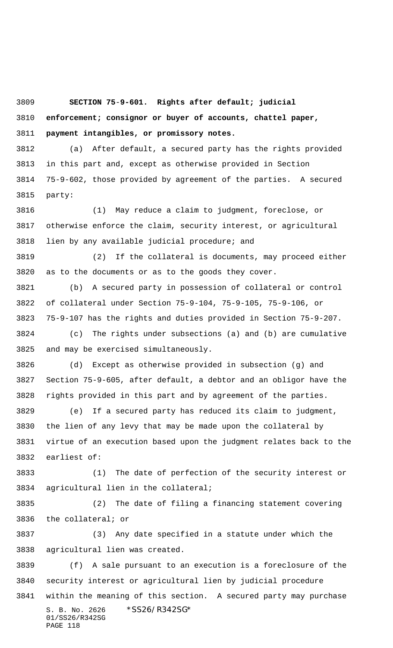**SECTION 75**-**9-601. Rights after default; judicial enforcement; consignor or buyer of accounts, chattel paper, payment intangibles, or promissory notes.**

 (a) After default, a secured party has the rights provided in this part and, except as otherwise provided in Section 75-9-602, those provided by agreement of the parties. A secured party:

 (1) May reduce a claim to judgment, foreclose, or otherwise enforce the claim, security interest, or agricultural lien by any available judicial procedure; and

 (2) If the collateral is documents, may proceed either as to the documents or as to the goods they cover.

 (b) A secured party in possession of collateral or control of collateral under Section 75-9-104, 75-9-105, 75-9-106, or 75-9-107 has the rights and duties provided in Section 75-9-207.

 (c) The rights under subsections (a) and (b) are cumulative and may be exercised simultaneously.

 (d) Except as otherwise provided in subsection (g) and Section 75-9-605, after default, a debtor and an obligor have the rights provided in this part and by agreement of the parties.

 (e) If a secured party has reduced its claim to judgment, the lien of any levy that may be made upon the collateral by virtue of an execution based upon the judgment relates back to the earliest of:

 (1) The date of perfection of the security interest or agricultural lien in the collateral;

 (2) The date of filing a financing statement covering the collateral; or

 (3) Any date specified in a statute under which the agricultural lien was created.

S. B. No. 2626 \*SS26/R342SG\* 01/SS26/R342SG PAGE 118 (f) A sale pursuant to an execution is a foreclosure of the security interest or agricultural lien by judicial procedure within the meaning of this section. A secured party may purchase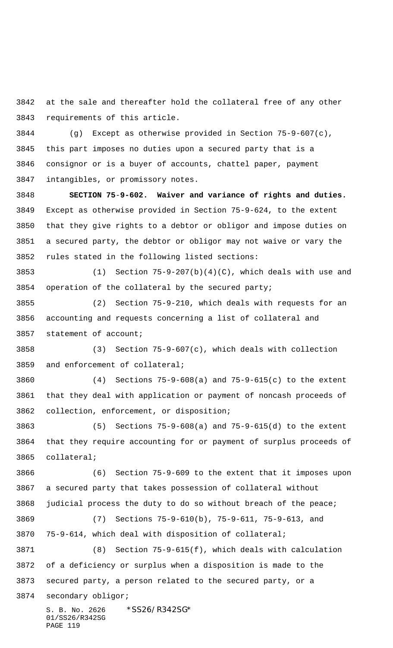at the sale and thereafter hold the collateral free of any other requirements of this article.

 (g) Except as otherwise provided in Section 75-9-607(c), this part imposes no duties upon a secured party that is a consignor or is a buyer of accounts, chattel paper, payment intangibles, or promissory notes.

 **SECTION 75**-**9-602. Waiver and variance of rights and duties.** Except as otherwise provided in Section 75-9-624, to the extent that they give rights to a debtor or obligor and impose duties on a secured party, the debtor or obligor may not waive or vary the rules stated in the following listed sections:

 (1) Section 75-9-207(b)(4)(C), which deals with use and operation of the collateral by the secured party;

 (2) Section 75-9-210, which deals with requests for an accounting and requests concerning a list of collateral and statement of account;

 (3) Section 75-9-607(c), which deals with collection and enforcement of collateral;

 (4) Sections 75-9-608(a) and 75-9-615(c) to the extent that they deal with application or payment of noncash proceeds of collection, enforcement, or disposition;

 (5) Sections 75-9-608(a) and 75-9-615(d) to the extent that they require accounting for or payment of surplus proceeds of collateral;

 (6) Section 75-9-609 to the extent that it imposes upon a secured party that takes possession of collateral without judicial process the duty to do so without breach of the peace; (7) Sections 75-9-610(b), 75-9-611, 75-9-613, and

75-9-614, which deal with disposition of collateral;

 (8) Section 75-9-615(f), which deals with calculation of a deficiency or surplus when a disposition is made to the secured party, a person related to the secured party, or a

secondary obligor;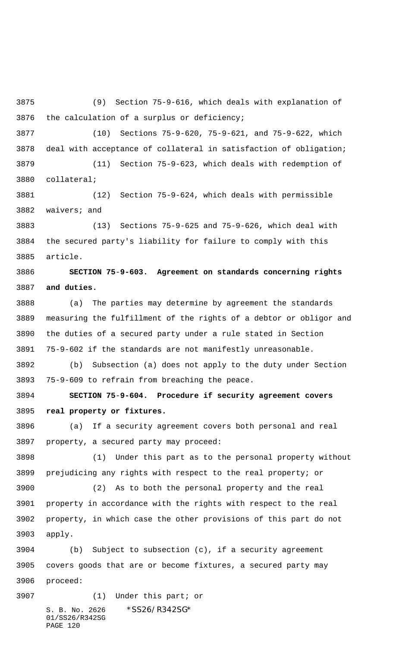(9) Section 75-9-616, which deals with explanation of the calculation of a surplus or deficiency;

 (10) Sections 75-9-620, 75-9-621, and 75-9-622, which deal with acceptance of collateral in satisfaction of obligation; (11) Section 75-9-623, which deals with redemption of

collateral;

 (12) Section 75-9-624, which deals with permissible waivers; and

 (13) Sections 75-9-625 and 75-9-626, which deal with the secured party's liability for failure to comply with this article.

 **SECTION 75**-**9-603. Agreement on standards concerning rights and duties.**

 (a) The parties may determine by agreement the standards measuring the fulfillment of the rights of a debtor or obligor and the duties of a secured party under a rule stated in Section 75-9-602 if the standards are not manifestly unreasonable.

 (b) Subsection (a) does not apply to the duty under Section 75-9-609 to refrain from breaching the peace.

 **SECTION 75**-**9-604. Procedure if security agreement covers real property or fixtures.**

 (a) If a security agreement covers both personal and real property, a secured party may proceed:

 (1) Under this part as to the personal property without prejudicing any rights with respect to the real property; or

 (2) As to both the personal property and the real property in accordance with the rights with respect to the real property, in which case the other provisions of this part do not apply.

 (b) Subject to subsection (c), if a security agreement covers goods that are or become fixtures, a secured party may proceed:

S. B. No. 2626 \*SS26/R342SG\* 01/SS26/R342SG PAGE 120 (1) Under this part; or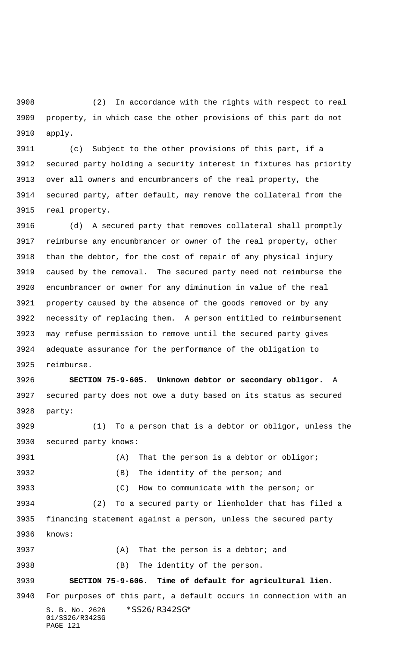(2) In accordance with the rights with respect to real property, in which case the other provisions of this part do not apply.

 (c) Subject to the other provisions of this part, if a secured party holding a security interest in fixtures has priority over all owners and encumbrancers of the real property, the secured party, after default, may remove the collateral from the real property.

 (d) A secured party that removes collateral shall promptly reimburse any encumbrancer or owner of the real property, other than the debtor, for the cost of repair of any physical injury caused by the removal. The secured party need not reimburse the encumbrancer or owner for any diminution in value of the real property caused by the absence of the goods removed or by any necessity of replacing them. A person entitled to reimbursement may refuse permission to remove until the secured party gives adequate assurance for the performance of the obligation to reimburse.

 **SECTION 75**-**9-605. Unknown debtor or secondary obligor.** A secured party does not owe a duty based on its status as secured party:

 (1) To a person that is a debtor or obligor, unless the secured party knows:

S. B. No. 2626 \*SS26/R342SG\* 01/SS26/R342SG PAGE 121 (A) That the person is a debtor or obligor; (B) The identity of the person; and (C) How to communicate with the person; or (2) To a secured party or lienholder that has filed a financing statement against a person, unless the secured party knows: (A) That the person is a debtor; and (B) The identity of the person. **SECTION 75**-**9-606. Time of default for agricultural lien.** For purposes of this part, a default occurs in connection with an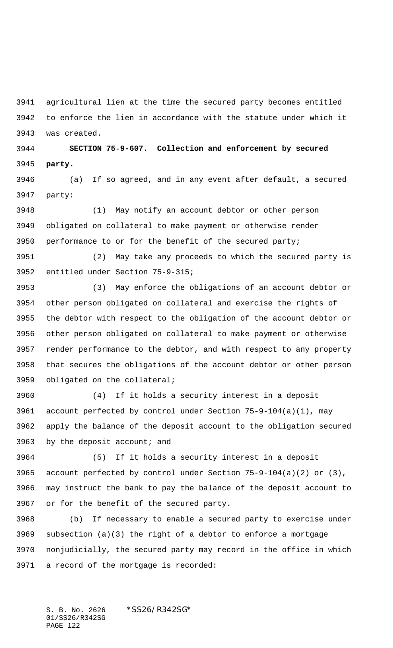agricultural lien at the time the secured party becomes entitled to enforce the lien in accordance with the statute under which it was created.

 **SECTION 75**-**9-607. Collection and enforcement by secured party.**

 (a) If so agreed, and in any event after default, a secured party:

 (1) May notify an account debtor or other person obligated on collateral to make payment or otherwise render performance to or for the benefit of the secured party;

 (2) May take any proceeds to which the secured party is entitled under Section 75-9-315;

 (3) May enforce the obligations of an account debtor or other person obligated on collateral and exercise the rights of the debtor with respect to the obligation of the account debtor or other person obligated on collateral to make payment or otherwise render performance to the debtor, and with respect to any property that secures the obligations of the account debtor or other person obligated on the collateral;

 (4) If it holds a security interest in a deposit account perfected by control under Section 75-9-104(a)(1), may apply the balance of the deposit account to the obligation secured by the deposit account; and

 (5) If it holds a security interest in a deposit account perfected by control under Section 75-9-104(a)(2) or (3), may instruct the bank to pay the balance of the deposit account to or for the benefit of the secured party.

 (b) If necessary to enable a secured party to exercise under subsection (a)(3) the right of a debtor to enforce a mortgage nonjudicially, the secured party may record in the office in which a record of the mortgage is recorded: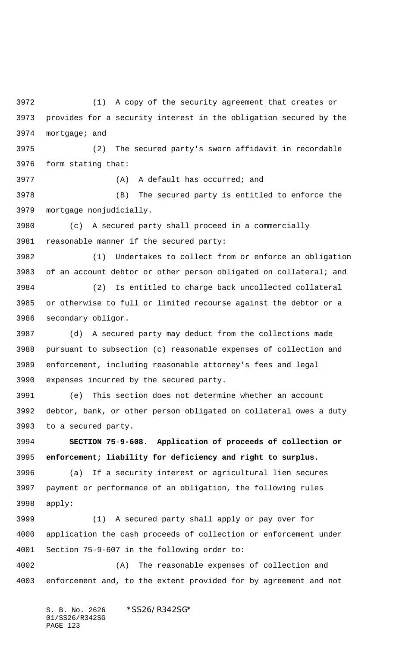(1) A copy of the security agreement that creates or provides for a security interest in the obligation secured by the mortgage; and

 (2) The secured party's sworn affidavit in recordable form stating that:

(A) A default has occurred; and

 (B) The secured party is entitled to enforce the mortgage nonjudicially.

 (c) A secured party shall proceed in a commercially reasonable manner if the secured party:

 (1) Undertakes to collect from or enforce an obligation of an account debtor or other person obligated on collateral; and

 (2) Is entitled to charge back uncollected collateral or otherwise to full or limited recourse against the debtor or a secondary obligor.

 (d) A secured party may deduct from the collections made pursuant to subsection (c) reasonable expenses of collection and enforcement, including reasonable attorney's fees and legal expenses incurred by the secured party.

 (e) This section does not determine whether an account debtor, bank, or other person obligated on collateral owes a duty to a secured party.

 **SECTION 75**-**9-608. Application of proceeds of collection or enforcement; liability for deficiency and right to surplus.**

 (a) If a security interest or agricultural lien secures payment or performance of an obligation, the following rules apply:

 (1) A secured party shall apply or pay over for application the cash proceeds of collection or enforcement under Section 75-9-607 in the following order to:

 (A) The reasonable expenses of collection and enforcement and, to the extent provided for by agreement and not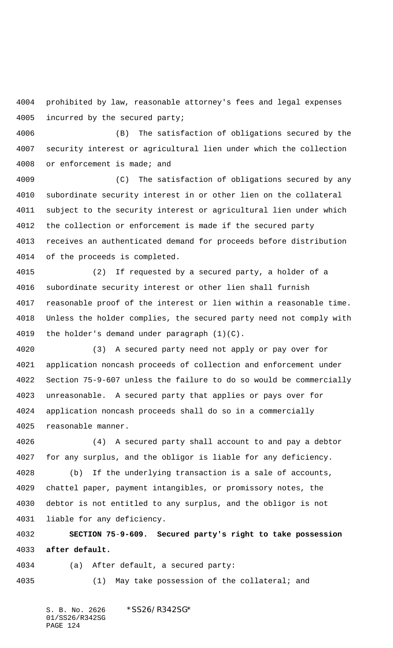prohibited by law, reasonable attorney's fees and legal expenses incurred by the secured party;

 (B) The satisfaction of obligations secured by the security interest or agricultural lien under which the collection or enforcement is made; and

 (C) The satisfaction of obligations secured by any subordinate security interest in or other lien on the collateral subject to the security interest or agricultural lien under which the collection or enforcement is made if the secured party receives an authenticated demand for proceeds before distribution of the proceeds is completed.

 (2) If requested by a secured party, a holder of a subordinate security interest or other lien shall furnish reasonable proof of the interest or lien within a reasonable time. Unless the holder complies, the secured party need not comply with the holder's demand under paragraph (1)(C).

 (3) A secured party need not apply or pay over for application noncash proceeds of collection and enforcement under Section 75-9-607 unless the failure to do so would be commercially unreasonable. A secured party that applies or pays over for application noncash proceeds shall do so in a commercially reasonable manner.

 (4) A secured party shall account to and pay a debtor for any surplus, and the obligor is liable for any deficiency.

 (b) If the underlying transaction is a sale of accounts, chattel paper, payment intangibles, or promissory notes, the debtor is not entitled to any surplus, and the obligor is not liable for any deficiency.

 **SECTION 75**-**9-609. Secured party's right to take possession after default.**

(a) After default, a secured party:

(1) May take possession of the collateral; and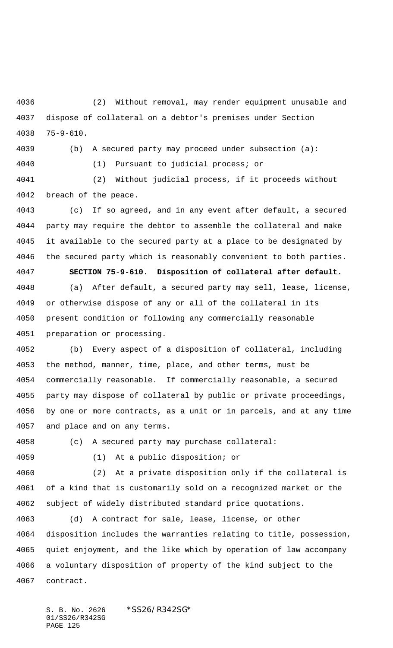(2) Without removal, may render equipment unusable and dispose of collateral on a debtor's premises under Section 75-9-610.

(b) A secured party may proceed under subsection (a):

(1) Pursuant to judicial process; or

 (2) Without judicial process, if it proceeds without breach of the peace.

 (c) If so agreed, and in any event after default, a secured party may require the debtor to assemble the collateral and make it available to the secured party at a place to be designated by the secured party which is reasonably convenient to both parties.

 **SECTION 75**-**9-610. Disposition of collateral after default.** (a) After default, a secured party may sell, lease, license, or otherwise dispose of any or all of the collateral in its present condition or following any commercially reasonable preparation or processing.

 (b) Every aspect of a disposition of collateral, including the method, manner, time, place, and other terms, must be commercially reasonable. If commercially reasonable, a secured party may dispose of collateral by public or private proceedings, by one or more contracts, as a unit or in parcels, and at any time and place and on any terms.

(c) A secured party may purchase collateral:

(1) At a public disposition; or

 (2) At a private disposition only if the collateral is of a kind that is customarily sold on a recognized market or the subject of widely distributed standard price quotations.

 (d) A contract for sale, lease, license, or other disposition includes the warranties relating to title, possession, quiet enjoyment, and the like which by operation of law accompany a voluntary disposition of property of the kind subject to the contract.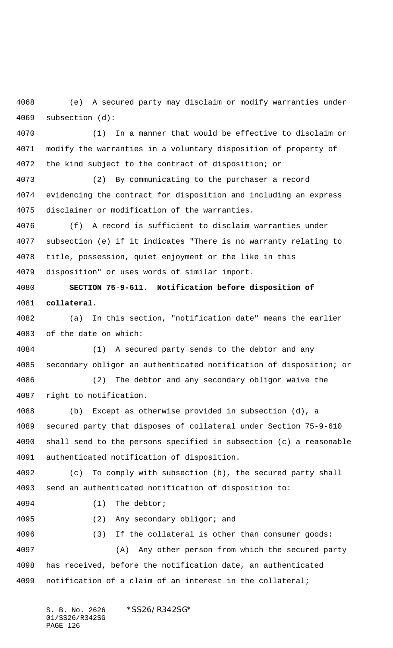(e) A secured party may disclaim or modify warranties under subsection (d):

 (1) In a manner that would be effective to disclaim or modify the warranties in a voluntary disposition of property of the kind subject to the contract of disposition; or

 (2) By communicating to the purchaser a record evidencing the contract for disposition and including an express disclaimer or modification of the warranties.

 (f) A record is sufficient to disclaim warranties under subsection (e) if it indicates "There is no warranty relating to title, possession, quiet enjoyment or the like in this disposition" or uses words of similar import.

 **SECTION 75**-**9-611. Notification before disposition of collateral.**

 (a) In this section, "notification date" means the earlier of the date on which:

 (1) A secured party sends to the debtor and any secondary obligor an authenticated notification of disposition; or

 (2) The debtor and any secondary obligor waive the right to notification.

 (b) Except as otherwise provided in subsection (d), a secured party that disposes of collateral under Section 75-9-610 shall send to the persons specified in subsection (c) a reasonable authenticated notification of disposition.

 (c) To comply with subsection (b), the secured party shall send an authenticated notification of disposition to:

- 
- (1) The debtor;

(2) Any secondary obligor; and

(3) If the collateral is other than consumer goods:

 (A) Any other person from which the secured party has received, before the notification date, an authenticated notification of a claim of an interest in the collateral;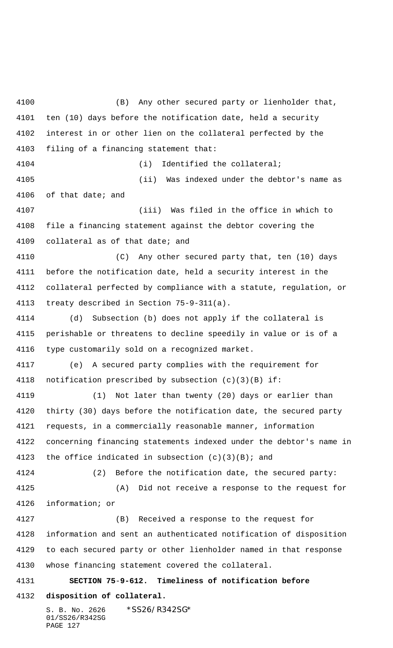S. B. No. 2626 \*SS26/R342SG\* 01/SS26/R342SG (B) Any other secured party or lienholder that, ten (10) days before the notification date, held a security interest in or other lien on the collateral perfected by the filing of a financing statement that: (i) Identified the collateral; (ii) Was indexed under the debtor's name as of that date; and (iii) Was filed in the office in which to file a financing statement against the debtor covering the collateral as of that date; and (C) Any other secured party that, ten (10) days before the notification date, held a security interest in the collateral perfected by compliance with a statute, regulation, or treaty described in Section 75-9-311(a). (d) Subsection (b) does not apply if the collateral is perishable or threatens to decline speedily in value or is of a type customarily sold on a recognized market. (e) A secured party complies with the requirement for notification prescribed by subsection (c)(3)(B) if: (1) Not later than twenty (20) days or earlier than thirty (30) days before the notification date, the secured party requests, in a commercially reasonable manner, information concerning financing statements indexed under the debtor's name in 4123 the office indicated in subsection  $(c)(3)(B)$ ; and (2) Before the notification date, the secured party: (A) Did not receive a response to the request for information; or (B) Received a response to the request for information and sent an authenticated notification of disposition to each secured party or other lienholder named in that response whose financing statement covered the collateral. **SECTION 75**-**9-612. Timeliness of notification before disposition of collateral.**

PAGE 127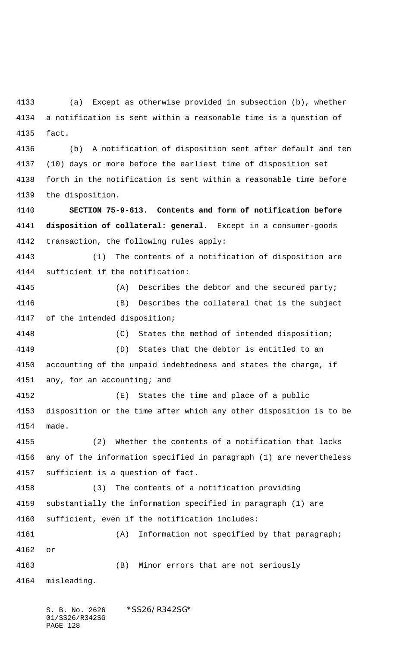(a) Except as otherwise provided in subsection (b), whether a notification is sent within a reasonable time is a question of fact.

 (b) A notification of disposition sent after default and ten (10) days or more before the earliest time of disposition set forth in the notification is sent within a reasonable time before the disposition.

 **SECTION 75**-**9-613. Contents and form of notification before disposition of collateral: general.** Except in a consumer-goods transaction, the following rules apply:

 (1) The contents of a notification of disposition are sufficient if the notification:

 (A) Describes the debtor and the secured party; (B) Describes the collateral that is the subject of the intended disposition;

 (C) States the method of intended disposition; (D) States that the debtor is entitled to an accounting of the unpaid indebtedness and states the charge, if any, for an accounting; and

 (E) States the time and place of a public disposition or the time after which any other disposition is to be made.

 (2) Whether the contents of a notification that lacks any of the information specified in paragraph (1) are nevertheless sufficient is a question of fact.

 (3) The contents of a notification providing substantially the information specified in paragraph (1) are sufficient, even if the notification includes:

 (A) Information not specified by that paragraph; or

 (B) Minor errors that are not seriously misleading.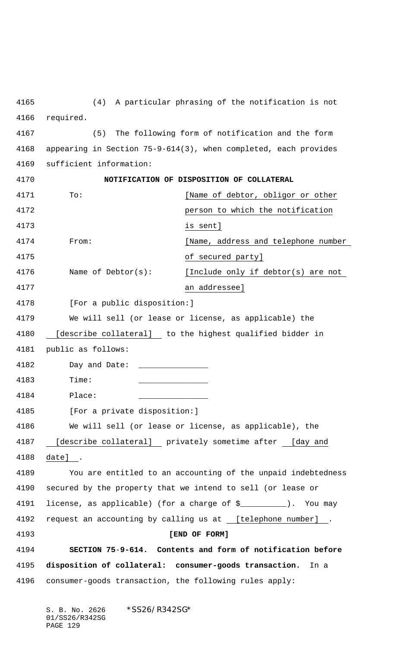(4) A particular phrasing of the notification is not required. (5) The following form of notification and the form appearing in Section 75-9-614(3), when completed, each provides sufficient information: **NOTIFICATION OF DISPOSITION OF COLLATERAL** To: [Name of debtor, obligor or other person to which the notification is sent] From: [Name, address and telephone number of secured party] Name of Debtor(s): [Include only if debtor(s) are not an addressee] [For a public disposition:] We will sell (or lease or license, as applicable) the 4180 [describe collateral] to the highest qualified bidder in public as follows: 4182 Day and Date: Time: \_\_\_\_\_\_\_\_\_\_\_\_\_\_\_ 4184 Place: [For a private disposition:] We will sell (or lease or license, as applicable), the 4187 [describe collateral] privately sometime after [day and date] . You are entitled to an accounting of the unpaid indebtedness secured by the property that we intend to sell (or lease or license, as applicable) (for a charge of \$\_\_\_\_\_\_\_\_\_\_). You may request an accounting by calling us at [telephone number] . **[END OF FORM] SECTION 75**-**9-614. Contents and form of notification before disposition of collateral: consumer-goods transaction.** In a consumer-goods transaction, the following rules apply: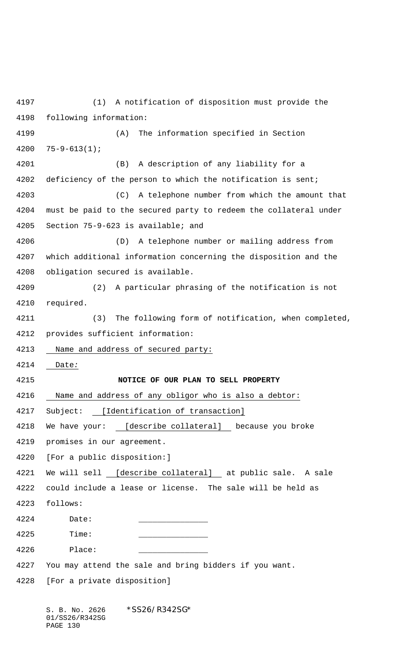(1) A notification of disposition must provide the following information: (A) The information specified in Section 75-9-613(1); (B) A description of any liability for a 4202 deficiency of the person to which the notification is sent; (C) A telephone number from which the amount that must be paid to the secured party to redeem the collateral under Section 75-9-623 is available; and (D) A telephone number or mailing address from which additional information concerning the disposition and the obligation secured is available. (2) A particular phrasing of the notification is not required. (3) The following form of notification, when completed, provides sufficient information: 4213 Name and address of secured party: 4214 Date: **NOTICE OF OUR PLAN TO SELL PROPERTY** 4216 Name and address of any obligor who is also a debtor: Subject: [Identification of transaction] We have your: [describe collateral] because you broke promises in our agreement. [For a public disposition:] 4221 We will sell *[describe collateral]* at public sale. A sale could include a lease or license. The sale will be held as follows: Date: \_\_\_\_\_\_\_\_\_\_\_\_\_\_\_ Time: \_\_\_\_\_\_\_\_\_\_\_\_\_\_\_ Place: \_\_\_\_\_\_\_\_\_\_\_\_\_\_\_ You may attend the sale and bring bidders if you want. [For a private disposition]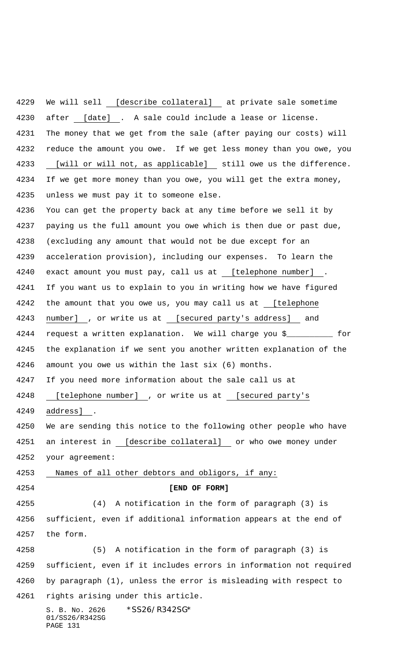We will sell [describe collateral] at private sale sometime after [date] . A sale could include a lease or license. The money that we get from the sale (after paying our costs) will reduce the amount you owe. If we get less money than you owe, you 4233 [will or will not, as applicable] still owe us the difference. If we get more money than you owe, you will get the extra money, unless we must pay it to someone else.

 You can get the property back at any time before we sell it by paying us the full amount you owe which is then due or past due, (excluding any amount that would not be due except for an acceleration provision), including our expenses. To learn the exact amount you must pay, call us at [telephone number] . If you want us to explain to you in writing how we have figured 4242 the amount that you owe us, you may call us at [telephone number] , or write us at [secured party's address] and request a written explanation. We will charge you \$\_\_\_\_\_\_\_\_\_\_ for the explanation if we sent you another written explanation of the amount you owe us within the last six (6) months.

If you need more information about the sale call us at

[telephone number] , or write us at [secured party's

address] .

 We are sending this notice to the following other people who have an interest in [describe collateral] or who owe money under your agreement:

4253 Names of all other debtors and obligors, if any:

## **[END OF FORM]**

 (4) A notification in the form of paragraph (3) is sufficient, even if additional information appears at the end of the form.

 (5) A notification in the form of paragraph (3) is sufficient, even if it includes errors in information not required by paragraph (1), unless the error is misleading with respect to rights arising under this article.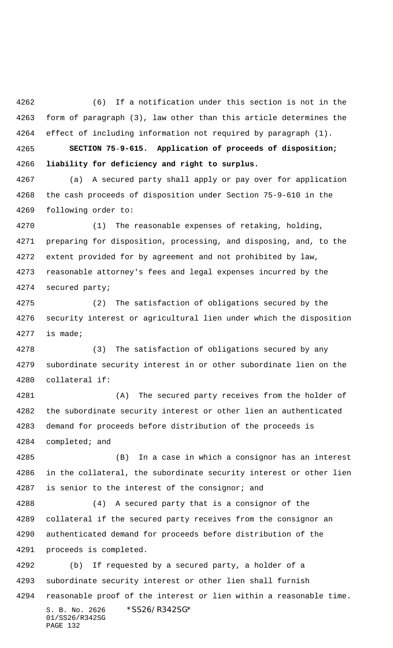(6) If a notification under this section is not in the form of paragraph (3), law other than this article determines the effect of including information not required by paragraph (1).

 **SECTION 75**-**9-615. Application of proceeds of disposition; liability for deficiency and right to surplus.**

 (a) A secured party shall apply or pay over for application the cash proceeds of disposition under Section 75-9-610 in the following order to:

 (1) The reasonable expenses of retaking, holding, preparing for disposition, processing, and disposing, and, to the extent provided for by agreement and not prohibited by law, reasonable attorney's fees and legal expenses incurred by the secured party;

 (2) The satisfaction of obligations secured by the security interest or agricultural lien under which the disposition is made;

 (3) The satisfaction of obligations secured by any subordinate security interest in or other subordinate lien on the collateral if:

 (A) The secured party receives from the holder of the subordinate security interest or other lien an authenticated demand for proceeds before distribution of the proceeds is completed; and

 (B) In a case in which a consignor has an interest in the collateral, the subordinate security interest or other lien 4287 is senior to the interest of the consignor; and

 (4) A secured party that is a consignor of the collateral if the secured party receives from the consignor an authenticated demand for proceeds before distribution of the proceeds is completed.

S. B. No. 2626 \*SS26/R342SG\* 01/SS26/R342SG PAGE 132 (b) If requested by a secured party, a holder of a subordinate security interest or other lien shall furnish reasonable proof of the interest or lien within a reasonable time.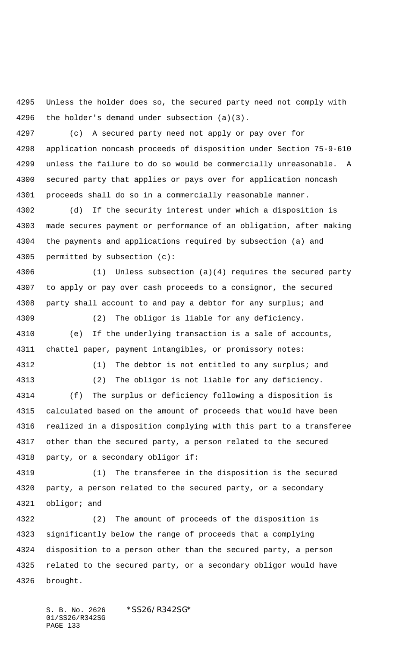Unless the holder does so, the secured party need not comply with the holder's demand under subsection (a)(3).

 (c) A secured party need not apply or pay over for application noncash proceeds of disposition under Section 75-9-610 unless the failure to do so would be commercially unreasonable. A secured party that applies or pays over for application noncash proceeds shall do so in a commercially reasonable manner.

 (d) If the security interest under which a disposition is made secures payment or performance of an obligation, after making the payments and applications required by subsection (a) and permitted by subsection (c):

 (1) Unless subsection (a)(4) requires the secured party to apply or pay over cash proceeds to a consignor, the secured 4308 party shall account to and pay a debtor for any surplus; and

 (2) The obligor is liable for any deficiency. (e) If the underlying transaction is a sale of accounts, chattel paper, payment intangibles, or promissory notes:

4312 (1) The debtor is not entitled to any surplus; and (2) The obligor is not liable for any deficiency. (f) The surplus or deficiency following a disposition is calculated based on the amount of proceeds that would have been realized in a disposition complying with this part to a transferee

 other than the secured party, a person related to the secured party, or a secondary obligor if:

 (1) The transferee in the disposition is the secured party, a person related to the secured party, or a secondary obligor; and

 (2) The amount of proceeds of the disposition is significantly below the range of proceeds that a complying disposition to a person other than the secured party, a person related to the secured party, or a secondary obligor would have brought.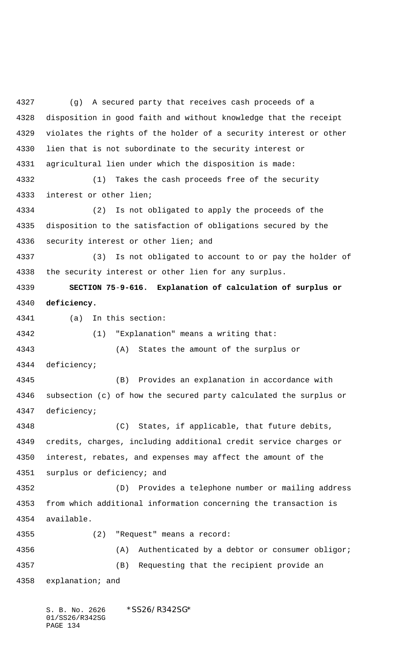(g) A secured party that receives cash proceeds of a disposition in good faith and without knowledge that the receipt violates the rights of the holder of a security interest or other lien that is not subordinate to the security interest or agricultural lien under which the disposition is made: (1) Takes the cash proceeds free of the security interest or other lien; (2) Is not obligated to apply the proceeds of the disposition to the satisfaction of obligations secured by the security interest or other lien; and (3) Is not obligated to account to or pay the holder of the security interest or other lien for any surplus. **SECTION 75**-**9-616. Explanation of calculation of surplus or deficiency.** (a) In this section: (1) "Explanation" means a writing that: (A) States the amount of the surplus or deficiency; (B) Provides an explanation in accordance with subsection (c) of how the secured party calculated the surplus or deficiency; (C) States, if applicable, that future debits, credits, charges, including additional credit service charges or interest, rebates, and expenses may affect the amount of the surplus or deficiency; and (D) Provides a telephone number or mailing address from which additional information concerning the transaction is available. (2) "Request" means a record: (A) Authenticated by a debtor or consumer obligor; (B) Requesting that the recipient provide an explanation; and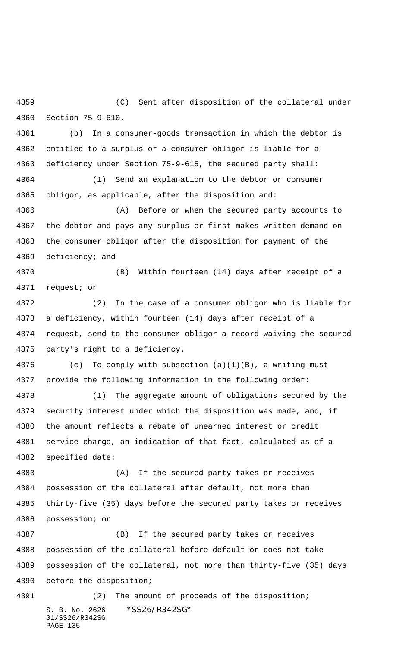(C) Sent after disposition of the collateral under Section 75-9-610.

 (b) In a consumer-goods transaction in which the debtor is entitled to a surplus or a consumer obligor is liable for a deficiency under Section 75-9-615, the secured party shall:

 (1) Send an explanation to the debtor or consumer obligor, as applicable, after the disposition and:

 (A) Before or when the secured party accounts to the debtor and pays any surplus or first makes written demand on the consumer obligor after the disposition for payment of the deficiency; and

 (B) Within fourteen (14) days after receipt of a request; or

 (2) In the case of a consumer obligor who is liable for a deficiency, within fourteen (14) days after receipt of a request, send to the consumer obligor a record waiving the secured party's right to a deficiency.

 (c) To comply with subsection (a)(1)(B), a writing must provide the following information in the following order:

 (1) The aggregate amount of obligations secured by the security interest under which the disposition was made, and, if the amount reflects a rebate of unearned interest or credit service charge, an indication of that fact, calculated as of a specified date:

 (A) If the secured party takes or receives possession of the collateral after default, not more than thirty-five (35) days before the secured party takes or receives possession; or

 (B) If the secured party takes or receives possession of the collateral before default or does not take possession of the collateral, not more than thirty-five (35) days before the disposition;

S. B. No. 2626 \*SS26/R342SG\* 01/SS26/R342SG PAGE 135 (2) The amount of proceeds of the disposition;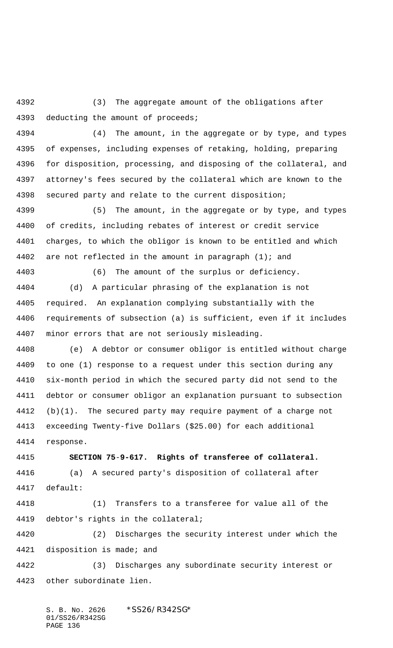(3) The aggregate amount of the obligations after deducting the amount of proceeds;

 (4) The amount, in the aggregate or by type, and types of expenses, including expenses of retaking, holding, preparing for disposition, processing, and disposing of the collateral, and attorney's fees secured by the collateral which are known to the secured party and relate to the current disposition;

 (5) The amount, in the aggregate or by type, and types of credits, including rebates of interest or credit service charges, to which the obligor is known to be entitled and which 4402 are not reflected in the amount in paragraph (1); and

 (6) The amount of the surplus or deficiency. (d) A particular phrasing of the explanation is not required. An explanation complying substantially with the requirements of subsection (a) is sufficient, even if it includes minor errors that are not seriously misleading.

 (e) A debtor or consumer obligor is entitled without charge to one (1) response to a request under this section during any six-month period in which the secured party did not send to the debtor or consumer obligor an explanation pursuant to subsection (b)(1). The secured party may require payment of a charge not exceeding Twenty-five Dollars (\$25.00) for each additional response.

 **SECTION 75**-**9-617. Rights of transferee of collateral.** (a) A secured party's disposition of collateral after default:

 (1) Transfers to a transferee for value all of the debtor's rights in the collateral;

 (2) Discharges the security interest under which the disposition is made; and

 (3) Discharges any subordinate security interest or other subordinate lien.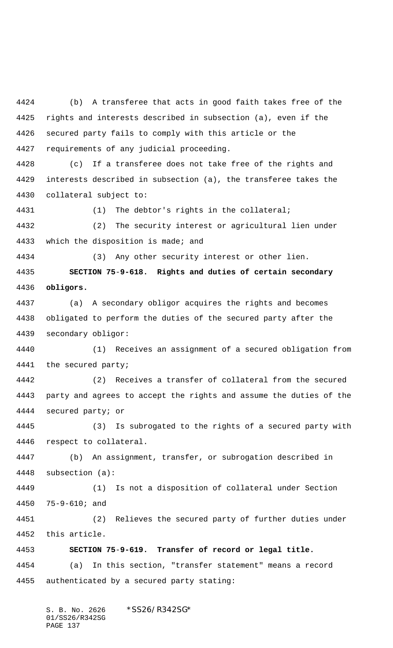(b) A transferee that acts in good faith takes free of the rights and interests described in subsection (a), even if the secured party fails to comply with this article or the requirements of any judicial proceeding.

 (c) If a transferee does not take free of the rights and interests described in subsection (a), the transferee takes the collateral subject to:

(1) The debtor's rights in the collateral;

 (2) The security interest or agricultural lien under which the disposition is made; and

(3) Any other security interest or other lien.

 **SECTION 75**-**9-618. Rights and duties of certain secondary obligors.**

 (a) A secondary obligor acquires the rights and becomes obligated to perform the duties of the secured party after the secondary obligor:

 (1) Receives an assignment of a secured obligation from 4441 the secured party;

 (2) Receives a transfer of collateral from the secured party and agrees to accept the rights and assume the duties of the secured party; or

 (3) Is subrogated to the rights of a secured party with respect to collateral.

 (b) An assignment, transfer, or subrogation described in subsection (a):

 (1) Is not a disposition of collateral under Section 75-9-610; and

 (2) Relieves the secured party of further duties under this article.

**SECTION 75**-**9-619. Transfer of record or legal title.**

 (a) In this section, "transfer statement" means a record authenticated by a secured party stating: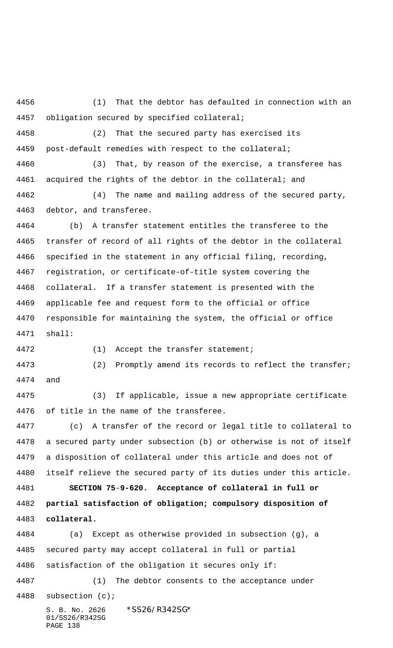(1) That the debtor has defaulted in connection with an obligation secured by specified collateral;

 (2) That the secured party has exercised its post-default remedies with respect to the collateral;

 (3) That, by reason of the exercise, a transferee has 4461 acquired the rights of the debtor in the collateral; and

 (4) The name and mailing address of the secured party, debtor, and transferee.

 (b) A transfer statement entitles the transferee to the transfer of record of all rights of the debtor in the collateral specified in the statement in any official filing, recording, registration, or certificate-of-title system covering the collateral. If a transfer statement is presented with the applicable fee and request form to the official or office responsible for maintaining the system, the official or office shall:

(1) Accept the transfer statement;

 (2) Promptly amend its records to reflect the transfer; and

 (3) If applicable, issue a new appropriate certificate of title in the name of the transferee.

 (c) A transfer of the record or legal title to collateral to a secured party under subsection (b) or otherwise is not of itself a disposition of collateral under this article and does not of itself relieve the secured party of its duties under this article.

 **SECTION 75**-**9-620. Acceptance of collateral in full or partial satisfaction of obligation; compulsory disposition of collateral.**

 (a) Except as otherwise provided in subsection (g), a secured party may accept collateral in full or partial satisfaction of the obligation it secures only if:

 (1) The debtor consents to the acceptance under subsection (c);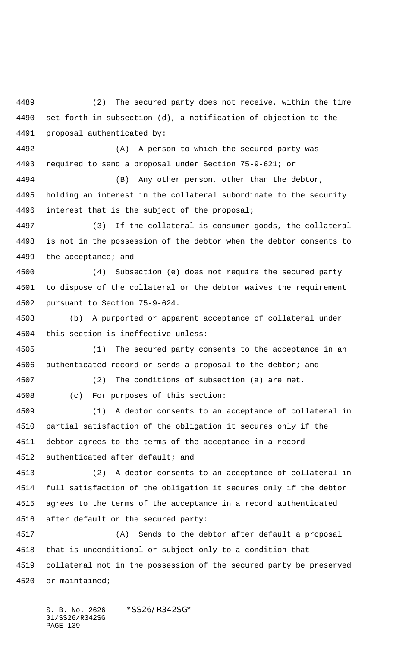(2) The secured party does not receive, within the time set forth in subsection (d), a notification of objection to the proposal authenticated by:

 (A) A person to which the secured party was required to send a proposal under Section 75-9-621; or

 (B) Any other person, other than the debtor, holding an interest in the collateral subordinate to the security interest that is the subject of the proposal;

 (3) If the collateral is consumer goods, the collateral is not in the possession of the debtor when the debtor consents to the acceptance; and

 (4) Subsection (e) does not require the secured party to dispose of the collateral or the debtor waives the requirement pursuant to Section 75-9-624.

 (b) A purported or apparent acceptance of collateral under this section is ineffective unless:

 (1) The secured party consents to the acceptance in an 4506 authenticated record or sends a proposal to the debtor; and

(2) The conditions of subsection (a) are met.

(c) For purposes of this section:

 (1) A debtor consents to an acceptance of collateral in partial satisfaction of the obligation it secures only if the debtor agrees to the terms of the acceptance in a record authenticated after default; and

 (2) A debtor consents to an acceptance of collateral in full satisfaction of the obligation it secures only if the debtor agrees to the terms of the acceptance in a record authenticated after default or the secured party:

 (A) Sends to the debtor after default a proposal that is unconditional or subject only to a condition that collateral not in the possession of the secured party be preserved or maintained;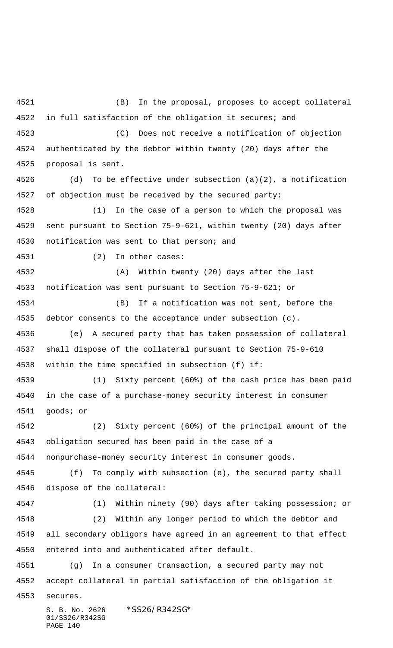S. B. No. 2626 \*SS26/R342SG\* 01/SS26/R342SG (B) In the proposal, proposes to accept collateral in full satisfaction of the obligation it secures; and (C) Does not receive a notification of objection authenticated by the debtor within twenty (20) days after the proposal is sent. (d) To be effective under subsection (a)(2), a notification of objection must be received by the secured party: (1) In the case of a person to which the proposal was sent pursuant to Section 75-9-621, within twenty (20) days after notification was sent to that person; and (2) In other cases: (A) Within twenty (20) days after the last notification was sent pursuant to Section 75-9-621; or (B) If a notification was not sent, before the debtor consents to the acceptance under subsection (c). (e) A secured party that has taken possession of collateral shall dispose of the collateral pursuant to Section 75-9-610 within the time specified in subsection (f) if: (1) Sixty percent (60%) of the cash price has been paid in the case of a purchase-money security interest in consumer goods; or (2) Sixty percent (60%) of the principal amount of the obligation secured has been paid in the case of a nonpurchase-money security interest in consumer goods. (f) To comply with subsection (e), the secured party shall dispose of the collateral: (1) Within ninety (90) days after taking possession; or (2) Within any longer period to which the debtor and all secondary obligors have agreed in an agreement to that effect entered into and authenticated after default. (g) In a consumer transaction, a secured party may not accept collateral in partial satisfaction of the obligation it secures.

PAGE 140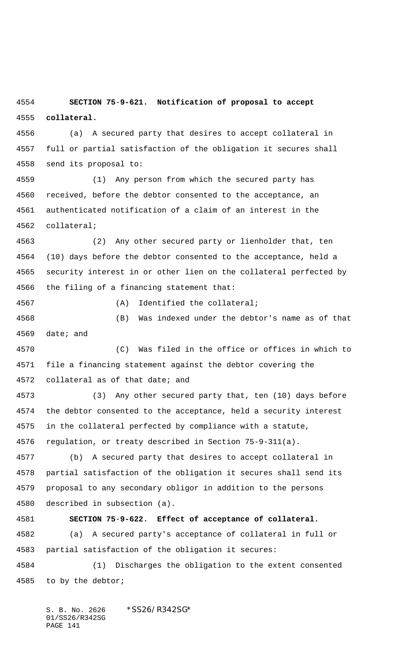**SECTION 75**-**9-621. Notification of proposal to accept collateral.**

 (a) A secured party that desires to accept collateral in full or partial satisfaction of the obligation it secures shall send its proposal to:

 (1) Any person from which the secured party has received, before the debtor consented to the acceptance, an authenticated notification of a claim of an interest in the collateral;

 (2) Any other secured party or lienholder that, ten (10) days before the debtor consented to the acceptance, held a security interest in or other lien on the collateral perfected by the filing of a financing statement that:

(A) Identified the collateral;

 (B) Was indexed under the debtor's name as of that date; and

 (C) Was filed in the office or offices in which to file a financing statement against the debtor covering the collateral as of that date; and

 (3) Any other secured party that, ten (10) days before the debtor consented to the acceptance, held a security interest in the collateral perfected by compliance with a statute, regulation, or treaty described in Section 75-9-311(a).

 (b) A secured party that desires to accept collateral in partial satisfaction of the obligation it secures shall send its proposal to any secondary obligor in addition to the persons described in subsection (a).

 **SECTION 75**-**9-622. Effect of acceptance of collateral.** (a) A secured party's acceptance of collateral in full or partial satisfaction of the obligation it secures:

 (1) Discharges the obligation to the extent consented to by the debtor;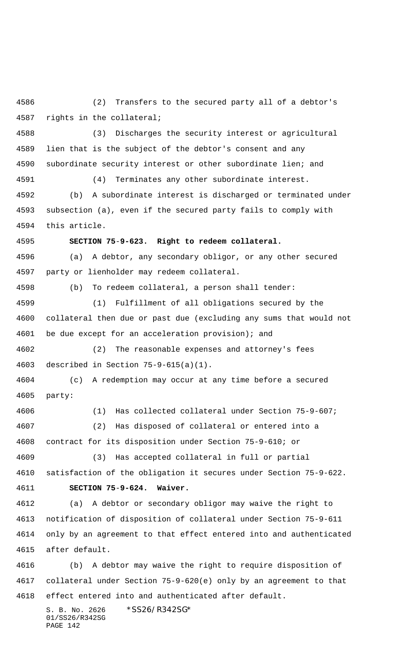(2) Transfers to the secured party all of a debtor's rights in the collateral; (3) Discharges the security interest or agricultural

 lien that is the subject of the debtor's consent and any subordinate security interest or other subordinate lien; and (4) Terminates any other subordinate interest.

 (b) A subordinate interest is discharged or terminated under subsection (a), even if the secured party fails to comply with this article.

**SECTION 75**-**9-623. Right to redeem collateral.**

 (a) A debtor, any secondary obligor, or any other secured party or lienholder may redeem collateral.

(b) To redeem collateral, a person shall tender:

 (1) Fulfillment of all obligations secured by the collateral then due or past due (excluding any sums that would not be due except for an acceleration provision); and

 (2) The reasonable expenses and attorney's fees described in Section 75-9-615(a)(1).

 (c) A redemption may occur at any time before a secured party:

 (1) Has collected collateral under Section 75-9-607; (2) Has disposed of collateral or entered into a contract for its disposition under Section 75-9-610; or

 (3) Has accepted collateral in full or partial satisfaction of the obligation it secures under Section 75-9-622.

**SECTION 75**-**9-624. Waiver.**

 (a) A debtor or secondary obligor may waive the right to notification of disposition of collateral under Section 75-9-611 only by an agreement to that effect entered into and authenticated after default.

 (b) A debtor may waive the right to require disposition of collateral under Section 75-9-620(e) only by an agreement to that effect entered into and authenticated after default.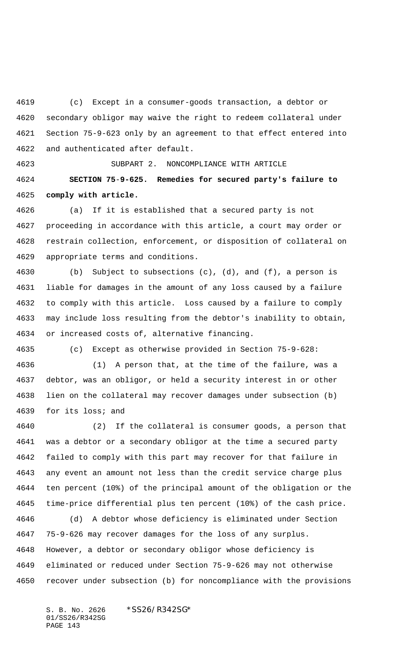(c) Except in a consumer-goods transaction, a debtor or secondary obligor may waive the right to redeem collateral under Section 75-9-623 only by an agreement to that effect entered into and authenticated after default.

 SUBPART 2. NONCOMPLIANCE WITH ARTICLE **SECTION 75**-**9-625. Remedies for secured party's failure to**

**comply with article.**

 (a) If it is established that a secured party is not proceeding in accordance with this article, a court may order or restrain collection, enforcement, or disposition of collateral on appropriate terms and conditions.

 (b) Subject to subsections (c), (d), and (f), a person is liable for damages in the amount of any loss caused by a failure to comply with this article. Loss caused by a failure to comply may include loss resulting from the debtor's inability to obtain, or increased costs of, alternative financing.

(c) Except as otherwise provided in Section 75-9-628:

 (1) A person that, at the time of the failure, was a debtor, was an obligor, or held a security interest in or other lien on the collateral may recover damages under subsection (b) for its loss; and

 (2) If the collateral is consumer goods, a person that was a debtor or a secondary obligor at the time a secured party failed to comply with this part may recover for that failure in any event an amount not less than the credit service charge plus ten percent (10%) of the principal amount of the obligation or the time-price differential plus ten percent (10%) of the cash price. (d) A debtor whose deficiency is eliminated under Section 75-9-626 may recover damages for the loss of any surplus. However, a debtor or secondary obligor whose deficiency is eliminated or reduced under Section 75-9-626 may not otherwise recover under subsection (b) for noncompliance with the provisions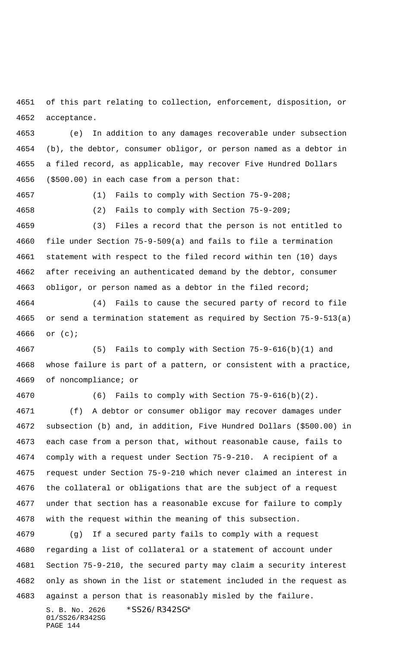of this part relating to collection, enforcement, disposition, or acceptance.

 (e) In addition to any damages recoverable under subsection (b), the debtor, consumer obligor, or person named as a debtor in a filed record, as applicable, may recover Five Hundred Dollars (\$500.00) in each case from a person that:

 (1) Fails to comply with Section 75-9-208; (2) Fails to comply with Section 75-9-209;

 (3) Files a record that the person is not entitled to file under Section 75-9-509(a) and fails to file a termination statement with respect to the filed record within ten (10) days after receiving an authenticated demand by the debtor, consumer obligor, or person named as a debtor in the filed record;

 (4) Fails to cause the secured party of record to file or send a termination statement as required by Section 75-9-513(a) or (c);

 (5) Fails to comply with Section 75-9-616(b)(1) and whose failure is part of a pattern, or consistent with a practice, of noncompliance; or

(6) Fails to comply with Section 75-9-616(b)(2).

 (f) A debtor or consumer obligor may recover damages under subsection (b) and, in addition, Five Hundred Dollars (\$500.00) in each case from a person that, without reasonable cause, fails to comply with a request under Section 75-9-210. A recipient of a request under Section 75-9-210 which never claimed an interest in the collateral or obligations that are the subject of a request under that section has a reasonable excuse for failure to comply with the request within the meaning of this subsection.

 (g) If a secured party fails to comply with a request regarding a list of collateral or a statement of account under Section 75-9-210, the secured party may claim a security interest only as shown in the list or statement included in the request as against a person that is reasonably misled by the failure.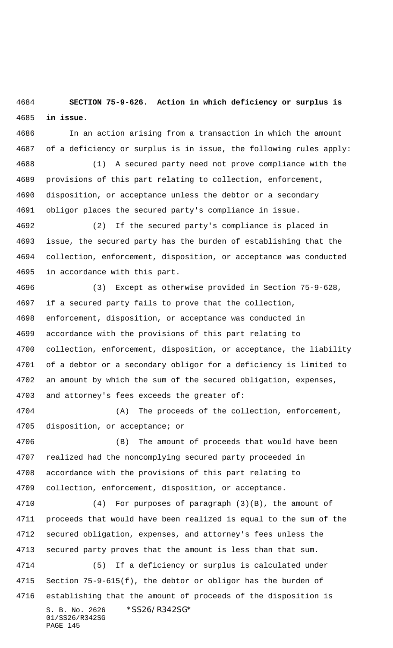**SECTION 75-9-626. Action in which deficiency or surplus is in issue.**

 In an action arising from a transaction in which the amount of a deficiency or surplus is in issue, the following rules apply:

 (1) A secured party need not prove compliance with the provisions of this part relating to collection, enforcement, disposition, or acceptance unless the debtor or a secondary obligor places the secured party's compliance in issue.

 (2) If the secured party's compliance is placed in issue, the secured party has the burden of establishing that the collection, enforcement, disposition, or acceptance was conducted in accordance with this part.

 (3) Except as otherwise provided in Section 75-9-628, if a secured party fails to prove that the collection, enforcement, disposition, or acceptance was conducted in accordance with the provisions of this part relating to collection, enforcement, disposition, or acceptance, the liability of a debtor or a secondary obligor for a deficiency is limited to an amount by which the sum of the secured obligation, expenses, and attorney's fees exceeds the greater of:

 (A) The proceeds of the collection, enforcement, disposition, or acceptance; or

 (B) The amount of proceeds that would have been realized had the noncomplying secured party proceeded in accordance with the provisions of this part relating to collection, enforcement, disposition, or acceptance.

 (4) For purposes of paragraph (3)(B), the amount of proceeds that would have been realized is equal to the sum of the secured obligation, expenses, and attorney's fees unless the secured party proves that the amount is less than that sum. (5) If a deficiency or surplus is calculated under Section 75-9-615(f), the debtor or obligor has the burden of

S. B. No. 2626 \*SS26/R342SG\* 01/SS26/R342SG establishing that the amount of proceeds of the disposition is

```
PAGE 145
```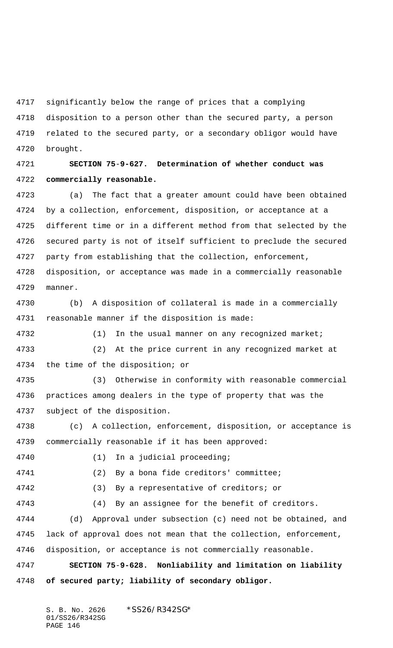significantly below the range of prices that a complying disposition to a person other than the secured party, a person related to the secured party, or a secondary obligor would have brought.

 **SECTION 75**-**9-627. Determination of whether conduct was commercially reasonable.**

 (a) The fact that a greater amount could have been obtained by a collection, enforcement, disposition, or acceptance at a different time or in a different method from that selected by the secured party is not of itself sufficient to preclude the secured party from establishing that the collection, enforcement,

 disposition, or acceptance was made in a commercially reasonable manner.

 (b) A disposition of collateral is made in a commercially reasonable manner if the disposition is made:

4732 (1) In the usual manner on any recognized market; (2) At the price current in any recognized market at the time of the disposition; or

 (3) Otherwise in conformity with reasonable commercial practices among dealers in the type of property that was the subject of the disposition.

 (c) A collection, enforcement, disposition, or acceptance is commercially reasonable if it has been approved:

(1) In a judicial proceeding;

(2) By a bona fide creditors' committee;

(3) By a representative of creditors; or

(4) By an assignee for the benefit of creditors.

 (d) Approval under subsection (c) need not be obtained, and lack of approval does not mean that the collection, enforcement, disposition, or acceptance is not commercially reasonable.

 **SECTION 75**-**9-628. Nonliability and limitation on liability of secured party; liability of secondary obligor.**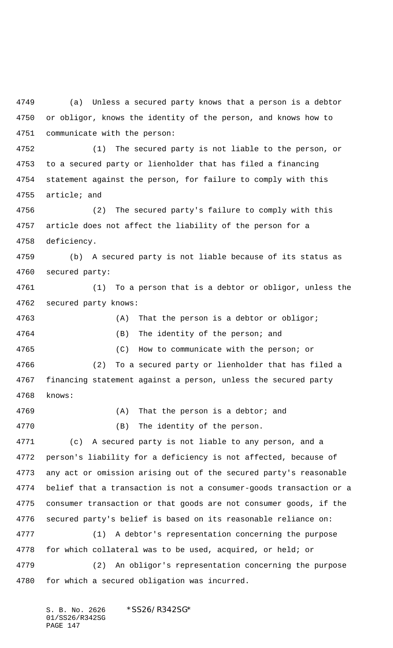(a) Unless a secured party knows that a person is a debtor or obligor, knows the identity of the person, and knows how to communicate with the person:

 (1) The secured party is not liable to the person, or to a secured party or lienholder that has filed a financing statement against the person, for failure to comply with this article; and

 (2) The secured party's failure to comply with this article does not affect the liability of the person for a deficiency.

 (b) A secured party is not liable because of its status as secured party:

 (1) To a person that is a debtor or obligor, unless the secured party knows:

 (A) That the person is a debtor or obligor; (B) The identity of the person; and (C) How to communicate with the person; or (2) To a secured party or lienholder that has filed a

 financing statement against a person, unless the secured party knows:

```
4769 (A) That the person is a debtor; and
4770 (B) The identity of the person.
```
 (c) A secured party is not liable to any person, and a person's liability for a deficiency is not affected, because of any act or omission arising out of the secured party's reasonable belief that a transaction is not a consumer-goods transaction or a consumer transaction or that goods are not consumer goods, if the secured party's belief is based on its reasonable reliance on:

 (1) A debtor's representation concerning the purpose for which collateral was to be used, acquired, or held; or (2) An obligor's representation concerning the purpose

for which a secured obligation was incurred.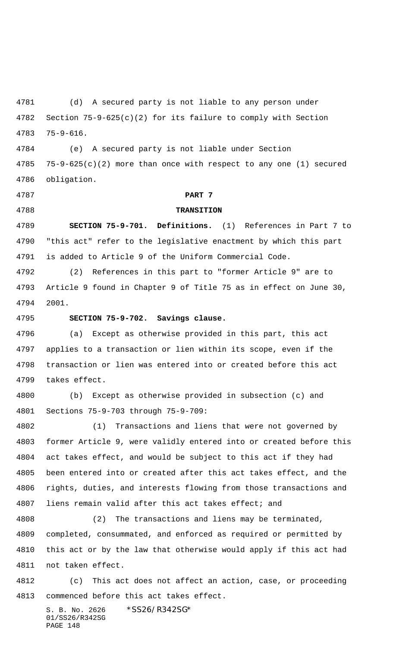(d) A secured party is not liable to any person under Section 75-9-625(c)(2) for its failure to comply with Section 75-9-616.

 (e) A secured party is not liable under Section 75-9-625(c)(2) more than once with respect to any one (1) secured obligation.

**PART 7**

## **TRANSITION**

 **SECTION 75-9-701. Definitions.** (1) References in Part 7 to "this act" refer to the legislative enactment by which this part is added to Article 9 of the Uniform Commercial Code.

 (2) References in this part to "former Article 9" are to Article 9 found in Chapter 9 of Title 75 as in effect on June 30, 2001.

**SECTION 75-9-702. Savings clause.**

 (a) Except as otherwise provided in this part, this act applies to a transaction or lien within its scope, even if the transaction or lien was entered into or created before this act takes effect.

 (b) Except as otherwise provided in subsection (c) and Sections 75-9-703 through 75-9-709:

 (1) Transactions and liens that were not governed by former Article 9, were validly entered into or created before this act takes effect, and would be subject to this act if they had been entered into or created after this act takes effect, and the rights, duties, and interests flowing from those transactions and liens remain valid after this act takes effect; and

 (2) The transactions and liens may be terminated, completed, consummated, and enforced as required or permitted by this act or by the law that otherwise would apply if this act had not taken effect.

 (c) This act does not affect an action, case, or proceeding commenced before this act takes effect.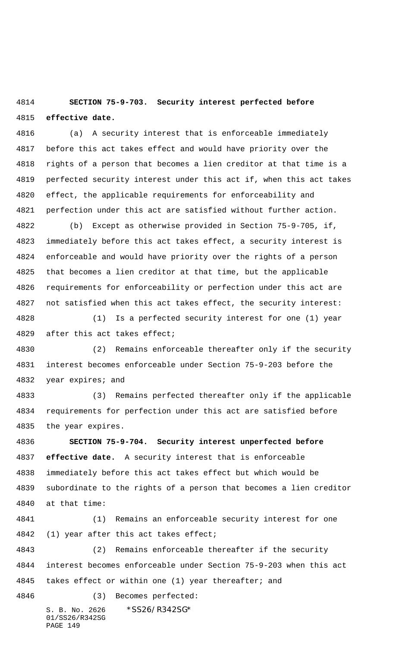## **SECTION 75-9-703. Security interest perfected before effective date.**

 (a) A security interest that is enforceable immediately before this act takes effect and would have priority over the rights of a person that becomes a lien creditor at that time is a perfected security interest under this act if, when this act takes effect, the applicable requirements for enforceability and perfection under this act are satisfied without further action.

 (b) Except as otherwise provided in Section 75-9-705, if, immediately before this act takes effect, a security interest is enforceable and would have priority over the rights of a person that becomes a lien creditor at that time, but the applicable requirements for enforceability or perfection under this act are not satisfied when this act takes effect, the security interest:

 (1) Is a perfected security interest for one (1) year after this act takes effect;

 (2) Remains enforceable thereafter only if the security interest becomes enforceable under Section 75-9-203 before the year expires; and

 (3) Remains perfected thereafter only if the applicable requirements for perfection under this act are satisfied before the year expires.

 **SECTION 75-9-704. Security interest unperfected before effective date.** A security interest that is enforceable immediately before this act takes effect but which would be subordinate to the rights of a person that becomes a lien creditor at that time:

 (1) Remains an enforceable security interest for one 4842 (1) year after this act takes effect;

 (2) Remains enforceable thereafter if the security interest becomes enforceable under Section 75-9-203 when this act 4845 takes effect or within one (1) year thereafter; and

(3) Becomes perfected: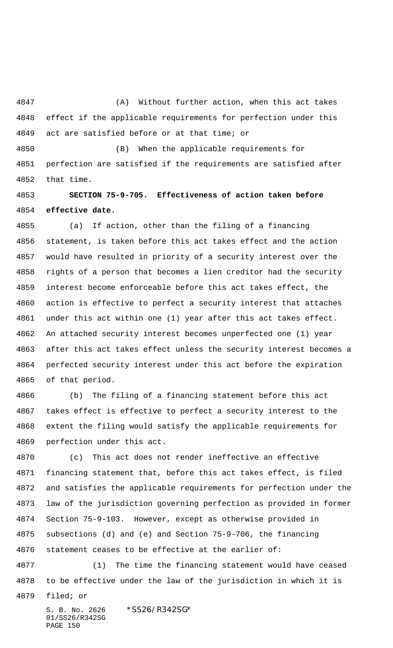(A) Without further action, when this act takes effect if the applicable requirements for perfection under this act are satisfied before or at that time; or

 (B) When the applicable requirements for perfection are satisfied if the requirements are satisfied after that time.

 **SECTION 75-9-705. Effectiveness of action taken before effective date.**

 (a) If action, other than the filing of a financing statement, is taken before this act takes effect and the action would have resulted in priority of a security interest over the rights of a person that becomes a lien creditor had the security interest become enforceable before this act takes effect, the action is effective to perfect a security interest that attaches under this act within one (1) year after this act takes effect. An attached security interest becomes unperfected one (1) year after this act takes effect unless the security interest becomes a perfected security interest under this act before the expiration of that period.

 (b) The filing of a financing statement before this act takes effect is effective to perfect a security interest to the extent the filing would satisfy the applicable requirements for perfection under this act.

 (c) This act does not render ineffective an effective financing statement that, before this act takes effect, is filed and satisfies the applicable requirements for perfection under the law of the jurisdiction governing perfection as provided in former Section 75-9-103. However, except as otherwise provided in subsections (d) and (e) and Section 75-9-706, the financing statement ceases to be effective at the earlier of:

 (1) The time the financing statement would have ceased to be effective under the law of the jurisdiction in which it is

filed; or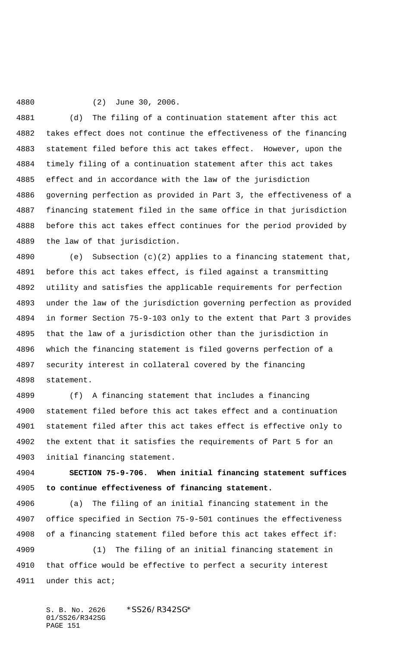(2) June 30, 2006.

 (d) The filing of a continuation statement after this act takes effect does not continue the effectiveness of the financing statement filed before this act takes effect. However, upon the timely filing of a continuation statement after this act takes effect and in accordance with the law of the jurisdiction governing perfection as provided in Part 3, the effectiveness of a financing statement filed in the same office in that jurisdiction before this act takes effect continues for the period provided by the law of that jurisdiction.

 (e) Subsection (c)(2) applies to a financing statement that, before this act takes effect, is filed against a transmitting utility and satisfies the applicable requirements for perfection under the law of the jurisdiction governing perfection as provided in former Section 75-9-103 only to the extent that Part 3 provides that the law of a jurisdiction other than the jurisdiction in which the financing statement is filed governs perfection of a security interest in collateral covered by the financing statement.

 (f) A financing statement that includes a financing statement filed before this act takes effect and a continuation statement filed after this act takes effect is effective only to the extent that it satisfies the requirements of Part 5 for an initial financing statement.

 **SECTION 75-9-706. When initial financing statement suffices to continue effectiveness of financing statement.**

 (a) The filing of an initial financing statement in the office specified in Section 75-9-501 continues the effectiveness of a financing statement filed before this act takes effect if: (1) The filing of an initial financing statement in

 that office would be effective to perfect a security interest under this act;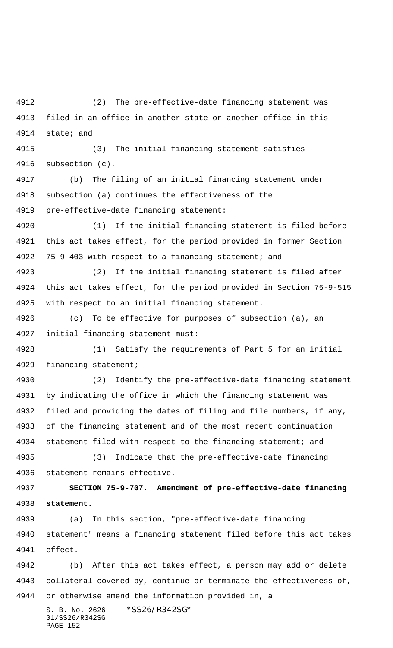(2) The pre-effective-date financing statement was filed in an office in another state or another office in this state; and

 (3) The initial financing statement satisfies subsection (c).

 (b) The filing of an initial financing statement under subsection (a) continues the effectiveness of the pre-effective-date financing statement:

 (1) If the initial financing statement is filed before this act takes effect, for the period provided in former Section 75-9-403 with respect to a financing statement; and

 (2) If the initial financing statement is filed after this act takes effect, for the period provided in Section 75-9-515 with respect to an initial financing statement.

 (c) To be effective for purposes of subsection (a), an initial financing statement must:

 (1) Satisfy the requirements of Part 5 for an initial financing statement;

 (2) Identify the pre-effective-date financing statement by indicating the office in which the financing statement was filed and providing the dates of filing and file numbers, if any, of the financing statement and of the most recent continuation statement filed with respect to the financing statement; and (3) Indicate that the pre-effective-date financing

statement remains effective.

 **SECTION 75-9-707. Amendment of pre-effective-date financing statement.**

 (a) In this section, "pre-effective-date financing statement" means a financing statement filed before this act takes effect.

 (b) After this act takes effect, a person may add or delete collateral covered by, continue or terminate the effectiveness of, or otherwise amend the information provided in, a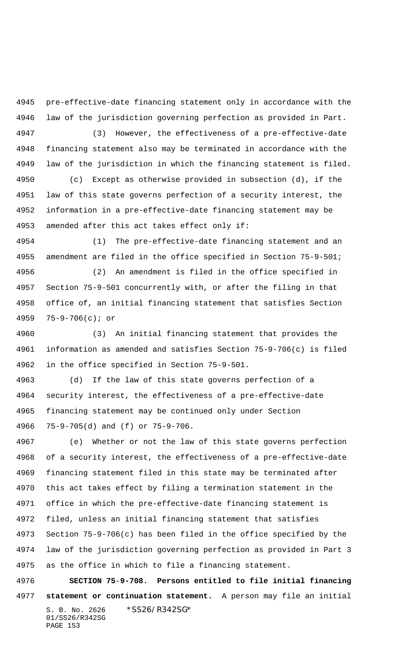pre-effective-date financing statement only in accordance with the law of the jurisdiction governing perfection as provided in Part.

 (3) However, the effectiveness of a pre-effective-date financing statement also may be terminated in accordance with the law of the jurisdiction in which the financing statement is filed. (c) Except as otherwise provided in subsection (d), if the law of this state governs perfection of a security interest, the information in a pre-effective-date financing statement may be

amended after this act takes effect only if:

 (1) The pre-effective-date financing statement and an amendment are filed in the office specified in Section 75-9-501;

 (2) An amendment is filed in the office specified in Section 75-9-501 concurrently with, or after the filing in that office of, an initial financing statement that satisfies Section 75-9-706(c); or

 (3) An initial financing statement that provides the information as amended and satisfies Section 75-9-706(c) is filed in the office specified in Section 75-9-501.

 (d) If the law of this state governs perfection of a security interest, the effectiveness of a pre-effective-date financing statement may be continued only under Section 75-9-705(d) and (f) or 75-9-706.

 (e) Whether or not the law of this state governs perfection of a security interest, the effectiveness of a pre-effective-date financing statement filed in this state may be terminated after this act takes effect by filing a termination statement in the office in which the pre-effective-date financing statement is filed, unless an initial financing statement that satisfies Section 75-9-706(c) has been filed in the office specified by the law of the jurisdiction governing perfection as provided in Part 3 as the office in which to file a financing statement.

S. B. No. 2626 \*SS26/R342SG\* **SECTION 75**-**9-708. Persons entitled to file initial financing statement or continuation statement.** A person may file an initial

01/SS26/R342SG PAGE 153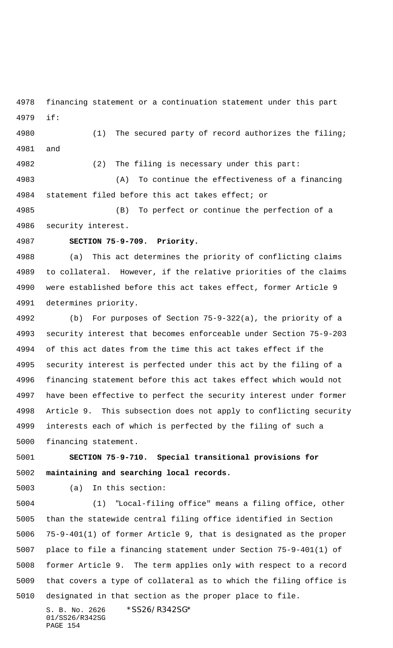financing statement or a continuation statement under this part if:

 (1) The secured party of record authorizes the filing; and

(2) The filing is necessary under this part:

 (A) To continue the effectiveness of a financing statement filed before this act takes effect; or

 (B) To perfect or continue the perfection of a security interest.

**SECTION 75**-**9-709. Priority.**

 (a) This act determines the priority of conflicting claims to collateral. However, if the relative priorities of the claims were established before this act takes effect, former Article 9 determines priority.

 (b) For purposes of Section 75-9-322(a), the priority of a security interest that becomes enforceable under Section 75-9-203 of this act dates from the time this act takes effect if the security interest is perfected under this act by the filing of a financing statement before this act takes effect which would not have been effective to perfect the security interest under former Article 9. This subsection does not apply to conflicting security interests each of which is perfected by the filing of such a financing statement.

 **SECTION 75**-**9-710. Special transitional provisions for maintaining and searching local records.**

(a) In this section:

 (1) "Local-filing office" means a filing office, other than the statewide central filing office identified in Section 75-9-401(1) of former Article 9, that is designated as the proper place to file a financing statement under Section 75-9-401(1) of former Article 9. The term applies only with respect to a record that covers a type of collateral as to which the filing office is designated in that section as the proper place to file.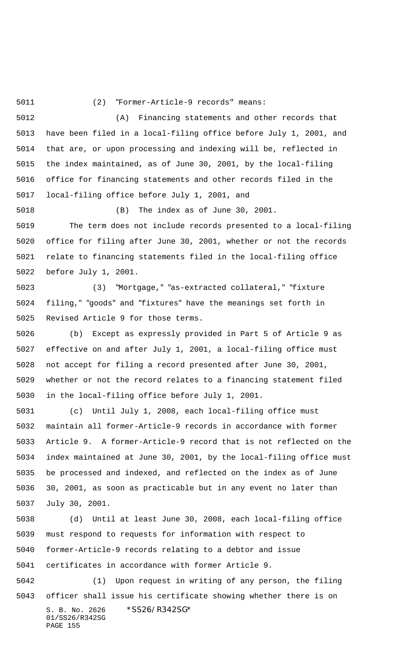(2) "Former-Article-9 records" means:

 (A) Financing statements and other records that have been filed in a local-filing office before July 1, 2001, and that are, or upon processing and indexing will be, reflected in the index maintained, as of June 30, 2001, by the local-filing office for financing statements and other records filed in the local-filing office before July 1, 2001, and

 (B) The index as of June 30, 2001. The term does not include records presented to a local-filing office for filing after June 30, 2001, whether or not the records relate to financing statements filed in the local-filing office before July 1, 2001.

 (3) "Mortgage," "as-extracted collateral," "fixture filing," "goods" and "fixtures" have the meanings set forth in Revised Article 9 for those terms.

 (b) Except as expressly provided in Part 5 of Article 9 as effective on and after July 1, 2001, a local-filing office must not accept for filing a record presented after June 30, 2001, whether or not the record relates to a financing statement filed in the local-filing office before July 1, 2001.

 (c) Until July 1, 2008, each local-filing office must maintain all former-Article-9 records in accordance with former Article 9. A former-Article-9 record that is not reflected on the index maintained at June 30, 2001, by the local-filing office must be processed and indexed, and reflected on the index as of June 30, 2001, as soon as practicable but in any event no later than July 30, 2001.

 (d) Until at least June 30, 2008, each local-filing office must respond to requests for information with respect to former-Article-9 records relating to a debtor and issue certificates in accordance with former Article 9.

S. B. No. 2626 \*SS26/R342SG\* 01/SS26/R342SG PAGE 155 (1) Upon request in writing of any person, the filing officer shall issue his certificate showing whether there is on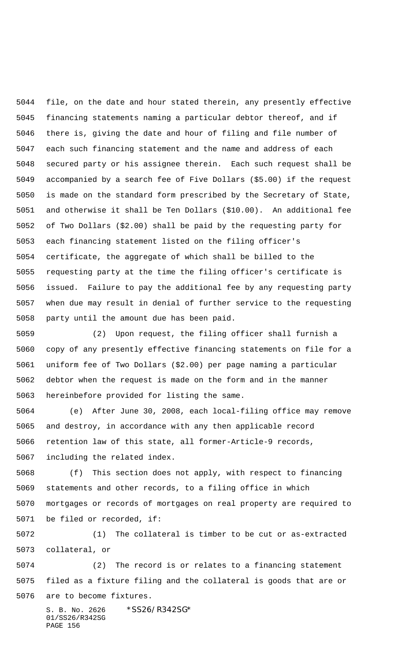file, on the date and hour stated therein, any presently effective financing statements naming a particular debtor thereof, and if there is, giving the date and hour of filing and file number of each such financing statement and the name and address of each secured party or his assignee therein. Each such request shall be accompanied by a search fee of Five Dollars (\$5.00) if the request is made on the standard form prescribed by the Secretary of State, and otherwise it shall be Ten Dollars (\$10.00). An additional fee of Two Dollars (\$2.00) shall be paid by the requesting party for each financing statement listed on the filing officer's certificate, the aggregate of which shall be billed to the requesting party at the time the filing officer's certificate is issued. Failure to pay the additional fee by any requesting party when due may result in denial of further service to the requesting party until the amount due has been paid.

 (2) Upon request, the filing officer shall furnish a copy of any presently effective financing statements on file for a uniform fee of Two Dollars (\$2.00) per page naming a particular debtor when the request is made on the form and in the manner hereinbefore provided for listing the same.

 (e) After June 30, 2008, each local-filing office may remove and destroy, in accordance with any then applicable record retention law of this state, all former-Article-9 records, including the related index.

 (f) This section does not apply, with respect to financing statements and other records, to a filing office in which mortgages or records of mortgages on real property are required to be filed or recorded, if:

 (1) The collateral is timber to be cut or as-extracted collateral, or

 (2) The record is or relates to a financing statement filed as a fixture filing and the collateral is goods that are or are to become fixtures.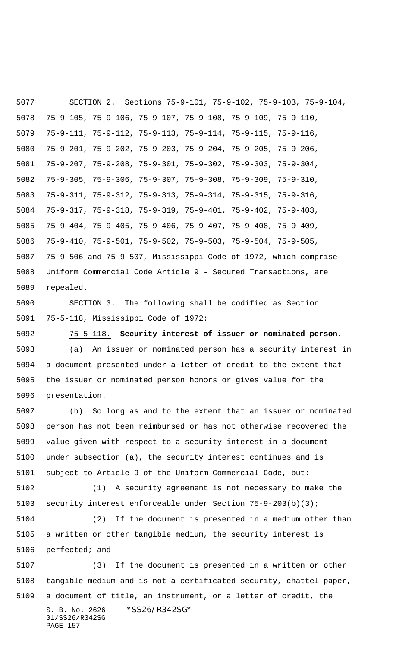SECTION 2. Sections 75-9-101, 75-9-102, 75-9-103, 75-9-104, 75-9-105, 75-9-106, 75-9-107, 75-9-108, 75-9-109, 75-9-110, 75-9-111, 75-9-112, 75-9-113, 75-9-114, 75-9-115, 75-9-116, 75-9-201, 75-9-202, 75-9-203, 75-9-204, 75-9-205, 75-9-206, 75-9-207, 75-9-208, 75-9-301, 75-9-302, 75-9-303, 75-9-304, 75-9-305, 75-9-306, 75-9-307, 75-9-308, 75-9-309, 75-9-310, 75-9-311, 75-9-312, 75-9-313, 75-9-314, 75-9-315, 75-9-316, 75-9-317, 75-9-318, 75-9-319, 75-9-401, 75-9-402, 75-9-403, 75-9-404, 75-9-405, 75-9-406, 75-9-407, 75-9-408, 75-9-409, 75-9-410, 75-9-501, 75-9-502, 75-9-503, 75-9-504, 75-9-505, 75-9-506 and 75-9-507, Mississippi Code of 1972, which comprise Uniform Commercial Code Article 9 - Secured Transactions, are repealed.

 SECTION 3. The following shall be codified as Section 75-5-118, Mississippi Code of 1972:

75-5-118. **Security interest of issuer or nominated person.**

 (a) An issuer or nominated person has a security interest in a document presented under a letter of credit to the extent that the issuer or nominated person honors or gives value for the presentation.

 (b) So long as and to the extent that an issuer or nominated person has not been reimbursed or has not otherwise recovered the value given with respect to a security interest in a document under subsection (a), the security interest continues and is subject to Article 9 of the Uniform Commercial Code, but:

 (1) A security agreement is not necessary to make the security interest enforceable under Section 75-9-203(b)(3);

 (2) If the document is presented in a medium other than a written or other tangible medium, the security interest is perfected; and

S. B. No. 2626 \*SS26/R342SG\* 01/SS26/R342SG PAGE 157 (3) If the document is presented in a written or other tangible medium and is not a certificated security, chattel paper, a document of title, an instrument, or a letter of credit, the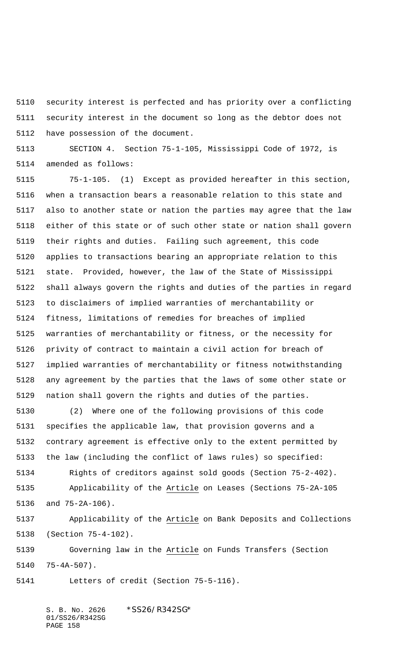security interest is perfected and has priority over a conflicting security interest in the document so long as the debtor does not have possession of the document.

 SECTION 4. Section 75-1-105, Mississippi Code of 1972, is amended as follows:

 75-1-105. (1) Except as provided hereafter in this section, when a transaction bears a reasonable relation to this state and also to another state or nation the parties may agree that the law either of this state or of such other state or nation shall govern their rights and duties. Failing such agreement, this code applies to transactions bearing an appropriate relation to this state. Provided, however, the law of the State of Mississippi shall always govern the rights and duties of the parties in regard to disclaimers of implied warranties of merchantability or fitness, limitations of remedies for breaches of implied warranties of merchantability or fitness, or the necessity for privity of contract to maintain a civil action for breach of implied warranties of merchantability or fitness notwithstanding any agreement by the parties that the laws of some other state or nation shall govern the rights and duties of the parties.

 (2) Where one of the following provisions of this code specifies the applicable law, that provision governs and a contrary agreement is effective only to the extent permitted by the law (including the conflict of laws rules) so specified:

 Rights of creditors against sold goods (Section 75-2-402). Applicability of the Article on Leases (Sections 75-2A-105 and 75-2A-106).

 Applicability of the Article on Bank Deposits and Collections (Section 75-4-102).

 Governing law in the Article on Funds Transfers (Section 75-4A-507).

Letters of credit (Section 75-5-116).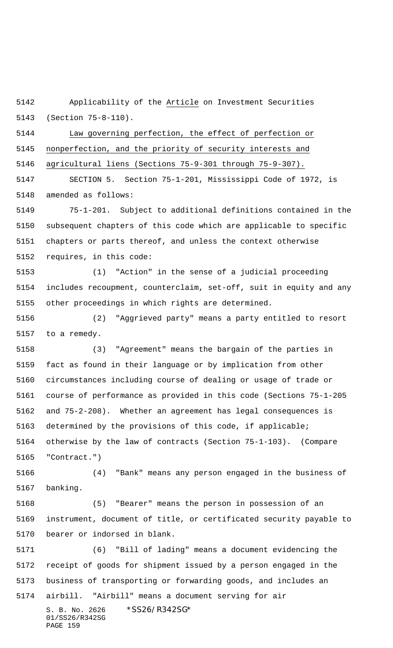Applicability of the Article on Investment Securities (Section 75-8-110).

 Law governing perfection, the effect of perfection or nonperfection, and the priority of security interests and

agricultural liens (Sections 75-9-301 through 75-9-307).

 SECTION 5. Section 75-1-201, Mississippi Code of 1972, is amended as follows:

 75-1-201. Subject to additional definitions contained in the subsequent chapters of this code which are applicable to specific chapters or parts thereof, and unless the context otherwise requires, in this code:

 (1) "Action" in the sense of a judicial proceeding includes recoupment, counterclaim, set-off, suit in equity and any other proceedings in which rights are determined.

 (2) "Aggrieved party" means a party entitled to resort to a remedy.

 (3) "Agreement" means the bargain of the parties in fact as found in their language or by implication from other circumstances including course of dealing or usage of trade or course of performance as provided in this code (Sections 75-1-205 and 75-2-208). Whether an agreement has legal consequences is determined by the provisions of this code, if applicable; otherwise by the law of contracts (Section 75-1-103). (Compare "Contract.")

 (4) "Bank" means any person engaged in the business of banking.

 (5) "Bearer" means the person in possession of an instrument, document of title, or certificated security payable to bearer or indorsed in blank.

S. B. No. 2626 \*SS26/R342SG\* (6) "Bill of lading" means a document evidencing the receipt of goods for shipment issued by a person engaged in the business of transporting or forwarding goods, and includes an airbill. "Airbill" means a document serving for air

01/SS26/R342SG PAGE 159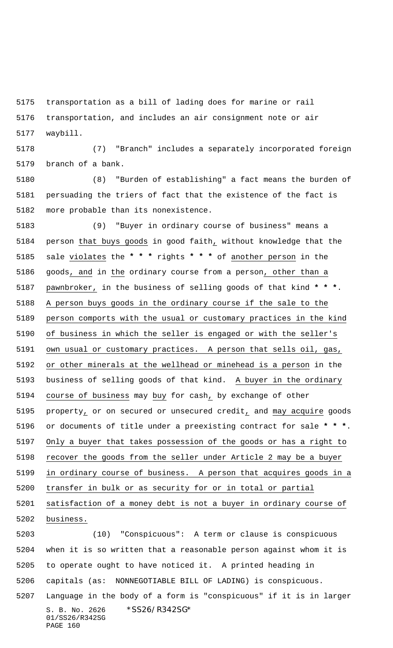transportation as a bill of lading does for marine or rail transportation, and includes an air consignment note or air waybill.

 (7) "Branch" includes a separately incorporated foreign branch of a bank.

 (8) "Burden of establishing" a fact means the burden of persuading the triers of fact that the existence of the fact is more probable than its nonexistence.

 (9) "Buyer in ordinary course of business" means a person that buys goods in good faith, without knowledge that the sale violates the **\* \* \*** rights **\* \* \*** of another person in the goods, and in the ordinary course from a person, other than a pawnbroker, in the business of selling goods of that kind **\* \* \***. A person buys goods in the ordinary course if the sale to the person comports with the usual or customary practices in the kind of business in which the seller is engaged or with the seller's 5191 own usual or customary practices. A person that sells oil, gas, or other minerals at the wellhead or minehead is a person in the business of selling goods of that kind. A buyer in the ordinary course of business may buy for cash, by exchange of other 5195 property, or on secured or unsecured credit, and  $\frac{may}{may}$  acquire goods or documents of title under a preexisting contract for sale **\* \* \***. Only a buyer that takes possession of the goods or has a right to recover the goods from the seller under Article 2 may be a buyer in ordinary course of business. A person that acquires goods in a transfer in bulk or as security for or in total or partial satisfaction of a money debt is not a buyer in ordinary course of business.

S. B. No. 2626 \*SS26/R342SG\* 01/SS26/R342SG PAGE 160 (10) "Conspicuous": A term or clause is conspicuous when it is so written that a reasonable person against whom it is to operate ought to have noticed it. A printed heading in capitals (as: NONNEGOTIABLE BILL OF LADING) is conspicuous. Language in the body of a form is "conspicuous" if it is in larger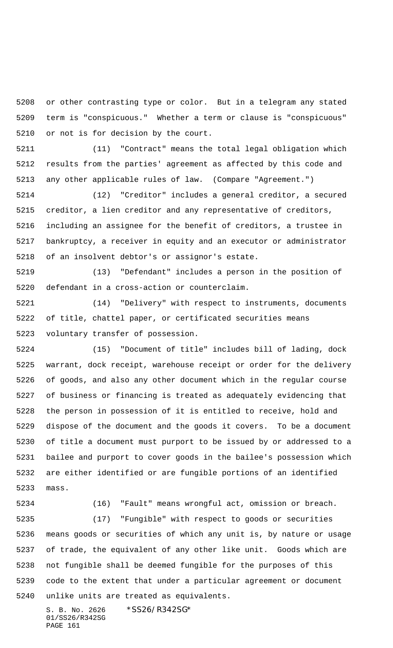or other contrasting type or color. But in a telegram any stated term is "conspicuous." Whether a term or clause is "conspicuous" or not is for decision by the court.

 (11) "Contract" means the total legal obligation which results from the parties' agreement as affected by this code and any other applicable rules of law. (Compare "Agreement.")

 (12) "Creditor" includes a general creditor, a secured creditor, a lien creditor and any representative of creditors, including an assignee for the benefit of creditors, a trustee in bankruptcy, a receiver in equity and an executor or administrator of an insolvent debtor's or assignor's estate.

 (13) "Defendant" includes a person in the position of defendant in a cross-action or counterclaim.

 (14) "Delivery" with respect to instruments, documents of title, chattel paper, or certificated securities means voluntary transfer of possession.

 (15) "Document of title" includes bill of lading, dock warrant, dock receipt, warehouse receipt or order for the delivery of goods, and also any other document which in the regular course of business or financing is treated as adequately evidencing that the person in possession of it is entitled to receive, hold and dispose of the document and the goods it covers. To be a document of title a document must purport to be issued by or addressed to a bailee and purport to cover goods in the bailee's possession which are either identified or are fungible portions of an identified mass.

 (16) "Fault" means wrongful act, omission or breach. (17) "Fungible" with respect to goods or securities means goods or securities of which any unit is, by nature or usage of trade, the equivalent of any other like unit. Goods which are not fungible shall be deemed fungible for the purposes of this code to the extent that under a particular agreement or document unlike units are treated as equivalents.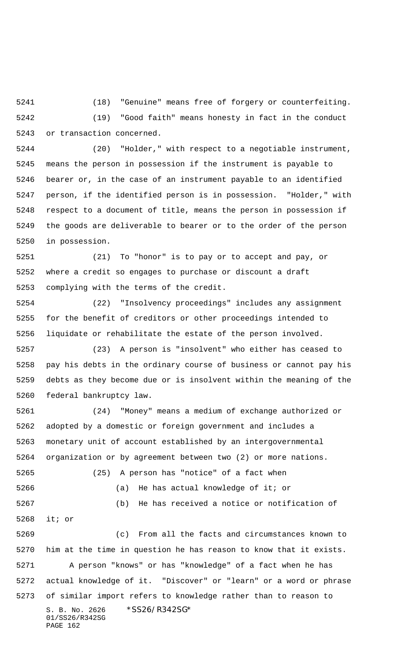(18) "Genuine" means free of forgery or counterfeiting.

 (19) "Good faith" means honesty in fact in the conduct or transaction concerned.

 (20) "Holder," with respect to a negotiable instrument, means the person in possession if the instrument is payable to bearer or, in the case of an instrument payable to an identified person, if the identified person is in possession. "Holder," with respect to a document of title, means the person in possession if the goods are deliverable to bearer or to the order of the person in possession.

 (21) To "honor" is to pay or to accept and pay, or where a credit so engages to purchase or discount a draft complying with the terms of the credit.

 (22) "Insolvency proceedings" includes any assignment for the benefit of creditors or other proceedings intended to liquidate or rehabilitate the estate of the person involved.

 (23) A person is "insolvent" who either has ceased to pay his debts in the ordinary course of business or cannot pay his debts as they become due or is insolvent within the meaning of the federal bankruptcy law.

S. B. No. 2626 \*SS26/R342SG\* 01/SS26/R342SG (24) "Money" means a medium of exchange authorized or adopted by a domestic or foreign government and includes a monetary unit of account established by an intergovernmental organization or by agreement between two (2) or more nations. (25) A person has "notice" of a fact when (a) He has actual knowledge of it; or (b) He has received a notice or notification of it; or (c) From all the facts and circumstances known to him at the time in question he has reason to know that it exists. A person "knows" or has "knowledge" of a fact when he has actual knowledge of it. "Discover" or "learn" or a word or phrase of similar import refers to knowledge rather than to reason to

PAGE 162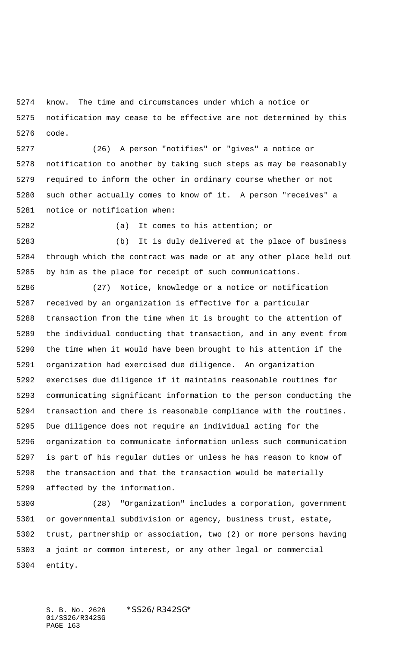know. The time and circumstances under which a notice or notification may cease to be effective are not determined by this code.

 (26) A person "notifies" or "gives" a notice or notification to another by taking such steps as may be reasonably required to inform the other in ordinary course whether or not such other actually comes to know of it. A person "receives" a notice or notification when:

(a) It comes to his attention; or

 (b) It is duly delivered at the place of business through which the contract was made or at any other place held out by him as the place for receipt of such communications.

 (27) Notice, knowledge or a notice or notification received by an organization is effective for a particular transaction from the time when it is brought to the attention of the individual conducting that transaction, and in any event from the time when it would have been brought to his attention if the organization had exercised due diligence. An organization exercises due diligence if it maintains reasonable routines for communicating significant information to the person conducting the transaction and there is reasonable compliance with the routines. Due diligence does not require an individual acting for the organization to communicate information unless such communication is part of his regular duties or unless he has reason to know of the transaction and that the transaction would be materially affected by the information.

 (28) "Organization" includes a corporation, government or governmental subdivision or agency, business trust, estate, trust, partnership or association, two (2) or more persons having a joint or common interest, or any other legal or commercial entity.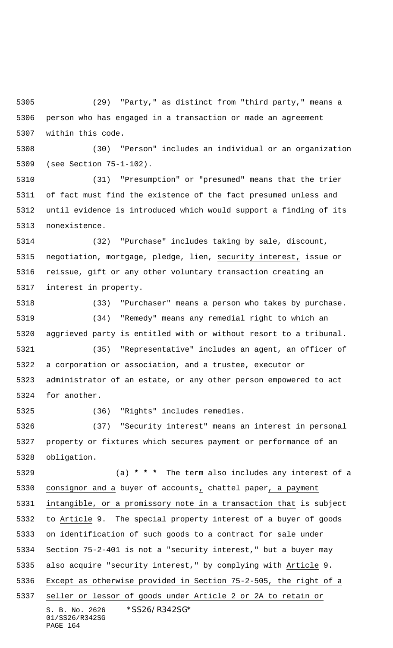(29) "Party," as distinct from "third party," means a person who has engaged in a transaction or made an agreement within this code.

 (30) "Person" includes an individual or an organization (see Section 75-1-102).

 (31) "Presumption" or "presumed" means that the trier of fact must find the existence of the fact presumed unless and until evidence is introduced which would support a finding of its nonexistence.

 (32) "Purchase" includes taking by sale, discount, negotiation, mortgage, pledge, lien, security interest, issue or reissue, gift or any other voluntary transaction creating an interest in property.

 (33) "Purchaser" means a person who takes by purchase. (34) "Remedy" means any remedial right to which an aggrieved party is entitled with or without resort to a tribunal. (35) "Representative" includes an agent, an officer of a corporation or association, and a trustee, executor or administrator of an estate, or any other person empowered to act for another.

(36) "Rights" includes remedies.

 (37) "Security interest" means an interest in personal property or fixtures which secures payment or performance of an obligation.

S. B. No. 2626 \*SS26/R342SG\* 01/SS26/R342SG PAGE 164 (a) **\* \* \*** The term also includes any interest of a consignor and a buyer of accounts, chattel paper, a payment intangible, or a promissory note in a transaction that is subject to Article 9. The special property interest of a buyer of goods on identification of such goods to a contract for sale under Section 75-2-401 is not a "security interest," but a buyer may also acquire "security interest," by complying with Article 9. Except as otherwise provided in Section 75-2-505, the right of a seller or lessor of goods under Article 2 or 2A to retain or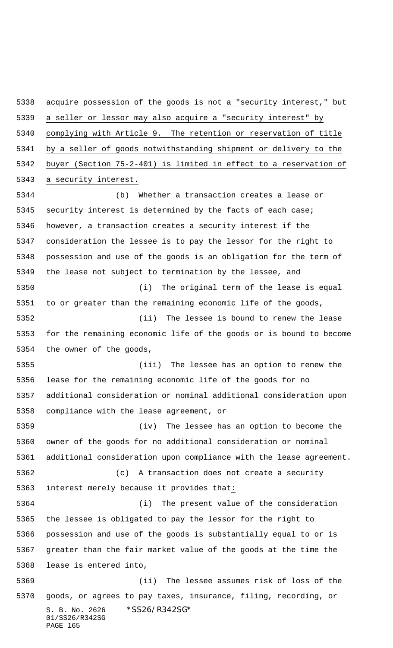S. B. No. 2626 \*SS26/R342SG\* 01/SS26/R342SG PAGE 165 acquire possession of the goods is not a "security interest," but a seller or lessor may also acquire a "security interest" by complying with Article 9. The retention or reservation of title by a seller of goods notwithstanding shipment or delivery to the buyer (Section 75-2-401) is limited in effect to a reservation of a security interest. (b) Whether a transaction creates a lease or security interest is determined by the facts of each case; however, a transaction creates a security interest if the consideration the lessee is to pay the lessor for the right to possession and use of the goods is an obligation for the term of the lease not subject to termination by the lessee, and (i) The original term of the lease is equal to or greater than the remaining economic life of the goods, (ii) The lessee is bound to renew the lease for the remaining economic life of the goods or is bound to become the owner of the goods, (iii) The lessee has an option to renew the lease for the remaining economic life of the goods for no additional consideration or nominal additional consideration upon compliance with the lease agreement, or (iv) The lessee has an option to become the owner of the goods for no additional consideration or nominal additional consideration upon compliance with the lease agreement. (c) A transaction does not create a security interest merely because it provides that: (i) The present value of the consideration the lessee is obligated to pay the lessor for the right to possession and use of the goods is substantially equal to or is greater than the fair market value of the goods at the time the lease is entered into, (ii) The lessee assumes risk of loss of the goods, or agrees to pay taxes, insurance, filing, recording, or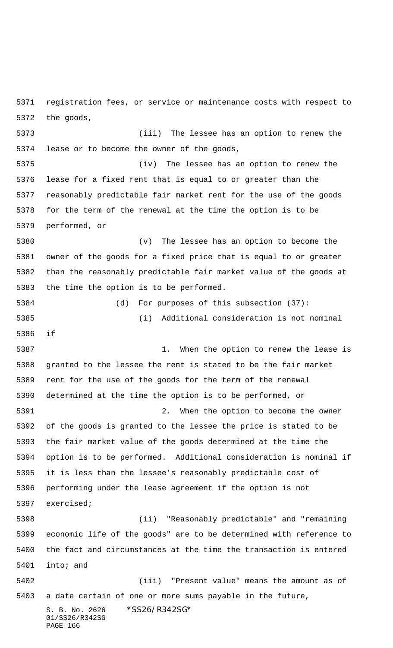registration fees, or service or maintenance costs with respect to the goods,

 (iii) The lessee has an option to renew the lease or to become the owner of the goods,

 (iv) The lessee has an option to renew the lease for a fixed rent that is equal to or greater than the reasonably predictable fair market rent for the use of the goods for the term of the renewal at the time the option is to be performed, or

 (v) The lessee has an option to become the owner of the goods for a fixed price that is equal to or greater than the reasonably predictable fair market value of the goods at the time the option is to be performed.

 (d) For purposes of this subsection (37): (i) Additional consideration is not nominal

 1. When the option to renew the lease is granted to the lessee the rent is stated to be the fair market rent for the use of the goods for the term of the renewal determined at the time the option is to be performed, or 2. When the option to become the owner of the goods is granted to the lessee the price is stated to be the fair market value of the goods determined at the time the option is to be performed. Additional consideration is nominal if it is less than the lessee's reasonably predictable cost of performing under the lease agreement if the option is not

 (ii) "Reasonably predictable" and "remaining economic life of the goods" are to be determined with reference to the fact and circumstances at the time the transaction is entered into; and

 (iii) "Present value" means the amount as of a date certain of one or more sums payable in the future,

S. B. No. 2626 \*SS26/R342SG\* 01/SS26/R342SG PAGE 166

if

exercised;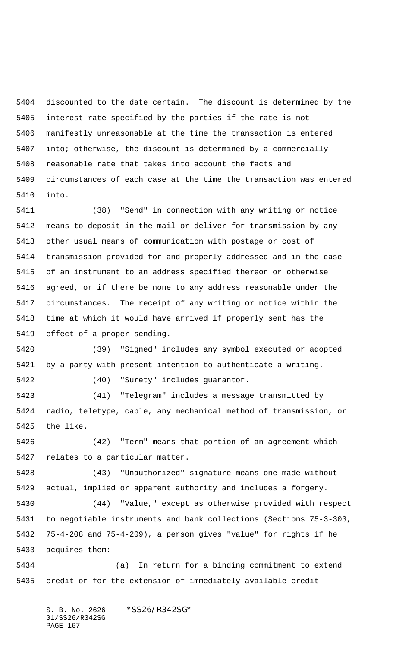discounted to the date certain. The discount is determined by the interest rate specified by the parties if the rate is not manifestly unreasonable at the time the transaction is entered into; otherwise, the discount is determined by a commercially reasonable rate that takes into account the facts and circumstances of each case at the time the transaction was entered into.

 (38) "Send" in connection with any writing or notice means to deposit in the mail or deliver for transmission by any other usual means of communication with postage or cost of transmission provided for and properly addressed and in the case of an instrument to an address specified thereon or otherwise agreed, or if there be none to any address reasonable under the circumstances. The receipt of any writing or notice within the time at which it would have arrived if properly sent has the effect of a proper sending.

 (39) "Signed" includes any symbol executed or adopted by a party with present intention to authenticate a writing.

(40) "Surety" includes guarantor.

 (41) "Telegram" includes a message transmitted by radio, teletype, cable, any mechanical method of transmission, or the like.

 (42) "Term" means that portion of an agreement which relates to a particular matter.

 (43) "Unauthorized" signature means one made without actual, implied or apparent authority and includes a forgery.

 (44) "Value," except as otherwise provided with respect to negotiable instruments and bank collections (Sections 75-3-303, 75-4-208 and 75-4-209), a person gives "value" for rights if he acquires them:

 (a) In return for a binding commitment to extend credit or for the extension of immediately available credit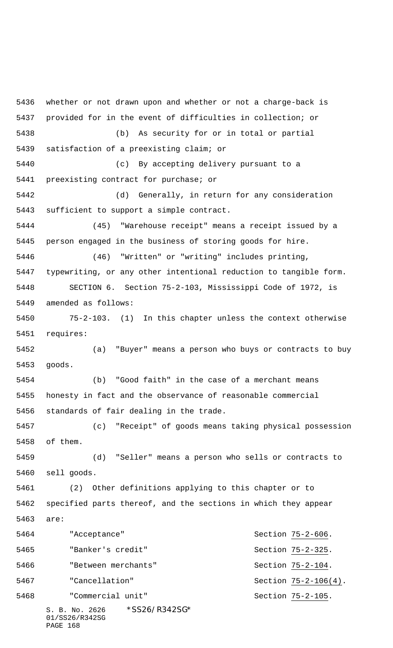S. B. No. 2626 \*SS26/R342SG\* 01/SS26/R342SG whether or not drawn upon and whether or not a charge-back is provided for in the event of difficulties in collection; or (b) As security for or in total or partial satisfaction of a preexisting claim; or (c) By accepting delivery pursuant to a preexisting contract for purchase; or (d) Generally, in return for any consideration sufficient to support a simple contract. (45) "Warehouse receipt" means a receipt issued by a person engaged in the business of storing goods for hire. (46) "Written" or "writing" includes printing, typewriting, or any other intentional reduction to tangible form. SECTION 6. Section 75-2-103, Mississippi Code of 1972, is amended as follows: 75-2-103. (1) In this chapter unless the context otherwise requires: (a) "Buyer" means a person who buys or contracts to buy goods. (b) "Good faith" in the case of a merchant means honesty in fact and the observance of reasonable commercial standards of fair dealing in the trade. (c) "Receipt" of goods means taking physical possession of them. (d) "Seller" means a person who sells or contracts to sell goods. (2) Other definitions applying to this chapter or to specified parts thereof, and the sections in which they appear are: 5464 "Acceptance" Section 75-2-606. 5465 "Banker's credit" Sanceredies Section 75-2-325. 5466 "Between merchants" Section 75-2-104. 5467 "Cancellation" Section 75-2-106(4). 5468 "Commercial unit" Section 75-2-105.

PAGE 168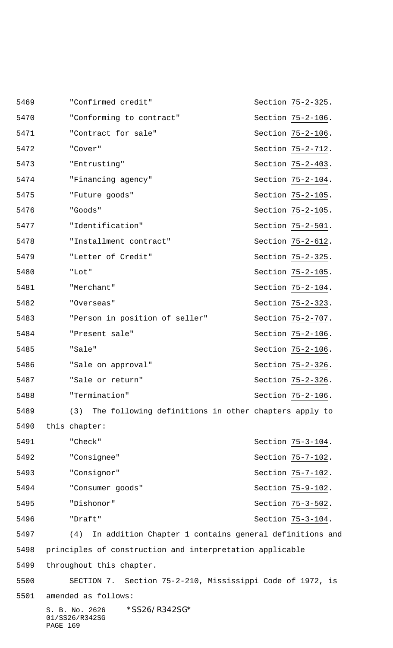| 5469 | "Confirmed credit"                                            |  | Section 75-2-325. |
|------|---------------------------------------------------------------|--|-------------------|
| 5470 | "Conforming to contract"                                      |  | Section 75-2-106. |
| 5471 | "Contract for sale"                                           |  | Section 75-2-106. |
| 5472 | "Cover"                                                       |  | Section 75-2-712. |
| 5473 | "Entrusting"                                                  |  | Section 75-2-403. |
| 5474 | "Financing agency"                                            |  | Section 75-2-104. |
| 5475 | "Future goods"                                                |  | Section 75-2-105. |
| 5476 | "Goods"                                                       |  | Section 75-2-105. |
| 5477 | "Identification"                                              |  | Section 75-2-501. |
| 5478 | "Installment contract"                                        |  | Section 75-2-612. |
| 5479 | "Letter of Credit"                                            |  | Section 75-2-325. |
| 5480 | "Lot"                                                         |  | Section 75-2-105. |
| 5481 | "Merchant"                                                    |  | Section 75-2-104. |
| 5482 | "Overseas"                                                    |  | Section 75-2-323. |
| 5483 | "Person in position of seller"                                |  | Section 75-2-707. |
| 5484 | "Present sale"                                                |  | Section 75-2-106. |
| 5485 | "Sale"                                                        |  | Section 75-2-106. |
| 5486 | "Sale on approval"                                            |  | Section 75-2-326. |
| 5487 | "Sale or return"                                              |  | Section 75-2-326. |
| 5488 | "Termination"                                                 |  | Section 75-2-106. |
| 5489 | The following definitions in other chapters apply to<br>(3)   |  |                   |
| 5490 | this chapter:                                                 |  |                   |
| 5491 | "Check"                                                       |  | Section 75-3-104. |
| 5492 | "Consignee"                                                   |  | Section 75-7-102. |
| 5493 | "Consignor"                                                   |  | Section 75-7-102. |
| 5494 | "Consumer goods"                                              |  | Section 75-9-102. |
| 5495 | "Dishonor"                                                    |  | Section 75-3-502. |
| 5496 | "Draft"                                                       |  | Section 75-3-104. |
| 5497 | In addition Chapter 1 contains general definitions and<br>(4) |  |                   |
| 5498 | principles of construction and interpretation applicable      |  |                   |
| 5499 | throughout this chapter.                                      |  |                   |
| 5500 | SECTION 7. Section 75-2-210, Mississippi Code of 1972, is     |  |                   |
| 5501 | amended as follows:                                           |  |                   |
|      | *SS26/R342SG*<br>S. B. No. 2626<br>01/SS26/R342SG             |  |                   |

PAGE 169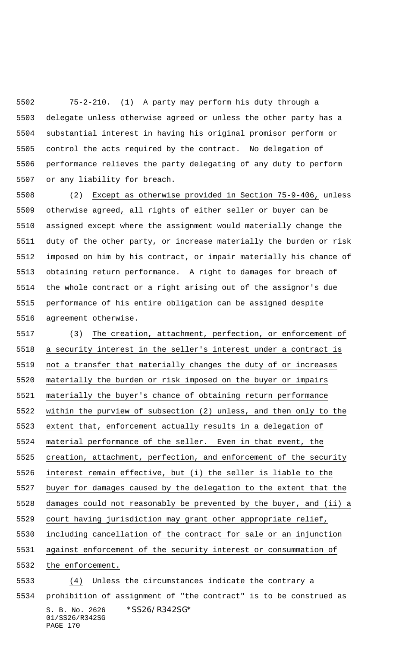75-2-210. (1) A party may perform his duty through a delegate unless otherwise agreed or unless the other party has a substantial interest in having his original promisor perform or control the acts required by the contract. No delegation of performance relieves the party delegating of any duty to perform or any liability for breach.

 (2) Except as otherwise provided in Section 75-9-406, unless otherwise agreed, all rights of either seller or buyer can be assigned except where the assignment would materially change the duty of the other party, or increase materially the burden or risk imposed on him by his contract, or impair materially his chance of obtaining return performance. A right to damages for breach of the whole contract or a right arising out of the assignor's due performance of his entire obligation can be assigned despite agreement otherwise.

 (3) The creation, attachment, perfection, or enforcement of a security interest in the seller's interest under a contract is 5519 not a transfer that materially changes the duty of or increases materially the burden or risk imposed on the buyer or impairs materially the buyer's chance of obtaining return performance within the purview of subsection (2) unless, and then only to the extent that, enforcement actually results in a delegation of material performance of the seller. Even in that event, the creation, attachment, perfection, and enforcement of the security interest remain effective, but (i) the seller is liable to the buyer for damages caused by the delegation to the extent that the damages could not reasonably be prevented by the buyer, and (ii) a court having jurisdiction may grant other appropriate relief, including cancellation of the contract for sale or an injunction against enforcement of the security interest or consummation of the enforcement. (4) Unless the circumstances indicate the contrary a

S. B. No. 2626 \*SS26/R342SG\* 01/SS26/R342SG PAGE 170 prohibition of assignment of "the contract" is to be construed as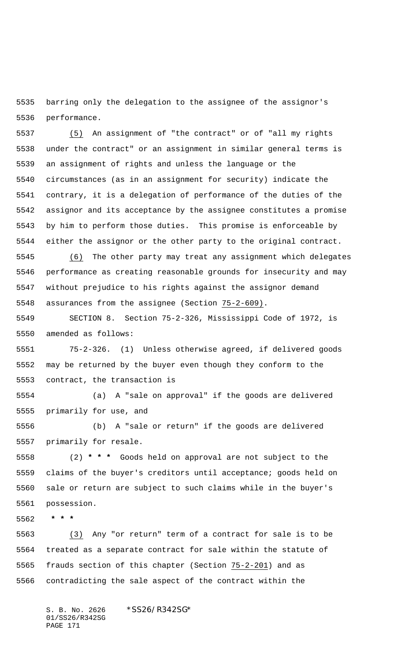barring only the delegation to the assignee of the assignor's performance.

 (5) An assignment of "the contract" or of "all my rights under the contract" or an assignment in similar general terms is an assignment of rights and unless the language or the circumstances (as in an assignment for security) indicate the contrary, it is a delegation of performance of the duties of the assignor and its acceptance by the assignee constitutes a promise by him to perform those duties. This promise is enforceable by either the assignor or the other party to the original contract.

 (6) The other party may treat any assignment which delegates performance as creating reasonable grounds for insecurity and may without prejudice to his rights against the assignor demand assurances from the assignee (Section 75-2-609).

 SECTION 8. Section 75-2-326, Mississippi Code of 1972, is amended as follows:

 75-2-326. (1) Unless otherwise agreed, if delivered goods may be returned by the buyer even though they conform to the contract, the transaction is

 (a) A "sale on approval" if the goods are delivered primarily for use, and

 (b) A "sale or return" if the goods are delivered primarily for resale.

 (2) **\* \* \*** Goods held on approval are not subject to the claims of the buyer's creditors until acceptance; goods held on sale or return are subject to such claims while in the buyer's possession.

 **\* \* \***

 (3) Any "or return" term of a contract for sale is to be treated as a separate contract for sale within the statute of frauds section of this chapter (Section 75-2-201) and as contradicting the sale aspect of the contract within the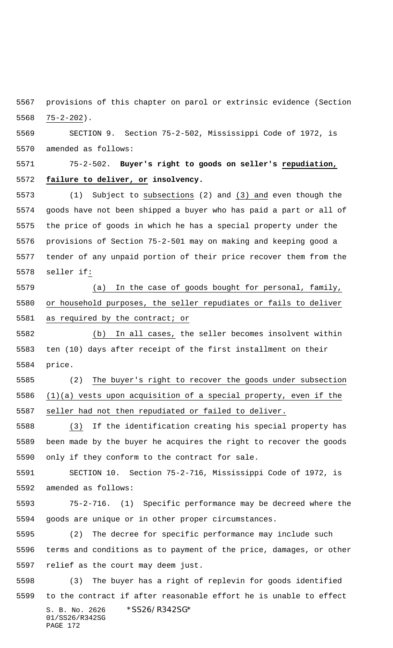provisions of this chapter on parol or extrinsic evidence (Section 75-2-202).

 SECTION 9. Section 75-2-502, Mississippi Code of 1972, is amended as follows:

 75-2-502. **Buyer's right to goods on seller's repudiation, failure to deliver, or insolvency.**

 (1) Subject to subsections (2) and (3) and even though the goods have not been shipped a buyer who has paid a part or all of the price of goods in which he has a special property under the provisions of Section 75-2-501 may on making and keeping good a tender of any unpaid portion of their price recover them from the seller if:

 (a) In the case of goods bought for personal, family, or household purposes, the seller repudiates or fails to deliver as required by the contract; or

 (b) In all cases, the seller becomes insolvent within ten (10) days after receipt of the first installment on their price.

 (2) The buyer's right to recover the goods under subsection (1)(a) vests upon acquisition of a special property, even if the seller had not then repudiated or failed to deliver.

 (3) If the identification creating his special property has been made by the buyer he acquires the right to recover the goods only if they conform to the contract for sale.

 SECTION 10. Section 75-2-716, Mississippi Code of 1972, is amended as follows:

 75-2-716. (1) Specific performance may be decreed where the goods are unique or in other proper circumstances.

 (2) The decree for specific performance may include such terms and conditions as to payment of the price, damages, or other relief as the court may deem just.

S. B. No. 2626 \*SS26/R342SG\* 01/SS26/R342SG PAGE 172 (3) The buyer has a right of replevin for goods identified to the contract if after reasonable effort he is unable to effect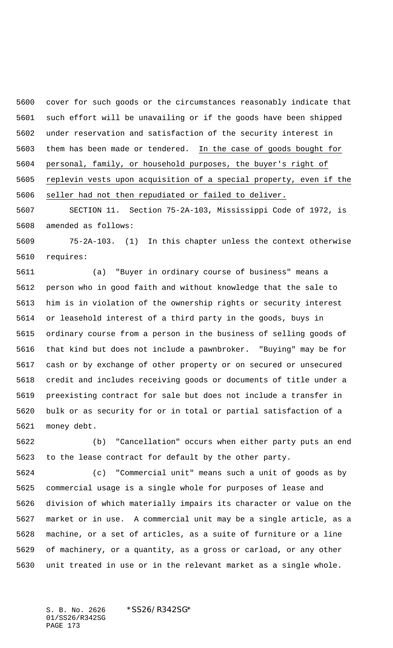cover for such goods or the circumstances reasonably indicate that such effort will be unavailing or if the goods have been shipped under reservation and satisfaction of the security interest in them has been made or tendered. In the case of goods bought for personal, family, or household purposes, the buyer's right of replevin vests upon acquisition of a special property, even if the seller had not then repudiated or failed to deliver.

 SECTION 11. Section 75-2A-103, Mississippi Code of 1972, is amended as follows:

 75-2A-103. (1) In this chapter unless the context otherwise requires:

 (a) "Buyer in ordinary course of business" means a person who in good faith and without knowledge that the sale to him is in violation of the ownership rights or security interest or leasehold interest of a third party in the goods, buys in ordinary course from a person in the business of selling goods of that kind but does not include a pawnbroker. "Buying" may be for cash or by exchange of other property or on secured or unsecured credit and includes receiving goods or documents of title under a preexisting contract for sale but does not include a transfer in bulk or as security for or in total or partial satisfaction of a money debt.

 (b) "Cancellation" occurs when either party puts an end to the lease contract for default by the other party.

 (c) "Commercial unit" means such a unit of goods as by commercial usage is a single whole for purposes of lease and division of which materially impairs its character or value on the market or in use. A commercial unit may be a single article, as a machine, or a set of articles, as a suite of furniture or a line of machinery, or a quantity, as a gross or carload, or any other unit treated in use or in the relevant market as a single whole.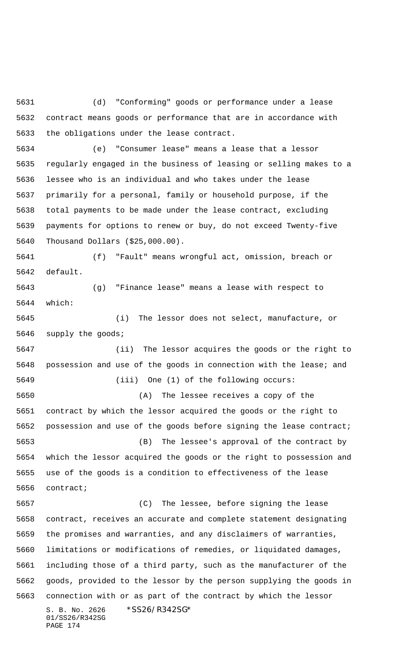(d) "Conforming" goods or performance under a lease contract means goods or performance that are in accordance with the obligations under the lease contract.

 (e) "Consumer lease" means a lease that a lessor regularly engaged in the business of leasing or selling makes to a lessee who is an individual and who takes under the lease primarily for a personal, family or household purpose, if the total payments to be made under the lease contract, excluding payments for options to renew or buy, do not exceed Twenty-five Thousand Dollars (\$25,000.00).

 (f) "Fault" means wrongful act, omission, breach or default.

 (g) "Finance lease" means a lease with respect to which:

 (i) The lessor does not select, manufacture, or supply the goods;

 (ii) The lessor acquires the goods or the right to possession and use of the goods in connection with the lease; and (iii) One (1) of the following occurs: (A) The lessee receives a copy of the contract by which the lessor acquired the goods or the right to possession and use of the goods before signing the lease contract; (B) The lessee's approval of the contract by which the lessor acquired the goods or the right to possession and use of the goods is a condition to effectiveness of the lease

contract;

S. B. No. 2626 \*SS26/R342SG\* 01/SS26/R342SG PAGE 174 (C) The lessee, before signing the lease contract, receives an accurate and complete statement designating the promises and warranties, and any disclaimers of warranties, limitations or modifications of remedies, or liquidated damages, including those of a third party, such as the manufacturer of the goods, provided to the lessor by the person supplying the goods in connection with or as part of the contract by which the lessor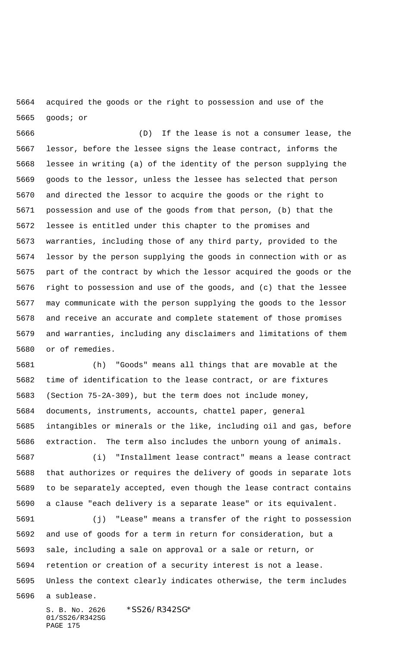acquired the goods or the right to possession and use of the goods; or

 (D) If the lease is not a consumer lease, the lessor, before the lessee signs the lease contract, informs the lessee in writing (a) of the identity of the person supplying the goods to the lessor, unless the lessee has selected that person and directed the lessor to acquire the goods or the right to possession and use of the goods from that person, (b) that the lessee is entitled under this chapter to the promises and warranties, including those of any third party, provided to the lessor by the person supplying the goods in connection with or as part of the contract by which the lessor acquired the goods or the right to possession and use of the goods, and (c) that the lessee may communicate with the person supplying the goods to the lessor and receive an accurate and complete statement of those promises and warranties, including any disclaimers and limitations of them or of remedies.

 (h) "Goods" means all things that are movable at the time of identification to the lease contract, or are fixtures (Section 75-2A-309), but the term does not include money, documents, instruments, accounts, chattel paper, general intangibles or minerals or the like, including oil and gas, before extraction. The term also includes the unborn young of animals.

 (i) "Installment lease contract" means a lease contract that authorizes or requires the delivery of goods in separate lots to be separately accepted, even though the lease contract contains a clause "each delivery is a separate lease" or its equivalent.

 (j) "Lease" means a transfer of the right to possession and use of goods for a term in return for consideration, but a sale, including a sale on approval or a sale or return, or retention or creation of a security interest is not a lease. Unless the context clearly indicates otherwise, the term includes

a sublease.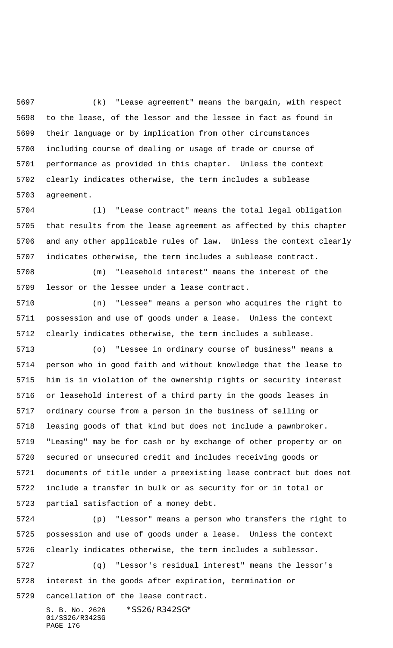(k) "Lease agreement" means the bargain, with respect to the lease, of the lessor and the lessee in fact as found in their language or by implication from other circumstances including course of dealing or usage of trade or course of performance as provided in this chapter. Unless the context clearly indicates otherwise, the term includes a sublease agreement.

 (l) "Lease contract" means the total legal obligation that results from the lease agreement as affected by this chapter and any other applicable rules of law. Unless the context clearly indicates otherwise, the term includes a sublease contract.

 (m) "Leasehold interest" means the interest of the lessor or the lessee under a lease contract.

 (n) "Lessee" means a person who acquires the right to possession and use of goods under a lease. Unless the context clearly indicates otherwise, the term includes a sublease.

 (o) "Lessee in ordinary course of business" means a person who in good faith and without knowledge that the lease to him is in violation of the ownership rights or security interest or leasehold interest of a third party in the goods leases in ordinary course from a person in the business of selling or leasing goods of that kind but does not include a pawnbroker. "Leasing" may be for cash or by exchange of other property or on secured or unsecured credit and includes receiving goods or documents of title under a preexisting lease contract but does not include a transfer in bulk or as security for or in total or partial satisfaction of a money debt.

 (p) "Lessor" means a person who transfers the right to possession and use of goods under a lease. Unless the context clearly indicates otherwise, the term includes a sublessor.

 (q) "Lessor's residual interest" means the lessor's interest in the goods after expiration, termination or

cancellation of the lease contract.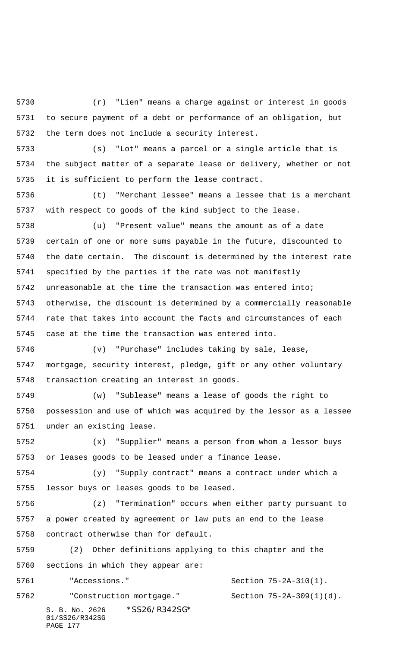(r) "Lien" means a charge against or interest in goods to secure payment of a debt or performance of an obligation, but the term does not include a security interest.

 (s) "Lot" means a parcel or a single article that is the subject matter of a separate lease or delivery, whether or not it is sufficient to perform the lease contract.

 (t) "Merchant lessee" means a lessee that is a merchant with respect to goods of the kind subject to the lease.

 (u) "Present value" means the amount as of a date certain of one or more sums payable in the future, discounted to the date certain. The discount is determined by the interest rate specified by the parties if the rate was not manifestly unreasonable at the time the transaction was entered into; otherwise, the discount is determined by a commercially reasonable rate that takes into account the facts and circumstances of each case at the time the transaction was entered into.

 (v) "Purchase" includes taking by sale, lease, mortgage, security interest, pledge, gift or any other voluntary transaction creating an interest in goods.

 (w) "Sublease" means a lease of goods the right to possession and use of which was acquired by the lessor as a lessee under an existing lease.

 (x) "Supplier" means a person from whom a lessor buys or leases goods to be leased under a finance lease.

 (y) "Supply contract" means a contract under which a lessor buys or leases goods to be leased.

 (z) "Termination" occurs when either party pursuant to a power created by agreement or law puts an end to the lease contract otherwise than for default.

 (2) Other definitions applying to this chapter and the sections in which they appear are:

"Accessions." Section 75-2A-310(1).

"Construction mortgage." Section 75-2A-309(1)(d).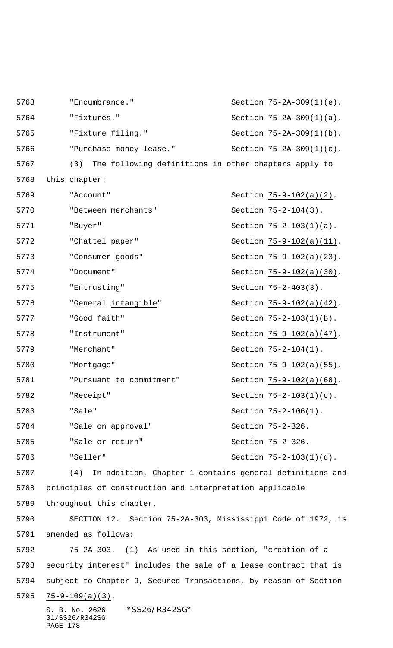S. B. No. 2626 \*SS26/R342SG\* 01/SS26/R342SG PAGE 178 "Encumbrance." Section 75-2A-309(1)(e). "Fixtures." Section 75-2A-309(1)(a). "Fixture filing." Section 75-2A-309(1)(b). "Purchase money lease." Section 75-2A-309(1)(c). (3) The following definitions in other chapters apply to this chapter: "Account" Section 75-9-102(a)(2). "Between merchants" Section 75-2-104(3). "Buyer" Section 75-2-103(1)(a). "Chattel paper" Section 75-9-102(a)(11). "Consumer goods" Section 75-9-102(a)(23). "Document" Section 75-9-102(a)(30). "Entrusting" Section 75-2-403(3). "General intangible" Section 75-9-102(a)(42). "Good faith" Section 75-2-103(1)(b). "Instrument" Section 75-9-102(a)(47). "Merchant" Section 75-2-104(1). "Mortgage" Section 75-9-102(a)(55). "Pursuant to commitment" Section 75-9-102(a)(68). "Receipt" Section 75-2-103(1)(c). "Sale" Section 75-2-106(1). "Sale on approval" Section 75-2-326. 5785 "Sale or return" Section 75-2-326. "Seller" Section 75-2-103(1)(d). (4) In addition, Chapter 1 contains general definitions and principles of construction and interpretation applicable throughout this chapter. SECTION 12. Section 75-2A-303, Mississippi Code of 1972, is amended as follows: 75-2A-303. (1) As used in this section, "creation of a security interest" includes the sale of a lease contract that is subject to Chapter 9, Secured Transactions, by reason of Section 75-9-109(a)(3).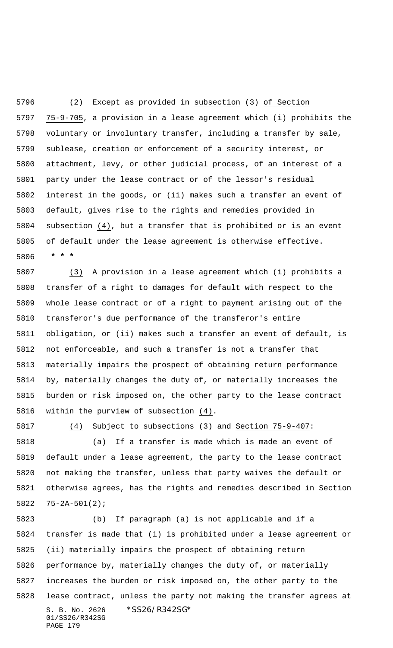(2) Except as provided in subsection (3) of Section 75-9-705, a provision in a lease agreement which (i) prohibits the voluntary or involuntary transfer, including a transfer by sale, sublease, creation or enforcement of a security interest, or attachment, levy, or other judicial process, of an interest of a party under the lease contract or of the lessor's residual interest in the goods, or (ii) makes such a transfer an event of default, gives rise to the rights and remedies provided in subsection (4), but a transfer that is prohibited or is an event of default under the lease agreement is otherwise effective.  **\* \* \***

 (3) A provision in a lease agreement which (i) prohibits a transfer of a right to damages for default with respect to the whole lease contract or of a right to payment arising out of the transferor's due performance of the transferor's entire obligation, or (ii) makes such a transfer an event of default, is not enforceable, and such a transfer is not a transfer that materially impairs the prospect of obtaining return performance by, materially changes the duty of, or materially increases the burden or risk imposed on, the other party to the lease contract within the purview of subsection (4).

 (4) Subject to subsections (3) and Section 75-9-407: (a) If a transfer is made which is made an event of default under a lease agreement, the party to the lease contract not making the transfer, unless that party waives the default or otherwise agrees, has the rights and remedies described in Section 75-2A-501(2);

S. B. No. 2626 \*SS26/R342SG\* 01/SS26/R342SG PAGE 179 (b) If paragraph (a) is not applicable and if a transfer is made that (i) is prohibited under a lease agreement or (ii) materially impairs the prospect of obtaining return performance by, materially changes the duty of, or materially increases the burden or risk imposed on, the other party to the lease contract, unless the party not making the transfer agrees at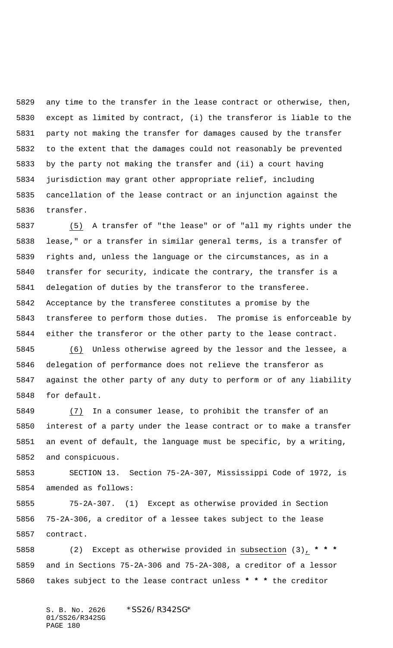any time to the transfer in the lease contract or otherwise, then, except as limited by contract, (i) the transferor is liable to the party not making the transfer for damages caused by the transfer to the extent that the damages could not reasonably be prevented by the party not making the transfer and (ii) a court having jurisdiction may grant other appropriate relief, including cancellation of the lease contract or an injunction against the transfer.

 (5) A transfer of "the lease" or of "all my rights under the lease," or a transfer in similar general terms, is a transfer of rights and, unless the language or the circumstances, as in a transfer for security, indicate the contrary, the transfer is a delegation of duties by the transferor to the transferee. Acceptance by the transferee constitutes a promise by the transferee to perform those duties. The promise is enforceable by either the transferor or the other party to the lease contract.

 (6) Unless otherwise agreed by the lessor and the lessee, a delegation of performance does not relieve the transferor as against the other party of any duty to perform or of any liability for default.

 (7) In a consumer lease, to prohibit the transfer of an interest of a party under the lease contract or to make a transfer an event of default, the language must be specific, by a writing, and conspicuous.

 SECTION 13. Section 75-2A-307, Mississippi Code of 1972, is amended as follows:

 75-2A-307. (1) Except as otherwise provided in Section 75-2A-306, a creditor of a lessee takes subject to the lease contract.

 (2) Except as otherwise provided in subsection (3), **\* \* \*** and in Sections 75-2A-306 and 75-2A-308, a creditor of a lessor takes subject to the lease contract unless **\* \* \*** the creditor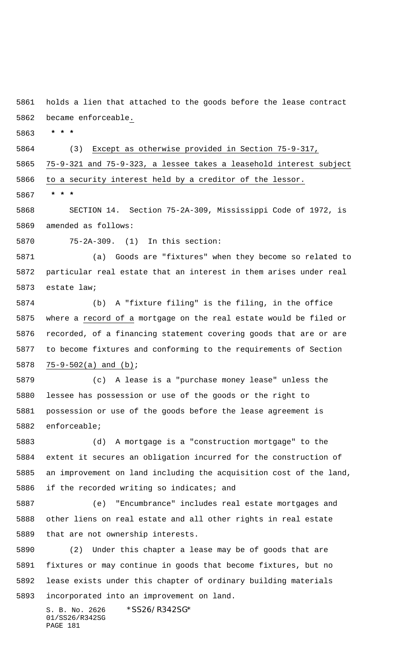holds a lien that attached to the goods before the lease contract became enforceable.

 **\* \* \***

(3) Except as otherwise provided in Section 75-9-317,

75-9-321 and 75-9-323, a lessee takes a leasehold interest subject

to a security interest held by a creditor of the lessor.

 **\* \* \***

 SECTION 14. Section 75-2A-309, Mississippi Code of 1972, is amended as follows:

75-2A-309. (1) In this section:

 (a) Goods are "fixtures" when they become so related to particular real estate that an interest in them arises under real estate law;

 (b) A "fixture filing" is the filing, in the office where a record of a mortgage on the real estate would be filed or recorded, of a financing statement covering goods that are or are to become fixtures and conforming to the requirements of Section 5878 75-9-502(a) and (b);

 (c) A lease is a "purchase money lease" unless the lessee has possession or use of the goods or the right to possession or use of the goods before the lease agreement is enforceable;

 (d) A mortgage is a "construction mortgage" to the extent it secures an obligation incurred for the construction of an improvement on land including the acquisition cost of the land, if the recorded writing so indicates; and

 (e) "Encumbrance" includes real estate mortgages and other liens on real estate and all other rights in real estate that are not ownership interests.

 (2) Under this chapter a lease may be of goods that are fixtures or may continue in goods that become fixtures, but no lease exists under this chapter of ordinary building materials incorporated into an improvement on land.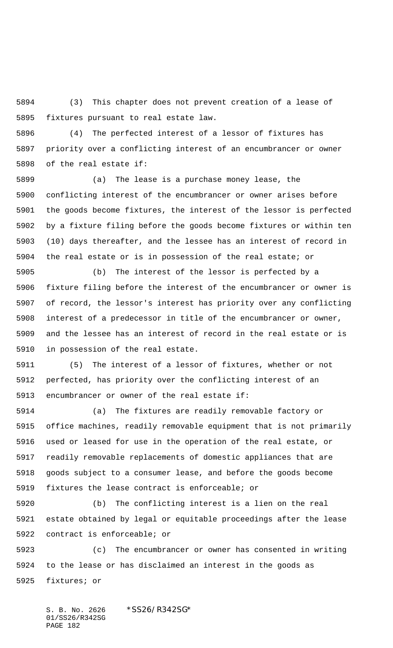(3) This chapter does not prevent creation of a lease of fixtures pursuant to real estate law.

 (4) The perfected interest of a lessor of fixtures has priority over a conflicting interest of an encumbrancer or owner of the real estate if:

 (a) The lease is a purchase money lease, the conflicting interest of the encumbrancer or owner arises before the goods become fixtures, the interest of the lessor is perfected by a fixture filing before the goods become fixtures or within ten (10) days thereafter, and the lessee has an interest of record in the real estate or is in possession of the real estate; or

 (b) The interest of the lessor is perfected by a fixture filing before the interest of the encumbrancer or owner is of record, the lessor's interest has priority over any conflicting interest of a predecessor in title of the encumbrancer or owner, and the lessee has an interest of record in the real estate or is in possession of the real estate.

 (5) The interest of a lessor of fixtures, whether or not perfected, has priority over the conflicting interest of an encumbrancer or owner of the real estate if:

 (a) The fixtures are readily removable factory or office machines, readily removable equipment that is not primarily used or leased for use in the operation of the real estate, or readily removable replacements of domestic appliances that are goods subject to a consumer lease, and before the goods become fixtures the lease contract is enforceable; or

 (b) The conflicting interest is a lien on the real estate obtained by legal or equitable proceedings after the lease contract is enforceable; or

 (c) The encumbrancer or owner has consented in writing to the lease or has disclaimed an interest in the goods as fixtures; or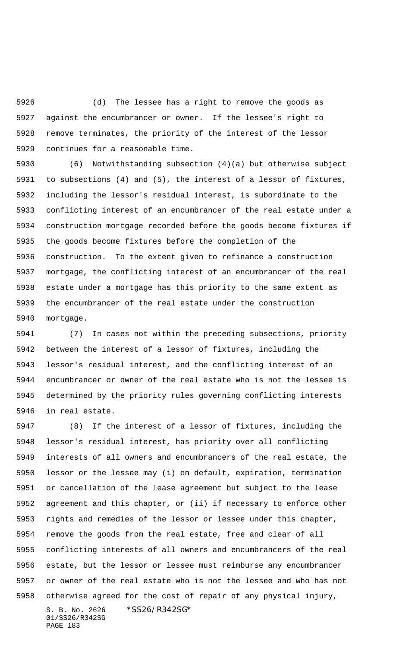(d) The lessee has a right to remove the goods as against the encumbrancer or owner. If the lessee's right to remove terminates, the priority of the interest of the lessor continues for a reasonable time.

 (6) Notwithstanding subsection (4)(a) but otherwise subject to subsections (4) and (5), the interest of a lessor of fixtures, including the lessor's residual interest, is subordinate to the conflicting interest of an encumbrancer of the real estate under a construction mortgage recorded before the goods become fixtures if the goods become fixtures before the completion of the construction. To the extent given to refinance a construction mortgage, the conflicting interest of an encumbrancer of the real estate under a mortgage has this priority to the same extent as the encumbrancer of the real estate under the construction mortgage.

 (7) In cases not within the preceding subsections, priority between the interest of a lessor of fixtures, including the lessor's residual interest, and the conflicting interest of an encumbrancer or owner of the real estate who is not the lessee is determined by the priority rules governing conflicting interests in real estate.

 (8) If the interest of a lessor of fixtures, including the lessor's residual interest, has priority over all conflicting interests of all owners and encumbrancers of the real estate, the lessor or the lessee may (i) on default, expiration, termination or cancellation of the lease agreement but subject to the lease agreement and this chapter, or (ii) if necessary to enforce other rights and remedies of the lessor or lessee under this chapter, remove the goods from the real estate, free and clear of all conflicting interests of all owners and encumbrancers of the real estate, but the lessor or lessee must reimburse any encumbrancer or owner of the real estate who is not the lessee and who has not otherwise agreed for the cost of repair of any physical injury,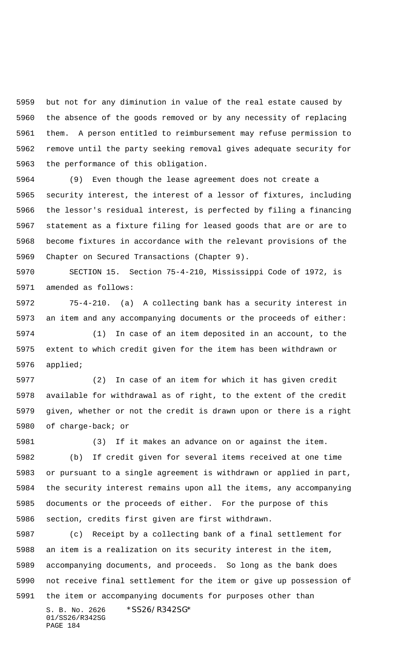but not for any diminution in value of the real estate caused by the absence of the goods removed or by any necessity of replacing them. A person entitled to reimbursement may refuse permission to remove until the party seeking removal gives adequate security for the performance of this obligation.

 (9) Even though the lease agreement does not create a security interest, the interest of a lessor of fixtures, including the lessor's residual interest, is perfected by filing a financing statement as a fixture filing for leased goods that are or are to become fixtures in accordance with the relevant provisions of the Chapter on Secured Transactions (Chapter 9).

 SECTION 15. Section 75-4-210, Mississippi Code of 1972, is amended as follows:

 75-4-210. (a) A collecting bank has a security interest in an item and any accompanying documents or the proceeds of either: (1) In case of an item deposited in an account, to the extent to which credit given for the item has been withdrawn or applied;

 (2) In case of an item for which it has given credit available for withdrawal as of right, to the extent of the credit given, whether or not the credit is drawn upon or there is a right of charge-back; or

 (3) If it makes an advance on or against the item. (b) If credit given for several items received at one time or pursuant to a single agreement is withdrawn or applied in part, the security interest remains upon all the items, any accompanying documents or the proceeds of either. For the purpose of this section, credits first given are first withdrawn.

S. B. No. 2626 \*SS26/R342SG\* 01/SS26/R342SG (c) Receipt by a collecting bank of a final settlement for an item is a realization on its security interest in the item, accompanying documents, and proceeds. So long as the bank does not receive final settlement for the item or give up possession of the item or accompanying documents for purposes other than

```
PAGE 184
```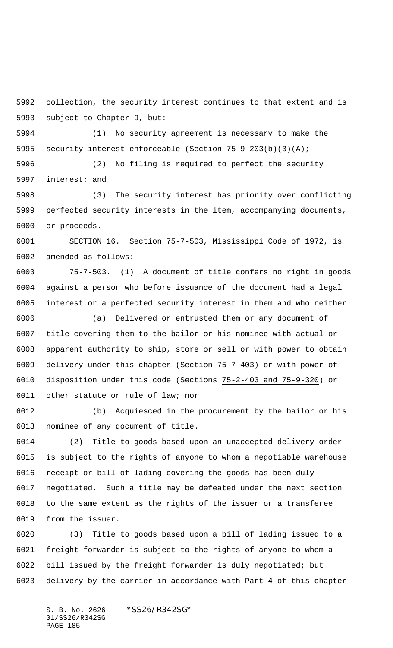collection, the security interest continues to that extent and is subject to Chapter 9, but:

 (1) No security agreement is necessary to make the security interest enforceable (Section 75-9-203(b)(3)(A);

 (2) No filing is required to perfect the security interest; and

 (3) The security interest has priority over conflicting perfected security interests in the item, accompanying documents, or proceeds.

 SECTION 16. Section 75-7-503, Mississippi Code of 1972, is amended as follows:

 75-7-503. (1) A document of title confers no right in goods against a person who before issuance of the document had a legal interest or a perfected security interest in them and who neither

 (a) Delivered or entrusted them or any document of title covering them to the bailor or his nominee with actual or apparent authority to ship, store or sell or with power to obtain delivery under this chapter (Section 75-7-403) or with power of disposition under this code (Sections 75-2-403 and 75-9-320) or other statute or rule of law; nor

 (b) Acquiesced in the procurement by the bailor or his nominee of any document of title.

 (2) Title to goods based upon an unaccepted delivery order is subject to the rights of anyone to whom a negotiable warehouse receipt or bill of lading covering the goods has been duly negotiated. Such a title may be defeated under the next section to the same extent as the rights of the issuer or a transferee from the issuer.

 (3) Title to goods based upon a bill of lading issued to a freight forwarder is subject to the rights of anyone to whom a bill issued by the freight forwarder is duly negotiated; but delivery by the carrier in accordance with Part 4 of this chapter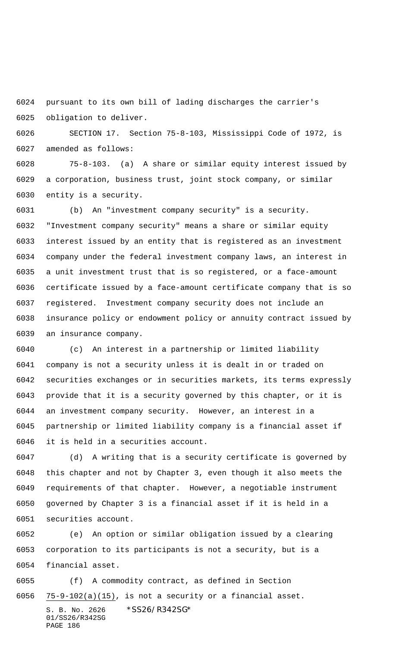pursuant to its own bill of lading discharges the carrier's obligation to deliver.

 SECTION 17. Section 75-8-103, Mississippi Code of 1972, is amended as follows:

 75-8-103. (a) A share or similar equity interest issued by a corporation, business trust, joint stock company, or similar entity is a security.

 (b) An "investment company security" is a security. "Investment company security" means a share or similar equity interest issued by an entity that is registered as an investment company under the federal investment company laws, an interest in a unit investment trust that is so registered, or a face-amount certificate issued by a face-amount certificate company that is so registered. Investment company security does not include an insurance policy or endowment policy or annuity contract issued by an insurance company.

 (c) An interest in a partnership or limited liability company is not a security unless it is dealt in or traded on securities exchanges or in securities markets, its terms expressly provide that it is a security governed by this chapter, or it is an investment company security. However, an interest in a partnership or limited liability company is a financial asset if it is held in a securities account.

 (d) A writing that is a security certificate is governed by this chapter and not by Chapter 3, even though it also meets the requirements of that chapter. However, a negotiable instrument governed by Chapter 3 is a financial asset if it is held in a securities account.

 (e) An option or similar obligation issued by a clearing corporation to its participants is not a security, but is a financial asset.

S. B. No. 2626 \* SS26/R342SG\* 01/SS26/R342SG PAGE 186 (f) A commodity contract, as defined in Section 75-9-102(a)(15), is not a security or a financial asset.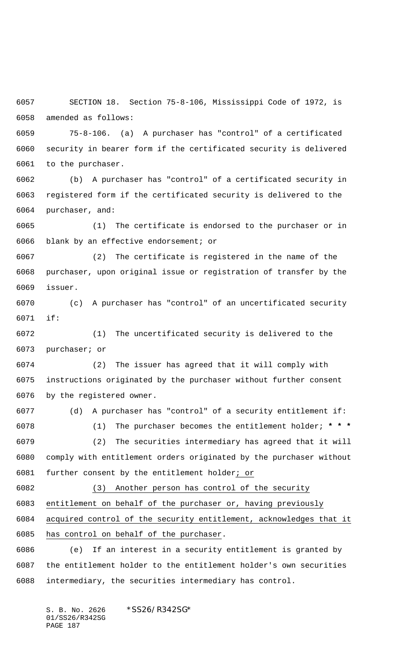SECTION 18. Section 75-8-106, Mississippi Code of 1972, is amended as follows:

 75-8-106. (a) A purchaser has "control" of a certificated security in bearer form if the certificated security is delivered to the purchaser.

 (b) A purchaser has "control" of a certificated security in registered form if the certificated security is delivered to the purchaser, and:

 (1) The certificate is endorsed to the purchaser or in blank by an effective endorsement; or

 (2) The certificate is registered in the name of the purchaser, upon original issue or registration of transfer by the issuer.

 (c) A purchaser has "control" of an uncertificated security if:

 (1) The uncertificated security is delivered to the purchaser; or

 (2) The issuer has agreed that it will comply with instructions originated by the purchaser without further consent by the registered owner.

 (d) A purchaser has "control" of a security entitlement if: (1) The purchaser becomes the entitlement holder; **\* \* \*** (2) The securities intermediary has agreed that it will comply with entitlement orders originated by the purchaser without further consent by the entitlement holder; or

 (3) Another person has control of the security entitlement on behalf of the purchaser or, having previously acquired control of the security entitlement, acknowledges that it has control on behalf of the purchaser.

 (e) If an interest in a security entitlement is granted by the entitlement holder to the entitlement holder's own securities intermediary, the securities intermediary has control.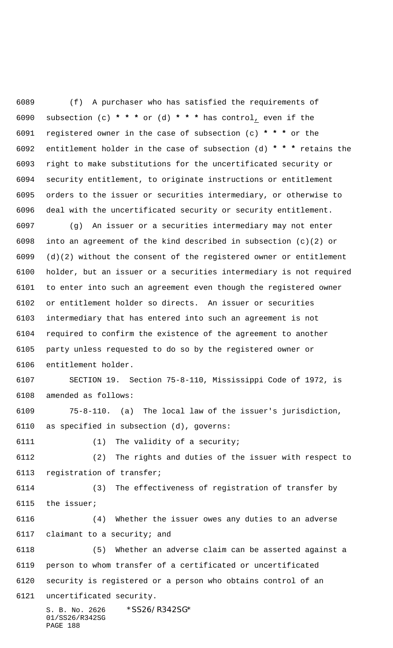(f) A purchaser who has satisfied the requirements of subsection (c) **\* \* \*** or (d) **\* \* \*** has control, even if the registered owner in the case of subsection (c) **\* \* \*** or the entitlement holder in the case of subsection (d) **\* \* \*** retains the right to make substitutions for the uncertificated security or security entitlement, to originate instructions or entitlement orders to the issuer or securities intermediary, or otherwise to deal with the uncertificated security or security entitlement.

 (g) An issuer or a securities intermediary may not enter into an agreement of the kind described in subsection (c)(2) or (d)(2) without the consent of the registered owner or entitlement holder, but an issuer or a securities intermediary is not required to enter into such an agreement even though the registered owner or entitlement holder so directs. An issuer or securities intermediary that has entered into such an agreement is not required to confirm the existence of the agreement to another party unless requested to do so by the registered owner or entitlement holder.

 SECTION 19. Section 75-8-110, Mississippi Code of 1972, is amended as follows:

 75-8-110. (a) The local law of the issuer's jurisdiction, as specified in subsection (d), governs:

(1) The validity of a security;

 (2) The rights and duties of the issuer with respect to registration of transfer;

 (3) The effectiveness of registration of transfer by the issuer;

 (4) Whether the issuer owes any duties to an adverse claimant to a security; and

 (5) Whether an adverse claim can be asserted against a person to whom transfer of a certificated or uncertificated security is registered or a person who obtains control of an

uncertificated security.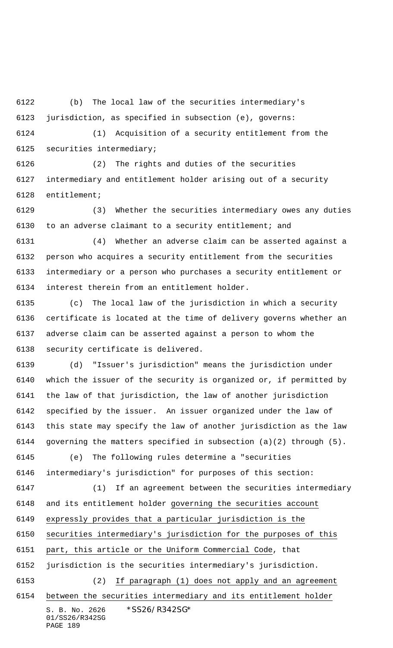(b) The local law of the securities intermediary's jurisdiction, as specified in subsection (e), governs:

 (1) Acquisition of a security entitlement from the securities intermediary;

 (2) The rights and duties of the securities intermediary and entitlement holder arising out of a security entitlement;

 (3) Whether the securities intermediary owes any duties to an adverse claimant to a security entitlement; and

 (4) Whether an adverse claim can be asserted against a person who acquires a security entitlement from the securities intermediary or a person who purchases a security entitlement or interest therein from an entitlement holder.

 (c) The local law of the jurisdiction in which a security certificate is located at the time of delivery governs whether an adverse claim can be asserted against a person to whom the security certificate is delivered.

 (d) "Issuer's jurisdiction" means the jurisdiction under which the issuer of the security is organized or, if permitted by the law of that jurisdiction, the law of another jurisdiction specified by the issuer. An issuer organized under the law of this state may specify the law of another jurisdiction as the law governing the matters specified in subsection (a)(2) through (5). (e) The following rules determine a "securities intermediary's jurisdiction" for purposes of this section:

S. B. No. 2626 \*SS26/R342SG\* 01/SS26/R342SG PAGE 189 (1) If an agreement between the securities intermediary and its entitlement holder governing the securities account expressly provides that a particular jurisdiction is the securities intermediary's jurisdiction for the purposes of this part, this article or the Uniform Commercial Code, that jurisdiction is the securities intermediary's jurisdiction. (2) If paragraph (1) does not apply and an agreement between the securities intermediary and its entitlement holder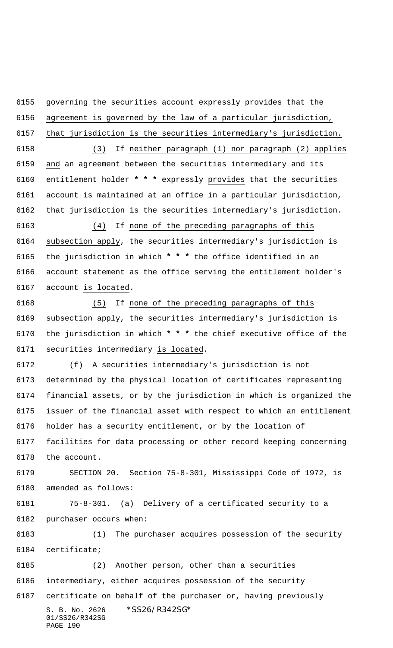governing the securities account expressly provides that the agreement is governed by the law of a particular jurisdiction, that jurisdiction is the securities intermediary's jurisdiction.

 (3) If neither paragraph (1) nor paragraph (2) applies and an agreement between the securities intermediary and its entitlement holder **\* \* \*** expressly provides that the securities account is maintained at an office in a particular jurisdiction, that jurisdiction is the securities intermediary's jurisdiction.

 (4) If none of the preceding paragraphs of this subsection apply, the securities intermediary's jurisdiction is the jurisdiction in which **\* \* \*** the office identified in an account statement as the office serving the entitlement holder's 6167 account is located.

 (5) If none of the preceding paragraphs of this subsection apply, the securities intermediary's jurisdiction is the jurisdiction in which **\* \* \*** the chief executive office of the securities intermediary is located.

 (f) A securities intermediary's jurisdiction is not determined by the physical location of certificates representing financial assets, or by the jurisdiction in which is organized the issuer of the financial asset with respect to which an entitlement holder has a security entitlement, or by the location of facilities for data processing or other record keeping concerning the account.

 SECTION 20. Section 75-8-301, Mississippi Code of 1972, is amended as follows:

 75-8-301. (a) Delivery of a certificated security to a purchaser occurs when:

 (1) The purchaser acquires possession of the security certificate;

S. B. No. 2626 \*SS26/R342SG\* 01/SS26/R342SG PAGE 190 (2) Another person, other than a securities intermediary, either acquires possession of the security certificate on behalf of the purchaser or, having previously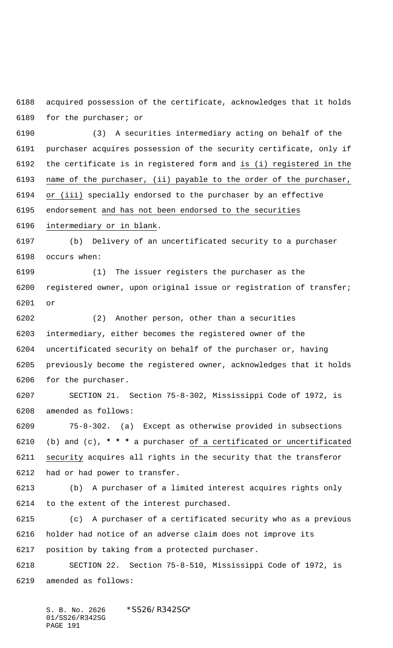acquired possession of the certificate, acknowledges that it holds for the purchaser; or

 (3) A securities intermediary acting on behalf of the purchaser acquires possession of the security certificate, only if the certificate is in registered form and is (i) registered in the name of the purchaser, (ii) payable to the order of the purchaser, or (iii) specially endorsed to the purchaser by an effective

endorsement and has not been endorsed to the securities

intermediary or in blank.

 (b) Delivery of an uncertificated security to a purchaser occurs when:

 (1) The issuer registers the purchaser as the registered owner, upon original issue or registration of transfer; or

 (2) Another person, other than a securities intermediary, either becomes the registered owner of the uncertificated security on behalf of the purchaser or, having previously become the registered owner, acknowledges that it holds for the purchaser.

 SECTION 21. Section 75-8-302, Mississippi Code of 1972, is amended as follows:

 75-8-302. (a) Except as otherwise provided in subsections (b) and (c), **\* \* \*** a purchaser of a certificated or uncertificated security acquires all rights in the security that the transferor had or had power to transfer.

 (b) A purchaser of a limited interest acquires rights only to the extent of the interest purchased.

 (c) A purchaser of a certificated security who as a previous holder had notice of an adverse claim does not improve its position by taking from a protected purchaser.

 SECTION 22. Section 75-8-510, Mississippi Code of 1972, is amended as follows: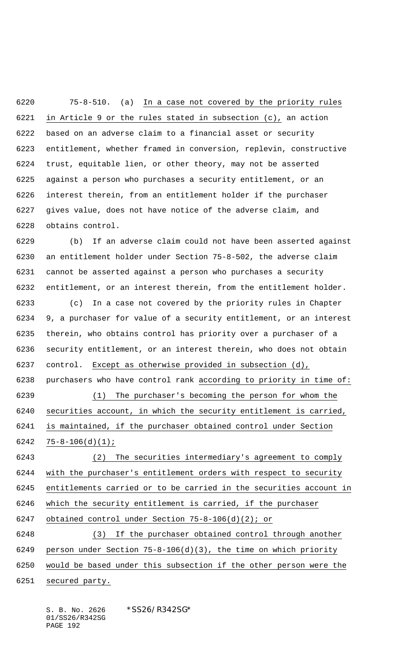75-8-510. (a) In a case not covered by the priority rules in Article 9 or the rules stated in subsection (c), an action based on an adverse claim to a financial asset or security entitlement, whether framed in conversion, replevin, constructive trust, equitable lien, or other theory, may not be asserted against a person who purchases a security entitlement, or an interest therein, from an entitlement holder if the purchaser gives value, does not have notice of the adverse claim, and obtains control.

 (b) If an adverse claim could not have been asserted against an entitlement holder under Section 75-8-502, the adverse claim cannot be asserted against a person who purchases a security entitlement, or an interest therein, from the entitlement holder. (c) In a case not covered by the priority rules in Chapter 9, a purchaser for value of a security entitlement, or an interest therein, who obtains control has priority over a purchaser of a security entitlement, or an interest therein, who does not obtain control. Except as otherwise provided in subsection (d), purchasers who have control rank according to priority in time of: (1) The purchaser's becoming the person for whom the securities account, in which the security entitlement is carried, is maintained, if the purchaser obtained control under Section  $75-8-106(d)(1)$ ; (2) The securities intermediary's agreement to comply 6244 with the purchaser's entitlement orders with respect to security

 entitlements carried or to be carried in the securities account in which the security entitlement is carried, if the purchaser obtained control under Section 75-8-106(d)(2); or

 (3) If the purchaser obtained control through another person under Section 75-8-106(d)(3), the time on which priority would be based under this subsection if the other person were the secured party.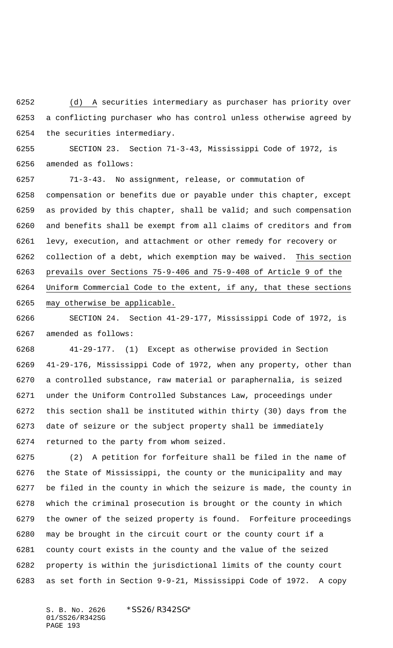(d) A securities intermediary as purchaser has priority over a conflicting purchaser who has control unless otherwise agreed by the securities intermediary.

 SECTION 23. Section 71-3-43, Mississippi Code of 1972, is amended as follows:

 71-3-43. No assignment, release, or commutation of compensation or benefits due or payable under this chapter, except as provided by this chapter, shall be valid; and such compensation and benefits shall be exempt from all claims of creditors and from levy, execution, and attachment or other remedy for recovery or collection of a debt, which exemption may be waived. This section prevails over Sections 75-9-406 and 75-9-408 of Article 9 of the Uniform Commercial Code to the extent, if any, that these sections may otherwise be applicable.

 SECTION 24. Section 41-29-177, Mississippi Code of 1972, is amended as follows:

 41-29-177. (1) Except as otherwise provided in Section 41-29-176, Mississippi Code of 1972, when any property, other than a controlled substance, raw material or paraphernalia, is seized under the Uniform Controlled Substances Law, proceedings under this section shall be instituted within thirty (30) days from the date of seizure or the subject property shall be immediately returned to the party from whom seized.

 (2) A petition for forfeiture shall be filed in the name of the State of Mississippi, the county or the municipality and may be filed in the county in which the seizure is made, the county in which the criminal prosecution is brought or the county in which the owner of the seized property is found. Forfeiture proceedings may be brought in the circuit court or the county court if a county court exists in the county and the value of the seized property is within the jurisdictional limits of the county court as set forth in Section 9-9-21, Mississippi Code of 1972. A copy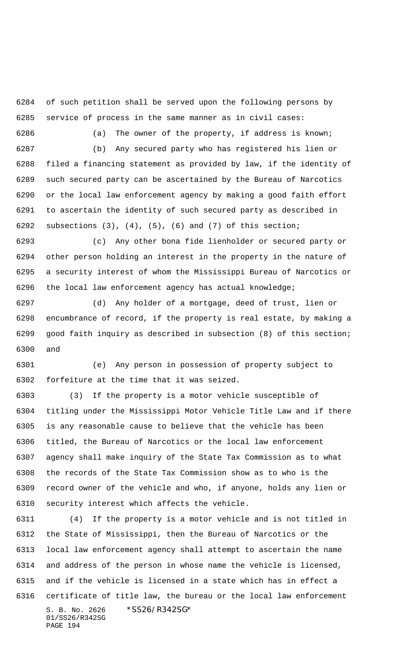of such petition shall be served upon the following persons by service of process in the same manner as in civil cases:

(a) The owner of the property, if address is known;

 (b) Any secured party who has registered his lien or filed a financing statement as provided by law, if the identity of such secured party can be ascertained by the Bureau of Narcotics or the local law enforcement agency by making a good faith effort to ascertain the identity of such secured party as described in subsections (3), (4), (5), (6) and (7) of this section;

 (c) Any other bona fide lienholder or secured party or other person holding an interest in the property in the nature of a security interest of whom the Mississippi Bureau of Narcotics or the local law enforcement agency has actual knowledge;

 (d) Any holder of a mortgage, deed of trust, lien or encumbrance of record, if the property is real estate, by making a good faith inquiry as described in subsection (8) of this section; and

 (e) Any person in possession of property subject to forfeiture at the time that it was seized.

 (3) If the property is a motor vehicle susceptible of titling under the Mississippi Motor Vehicle Title Law and if there is any reasonable cause to believe that the vehicle has been titled, the Bureau of Narcotics or the local law enforcement agency shall make inquiry of the State Tax Commission as to what the records of the State Tax Commission show as to who is the record owner of the vehicle and who, if anyone, holds any lien or security interest which affects the vehicle.

S. B. No. 2626 \*SS26/R342SG\* 01/SS26/R342SG PAGE 194 (4) If the property is a motor vehicle and is not titled in the State of Mississippi, then the Bureau of Narcotics or the local law enforcement agency shall attempt to ascertain the name and address of the person in whose name the vehicle is licensed, and if the vehicle is licensed in a state which has in effect a certificate of title law, the bureau or the local law enforcement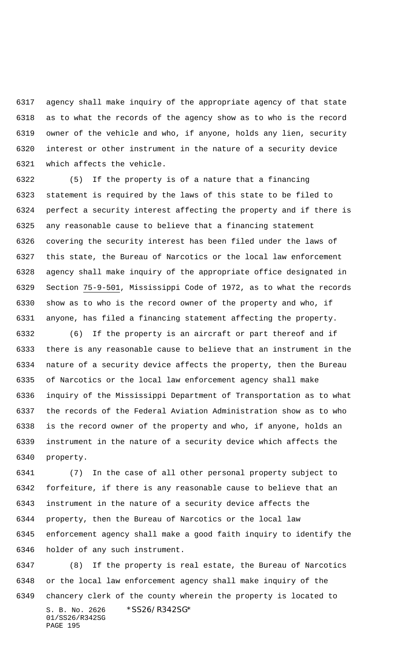agency shall make inquiry of the appropriate agency of that state as to what the records of the agency show as to who is the record owner of the vehicle and who, if anyone, holds any lien, security interest or other instrument in the nature of a security device which affects the vehicle.

 (5) If the property is of a nature that a financing statement is required by the laws of this state to be filed to perfect a security interest affecting the property and if there is any reasonable cause to believe that a financing statement covering the security interest has been filed under the laws of this state, the Bureau of Narcotics or the local law enforcement agency shall make inquiry of the appropriate office designated in Section 75-9-501, Mississippi Code of 1972, as to what the records show as to who is the record owner of the property and who, if anyone, has filed a financing statement affecting the property.

 (6) If the property is an aircraft or part thereof and if there is any reasonable cause to believe that an instrument in the nature of a security device affects the property, then the Bureau of Narcotics or the local law enforcement agency shall make inquiry of the Mississippi Department of Transportation as to what the records of the Federal Aviation Administration show as to who is the record owner of the property and who, if anyone, holds an instrument in the nature of a security device which affects the property.

 (7) In the case of all other personal property subject to forfeiture, if there is any reasonable cause to believe that an instrument in the nature of a security device affects the property, then the Bureau of Narcotics or the local law enforcement agency shall make a good faith inquiry to identify the holder of any such instrument.

S. B. No. 2626 \*SS26/R342SG\* 01/SS26/R342SG PAGE 195 (8) If the property is real estate, the Bureau of Narcotics or the local law enforcement agency shall make inquiry of the chancery clerk of the county wherein the property is located to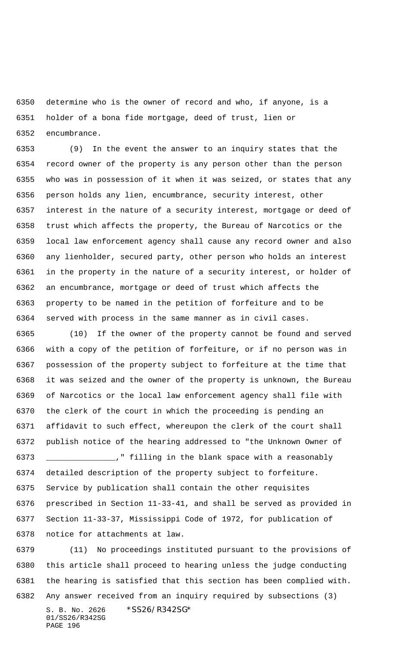determine who is the owner of record and who, if anyone, is a holder of a bona fide mortgage, deed of trust, lien or encumbrance.

 (9) In the event the answer to an inquiry states that the record owner of the property is any person other than the person who was in possession of it when it was seized, or states that any person holds any lien, encumbrance, security interest, other interest in the nature of a security interest, mortgage or deed of trust which affects the property, the Bureau of Narcotics or the local law enforcement agency shall cause any record owner and also any lienholder, secured party, other person who holds an interest in the property in the nature of a security interest, or holder of an encumbrance, mortgage or deed of trust which affects the property to be named in the petition of forfeiture and to be served with process in the same manner as in civil cases.

 (10) If the owner of the property cannot be found and served with a copy of the petition of forfeiture, or if no person was in possession of the property subject to forfeiture at the time that it was seized and the owner of the property is unknown, the Bureau of Narcotics or the local law enforcement agency shall file with the clerk of the court in which the proceeding is pending an affidavit to such effect, whereupon the clerk of the court shall publish notice of the hearing addressed to "the Unknown Owner of \_\_\_\_\_\_\_\_\_\_\_\_\_\_\_," filling in the blank space with a reasonably detailed description of the property subject to forfeiture. Service by publication shall contain the other requisites prescribed in Section 11-33-41, and shall be served as provided in Section 11-33-37, Mississippi Code of 1972, for publication of notice for attachments at law.

S. B. No. 2626 \*SS26/R342SG\* 01/SS26/R342SG PAGE 196 (11) No proceedings instituted pursuant to the provisions of this article shall proceed to hearing unless the judge conducting the hearing is satisfied that this section has been complied with. Any answer received from an inquiry required by subsections (3)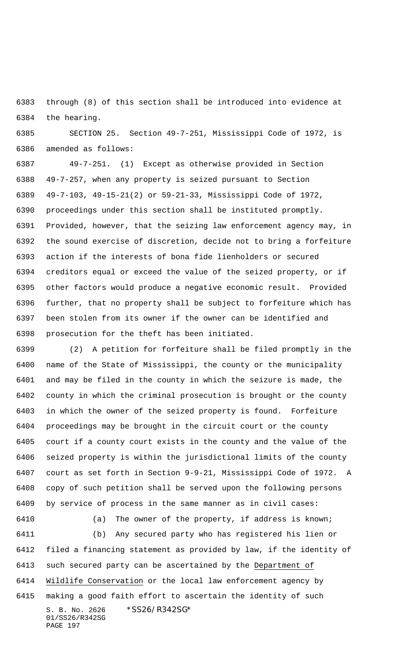through (8) of this section shall be introduced into evidence at the hearing.

 SECTION 25. Section 49-7-251, Mississippi Code of 1972, is amended as follows:

 49-7-251. (1) Except as otherwise provided in Section 49-7-257, when any property is seized pursuant to Section 49-7-103, 49-15-21(2) or 59-21-33, Mississippi Code of 1972, proceedings under this section shall be instituted promptly. Provided, however, that the seizing law enforcement agency may, in the sound exercise of discretion, decide not to bring a forfeiture action if the interests of bona fide lienholders or secured creditors equal or exceed the value of the seized property, or if other factors would produce a negative economic result. Provided further, that no property shall be subject to forfeiture which has been stolen from its owner if the owner can be identified and prosecution for the theft has been initiated.

 (2) A petition for forfeiture shall be filed promptly in the name of the State of Mississippi, the county or the municipality and may be filed in the county in which the seizure is made, the county in which the criminal prosecution is brought or the county in which the owner of the seized property is found. Forfeiture proceedings may be brought in the circuit court or the county court if a county court exists in the county and the value of the seized property is within the jurisdictional limits of the county court as set forth in Section 9-9-21, Mississippi Code of 1972. A copy of such petition shall be served upon the following persons by service of process in the same manner as in civil cases:

S. B. No. 2626 \*SS26/R342SG\* 01/SS26/R342SG PAGE 197 (a) The owner of the property, if address is known; (b) Any secured party who has registered his lien or filed a financing statement as provided by law, if the identity of such secured party can be ascertained by the Department of 6414 Wildlife Conservation or the local law enforcement agency by making a good faith effort to ascertain the identity of such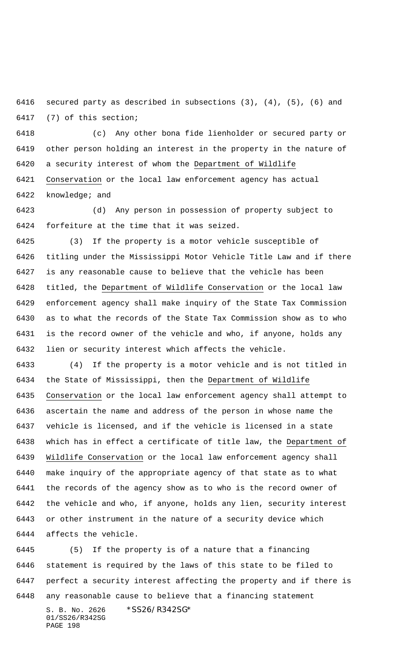secured party as described in subsections (3), (4), (5), (6) and (7) of this section;

 (c) Any other bona fide lienholder or secured party or other person holding an interest in the property in the nature of a security interest of whom the Department of Wildlife Conservation or the local law enforcement agency has actual knowledge; and

 (d) Any person in possession of property subject to forfeiture at the time that it was seized.

 (3) If the property is a motor vehicle susceptible of titling under the Mississippi Motor Vehicle Title Law and if there is any reasonable cause to believe that the vehicle has been titled, the Department of Wildlife Conservation or the local law enforcement agency shall make inquiry of the State Tax Commission as to what the records of the State Tax Commission show as to who is the record owner of the vehicle and who, if anyone, holds any lien or security interest which affects the vehicle.

 (4) If the property is a motor vehicle and is not titled in the State of Mississippi, then the Department of Wildlife Conservation or the local law enforcement agency shall attempt to ascertain the name and address of the person in whose name the vehicle is licensed, and if the vehicle is licensed in a state which has in effect a certificate of title law, the Department of Wildlife Conservation or the local law enforcement agency shall make inquiry of the appropriate agency of that state as to what the records of the agency show as to who is the record owner of the vehicle and who, if anyone, holds any lien, security interest or other instrument in the nature of a security device which affects the vehicle.

 (5) If the property is of a nature that a financing statement is required by the laws of this state to be filed to perfect a security interest affecting the property and if there is any reasonable cause to believe that a financing statement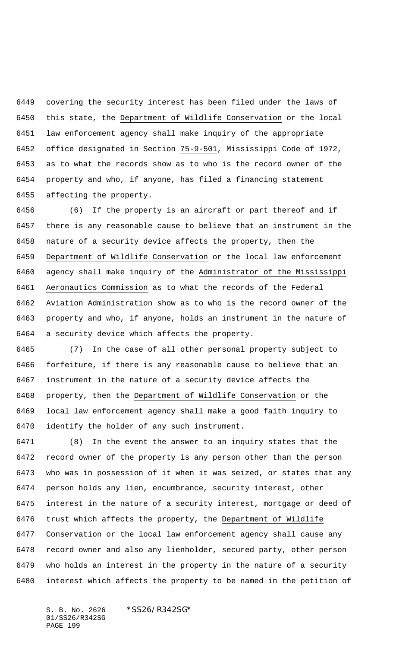covering the security interest has been filed under the laws of this state, the Department of Wildlife Conservation or the local law enforcement agency shall make inquiry of the appropriate office designated in Section 75-9-501, Mississippi Code of 1972, as to what the records show as to who is the record owner of the property and who, if anyone, has filed a financing statement affecting the property.

 (6) If the property is an aircraft or part thereof and if there is any reasonable cause to believe that an instrument in the nature of a security device affects the property, then the Department of Wildlife Conservation or the local law enforcement agency shall make inquiry of the Administrator of the Mississippi Aeronautics Commission as to what the records of the Federal Aviation Administration show as to who is the record owner of the property and who, if anyone, holds an instrument in the nature of a security device which affects the property.

 (7) In the case of all other personal property subject to forfeiture, if there is any reasonable cause to believe that an instrument in the nature of a security device affects the property, then the Department of Wildlife Conservation or the local law enforcement agency shall make a good faith inquiry to identify the holder of any such instrument.

 (8) In the event the answer to an inquiry states that the record owner of the property is any person other than the person who was in possession of it when it was seized, or states that any person holds any lien, encumbrance, security interest, other interest in the nature of a security interest, mortgage or deed of trust which affects the property, the Department of Wildlife Conservation or the local law enforcement agency shall cause any record owner and also any lienholder, secured party, other person who holds an interest in the property in the nature of a security interest which affects the property to be named in the petition of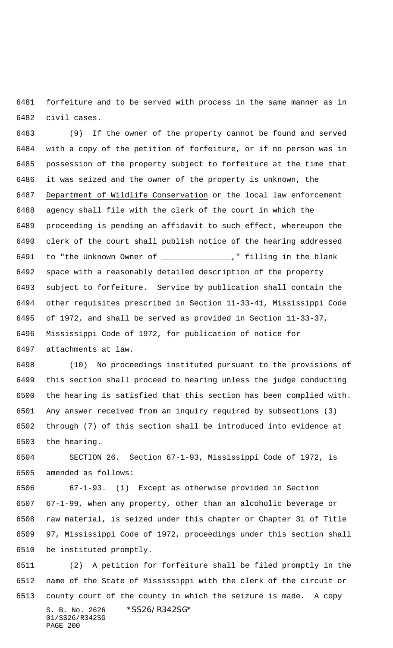forfeiture and to be served with process in the same manner as in civil cases.

 (9) If the owner of the property cannot be found and served with a copy of the petition of forfeiture, or if no person was in possession of the property subject to forfeiture at the time that it was seized and the owner of the property is unknown, the Department of Wildlife Conservation or the local law enforcement agency shall file with the clerk of the court in which the proceeding is pending an affidavit to such effect, whereupon the clerk of the court shall publish notice of the hearing addressed to "the Unknown Owner of \_\_\_\_\_\_\_\_\_\_\_\_\_\_\_," filling in the blank space with a reasonably detailed description of the property subject to forfeiture. Service by publication shall contain the other requisites prescribed in Section 11-33-41, Mississippi Code of 1972, and shall be served as provided in Section 11-33-37, Mississippi Code of 1972, for publication of notice for attachments at law.

 (10) No proceedings instituted pursuant to the provisions of this section shall proceed to hearing unless the judge conducting the hearing is satisfied that this section has been complied with. Any answer received from an inquiry required by subsections (3) through (7) of this section shall be introduced into evidence at the hearing.

 SECTION 26. Section 67-1-93, Mississippi Code of 1972, is amended as follows:

 67-1-93. (1) Except as otherwise provided in Section 67-1-99, when any property, other than an alcoholic beverage or raw material, is seized under this chapter or Chapter 31 of Title 97, Mississippi Code of 1972, proceedings under this section shall be instituted promptly.

S. B. No. 2626 \*SS26/R342SG\* 01/SS26/R342SG PAGE 200 (2) A petition for forfeiture shall be filed promptly in the name of the State of Mississippi with the clerk of the circuit or county court of the county in which the seizure is made. A copy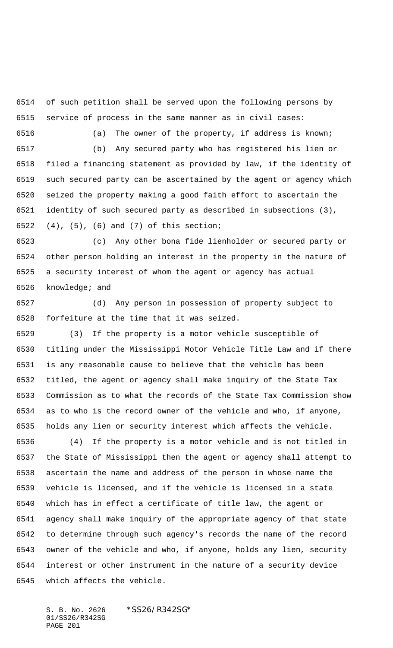of such petition shall be served upon the following persons by service of process in the same manner as in civil cases:

(a) The owner of the property, if address is known;

 (b) Any secured party who has registered his lien or filed a financing statement as provided by law, if the identity of such secured party can be ascertained by the agent or agency which seized the property making a good faith effort to ascertain the identity of such secured party as described in subsections (3), (4), (5), (6) and (7) of this section;

 (c) Any other bona fide lienholder or secured party or other person holding an interest in the property in the nature of a security interest of whom the agent or agency has actual knowledge; and

 (d) Any person in possession of property subject to forfeiture at the time that it was seized.

 (3) If the property is a motor vehicle susceptible of titling under the Mississippi Motor Vehicle Title Law and if there is any reasonable cause to believe that the vehicle has been titled, the agent or agency shall make inquiry of the State Tax Commission as to what the records of the State Tax Commission show as to who is the record owner of the vehicle and who, if anyone, holds any lien or security interest which affects the vehicle.

 (4) If the property is a motor vehicle and is not titled in the State of Mississippi then the agent or agency shall attempt to ascertain the name and address of the person in whose name the vehicle is licensed, and if the vehicle is licensed in a state which has in effect a certificate of title law, the agent or agency shall make inquiry of the appropriate agency of that state to determine through such agency's records the name of the record owner of the vehicle and who, if anyone, holds any lien, security interest or other instrument in the nature of a security device which affects the vehicle.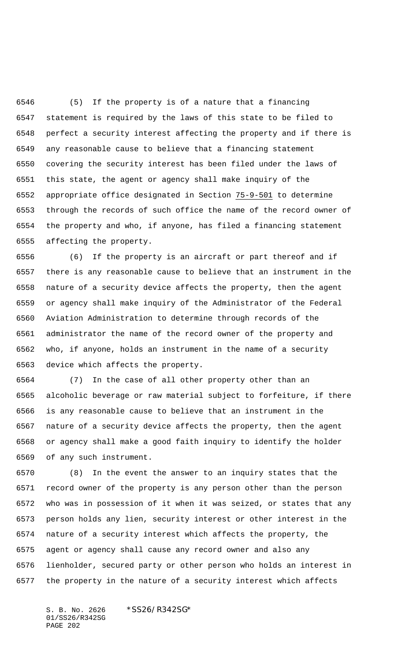(5) If the property is of a nature that a financing statement is required by the laws of this state to be filed to perfect a security interest affecting the property and if there is any reasonable cause to believe that a financing statement covering the security interest has been filed under the laws of this state, the agent or agency shall make inquiry of the appropriate office designated in Section 75-9-501 to determine through the records of such office the name of the record owner of the property and who, if anyone, has filed a financing statement affecting the property.

 (6) If the property is an aircraft or part thereof and if there is any reasonable cause to believe that an instrument in the nature of a security device affects the property, then the agent or agency shall make inquiry of the Administrator of the Federal Aviation Administration to determine through records of the administrator the name of the record owner of the property and who, if anyone, holds an instrument in the name of a security device which affects the property.

 (7) In the case of all other property other than an alcoholic beverage or raw material subject to forfeiture, if there is any reasonable cause to believe that an instrument in the nature of a security device affects the property, then the agent or agency shall make a good faith inquiry to identify the holder of any such instrument.

 (8) In the event the answer to an inquiry states that the record owner of the property is any person other than the person who was in possession of it when it was seized, or states that any person holds any lien, security interest or other interest in the nature of a security interest which affects the property, the agent or agency shall cause any record owner and also any lienholder, secured party or other person who holds an interest in the property in the nature of a security interest which affects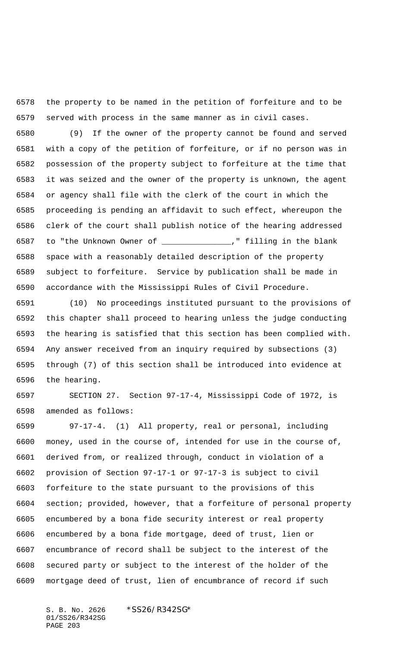the property to be named in the petition of forfeiture and to be served with process in the same manner as in civil cases.

 (9) If the owner of the property cannot be found and served with a copy of the petition of forfeiture, or if no person was in possession of the property subject to forfeiture at the time that it was seized and the owner of the property is unknown, the agent or agency shall file with the clerk of the court in which the proceeding is pending an affidavit to such effect, whereupon the clerk of the court shall publish notice of the hearing addressed to "the Unknown Owner of \_\_\_\_\_\_\_\_\_\_\_\_\_\_\_," filling in the blank space with a reasonably detailed description of the property subject to forfeiture. Service by publication shall be made in accordance with the Mississippi Rules of Civil Procedure.

 (10) No proceedings instituted pursuant to the provisions of this chapter shall proceed to hearing unless the judge conducting the hearing is satisfied that this section has been complied with. Any answer received from an inquiry required by subsections (3) through (7) of this section shall be introduced into evidence at the hearing.

 SECTION 27. Section 97-17-4, Mississippi Code of 1972, is amended as follows:

 97-17-4. (1) All property, real or personal, including money, used in the course of, intended for use in the course of, derived from, or realized through, conduct in violation of a provision of Section 97-17-1 or 97-17-3 is subject to civil forfeiture to the state pursuant to the provisions of this section; provided, however, that a forfeiture of personal property encumbered by a bona fide security interest or real property encumbered by a bona fide mortgage, deed of trust, lien or encumbrance of record shall be subject to the interest of the secured party or subject to the interest of the holder of the mortgage deed of trust, lien of encumbrance of record if such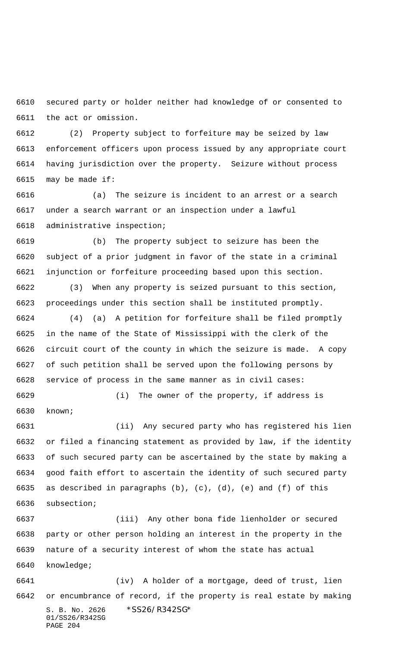secured party or holder neither had knowledge of or consented to the act or omission.

 (2) Property subject to forfeiture may be seized by law enforcement officers upon process issued by any appropriate court having jurisdiction over the property. Seizure without process may be made if:

 (a) The seizure is incident to an arrest or a search under a search warrant or an inspection under a lawful administrative inspection;

 (b) The property subject to seizure has been the subject of a prior judgment in favor of the state in a criminal injunction or forfeiture proceeding based upon this section.

 (3) When any property is seized pursuant to this section, proceedings under this section shall be instituted promptly.

 (4) (a) A petition for forfeiture shall be filed promptly in the name of the State of Mississippi with the clerk of the circuit court of the county in which the seizure is made. A copy of such petition shall be served upon the following persons by service of process in the same manner as in civil cases:

 (i) The owner of the property, if address is known;

 (ii) Any secured party who has registered his lien or filed a financing statement as provided by law, if the identity of such secured party can be ascertained by the state by making a good faith effort to ascertain the identity of such secured party as described in paragraphs (b), (c), (d), (e) and (f) of this subsection;

 (iii) Any other bona fide lienholder or secured party or other person holding an interest in the property in the nature of a security interest of whom the state has actual knowledge;

S. B. No. 2626 \*SS26/R342SG\* 01/SS26/R342SG PAGE 204 (iv) A holder of a mortgage, deed of trust, lien or encumbrance of record, if the property is real estate by making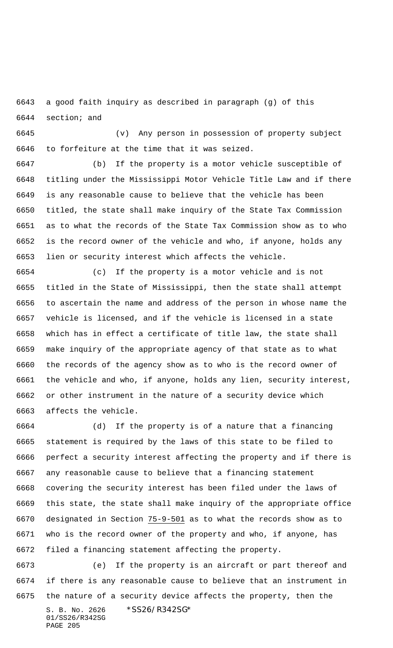a good faith inquiry as described in paragraph (g) of this section; and

 (v) Any person in possession of property subject to forfeiture at the time that it was seized.

 (b) If the property is a motor vehicle susceptible of titling under the Mississippi Motor Vehicle Title Law and if there is any reasonable cause to believe that the vehicle has been titled, the state shall make inquiry of the State Tax Commission as to what the records of the State Tax Commission show as to who is the record owner of the vehicle and who, if anyone, holds any lien or security interest which affects the vehicle.

 (c) If the property is a motor vehicle and is not titled in the State of Mississippi, then the state shall attempt to ascertain the name and address of the person in whose name the vehicle is licensed, and if the vehicle is licensed in a state which has in effect a certificate of title law, the state shall make inquiry of the appropriate agency of that state as to what the records of the agency show as to who is the record owner of the vehicle and who, if anyone, holds any lien, security interest, or other instrument in the nature of a security device which affects the vehicle.

 (d) If the property is of a nature that a financing statement is required by the laws of this state to be filed to perfect a security interest affecting the property and if there is any reasonable cause to believe that a financing statement covering the security interest has been filed under the laws of this state, the state shall make inquiry of the appropriate office designated in Section 75-9-501 as to what the records show as to who is the record owner of the property and who, if anyone, has filed a financing statement affecting the property.

S. B. No. 2626 \*SS26/R342SG\* (e) If the property is an aircraft or part thereof and if there is any reasonable cause to believe that an instrument in the nature of a security device affects the property, then the

01/SS26/R342SG PAGE 205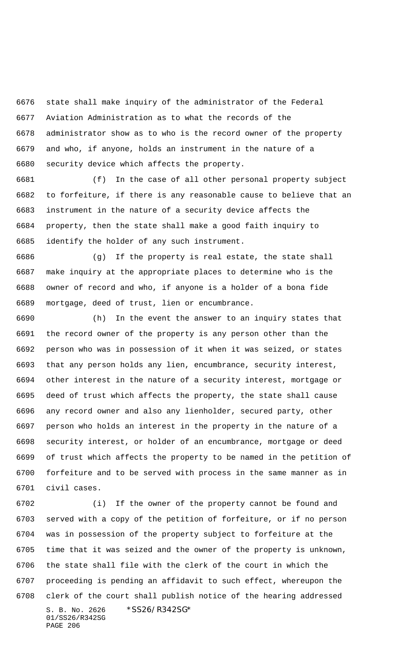state shall make inquiry of the administrator of the Federal Aviation Administration as to what the records of the administrator show as to who is the record owner of the property and who, if anyone, holds an instrument in the nature of a security device which affects the property.

 (f) In the case of all other personal property subject to forfeiture, if there is any reasonable cause to believe that an instrument in the nature of a security device affects the property, then the state shall make a good faith inquiry to identify the holder of any such instrument.

 (g) If the property is real estate, the state shall make inquiry at the appropriate places to determine who is the owner of record and who, if anyone is a holder of a bona fide mortgage, deed of trust, lien or encumbrance.

 (h) In the event the answer to an inquiry states that the record owner of the property is any person other than the person who was in possession of it when it was seized, or states that any person holds any lien, encumbrance, security interest, other interest in the nature of a security interest, mortgage or deed of trust which affects the property, the state shall cause any record owner and also any lienholder, secured party, other person who holds an interest in the property in the nature of a security interest, or holder of an encumbrance, mortgage or deed of trust which affects the property to be named in the petition of forfeiture and to be served with process in the same manner as in civil cases.

S. B. No. 2626 \*SS26/R342SG\* 01/SS26/R342SG (i) If the owner of the property cannot be found and served with a copy of the petition of forfeiture, or if no person was in possession of the property subject to forfeiture at the time that it was seized and the owner of the property is unknown, the state shall file with the clerk of the court in which the proceeding is pending an affidavit to such effect, whereupon the clerk of the court shall publish notice of the hearing addressed

PAGE 206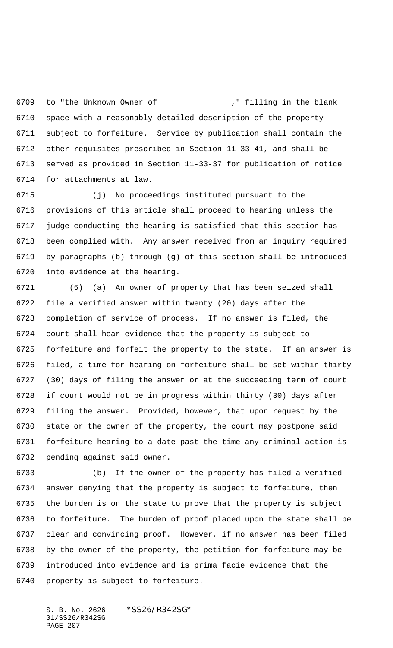to "the Unknown Owner of \_\_\_\_\_\_\_\_\_\_\_\_\_\_\_," filling in the blank space with a reasonably detailed description of the property subject to forfeiture. Service by publication shall contain the other requisites prescribed in Section 11-33-41, and shall be served as provided in Section 11-33-37 for publication of notice for attachments at law.

 (j) No proceedings instituted pursuant to the provisions of this article shall proceed to hearing unless the judge conducting the hearing is satisfied that this section has been complied with. Any answer received from an inquiry required by paragraphs (b) through (g) of this section shall be introduced into evidence at the hearing.

 (5) (a) An owner of property that has been seized shall file a verified answer within twenty (20) days after the completion of service of process. If no answer is filed, the court shall hear evidence that the property is subject to forfeiture and forfeit the property to the state. If an answer is filed, a time for hearing on forfeiture shall be set within thirty (30) days of filing the answer or at the succeeding term of court if court would not be in progress within thirty (30) days after filing the answer. Provided, however, that upon request by the state or the owner of the property, the court may postpone said forfeiture hearing to a date past the time any criminal action is pending against said owner.

 (b) If the owner of the property has filed a verified answer denying that the property is subject to forfeiture, then the burden is on the state to prove that the property is subject to forfeiture. The burden of proof placed upon the state shall be clear and convincing proof. However, if no answer has been filed by the owner of the property, the petition for forfeiture may be introduced into evidence and is prima facie evidence that the property is subject to forfeiture.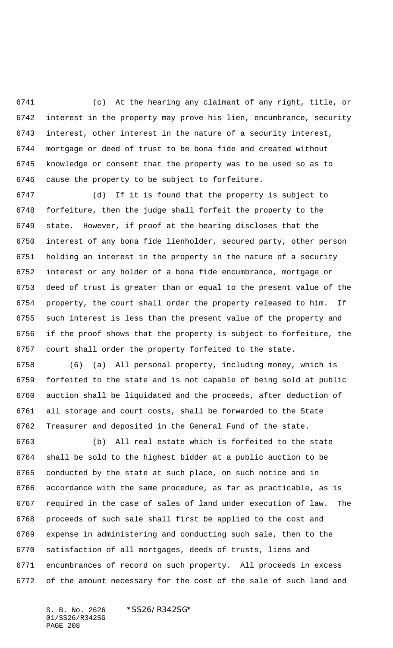(c) At the hearing any claimant of any right, title, or interest in the property may prove his lien, encumbrance, security interest, other interest in the nature of a security interest, mortgage or deed of trust to be bona fide and created without knowledge or consent that the property was to be used so as to cause the property to be subject to forfeiture.

 (d) If it is found that the property is subject to forfeiture, then the judge shall forfeit the property to the state. However, if proof at the hearing discloses that the interest of any bona fide lienholder, secured party, other person holding an interest in the property in the nature of a security interest or any holder of a bona fide encumbrance, mortgage or deed of trust is greater than or equal to the present value of the property, the court shall order the property released to him. If such interest is less than the present value of the property and if the proof shows that the property is subject to forfeiture, the court shall order the property forfeited to the state.

 (6) (a) All personal property, including money, which is forfeited to the state and is not capable of being sold at public auction shall be liquidated and the proceeds, after deduction of all storage and court costs, shall be forwarded to the State Treasurer and deposited in the General Fund of the state.

 (b) All real estate which is forfeited to the state shall be sold to the highest bidder at a public auction to be conducted by the state at such place, on such notice and in accordance with the same procedure, as far as practicable, as is required in the case of sales of land under execution of law. The proceeds of such sale shall first be applied to the cost and expense in administering and conducting such sale, then to the satisfaction of all mortgages, deeds of trusts, liens and encumbrances of record on such property. All proceeds in excess of the amount necessary for the cost of the sale of such land and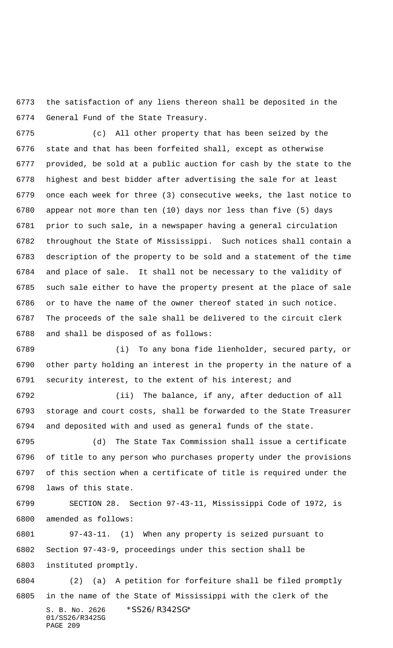the satisfaction of any liens thereon shall be deposited in the General Fund of the State Treasury.

 (c) All other property that has been seized by the state and that has been forfeited shall, except as otherwise provided, be sold at a public auction for cash by the state to the highest and best bidder after advertising the sale for at least once each week for three (3) consecutive weeks, the last notice to appear not more than ten (10) days nor less than five (5) days prior to such sale, in a newspaper having a general circulation throughout the State of Mississippi. Such notices shall contain a description of the property to be sold and a statement of the time and place of sale. It shall not be necessary to the validity of such sale either to have the property present at the place of sale or to have the name of the owner thereof stated in such notice. The proceeds of the sale shall be delivered to the circuit clerk and shall be disposed of as follows:

 (i) To any bona fide lienholder, secured party, or other party holding an interest in the property in the nature of a security interest, to the extent of his interest; and

 (ii) The balance, if any, after deduction of all storage and court costs, shall be forwarded to the State Treasurer and deposited with and used as general funds of the state.

 (d) The State Tax Commission shall issue a certificate of title to any person who purchases property under the provisions of this section when a certificate of title is required under the laws of this state.

 SECTION 28. Section 97-43-11, Mississippi Code of 1972, is amended as follows:

 97-43-11. (1) When any property is seized pursuant to Section 97-43-9, proceedings under this section shall be instituted promptly.

S. B. No. 2626 \*SS26/R342SG\* 01/SS26/R342SG PAGE 209 (2) (a) A petition for forfeiture shall be filed promptly in the name of the State of Mississippi with the clerk of the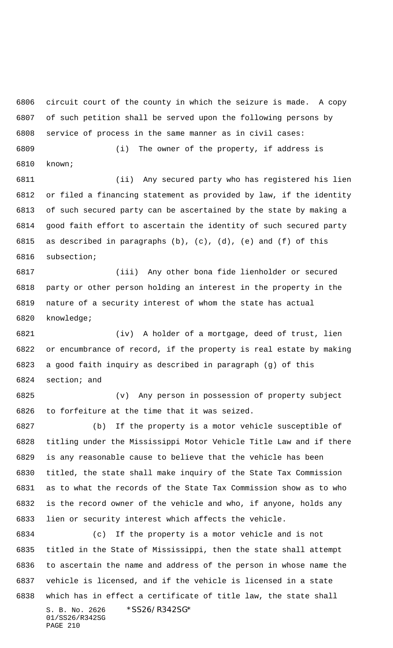circuit court of the county in which the seizure is made. A copy of such petition shall be served upon the following persons by service of process in the same manner as in civil cases:

 (i) The owner of the property, if address is known;

 (ii) Any secured party who has registered his lien or filed a financing statement as provided by law, if the identity of such secured party can be ascertained by the state by making a good faith effort to ascertain the identity of such secured party as described in paragraphs (b), (c), (d), (e) and (f) of this subsection;

 (iii) Any other bona fide lienholder or secured party or other person holding an interest in the property in the nature of a security interest of whom the state has actual knowledge;

 (iv) A holder of a mortgage, deed of trust, lien or encumbrance of record, if the property is real estate by making a good faith inquiry as described in paragraph (g) of this section; and

 (v) Any person in possession of property subject to forfeiture at the time that it was seized.

 (b) If the property is a motor vehicle susceptible of titling under the Mississippi Motor Vehicle Title Law and if there is any reasonable cause to believe that the vehicle has been titled, the state shall make inquiry of the State Tax Commission as to what the records of the State Tax Commission show as to who is the record owner of the vehicle and who, if anyone, holds any lien or security interest which affects the vehicle.

S. B. No. 2626 \*SS26/R342SG\* 01/SS26/R342SG PAGE 210 (c) If the property is a motor vehicle and is not titled in the State of Mississippi, then the state shall attempt to ascertain the name and address of the person in whose name the vehicle is licensed, and if the vehicle is licensed in a state which has in effect a certificate of title law, the state shall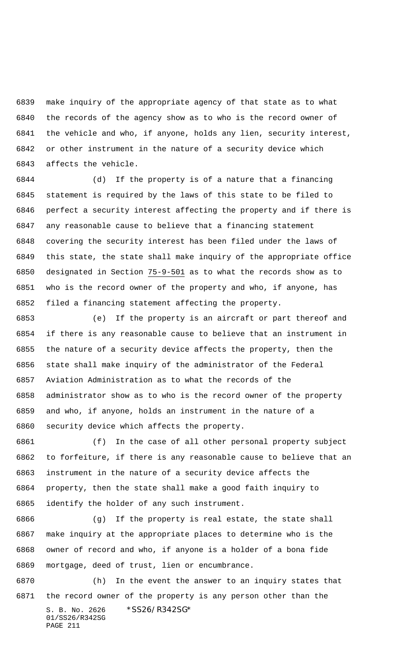make inquiry of the appropriate agency of that state as to what the records of the agency show as to who is the record owner of the vehicle and who, if anyone, holds any lien, security interest, or other instrument in the nature of a security device which affects the vehicle.

 (d) If the property is of a nature that a financing statement is required by the laws of this state to be filed to perfect a security interest affecting the property and if there is any reasonable cause to believe that a financing statement covering the security interest has been filed under the laws of this state, the state shall make inquiry of the appropriate office 6850 designated in Section  $75-9-501$  as to what the records show as to who is the record owner of the property and who, if anyone, has filed a financing statement affecting the property.

 (e) If the property is an aircraft or part thereof and if there is any reasonable cause to believe that an instrument in the nature of a security device affects the property, then the state shall make inquiry of the administrator of the Federal Aviation Administration as to what the records of the administrator show as to who is the record owner of the property and who, if anyone, holds an instrument in the nature of a security device which affects the property.

 (f) In the case of all other personal property subject to forfeiture, if there is any reasonable cause to believe that an instrument in the nature of a security device affects the property, then the state shall make a good faith inquiry to identify the holder of any such instrument.

 (g) If the property is real estate, the state shall make inquiry at the appropriate places to determine who is the owner of record and who, if anyone is a holder of a bona fide mortgage, deed of trust, lien or encumbrance.

S. B. No. 2626 \*SS26/R342SG\* 01/SS26/R342SG PAGE 211 (h) In the event the answer to an inquiry states that the record owner of the property is any person other than the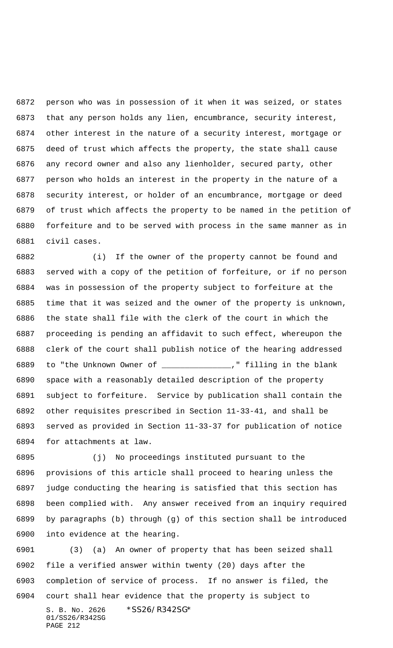person who was in possession of it when it was seized, or states that any person holds any lien, encumbrance, security interest, other interest in the nature of a security interest, mortgage or deed of trust which affects the property, the state shall cause any record owner and also any lienholder, secured party, other person who holds an interest in the property in the nature of a security interest, or holder of an encumbrance, mortgage or deed of trust which affects the property to be named in the petition of forfeiture and to be served with process in the same manner as in civil cases.

 (i) If the owner of the property cannot be found and served with a copy of the petition of forfeiture, or if no person was in possession of the property subject to forfeiture at the time that it was seized and the owner of the property is unknown, the state shall file with the clerk of the court in which the proceeding is pending an affidavit to such effect, whereupon the clerk of the court shall publish notice of the hearing addressed to "the Unknown Owner of \_\_\_\_\_\_\_\_\_\_\_\_\_\_\_," filling in the blank space with a reasonably detailed description of the property subject to forfeiture. Service by publication shall contain the other requisites prescribed in Section 11-33-41, and shall be served as provided in Section 11-33-37 for publication of notice for attachments at law.

 (j) No proceedings instituted pursuant to the provisions of this article shall proceed to hearing unless the judge conducting the hearing is satisfied that this section has been complied with. Any answer received from an inquiry required by paragraphs (b) through (g) of this section shall be introduced into evidence at the hearing.

S. B. No. 2626 \*SS26/R342SG\* 01/SS26/R342SG PAGE 212 (3) (a) An owner of property that has been seized shall file a verified answer within twenty (20) days after the completion of service of process. If no answer is filed, the court shall hear evidence that the property is subject to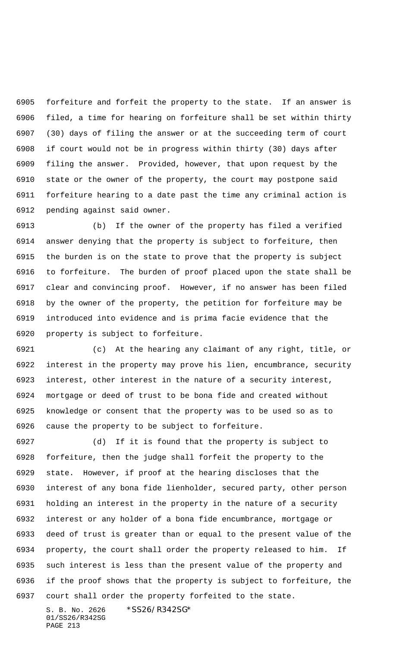forfeiture and forfeit the property to the state. If an answer is filed, a time for hearing on forfeiture shall be set within thirty (30) days of filing the answer or at the succeeding term of court if court would not be in progress within thirty (30) days after filing the answer. Provided, however, that upon request by the state or the owner of the property, the court may postpone said forfeiture hearing to a date past the time any criminal action is pending against said owner.

 (b) If the owner of the property has filed a verified answer denying that the property is subject to forfeiture, then the burden is on the state to prove that the property is subject to forfeiture. The burden of proof placed upon the state shall be clear and convincing proof. However, if no answer has been filed by the owner of the property, the petition for forfeiture may be introduced into evidence and is prima facie evidence that the property is subject to forfeiture.

 (c) At the hearing any claimant of any right, title, or interest in the property may prove his lien, encumbrance, security interest, other interest in the nature of a security interest, mortgage or deed of trust to be bona fide and created without knowledge or consent that the property was to be used so as to cause the property to be subject to forfeiture.

 (d) If it is found that the property is subject to forfeiture, then the judge shall forfeit the property to the state. However, if proof at the hearing discloses that the interest of any bona fide lienholder, secured party, other person holding an interest in the property in the nature of a security interest or any holder of a bona fide encumbrance, mortgage or deed of trust is greater than or equal to the present value of the property, the court shall order the property released to him. If such interest is less than the present value of the property and if the proof shows that the property is subject to forfeiture, the court shall order the property forfeited to the state.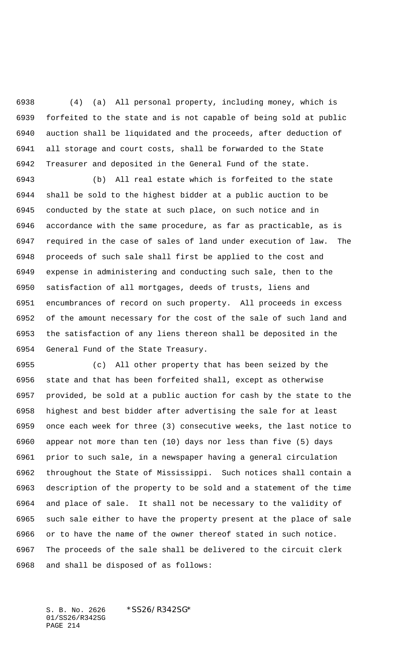(4) (a) All personal property, including money, which is forfeited to the state and is not capable of being sold at public auction shall be liquidated and the proceeds, after deduction of all storage and court costs, shall be forwarded to the State Treasurer and deposited in the General Fund of the state.

 (b) All real estate which is forfeited to the state shall be sold to the highest bidder at a public auction to be conducted by the state at such place, on such notice and in accordance with the same procedure, as far as practicable, as is required in the case of sales of land under execution of law. The proceeds of such sale shall first be applied to the cost and expense in administering and conducting such sale, then to the satisfaction of all mortgages, deeds of trusts, liens and encumbrances of record on such property. All proceeds in excess of the amount necessary for the cost of the sale of such land and the satisfaction of any liens thereon shall be deposited in the General Fund of the State Treasury.

 (c) All other property that has been seized by the state and that has been forfeited shall, except as otherwise provided, be sold at a public auction for cash by the state to the highest and best bidder after advertising the sale for at least once each week for three (3) consecutive weeks, the last notice to appear not more than ten (10) days nor less than five (5) days prior to such sale, in a newspaper having a general circulation throughout the State of Mississippi. Such notices shall contain a description of the property to be sold and a statement of the time and place of sale. It shall not be necessary to the validity of such sale either to have the property present at the place of sale or to have the name of the owner thereof stated in such notice. The proceeds of the sale shall be delivered to the circuit clerk and shall be disposed of as follows: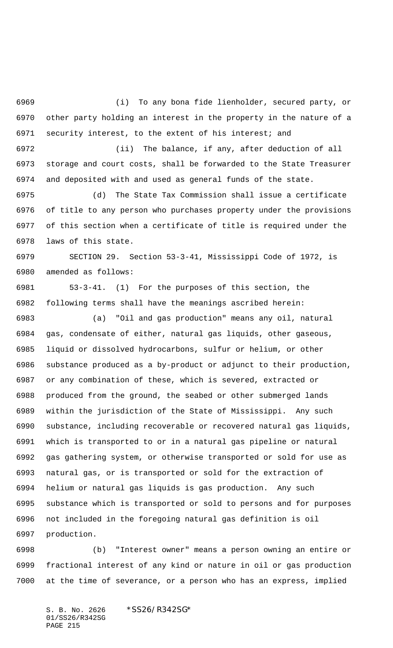(i) To any bona fide lienholder, secured party, or other party holding an interest in the property in the nature of a security interest, to the extent of his interest; and

 (ii) The balance, if any, after deduction of all storage and court costs, shall be forwarded to the State Treasurer and deposited with and used as general funds of the state.

 (d) The State Tax Commission shall issue a certificate of title to any person who purchases property under the provisions of this section when a certificate of title is required under the laws of this state.

 SECTION 29. Section 53-3-41, Mississippi Code of 1972, is amended as follows:

 53-3-41. (1) For the purposes of this section, the following terms shall have the meanings ascribed herein:

 (a) "Oil and gas production" means any oil, natural gas, condensate of either, natural gas liquids, other gaseous, liquid or dissolved hydrocarbons, sulfur or helium, or other substance produced as a by-product or adjunct to their production, or any combination of these, which is severed, extracted or produced from the ground, the seabed or other submerged lands within the jurisdiction of the State of Mississippi. Any such substance, including recoverable or recovered natural gas liquids, which is transported to or in a natural gas pipeline or natural gas gathering system, or otherwise transported or sold for use as natural gas, or is transported or sold for the extraction of helium or natural gas liquids is gas production. Any such substance which is transported or sold to persons and for purposes not included in the foregoing natural gas definition is oil production.

 (b) "Interest owner" means a person owning an entire or fractional interest of any kind or nature in oil or gas production at the time of severance, or a person who has an express, implied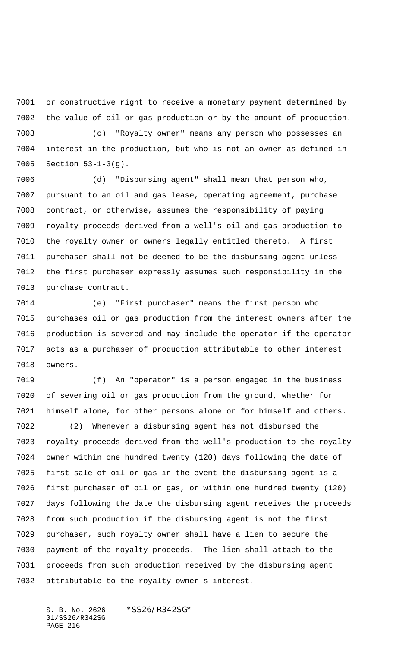or constructive right to receive a monetary payment determined by the value of oil or gas production or by the amount of production.

 (c) "Royalty owner" means any person who possesses an interest in the production, but who is not an owner as defined in Section 53-1-3(g).

 (d) "Disbursing agent" shall mean that person who, pursuant to an oil and gas lease, operating agreement, purchase contract, or otherwise, assumes the responsibility of paying royalty proceeds derived from a well's oil and gas production to the royalty owner or owners legally entitled thereto. A first purchaser shall not be deemed to be the disbursing agent unless the first purchaser expressly assumes such responsibility in the purchase contract.

 (e) "First purchaser" means the first person who purchases oil or gas production from the interest owners after the production is severed and may include the operator if the operator acts as a purchaser of production attributable to other interest owners.

 (f) An "operator" is a person engaged in the business of severing oil or gas production from the ground, whether for himself alone, for other persons alone or for himself and others.

 (2) Whenever a disbursing agent has not disbursed the royalty proceeds derived from the well's production to the royalty owner within one hundred twenty (120) days following the date of first sale of oil or gas in the event the disbursing agent is a first purchaser of oil or gas, or within one hundred twenty (120) days following the date the disbursing agent receives the proceeds from such production if the disbursing agent is not the first purchaser, such royalty owner shall have a lien to secure the payment of the royalty proceeds. The lien shall attach to the proceeds from such production received by the disbursing agent attributable to the royalty owner's interest.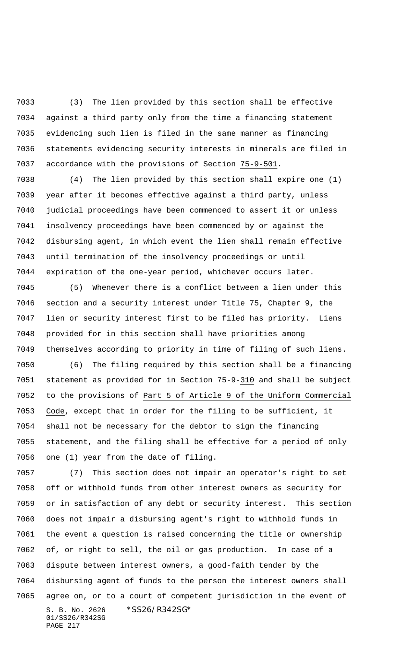(3) The lien provided by this section shall be effective against a third party only from the time a financing statement evidencing such lien is filed in the same manner as financing statements evidencing security interests in minerals are filed in accordance with the provisions of Section 75-9-501.

 (4) The lien provided by this section shall expire one (1) year after it becomes effective against a third party, unless judicial proceedings have been commenced to assert it or unless insolvency proceedings have been commenced by or against the disbursing agent, in which event the lien shall remain effective until termination of the insolvency proceedings or until expiration of the one-year period, whichever occurs later.

 (5) Whenever there is a conflict between a lien under this section and a security interest under Title 75, Chapter 9, the lien or security interest first to be filed has priority. Liens provided for in this section shall have priorities among themselves according to priority in time of filing of such liens.

 (6) The filing required by this section shall be a financing statement as provided for in Section 75-9-310 and shall be subject to the provisions of Part 5 of Article 9 of the Uniform Commercial Code, except that in order for the filing to be sufficient, it shall not be necessary for the debtor to sign the financing statement, and the filing shall be effective for a period of only one (1) year from the date of filing.

S. B. No. 2626 \*SS26/R342SG\* (7) This section does not impair an operator's right to set off or withhold funds from other interest owners as security for or in satisfaction of any debt or security interest. This section does not impair a disbursing agent's right to withhold funds in the event a question is raised concerning the title or ownership of, or right to sell, the oil or gas production. In case of a dispute between interest owners, a good-faith tender by the disbursing agent of funds to the person the interest owners shall agree on, or to a court of competent jurisdiction in the event of

01/SS26/R342SG PAGE 217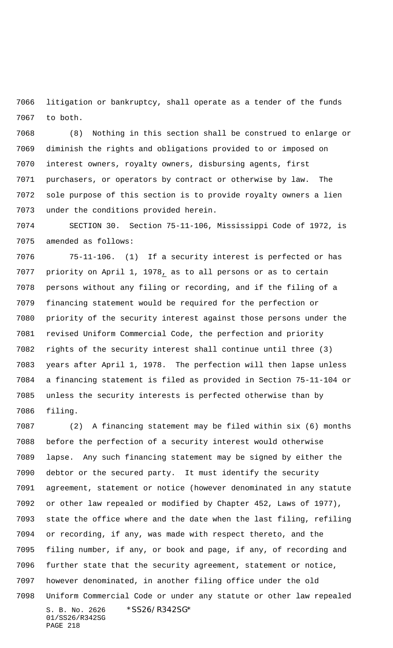litigation or bankruptcy, shall operate as a tender of the funds to both.

 (8) Nothing in this section shall be construed to enlarge or diminish the rights and obligations provided to or imposed on interest owners, royalty owners, disbursing agents, first purchasers, or operators by contract or otherwise by law. The sole purpose of this section is to provide royalty owners a lien under the conditions provided herein.

 SECTION 30. Section 75-11-106, Mississippi Code of 1972, is amended as follows:

 75-11-106. (1) If a security interest is perfected or has priority on April 1, 1978, as to all persons or as to certain persons without any filing or recording, and if the filing of a financing statement would be required for the perfection or priority of the security interest against those persons under the revised Uniform Commercial Code, the perfection and priority rights of the security interest shall continue until three (3) years after April 1, 1978. The perfection will then lapse unless a financing statement is filed as provided in Section 75-11-104 or unless the security interests is perfected otherwise than by filing.

S. B. No. 2626 \*SS26/R342SG\* 01/SS26/R342SG PAGE 218 (2) A financing statement may be filed within six (6) months before the perfection of a security interest would otherwise lapse. Any such financing statement may be signed by either the debtor or the secured party. It must identify the security agreement, statement or notice (however denominated in any statute or other law repealed or modified by Chapter 452, Laws of 1977), state the office where and the date when the last filing, refiling or recording, if any, was made with respect thereto, and the filing number, if any, or book and page, if any, of recording and further state that the security agreement, statement or notice, however denominated, in another filing office under the old Uniform Commercial Code or under any statute or other law repealed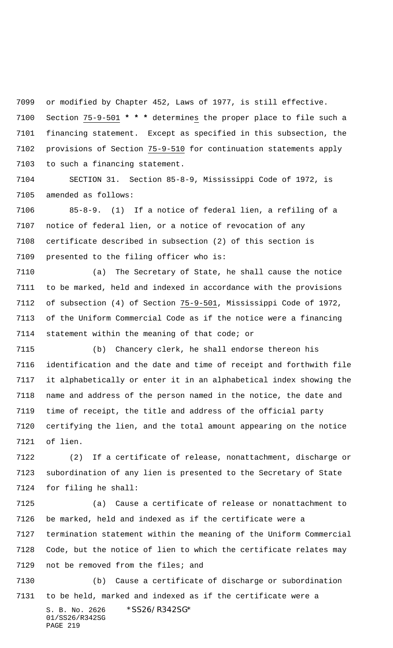or modified by Chapter 452, Laws of 1977, is still effective. Section 75-9-501 **\* \* \*** determines the proper place to file such a financing statement. Except as specified in this subsection, the provisions of Section 75-9-510 for continuation statements apply to such a financing statement.

 SECTION 31. Section 85-8-9, Mississippi Code of 1972, is amended as follows:

 85-8-9. (1) If a notice of federal lien, a refiling of a notice of federal lien, or a notice of revocation of any certificate described in subsection (2) of this section is presented to the filing officer who is:

 (a) The Secretary of State, he shall cause the notice to be marked, held and indexed in accordance with the provisions of subsection (4) of Section 75-9-501, Mississippi Code of 1972, of the Uniform Commercial Code as if the notice were a financing statement within the meaning of that code; or

 (b) Chancery clerk, he shall endorse thereon his identification and the date and time of receipt and forthwith file it alphabetically or enter it in an alphabetical index showing the name and address of the person named in the notice, the date and time of receipt, the title and address of the official party certifying the lien, and the total amount appearing on the notice of lien.

 (2) If a certificate of release, nonattachment, discharge or subordination of any lien is presented to the Secretary of State for filing he shall:

 (a) Cause a certificate of release or nonattachment to be marked, held and indexed as if the certificate were a termination statement within the meaning of the Uniform Commercial Code, but the notice of lien to which the certificate relates may 7129 not be removed from the files; and

S. B. No. 2626 \*SS26/R342SG\* 01/SS26/R342SG PAGE 219 (b) Cause a certificate of discharge or subordination to be held, marked and indexed as if the certificate were a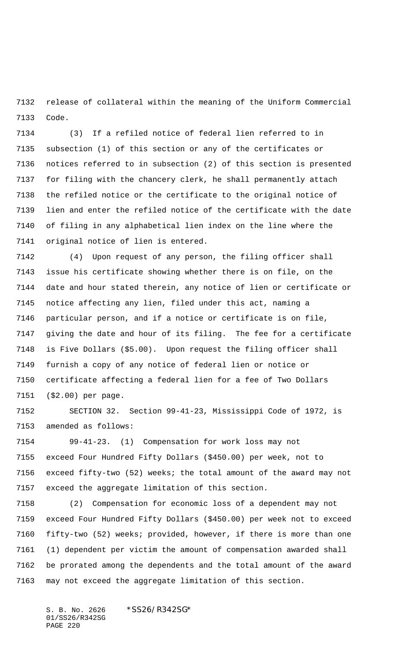release of collateral within the meaning of the Uniform Commercial Code.

 (3) If a refiled notice of federal lien referred to in subsection (1) of this section or any of the certificates or notices referred to in subsection (2) of this section is presented for filing with the chancery clerk, he shall permanently attach the refiled notice or the certificate to the original notice of lien and enter the refiled notice of the certificate with the date of filing in any alphabetical lien index on the line where the original notice of lien is entered.

 (4) Upon request of any person, the filing officer shall issue his certificate showing whether there is on file, on the date and hour stated therein, any notice of lien or certificate or notice affecting any lien, filed under this act, naming a particular person, and if a notice or certificate is on file, giving the date and hour of its filing. The fee for a certificate is Five Dollars (\$5.00). Upon request the filing officer shall furnish a copy of any notice of federal lien or notice or certificate affecting a federal lien for a fee of Two Dollars (\$2.00) per page.

 SECTION 32. Section 99-41-23, Mississippi Code of 1972, is amended as follows:

 99-41-23. (1) Compensation for work loss may not exceed Four Hundred Fifty Dollars (\$450.00) per week, not to exceed fifty-two (52) weeks; the total amount of the award may not exceed the aggregate limitation of this section.

 (2) Compensation for economic loss of a dependent may not exceed Four Hundred Fifty Dollars (\$450.00) per week not to exceed fifty-two (52) weeks; provided, however, if there is more than one (1) dependent per victim the amount of compensation awarded shall be prorated among the dependents and the total amount of the award may not exceed the aggregate limitation of this section.

S. B. No. 2626 \*SS26/R342SG\* 01/SS26/R342SG PAGE 220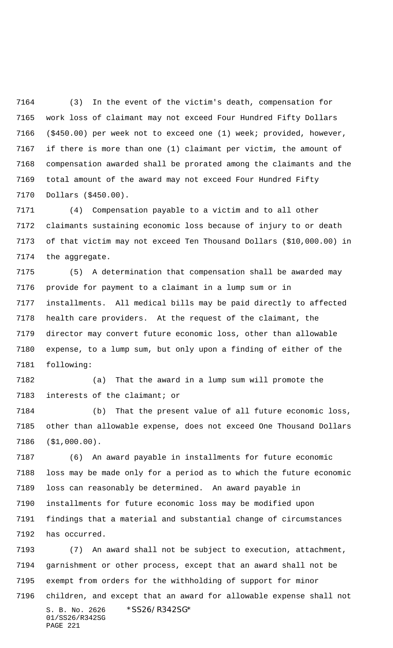(3) In the event of the victim's death, compensation for work loss of claimant may not exceed Four Hundred Fifty Dollars (\$450.00) per week not to exceed one (1) week; provided, however, if there is more than one (1) claimant per victim, the amount of compensation awarded shall be prorated among the claimants and the total amount of the award may not exceed Four Hundred Fifty Dollars (\$450.00).

 (4) Compensation payable to a victim and to all other claimants sustaining economic loss because of injury to or death of that victim may not exceed Ten Thousand Dollars (\$10,000.00) in the aggregate.

 (5) A determination that compensation shall be awarded may provide for payment to a claimant in a lump sum or in installments. All medical bills may be paid directly to affected health care providers. At the request of the claimant, the director may convert future economic loss, other than allowable expense, to a lump sum, but only upon a finding of either of the following:

 (a) That the award in a lump sum will promote the interests of the claimant; or

 (b) That the present value of all future economic loss, other than allowable expense, does not exceed One Thousand Dollars (\$1,000.00).

 (6) An award payable in installments for future economic loss may be made only for a period as to which the future economic loss can reasonably be determined. An award payable in installments for future economic loss may be modified upon findings that a material and substantial change of circumstances has occurred.

S. B. No. 2626 \*SS26/R342SG\* 01/SS26/R342SG PAGE 221 (7) An award shall not be subject to execution, attachment, garnishment or other process, except that an award shall not be exempt from orders for the withholding of support for minor children, and except that an award for allowable expense shall not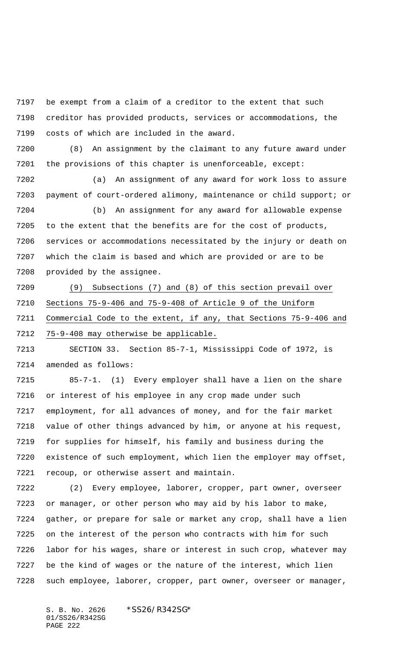be exempt from a claim of a creditor to the extent that such creditor has provided products, services or accommodations, the costs of which are included in the award.

 (8) An assignment by the claimant to any future award under the provisions of this chapter is unenforceable, except:

 (a) An assignment of any award for work loss to assure payment of court-ordered alimony, maintenance or child support; or

 (b) An assignment for any award for allowable expense to the extent that the benefits are for the cost of products, services or accommodations necessitated by the injury or death on which the claim is based and which are provided or are to be provided by the assignee.

 (9) Subsections (7) and (8) of this section prevail over Sections 75-9-406 and 75-9-408 of Article 9 of the Uniform Commercial Code to the extent, if any, that Sections 75-9-406 and 75-9-408 may otherwise be applicable.

 SECTION 33. Section 85-7-1, Mississippi Code of 1972, is amended as follows:

 85-7-1. (1) Every employer shall have a lien on the share or interest of his employee in any crop made under such employment, for all advances of money, and for the fair market value of other things advanced by him, or anyone at his request, for supplies for himself, his family and business during the existence of such employment, which lien the employer may offset, recoup, or otherwise assert and maintain.

 (2) Every employee, laborer, cropper, part owner, overseer or manager, or other person who may aid by his labor to make, gather, or prepare for sale or market any crop, shall have a lien on the interest of the person who contracts with him for such labor for his wages, share or interest in such crop, whatever may be the kind of wages or the nature of the interest, which lien such employee, laborer, cropper, part owner, overseer or manager,

S. B. No. 2626 \*SS26/R342SG\* 01/SS26/R342SG PAGE 222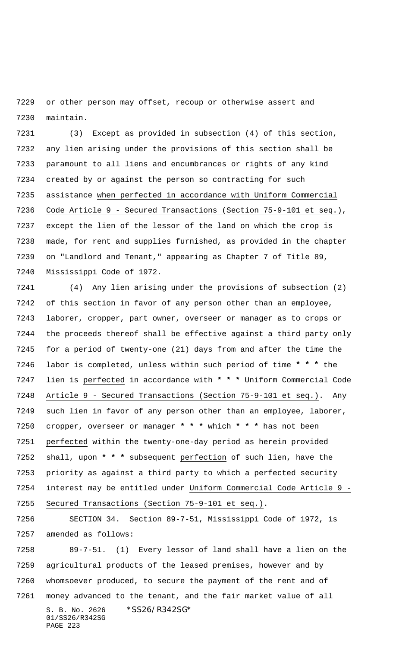or other person may offset, recoup or otherwise assert and maintain.

 (3) Except as provided in subsection (4) of this section, any lien arising under the provisions of this section shall be paramount to all liens and encumbrances or rights of any kind created by or against the person so contracting for such assistance when perfected in accordance with Uniform Commercial Code Article 9 - Secured Transactions (Section 75-9-101 et seq.), except the lien of the lessor of the land on which the crop is made, for rent and supplies furnished, as provided in the chapter on "Landlord and Tenant," appearing as Chapter 7 of Title 89, Mississippi Code of 1972.

 (4) Any lien arising under the provisions of subsection (2) of this section in favor of any person other than an employee, laborer, cropper, part owner, overseer or manager as to crops or the proceeds thereof shall be effective against a third party only for a period of twenty-one (21) days from and after the time the labor is completed, unless within such period of time **\* \* \*** the lien is perfected in accordance with **\* \* \*** Uniform Commercial Code Article 9 - Secured Transactions (Section 75-9-101 et seq.). Any such lien in favor of any person other than an employee, laborer, cropper, overseer or manager **\* \* \*** which **\* \* \*** has not been perfected within the twenty-one-day period as herein provided shall, upon **\* \* \*** subsequent perfection of such lien, have the priority as against a third party to which a perfected security interest may be entitled under Uniform Commercial Code Article 9 - Secured Transactions (Section 75-9-101 et seq.).

 SECTION 34. Section 89-7-51, Mississippi Code of 1972, is amended as follows:

S. B. No. 2626 \*SS26/R342SG\* 01/SS26/R342SG 89-7-51. (1) Every lessor of land shall have a lien on the agricultural products of the leased premises, however and by whomsoever produced, to secure the payment of the rent and of money advanced to the tenant, and the fair market value of all

```
PAGE 223
```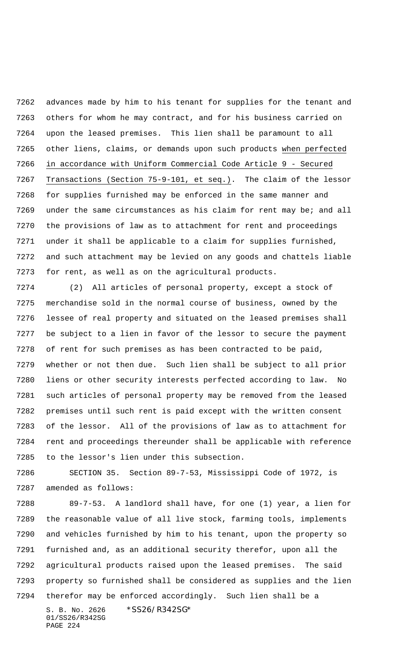advances made by him to his tenant for supplies for the tenant and others for whom he may contract, and for his business carried on upon the leased premises. This lien shall be paramount to all other liens, claims, or demands upon such products when perfected in accordance with Uniform Commercial Code Article 9 - Secured Transactions (Section 75-9-101, et seq.). The claim of the lessor for supplies furnished may be enforced in the same manner and under the same circumstances as his claim for rent may be; and all the provisions of law as to attachment for rent and proceedings under it shall be applicable to a claim for supplies furnished, and such attachment may be levied on any goods and chattels liable for rent, as well as on the agricultural products.

 (2) All articles of personal property, except a stock of merchandise sold in the normal course of business, owned by the lessee of real property and situated on the leased premises shall be subject to a lien in favor of the lessor to secure the payment of rent for such premises as has been contracted to be paid, whether or not then due. Such lien shall be subject to all prior liens or other security interests perfected according to law. No such articles of personal property may be removed from the leased premises until such rent is paid except with the written consent of the lessor. All of the provisions of law as to attachment for rent and proceedings thereunder shall be applicable with reference to the lessor's lien under this subsection.

 SECTION 35. Section 89-7-53, Mississippi Code of 1972, is amended as follows:

S. B. No. 2626 \*SS26/R342SG\* 01/SS26/R342SG 89-7-53. A landlord shall have, for one (1) year, a lien for the reasonable value of all live stock, farming tools, implements and vehicles furnished by him to his tenant, upon the property so furnished and, as an additional security therefor, upon all the agricultural products raised upon the leased premises. The said property so furnished shall be considered as supplies and the lien therefor may be enforced accordingly. Such lien shall be a

PAGE 224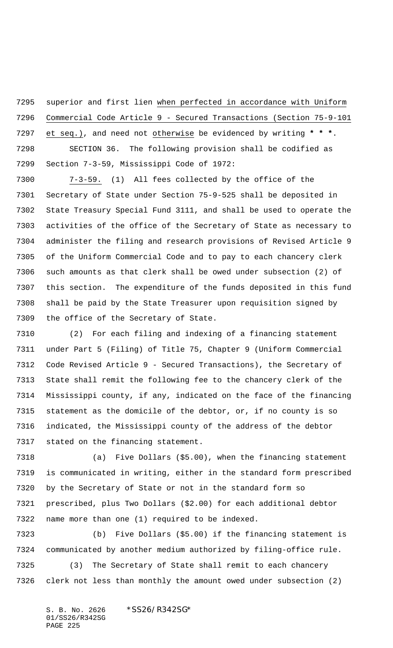superior and first lien when perfected in accordance with Uniform Commercial Code Article 9 - Secured Transactions (Section 75-9-101

 et seq.), and need not otherwise be evidenced by writing **\* \* \***. SECTION 36. The following provision shall be codified as Section 7-3-59, Mississippi Code of 1972:

 7-3-59. (1) All fees collected by the office of the Secretary of State under Section 75-9-525 shall be deposited in State Treasury Special Fund 3111, and shall be used to operate the activities of the office of the Secretary of State as necessary to administer the filing and research provisions of Revised Article 9 of the Uniform Commercial Code and to pay to each chancery clerk such amounts as that clerk shall be owed under subsection (2) of this section. The expenditure of the funds deposited in this fund shall be paid by the State Treasurer upon requisition signed by the office of the Secretary of State.

 (2) For each filing and indexing of a financing statement under Part 5 (Filing) of Title 75, Chapter 9 (Uniform Commercial Code Revised Article 9 - Secured Transactions), the Secretary of State shall remit the following fee to the chancery clerk of the Mississippi county, if any, indicated on the face of the financing statement as the domicile of the debtor, or, if no county is so indicated, the Mississippi county of the address of the debtor stated on the financing statement.

 (a) Five Dollars (\$5.00), when the financing statement is communicated in writing, either in the standard form prescribed by the Secretary of State or not in the standard form so prescribed, plus Two Dollars (\$2.00) for each additional debtor name more than one (1) required to be indexed.

 (b) Five Dollars (\$5.00) if the financing statement is communicated by another medium authorized by filing-office rule. (3) The Secretary of State shall remit to each chancery clerk not less than monthly the amount owed under subsection (2)

S. B. No. 2626 \*SS26/R342SG\* 01/SS26/R342SG PAGE 225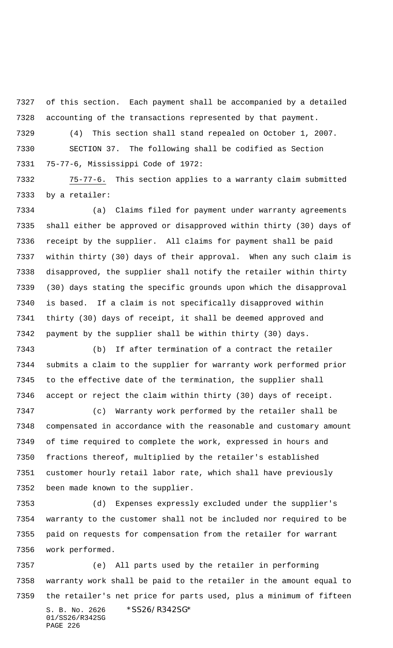of this section. Each payment shall be accompanied by a detailed accounting of the transactions represented by that payment.

 (4) This section shall stand repealed on October 1, 2007. SECTION 37. The following shall be codified as Section 75-77-6, Mississippi Code of 1972:

 75-77-6. This section applies to a warranty claim submitted by a retailer:

 (a) Claims filed for payment under warranty agreements shall either be approved or disapproved within thirty (30) days of receipt by the supplier. All claims for payment shall be paid within thirty (30) days of their approval. When any such claim is disapproved, the supplier shall notify the retailer within thirty (30) days stating the specific grounds upon which the disapproval is based. If a claim is not specifically disapproved within thirty (30) days of receipt, it shall be deemed approved and payment by the supplier shall be within thirty (30) days.

 (b) If after termination of a contract the retailer submits a claim to the supplier for warranty work performed prior to the effective date of the termination, the supplier shall accept or reject the claim within thirty (30) days of receipt.

 (c) Warranty work performed by the retailer shall be compensated in accordance with the reasonable and customary amount of time required to complete the work, expressed in hours and fractions thereof, multiplied by the retailer's established customer hourly retail labor rate, which shall have previously been made known to the supplier.

 (d) Expenses expressly excluded under the supplier's warranty to the customer shall not be included nor required to be paid on requests for compensation from the retailer for warrant work performed.

S. B. No. 2626 \*SS26/R342SG\* 01/SS26/R342SG PAGE 226 (e) All parts used by the retailer in performing warranty work shall be paid to the retailer in the amount equal to the retailer's net price for parts used, plus a minimum of fifteen